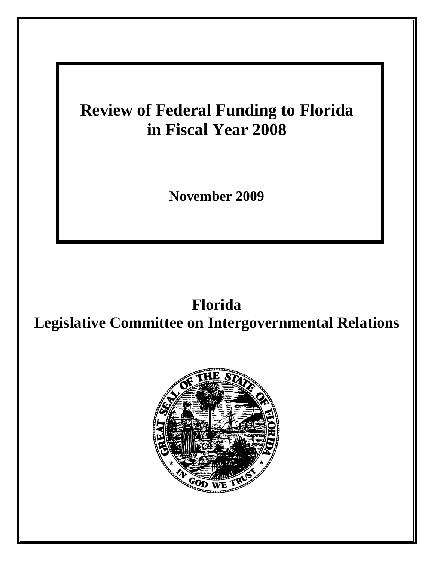# **Review of Federal Funding to Florida in Fiscal Year 2008**

**November 2009** 

# **Florida Legislative Committee on Intergovernmental Relations**

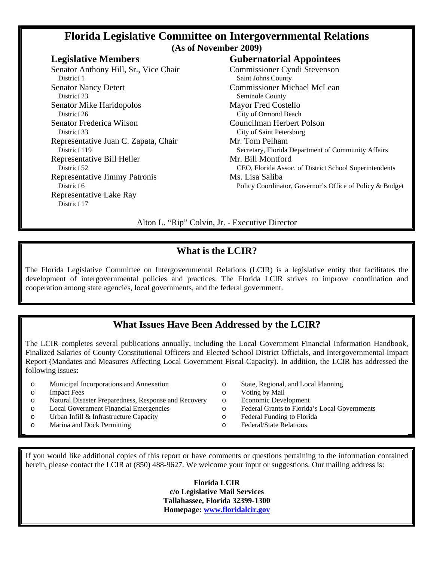# **Florida Legislative Committee on Intergovernmental Relations (As of November 2009)**

Senator Anthony Hill, Sr., Vice Chair Commissioner Cyndi Stevenson District 1 Saint Johns County Senator Nancy Detert Commissioner Michael McLean District 23 Seminole County Senator Mike Haridopolos Mayor Fred Costello District 26 City of Ormond Beach Senator Frederica Wilson Councilman Herbert Polson<br>District 33 City of Saint Petersburg Representative Juan C. Zapata, Chair Mr. Tom Pelham Representative Bill Heller Mr. Bill Montford Representative Jimmy Patronis Ms. Lisa Saliba Representative Lake Ray District 17

#### *Cubernatorial Appointees* Gubernatorial Appointees

City of Saint Petersburg District 119 Secretary, Florida Department of Community Affairs District 52 CEO, Florida Assoc. of District School Superintendents District 6 Policy Coordinator, Governor's Office of Policy & Budget

Alton L. "Rip" Colvin, Jr. - Executive Director

# **What is the LCIR?**

The Florida Legislative Committee on Intergovernmental Relations (LCIR) is a legislative entity that facilitates the development of intergovernmental policies and practices. The Florida LCIR strives to improve coordination and cooperation among state agencies, local governments, and the federal government.

# **What Issues Have Been Addressed by the LCIR?**

The LCIR completes several publications annually, including the Local Government Financial Information Handbook, Finalized Salaries of County Constitutional Officers and Elected School District Officials, and Intergovernmental Impact Report (Mandates and Measures Affecting Local Government Fiscal Capacity). In addition, the LCIR has addressed the following issues:

- o Municipal Incorporations and Annexation
- o Impact Fees
- o Natural Disaster Preparedness, Response and Recovery
- o Local Government Financial Emergencies
- o Urban Infill & Infrastructure Capacity
- o Marina and Dock Permitting
- o State, Regional, and Local Planning
- o Voting by Mail
- o Economic Development
- o Federal Grants to Florida's Local Governments
- o Federal Funding to Florida
- o Federal/State Relations

If you would like additional copies of this report or have comments or questions pertaining to the information contained herein, please contact the LCIR at (850) 488-9627. We welcome your input or suggestions. Our mailing address is:

> **Florida LCIR c/o Legislative Mail Services Tallahassee, Florida 32399-1300 Homepage: www.floridalcir.gov**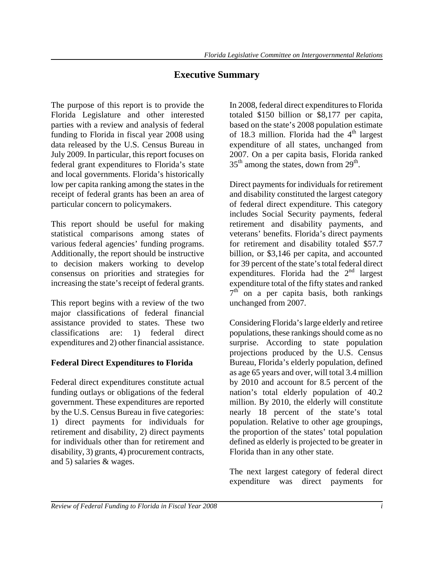# **Executive Summary**

The purpose of this report is to provide the Florida Legislature and other interested parties with a review and analysis of federal funding to Florida in fiscal year 2008 using data released by the U.S. Census Bureau in July 2009. In particular, this report focuses on federal grant expenditures to Florida's state and local governments. Florida's historically low per capita ranking among the states in the receipt of federal grants has been an area of particular concern to policymakers.

This report should be useful for making statistical comparisons among states of various federal agencies' funding programs. Additionally, the report should be instructive to decision makers working to develop consensus on priorities and strategies for increasing the state's receipt of federal grants.

This report begins with a review of the two major classifications of federal financial assistance provided to states. These two classifications are: 1) federal direct expenditures and 2) other financial assistance.

# **Federal Direct Expenditures to Florida**

Federal direct expenditures constitute actual funding outlays or obligations of the federal government. These expenditures are reported by the U.S. Census Bureau in five categories: 1) direct payments for individuals for retirement and disability, 2) direct payments for individuals other than for retirement and disability, 3) grants, 4) procurement contracts, and 5) salaries & wages.

In 2008, federal direct expenditures to Florida totaled \$150 billion or \$8,177 per capita, based on the state's 2008 population estimate of 18.3 million. Florida had the  $4<sup>th</sup>$  largest expenditure of all states, unchanged from 2007. On a per capita basis, Florida ranked  $35<sup>th</sup>$  among the states, down from  $29<sup>th</sup>$ .

Direct payments for individuals for retirement and disability constituted the largest category of federal direct expenditure. This category includes Social Security payments, federal retirement and disability payments, and veterans' benefits. Florida's direct payments for retirement and disability totaled \$57.7 billion, or \$3,146 per capita, and accounted for 39 percent of the state's total federal direct expenditures. Florida had the  $2<sup>nd</sup>$  largest expenditure total of the fifty states and ranked  $7<sup>th</sup>$  on a per capita basis, both rankings unchanged from 2007.

Considering Florida's large elderly and retiree populations, these rankings should come as no surprise. According to state population projections produced by the U.S. Census Bureau, Florida's elderly population, defined as age 65 years and over, will total 3.4 million by 2010 and account for 8.5 percent of the nation's total elderly population of 40.2 million. By 2010, the elderly will constitute nearly 18 percent of the state's total population. Relative to other age groupings, the proportion of the states' total population defined as elderly is projected to be greater in Florida than in any other state.

The next largest category of federal direct expenditure was direct payments for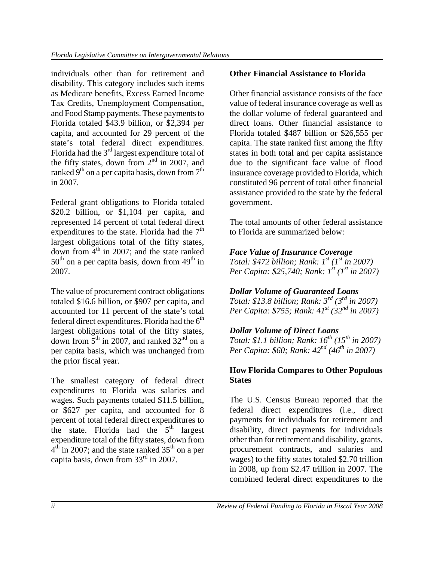individuals other than for retirement and disability. This category includes such items as Medicare benefits, Excess Earned Income Tax Credits, Unemployment Compensation, and Food Stamp payments. These payments to Florida totaled \$43.9 billion, or \$2,394 per capita, and accounted for 29 percent of the state's total federal direct expenditures. Florida had the  $3<sup>rd</sup>$  largest expenditure total of the fifty states, down from  $2<sup>nd</sup>$  in 2007, and ranked  $9<sup>th</sup>$  on a per capita basis, down from  $7<sup>th</sup>$ in 2007.

Federal grant obligations to Florida totaled \$20.2 billion, or \$1,104 per capita, and represented 14 percent of total federal direct expenditures to the state. Florida had the  $7<sup>th</sup>$ largest obligations total of the fifty states, down from  $4<sup>th</sup>$  in 2007; and the state ranked  $50<sup>th</sup>$  on a per capita basis, down from 49<sup>th</sup> in 2007.

The value of procurement contract obligations totaled \$16.6 billion, or \$907 per capita, and accounted for 11 percent of the state's total federal direct expenditures. Florida had the  $6<sup>th</sup>$ largest obligations total of the fifty states, down from  $5<sup>th</sup>$  in 2007, and ranked  $32<sup>nd</sup>$  on a per capita basis, which was unchanged from the prior fiscal year.

The smallest category of federal direct expenditures to Florida was salaries and wages. Such payments totaled \$11.5 billion, or \$627 per capita, and accounted for 8 percent of total federal direct expenditures to the state. Florida had the  $5<sup>th</sup>$  largest expenditure total of the fifty states, down from  $4<sup>th</sup>$  in 2007; and the state ranked 35<sup>th</sup> on a per capita basis, down from  $33<sup>rd</sup>$  in 2007.

#### **Other Financial Assistance to Florida**

Other financial assistance consists of the face value of federal insurance coverage as well as the dollar volume of federal guaranteed and direct loans. Other financial assistance to Florida totaled \$487 billion or \$26,555 per capita. The state ranked first among the fifty states in both total and per capita assistance due to the significant face value of flood insurance coverage provided to Florida, which constituted 96 percent of total other financial assistance provided to the state by the federal government.

The total amounts of other federal assistance to Florida are summarized below:

#### *Face Value of Insurance Coverage*

*Total: \$472 billion; Rank: 1st (1st in 2007) Per Capita: \$25,740; Rank: 1<sup>st</sup> (1<sup>st</sup> in 2007)* 

# *Dollar Volume of Guaranteed Loans*

*Total: \$13.8 billion; Rank: 3rd (3rd in 2007) Per Capita: \$755; Rank: 41st (32nd in 2007)* 

# *Dollar Volume of Direct Loans*

*Total: \$1.1 billion; Rank: 16th (15th in 2007) Per Capita: \$60; Rank: 42nd (46th in 2007)* 

#### **How Florida Compares to Other Populous States**

The U.S. Census Bureau reported that the federal direct expenditures (i.e., direct payments for individuals for retirement and disability, direct payments for individuals other than for retirement and disability, grants, procurement contracts, and salaries and wages) to the fifty states totaled \$2.70 trillion in 2008, up from \$2.47 trillion in 2007. The combined federal direct expenditures to the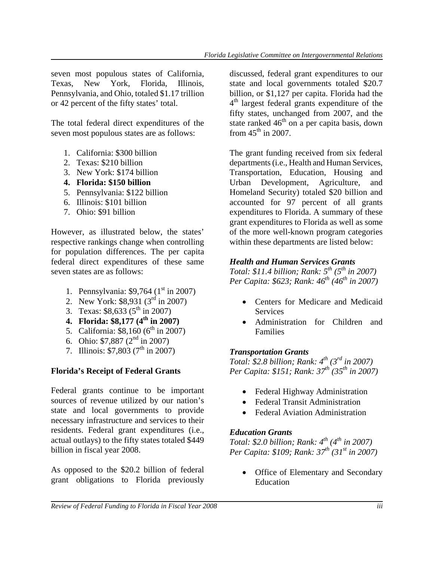seven most populous states of California, Texas, New York, Florida, Illinois, Pennsylvania, and Ohio, totaled \$1.17 trillion or 42 percent of the fifty states' total.

The total federal direct expenditures of the seven most populous states are as follows:

- 1. California: \$300 billion
- 2. Texas: \$210 billion
- 3. New York: \$174 billion
- **4. Florida: \$150 billion**
- 5. Pennsylvania: \$122 billion
- 6. Illinois: \$101 billion
- 7. Ohio: \$91 billion

However, as illustrated below, the states' respective rankings change when controlling for population differences. The per capita federal direct expenditures of these same seven states are as follows:

- 1. Pennsylvania: \$9,764  $(1<sup>st</sup> in 2007)$
- 2. New York: \$8,931  $(3<sup>rd</sup> in 2007)$
- 3. Texas:  $$8,633(5<sup>th</sup> in 2007)$
- **4. Florida: \$8,177 (4th in 2007)**
- 5. California:  $$8,160 (6<sup>th</sup> in 2007)$
- 6. Ohio: \$7,887 (2nd in 2007)
- 7. Illinois: \$7,803 ( $7^{\text{th}}$  in 2007)

# **Florida's Receipt of Federal Grants**

Federal grants continue to be important sources of revenue utilized by our nation's state and local governments to provide necessary infrastructure and services to their residents. Federal grant expenditures (i.e., actual outlays) to the fifty states totaled \$449 billion in fiscal year 2008.

As opposed to the \$20.2 billion of federal grant obligations to Florida previously discussed, federal grant expenditures to our state and local governments totaled \$20.7 billion, or \$1,127 per capita. Florida had the 4<sup>th</sup> largest federal grants expenditure of the fifty states, unchanged from 2007, and the state ranked  $46<sup>th</sup>$  on a per capita basis, down from  $45^{\text{th}}$  in 2007.

The grant funding received from six federal departments (i.e., Health and Human Services, Transportation, Education, Housing and Urban Development, Agriculture, and Homeland Security) totaled \$20 billion and accounted for 97 percent of all grants expenditures to Florida. A summary of these grant expenditures to Florida as well as some of the more well-known program categories within these departments are listed below:

# *Health and Human Services Grants*

*Total: \$11.4 billion; Rank: 5th (5th in 2007) Per Capita: \$623; Rank: 46<sup>th</sup> (46<sup>th</sup> in 2007)* 

- Centers for Medicare and Medicaid **Services**
- Administration for Children and Families

# *Transportation Grants*

*Total: \$2.8 billion; Rank: 4th (3rd in 2007) Per Capita: \$151; Rank: 37<sup>th</sup> (35<sup>th</sup> in 2007)* 

- Federal Highway Administration
- Federal Transit Administration
- Federal Aviation Administration

# *Education Grants*

*Total: \$2.0 billion; Rank: 4<sup>th</sup> (4<sup>th</sup> in 2007) Per Capita: \$109; Rank: 37<sup>th</sup> (31<sup>st</sup> in 2007)* 

• Office of Elementary and Secondary Education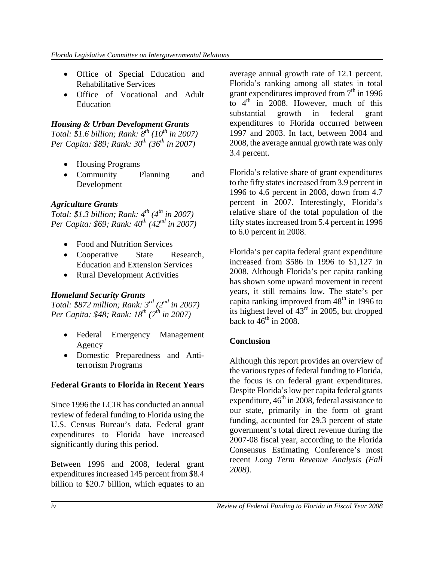- Office of Special Education and Rehabilitative Services
- Office of Vocational and Adult Education

# *Housing & Urban Development Grants*

*Total: \$1.6 billion; Rank:*  $8^{th}$  *(10<sup>th</sup> in 2007) Per Capita: \$89; Rank: 30<sup>th</sup> (36<sup>th</sup> in 2007)* 

- Housing Programs
- Community Planning and Development

# *Agriculture Grants*

*Total: \$1.3 billion; Rank: 4th (4th in 2007) Per Capita: \$69; Rank:*  $40^{th}$  *(42<sup>nd</sup> in 2007)* 

- Food and Nutrition Services
- Cooperative State Research, Education and Extension Services
- Rural Development Activities

# *Homeland Security Grants*

*Total: \$872 million; Rank: 3rd (2nd in 2007) Per Capita: \$48; Rank: 18<sup>th</sup> (7<sup>th</sup> in 2007)* 

- Federal Emergency Management Agency
- Domestic Preparedness and Antiterrorism Programs

# **Federal Grants to Florida in Recent Years**

Since 1996 the LCIR has conducted an annual review of federal funding to Florida using the U.S. Census Bureau's data. Federal grant expenditures to Florida have increased significantly during this period.

Between 1996 and 2008, federal grant expenditures increased 145 percent from \$8.4 billion to \$20.7 billion, which equates to an

average annual growth rate of 12.1 percent. Florida's ranking among all states in total grant expenditures improved from  $7<sup>th</sup>$  in 1996 to  $4<sup>th</sup>$  in 2008. However, much of this substantial growth in federal grant expenditures to Florida occurred between 1997 and 2003. In fact, between 2004 and 2008, the average annual growth rate was only 3.4 percent.

Florida's relative share of grant expenditures to the fifty states increased from 3.9 percent in 1996 to 4.6 percent in 2008, down from 4.7 percent in 2007. Interestingly, Florida's relative share of the total population of the fifty states increased from 5.4 percent in 1996 to 6.0 percent in 2008.

Florida's per capita federal grant expenditure increased from \$586 in 1996 to \$1,127 in 2008. Although Florida's per capita ranking has shown some upward movement in recent years, it still remains low. The state's per capita ranking improved from  $48<sup>th</sup>$  in 1996 to its highest level of  $43<sup>rd</sup>$  in 2005, but dropped back to  $46^{\text{th}}$  in 2008.

# **Conclusion**

Although this report provides an overview of the various types of federal funding to Florida, the focus is on federal grant expenditures. Despite Florida's low per capita federal grants expenditure,  $46<sup>th</sup>$  in 2008, federal assistance to our state, primarily in the form of grant funding, accounted for 29.3 percent of state government's total direct revenue during the 2007-08 fiscal year, according to the Florida Consensus Estimating Conference's most recent *Long Term Revenue Analysis (Fall 2008)*.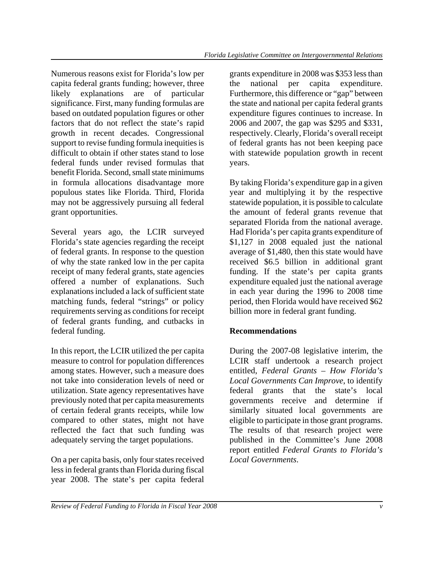Numerous reasons exist for Florida's low per capita federal grants funding; however, three likely explanations are of particular significance. First, many funding formulas are based on outdated population figures or other factors that do not reflect the state's rapid growth in recent decades. Congressional support to revise funding formula inequities is difficult to obtain if other states stand to lose federal funds under revised formulas that benefit Florida. Second, small state minimums in formula allocations disadvantage more populous states like Florida. Third, Florida may not be aggressively pursuing all federal grant opportunities.

Several years ago, the LCIR surveyed Florida's state agencies regarding the receipt of federal grants. In response to the question of why the state ranked low in the per capita receipt of many federal grants, state agencies offered a number of explanations. Such explanations included a lack of sufficient state matching funds, federal "strings" or policy requirements serving as conditions for receipt of federal grants funding, and cutbacks in federal funding.

In this report, the LCIR utilized the per capita measure to control for population differences among states. However, such a measure does not take into consideration levels of need or utilization. State agency representatives have previously noted that per capita measurements of certain federal grants receipts, while low compared to other states, might not have reflected the fact that such funding was adequately serving the target populations.

On a per capita basis, only four states received less in federal grants than Florida during fiscal year 2008. The state's per capita federal

grants expenditure in 2008 was \$353 less than the national per capita expenditure. Furthermore, this difference or "gap" between the state and national per capita federal grants expenditure figures continues to increase. In 2006 and 2007, the gap was \$295 and \$331, respectively. Clearly, Florida's overall receipt of federal grants has not been keeping pace with statewide population growth in recent years.

By taking Florida's expenditure gap in a given year and multiplying it by the respective statewide population, it is possible to calculate the amount of federal grants revenue that separated Florida from the national average. Had Florida's per capita grants expenditure of \$1,127 in 2008 equaled just the national average of \$1,480, then this state would have received \$6.5 billion in additional grant funding. If the state's per capita grants expenditure equaled just the national average in each year during the 1996 to 2008 time period, then Florida would have received \$62 billion more in federal grant funding.

# **Recommendations**

During the 2007-08 legislative interim, the LCIR staff undertook a research project entitled, *Federal Grants – How Florida's Local Governments Can Improve*, to identify federal grants that the state's local governments receive and determine if similarly situated local governments are eligible to participate in those grant programs. The results of that research project were published in the Committee's June 2008 report entitled *Federal Grants to Florida's Local Governments*.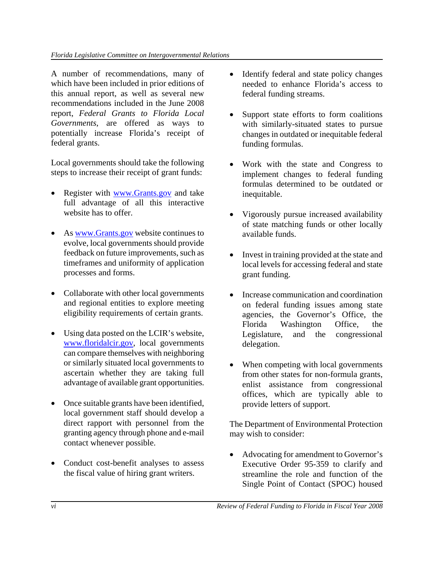A number of recommendations, many of which have been included in prior editions of this annual report, as well as several new recommendations included in the June 2008 report, *Federal Grants to Florida Local Governments*, are offered as ways to potentially increase Florida's receipt of federal grants.

Local governments should take the following steps to increase their receipt of grant funds:

- Register with www.Grants.gov and take full advantage of all this interactive website has to offer.
- As www.Grants.gov website continues to evolve, local governments should provide feedback on future improvements, such as timeframes and uniformity of application processes and forms.
- Collaborate with other local governments and regional entities to explore meeting eligibility requirements of certain grants.
- Using data posted on the LCIR's website, www.floridalcir.gov, local governments can compare themselves with neighboring or similarly situated local governments to ascertain whether they are taking full advantage of available grant opportunities.
- Once suitable grants have been identified, local government staff should develop a direct rapport with personnel from the granting agency through phone and e-mail contact whenever possible.
- Conduct cost-benefit analyses to assess the fiscal value of hiring grant writers.
- Identify federal and state policy changes needed to enhance Florida's access to federal funding streams.
- Support state efforts to form coalitions with similarly-situated states to pursue changes in outdated or inequitable federal funding formulas.
- Work with the state and Congress to implement changes to federal funding formulas determined to be outdated or inequitable.
- Vigorously pursue increased availability of state matching funds or other locally available funds.
- Invest in training provided at the state and local levels for accessing federal and state grant funding.
- Increase communication and coordination on federal funding issues among state agencies, the Governor's Office, the Florida Washington Office, the Legislature, and the congressional delegation.
- When competing with local governments from other states for non-formula grants, enlist assistance from congressional offices, which are typically able to provide letters of support.

The Department of Environmental Protection may wish to consider:

• Advocating for amendment to Governor's Executive Order 95-359 to clarify and streamline the role and function of the Single Point of Contact (SPOC) housed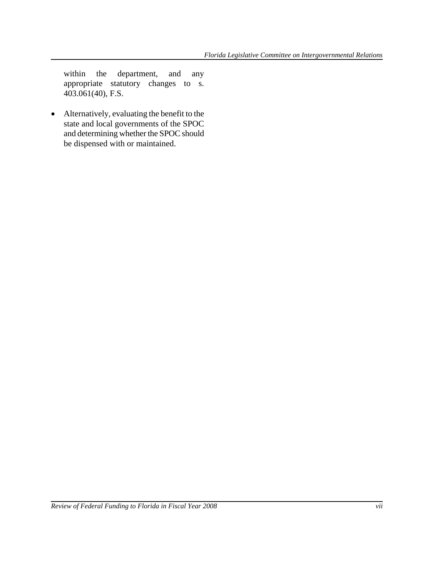within the department, and any appropriate statutory changes to s. 403.061(40), F.S.

• Alternatively, evaluating the benefit to the state and local governments of the SPOC and determining whether the SPOC should be dispensed with or maintained.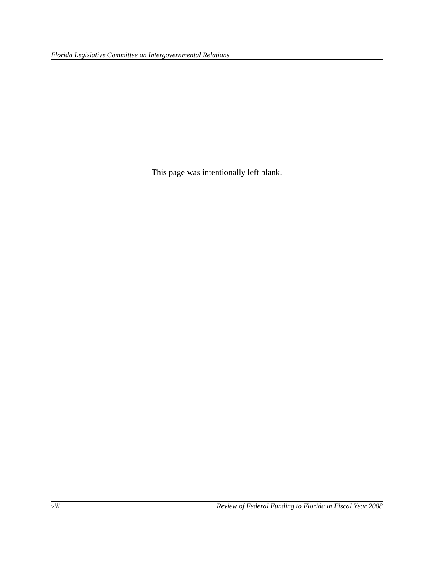This page was intentionally left blank.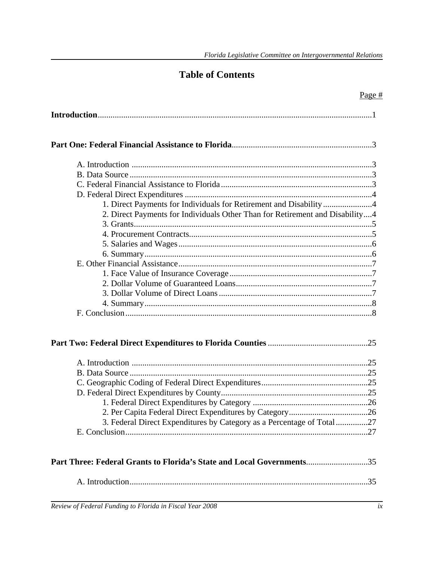# **Table of Contents**

|                                                                              | Page # |
|------------------------------------------------------------------------------|--------|
|                                                                              |        |
|                                                                              |        |
|                                                                              |        |
|                                                                              |        |
|                                                                              |        |
|                                                                              |        |
| 1. Direct Payments for Individuals for Retirement and Disability             |        |
| 2. Direct Payments for Individuals Other Than for Retirement and Disability4 |        |
|                                                                              |        |
|                                                                              |        |
|                                                                              |        |
|                                                                              |        |
|                                                                              |        |
|                                                                              |        |
|                                                                              |        |
|                                                                              |        |
|                                                                              |        |
|                                                                              |        |
|                                                                              |        |
|                                                                              |        |
|                                                                              |        |
|                                                                              |        |
|                                                                              |        |
|                                                                              |        |
|                                                                              |        |
| 3. Federal Direct Expenditures by Category as a Percentage of Total27        |        |
|                                                                              |        |
| Part Three: Federal Grants to Florida's State and Local Governments35        |        |
|                                                                              |        |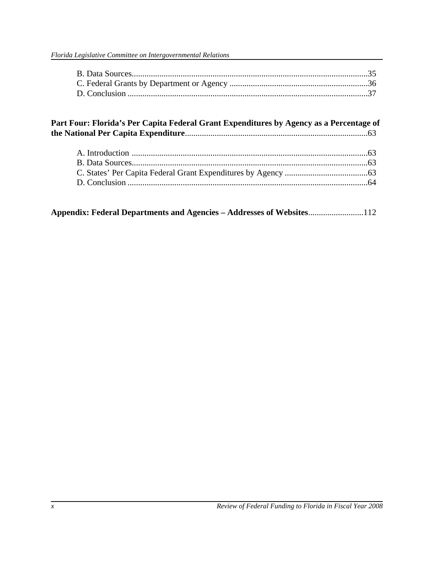| Part Four: Florida's Per Capita Federal Grant Expenditures by Agency as a Percentage of |  |
|-----------------------------------------------------------------------------------------|--|
|                                                                                         |  |

| Appendix: Federal Departments and Agencies – Addresses of Websites112 |
|-----------------------------------------------------------------------|
|-----------------------------------------------------------------------|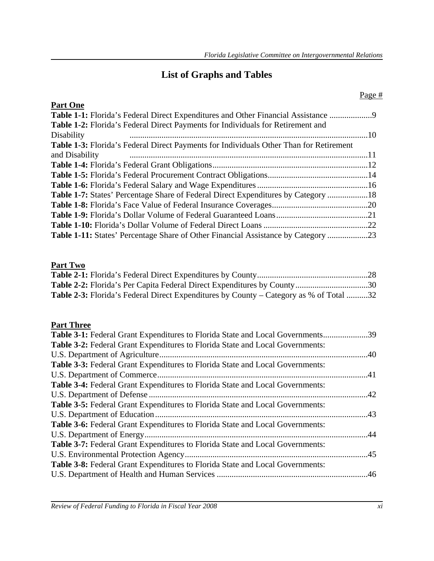# **List of Graphs and Tables**

# Page #

| <b>Table 1-7:</b> States' Percentage Share of Federal Direct Expenditures by Category 18 |
|------------------------------------------------------------------------------------------|
|                                                                                          |
|                                                                                          |
|                                                                                          |
|                                                                                          |
|                                                                                          |

# **Part Two**

| <b>Table 2-3:</b> Florida's Federal Direct Expenditures by County – Category as % of Total 32 |  |
|-----------------------------------------------------------------------------------------------|--|

# **Part Three**

| <b>Table 3-1:</b> Federal Grant Expenditures to Florida State and Local Governments39 |    |
|---------------------------------------------------------------------------------------|----|
| Table 3-2: Federal Grant Expenditures to Florida State and Local Governments:         |    |
|                                                                                       |    |
| <b>Table 3-3:</b> Federal Grant Expenditures to Florida State and Local Governments:  |    |
|                                                                                       |    |
| Table 3-4: Federal Grant Expenditures to Florida State and Local Governments:         |    |
|                                                                                       | 42 |
| <b>Table 3-5:</b> Federal Grant Expenditures to Florida State and Local Governments:  |    |
|                                                                                       |    |
| <b>Table 3-6:</b> Federal Grant Expenditures to Florida State and Local Governments:  |    |
|                                                                                       |    |
| <b>Table 3-7:</b> Federal Grant Expenditures to Florida State and Local Governments:  |    |
|                                                                                       |    |
| <b>Table 3-8:</b> Federal Grant Expenditures to Florida State and Local Governments:  |    |
|                                                                                       |    |
|                                                                                       |    |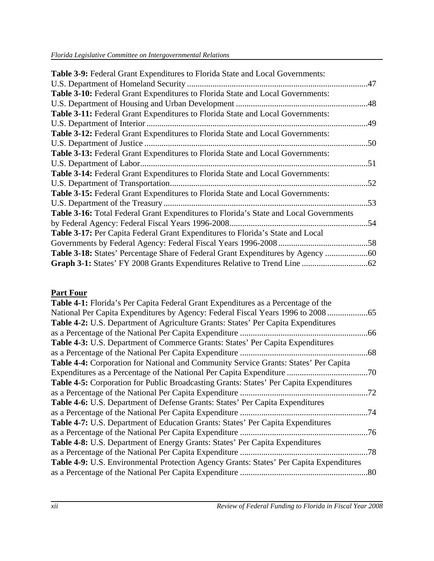#### *Florida Legislative Committee on Intergovernmental Relations*

| Table 3-9: Federal Grant Expenditures to Florida State and Local Governments:         |     |
|---------------------------------------------------------------------------------------|-----|
|                                                                                       | .47 |
| <b>Table 3-10:</b> Federal Grant Expenditures to Florida State and Local Governments: |     |
|                                                                                       | 48  |
| <b>Table 3-11:</b> Federal Grant Expenditures to Florida State and Local Governments: |     |
| U.S. Department of Interior.                                                          | 49  |
| Table 3-12: Federal Grant Expenditures to Florida State and Local Governments:        |     |
|                                                                                       |     |
| <b>Table 3-13:</b> Federal Grant Expenditures to Florida State and Local Governments: |     |
|                                                                                       |     |
| <b>Table 3-14:</b> Federal Grant Expenditures to Florida State and Local Governments: |     |
|                                                                                       |     |
| <b>Table 3-15:</b> Federal Grant Expenditures to Florida State and Local Governments: |     |
|                                                                                       | .53 |
| Table 3-16: Total Federal Grant Expenditures to Florida's State and Local Governments |     |
|                                                                                       |     |
| <b>Table 3-17:</b> Per Capita Federal Grant Expenditures to Florida's State and Local |     |
|                                                                                       |     |
| Table 3-18: States' Percentage Share of Federal Grant Expenditures by Agency          |     |
|                                                                                       |     |

# **Part Four**

| Table 4-1: Florida's Per Capita Federal Grant Expenditures as a Percentage of the             |
|-----------------------------------------------------------------------------------------------|
| National Per Capita Expenditures by Agency: Federal Fiscal Years 1996 to 2008                 |
| Table 4-2: U.S. Department of Agriculture Grants: States' Per Capita Expenditures             |
| .66                                                                                           |
| Table 4-3: U.S. Department of Commerce Grants: States' Per Capita Expenditures                |
| .68                                                                                           |
| <b>Table 4-4:</b> Corporation for National and Community Service Grants: States' Per Capita   |
| Expenditures as a Percentage of the National Per Capita Expenditure<br>.70                    |
| <b>Table 4-5:</b> Corporation for Public Broadcasting Grants: States' Per Capita Expenditures |
| as a Percentage of the National Per Capita Expenditure<br>.72                                 |
| <b>Table 4-6:</b> U.S. Department of Defense Grants: States' Per Capita Expenditures          |
| .74                                                                                           |
| <b>Table 4-7:</b> U.S. Department of Education Grants: States' Per Capita Expenditures        |
| .76                                                                                           |
| Table 4-8: U.S. Department of Energy Grants: States' Per Capita Expenditures                  |
| .78                                                                                           |
| Table 4-9: U.S. Environmental Protection Agency Grants: States' Per Capita Expenditures       |
| .80                                                                                           |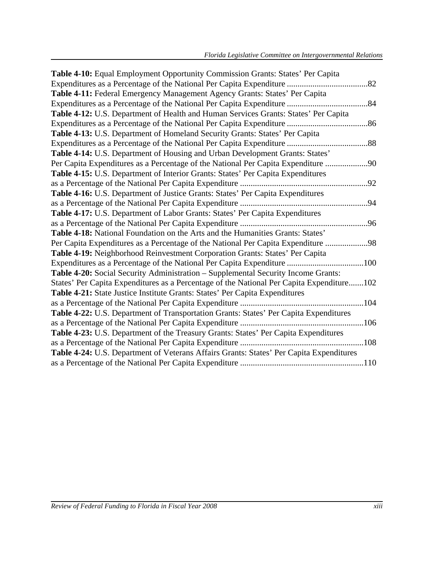| Table 4-10: Equal Employment Opportunity Commission Grants: States' Per Capita            |      |
|-------------------------------------------------------------------------------------------|------|
| Expenditures as a Percentage of the National Per Capita Expenditure                       | .82  |
| Table 4-11: Federal Emergency Management Agency Grants: States' Per Capita                |      |
| Expenditures as a Percentage of the National Per Capita Expenditure                       | .84  |
| Table 4-12: U.S. Department of Health and Human Services Grants: States' Per Capita       |      |
| Expenditures as a Percentage of the National Per Capita Expenditure                       | 86   |
| Table 4-13: U.S. Department of Homeland Security Grants: States' Per Capita               |      |
| Expenditures as a Percentage of the National Per Capita Expenditure                       | .88  |
| Table 4-14: U.S. Department of Housing and Urban Development Grants: States'              |      |
| Per Capita Expenditures as a Percentage of the National Per Capita Expenditure            | .90  |
| Table 4-15: U.S. Department of Interior Grants: States' Per Capita Expenditures           |      |
|                                                                                           | .92  |
| Table 4-16: U.S. Department of Justice Grants: States' Per Capita Expenditures            |      |
|                                                                                           | .94  |
| Table 4-17: U.S. Department of Labor Grants: States' Per Capita Expenditures              |      |
|                                                                                           | .96  |
| Table 4-18: National Foundation on the Arts and the Humanities Grants: States'            |      |
| Per Capita Expenditures as a Percentage of the National Per Capita Expenditure.           | .98  |
| Table 4-19: Neighborhood Reinvestment Corporation Grants: States' Per Capita              |      |
| Expenditures as a Percentage of the National Per Capita Expenditure                       | .100 |
| Table 4-20: Social Security Administration - Supplemental Security Income Grants:         |      |
| States' Per Capita Expenditures as a Percentage of the National Per Capita Expenditure102 |      |
| Table 4-21: State Justice Institute Grants: States' Per Capita Expenditures               |      |
|                                                                                           | .104 |
| Table 4-22: U.S. Department of Transportation Grants: States' Per Capita Expenditures     |      |
|                                                                                           | 106  |
| Table 4-23: U.S. Department of the Treasury Grants: States' Per Capita Expenditures       |      |
|                                                                                           | 108  |
| Table 4-24: U.S. Department of Veterans Affairs Grants: States' Per Capita Expenditures   |      |
|                                                                                           |      |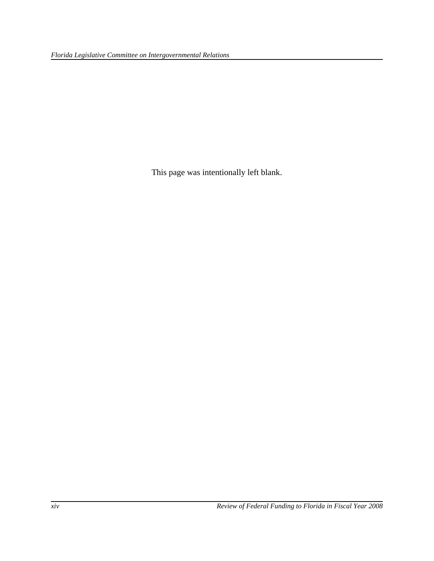This page was intentionally left blank.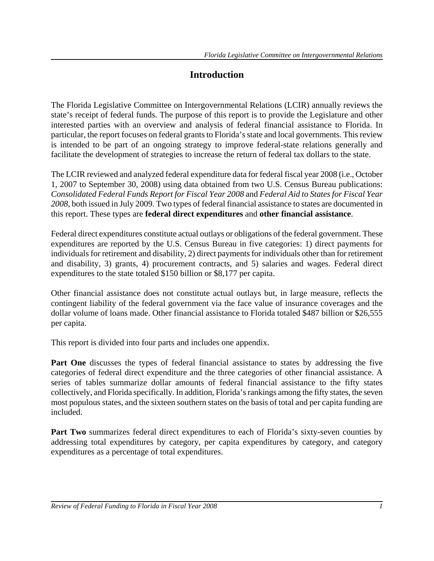# **Introduction**

The Florida Legislative Committee on Intergovernmental Relations (LCIR) annually reviews the state's receipt of federal funds. The purpose of this report is to provide the Legislature and other interested parties with an overview and analysis of federal financial assistance to Florida. In particular, the report focuses on federal grants to Florida's state and local governments. This review is intended to be part of an ongoing strategy to improve federal-state relations generally and facilitate the development of strategies to increase the return of federal tax dollars to the state.

The LCIR reviewed and analyzed federal expenditure data for federal fiscal year 2008 (i.e., October 1, 2007 to September 30, 2008) using data obtained from two U.S. Census Bureau publications: *Consolidated Federal Funds Report for Fiscal Year 2008* and *Federal Aid to States for Fiscal Year 2008*, both issued in July 2009. Two types of federal financial assistance to states are documented in this report. These types are **federal direct expenditures** and **other financial assistance**.

Federal direct expenditures constitute actual outlays or obligations of the federal government. These expenditures are reported by the U.S. Census Bureau in five categories: 1) direct payments for individuals for retirement and disability, 2) direct payments for individuals other than for retirement and disability, 3) grants, 4) procurement contracts, and 5) salaries and wages. Federal direct expenditures to the state totaled \$150 billion or \$8,177 per capita.

Other financial assistance does not constitute actual outlays but, in large measure, reflects the contingent liability of the federal government via the face value of insurance coverages and the dollar volume of loans made. Other financial assistance to Florida totaled \$487 billion or \$26,555 per capita.

This report is divided into four parts and includes one appendix.

Part One discusses the types of federal financial assistance to states by addressing the five categories of federal direct expenditure and the three categories of other financial assistance. A series of tables summarize dollar amounts of federal financial assistance to the fifty states collectively, and Florida specifically. In addition, Florida's rankings among the fifty states, the seven most populous states, and the sixteen southern states on the basis of total and per capita funding are included.

Part Two summarizes federal direct expenditures to each of Florida's sixty-seven counties by addressing total expenditures by category, per capita expenditures by category, and category expenditures as a percentage of total expenditures.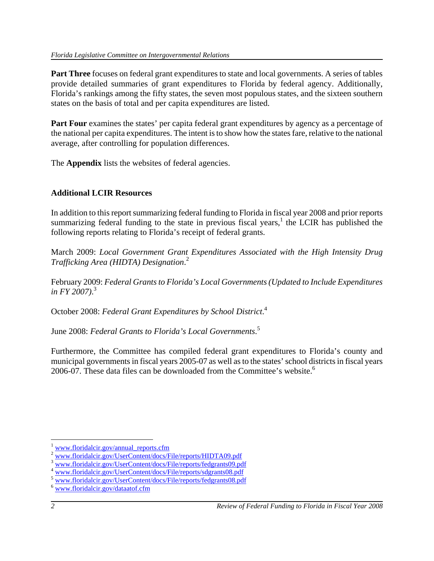**Part Three** focuses on federal grant expenditures to state and local governments. A series of tables provide detailed summaries of grant expenditures to Florida by federal agency. Additionally, Florida's rankings among the fifty states, the seven most populous states, and the sixteen southern states on the basis of total and per capita expenditures are listed.

**Part Four** examines the states' per capita federal grant expenditures by agency as a percentage of the national per capita expenditures. The intent is to show how the states fare, relative to the national average, after controlling for population differences.

The **Appendix** lists the websites of federal agencies.

# **Additional LCIR Resources**

In addition to this report summarizing federal funding to Florida in fiscal year 2008 and prior reports summarizing federal funding to the state in previous fiscal years, $<sup>1</sup>$  the LCIR has published the</sup> following reports relating to Florida's receipt of federal grants.

March 2009: *Local Government Grant Expenditures Associated with the High Intensity Drug Trafficking Area (HIDTA) Designation*. 2

February 2009: *Federal Grants to Florida's Local Governments (Updated to Include Expenditures in FY 2007)*. 3

October 2008: *Federal Grant Expenditures by School District*. 4

June 2008: *Federal Grants to Florida's Local Governments*. 5

Furthermore, the Committee has compiled federal grant expenditures to Florida's county and municipal governments in fiscal years 2005-07 as well as to the states' school districts in fiscal years 2006-07. These data files can be downloaded from the Committee's website.<sup>6</sup>

 $\overline{a}$ 

www.floridalcir.gov/annual\_reports.cfm<br>www.floridalcir.gov/UserContent/docs/File/reports/HIDTA09.pdf

<sup>&</sup>lt;sup>3</sup> www.floridalcir.gov/UserContent/docs/File/reports/fedgrants09.pdf<br>
<sup>4</sup> www.floridalcir.gov/UserContent/docs/File/reports/sdgrants08.pdf<br>
<sup>5</sup> www.floridalcir.gov/UserContent/docs/File/reports/fedgrants08.pdf<br>
<sup>6</sup> www.fl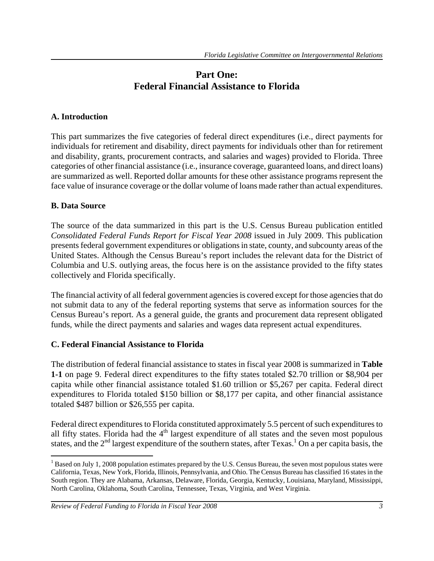# **Part One: Federal Financial Assistance to Florida**

#### **A. Introduction**

This part summarizes the five categories of federal direct expenditures (i.e., direct payments for individuals for retirement and disability, direct payments for individuals other than for retirement and disability, grants, procurement contracts, and salaries and wages) provided to Florida. Three categories of other financial assistance (i.e., insurance coverage, guaranteed loans, and direct loans) are summarized as well. Reported dollar amounts for these other assistance programs represent the face value of insurance coverage or the dollar volume of loans made rather than actual expenditures.

#### **B. Data Source**

 $\overline{a}$ 

The source of the data summarized in this part is the U.S. Census Bureau publication entitled *Consolidated Federal Funds Report for Fiscal Year 2008* issued in July 2009. This publication presents federal government expenditures or obligations in state, county, and subcounty areas of the United States. Although the Census Bureau's report includes the relevant data for the District of Columbia and U.S. outlying areas, the focus here is on the assistance provided to the fifty states collectively and Florida specifically.

The financial activity of all federal government agencies is covered except for those agencies that do not submit data to any of the federal reporting systems that serve as information sources for the Census Bureau's report. As a general guide, the grants and procurement data represent obligated funds, while the direct payments and salaries and wages data represent actual expenditures.

#### **C. Federal Financial Assistance to Florida**

The distribution of federal financial assistance to states in fiscal year 2008 is summarized in **Table 1-1** on page 9. Federal direct expenditures to the fifty states totaled \$2.70 trillion or \$8,904 per capita while other financial assistance totaled \$1.60 trillion or \$5,267 per capita. Federal direct expenditures to Florida totaled \$150 billion or \$8,177 per capita, and other financial assistance totaled \$487 billion or \$26,555 per capita.

Federal direct expenditures to Florida constituted approximately 5.5 percent of such expenditures to all fifty states. Florida had the  $4<sup>th</sup>$  largest expenditure of all states and the seven most populous states, and the  $2<sup>nd</sup>$  largest expenditure of the southern states, after Texas.<sup>1</sup> On a per capita basis, the

 $1$  Based on July 1, 2008 population estimates prepared by the U.S. Census Bureau, the seven most populous states were California, Texas, New York, Florida, Illinois, Pennsylvania, and Ohio. The Census Bureau has classified 16 states in the South region. They are Alabama, Arkansas, Delaware, Florida, Georgia, Kentucky, Louisiana, Maryland, Mississippi, North Carolina, Oklahoma, South Carolina, Tennessee, Texas, Virginia, and West Virginia.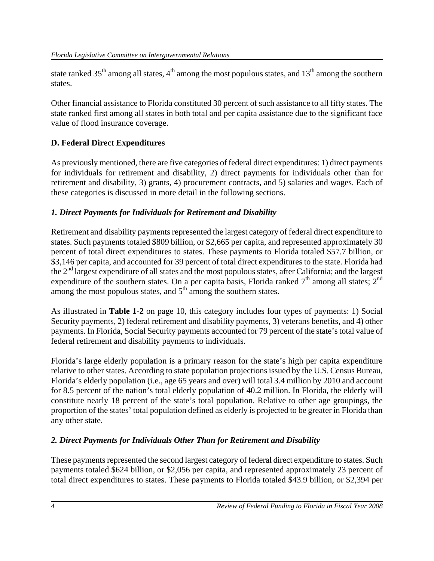state ranked 35<sup>th</sup> among all states,  $4<sup>th</sup>$  among the most populous states, and 13<sup>th</sup> among the southern states.

Other financial assistance to Florida constituted 30 percent of such assistance to all fifty states. The state ranked first among all states in both total and per capita assistance due to the significant face value of flood insurance coverage.

# **D. Federal Direct Expenditures**

As previously mentioned, there are five categories of federal direct expenditures: 1) direct payments for individuals for retirement and disability, 2) direct payments for individuals other than for retirement and disability, 3) grants, 4) procurement contracts, and 5) salaries and wages. Each of these categories is discussed in more detail in the following sections.

# *1. Direct Payments for Individuals for Retirement and Disability*

Retirement and disability payments represented the largest category of federal direct expenditure to states. Such payments totaled \$809 billion, or \$2,665 per capita, and represented approximately 30 percent of total direct expenditures to states. These payments to Florida totaled \$57.7 billion, or \$3,146 per capita, and accounted for 39 percent of total direct expenditures to the state. Florida had the  $2<sup>nd</sup>$  largest expenditure of all states and the most populous states, after California; and the largest expenditure of the southern states. On a per capita basis, Florida ranked  $7<sup>th</sup>$  among all states;  $2<sup>nd</sup>$ among the most populous states, and  $5<sup>th</sup>$  among the southern states.

As illustrated in **Table 1-2** on page 10, this category includes four types of payments: 1) Social Security payments, 2) federal retirement and disability payments, 3) veterans benefits, and 4) other payments. In Florida, Social Security payments accounted for 79 percent of the state's total value of federal retirement and disability payments to individuals.

Florida's large elderly population is a primary reason for the state's high per capita expenditure relative to other states. According to state population projections issued by the U.S. Census Bureau, Florida's elderly population (i.e., age 65 years and over) will total 3.4 million by 2010 and account for 8.5 percent of the nation's total elderly population of 40.2 million. In Florida, the elderly will constitute nearly 18 percent of the state's total population. Relative to other age groupings, the proportion of the states' total population defined as elderly is projected to be greater in Florida than any other state.

# *2. Direct Payments for Individuals Other Than for Retirement and Disability*

These payments represented the second largest category of federal direct expenditure to states. Such payments totaled \$624 billion, or \$2,056 per capita, and represented approximately 23 percent of total direct expenditures to states. These payments to Florida totaled \$43.9 billion, or \$2,394 per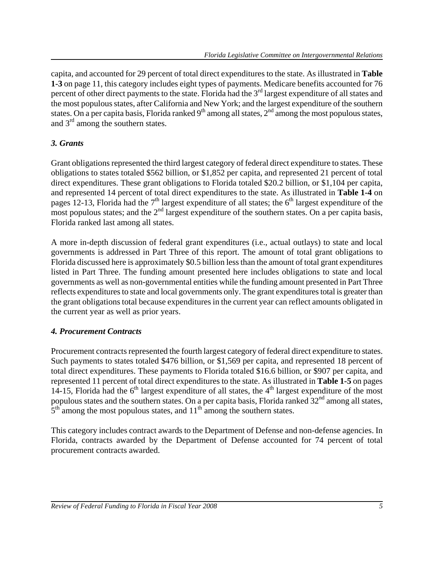capita, and accounted for 29 percent of total direct expenditures to the state. As illustrated in **Table 1-3** on page 11, this category includes eight types of payments. Medicare benefits accounted for 76 percent of other direct payments to the state. Florida had the 3<sup>rd</sup> largest expenditure of all states and the most populous states, after California and New York; and the largest expenditure of the southern states. On a per capita basis, Florida ranked  $9<sup>th</sup>$  among all states,  $2<sup>nd</sup>$  among the most populous states, and 3rd among the southern states.

# *3. Grants*

Grant obligations represented the third largest category of federal direct expenditure to states. These obligations to states totaled \$562 billion, or \$1,852 per capita, and represented 21 percent of total direct expenditures. These grant obligations to Florida totaled \$20.2 billion, or \$1,104 per capita, and represented 14 percent of total direct expenditures to the state. As illustrated in **Table 1-4** on pages 12-13, Florida had the  $7<sup>th</sup>$  largest expenditure of all states; the  $6<sup>th</sup>$  largest expenditure of the most populous states; and the  $2<sup>nd</sup>$  largest expenditure of the southern states. On a per capita basis, Florida ranked last among all states.

A more in-depth discussion of federal grant expenditures (i.e., actual outlays) to state and local governments is addressed in Part Three of this report. The amount of total grant obligations to Florida discussed here is approximately \$0.5 billion less than the amount of total grant expenditures listed in Part Three. The funding amount presented here includes obligations to state and local governments as well as non-governmental entities while the funding amount presented in Part Three reflects expenditures to state and local governments only. The grant expenditures total is greater than the grant obligations total because expenditures in the current year can reflect amounts obligated in the current year as well as prior years.

# *4. Procurement Contracts*

Procurement contracts represented the fourth largest category of federal direct expenditure to states. Such payments to states totaled \$476 billion, or \$1,569 per capita, and represented 18 percent of total direct expenditures. These payments to Florida totaled \$16.6 billion, or \$907 per capita, and represented 11 percent of total direct expenditures to the state. As illustrated in **Table 1-5** on pages 14-15, Florida had the  $6<sup>th</sup>$  largest expenditure of all states, the  $4<sup>th</sup>$  largest expenditure of the most populous states and the southern states. On a per capita basis, Florida ranked 32<sup>nd</sup> among all states,  $5<sup>th</sup>$  among the most populous states, and  $11<sup>th</sup>$  among the southern states.

This category includes contract awards to the Department of Defense and non-defense agencies. In Florida, contracts awarded by the Department of Defense accounted for 74 percent of total procurement contracts awarded.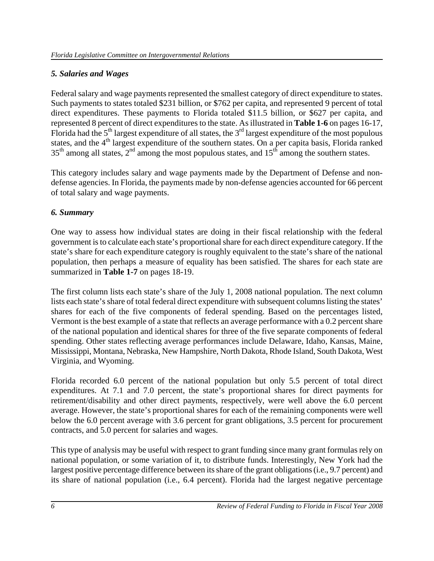# *5. Salaries and Wages*

Federal salary and wage payments represented the smallest category of direct expenditure to states. Such payments to states totaled \$231 billion, or \$762 per capita, and represented 9 percent of total direct expenditures. These payments to Florida totaled \$11.5 billion, or \$627 per capita, and represented 8 percent of direct expenditures to the state. As illustrated in **Table 1-6** on pages 16-17, Florida had the  $5<sup>th</sup>$  largest expenditure of all states, the  $3<sup>rd</sup>$  largest expenditure of the most populous states, and the 4<sup>th</sup> largest expenditure of the southern states. On a per capita basis, Florida ranked  $35<sup>th</sup>$  among all states,  $2<sup>nd</sup>$  among the most populous states, and  $15<sup>th</sup>$  among the southern states.

This category includes salary and wage payments made by the Department of Defense and nondefense agencies. In Florida, the payments made by non-defense agencies accounted for 66 percent of total salary and wage payments.

# *6. Summary*

One way to assess how individual states are doing in their fiscal relationship with the federal government is to calculate each state's proportional share for each direct expenditure category. If the state's share for each expenditure category is roughly equivalent to the state's share of the national population, then perhaps a measure of equality has been satisfied. The shares for each state are summarized in **Table 1-7** on pages 18-19.

The first column lists each state's share of the July 1, 2008 national population. The next column lists each state's share of total federal direct expenditure with subsequent columns listing the states' shares for each of the five components of federal spending. Based on the percentages listed, Vermont is the best example of a state that reflects an average performance with a 0.2 percent share of the national population and identical shares for three of the five separate components of federal spending. Other states reflecting average performances include Delaware, Idaho, Kansas, Maine, Mississippi, Montana, Nebraska, New Hampshire, North Dakota, Rhode Island, South Dakota, West Virginia, and Wyoming.

Florida recorded 6.0 percent of the national population but only 5.5 percent of total direct expenditures. At 7.1 and 7.0 percent, the state's proportional shares for direct payments for retirement/disability and other direct payments, respectively, were well above the 6.0 percent average. However, the state's proportional shares for each of the remaining components were well below the 6.0 percent average with 3.6 percent for grant obligations, 3.5 percent for procurement contracts, and 5.0 percent for salaries and wages.

This type of analysis may be useful with respect to grant funding since many grant formulas rely on national population, or some variation of it, to distribute funds. Interestingly, New York had the largest positive percentage difference between its share of the grant obligations (i.e., 9.7 percent) and its share of national population (i.e., 6.4 percent). Florida had the largest negative percentage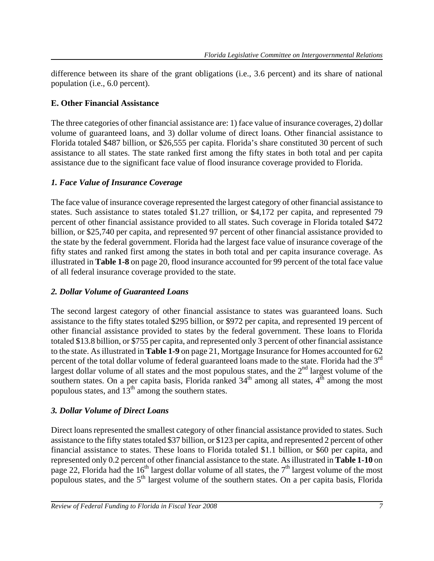difference between its share of the grant obligations (i.e., 3.6 percent) and its share of national population (i.e., 6.0 percent).

#### **E. Other Financial Assistance**

The three categories of other financial assistance are: 1) face value of insurance coverages, 2) dollar volume of guaranteed loans, and 3) dollar volume of direct loans. Other financial assistance to Florida totaled \$487 billion, or \$26,555 per capita. Florida's share constituted 30 percent of such assistance to all states. The state ranked first among the fifty states in both total and per capita assistance due to the significant face value of flood insurance coverage provided to Florida.

# *1. Face Value of Insurance Coverage*

The face value of insurance coverage represented the largest category of other financial assistance to states. Such assistance to states totaled \$1.27 trillion, or \$4,172 per capita, and represented 79 percent of other financial assistance provided to all states. Such coverage in Florida totaled \$472 billion, or \$25,740 per capita, and represented 97 percent of other financial assistance provided to the state by the federal government. Florida had the largest face value of insurance coverage of the fifty states and ranked first among the states in both total and per capita insurance coverage. As illustrated in **Table 1-8** on page 20, flood insurance accounted for 99 percent of the total face value of all federal insurance coverage provided to the state.

# *2. Dollar Volume of Guaranteed Loans*

The second largest category of other financial assistance to states was guaranteed loans. Such assistance to the fifty states totaled \$295 billion, or \$972 per capita, and represented 19 percent of other financial assistance provided to states by the federal government. These loans to Florida totaled \$13.8 billion, or \$755 per capita, and represented only 3 percent of other financial assistance to the state. As illustrated in **Table 1-9** on page 21, Mortgage Insurance for Homes accounted for 62 percent of the total dollar volume of federal guaranteed loans made to the state. Florida had the 3<sup>rd</sup> largest dollar volume of all states and the most populous states, and the  $2<sup>nd</sup>$  largest volume of the southern states. On a per capita basis, Florida ranked  $34<sup>th</sup>$  among all states,  $4<sup>th</sup>$  among the most populous states, and  $13<sup>th</sup>$  among the southern states.

# *3. Dollar Volume of Direct Loans*

Direct loans represented the smallest category of other financial assistance provided to states. Such assistance to the fifty states totaled \$37 billion, or \$123 per capita, and represented 2 percent of other financial assistance to states. These loans to Florida totaled \$1.1 billion, or \$60 per capita, and represented only 0.2 percent of other financial assistance to the state. As illustrated in **Table 1-10** on page 22, Florida had the 16<sup>th</sup> largest dollar volume of all states, the  $7<sup>th</sup>$  largest volume of the most populous states, and the  $5<sup>th</sup>$  largest volume of the southern states. On a per capita basis, Florida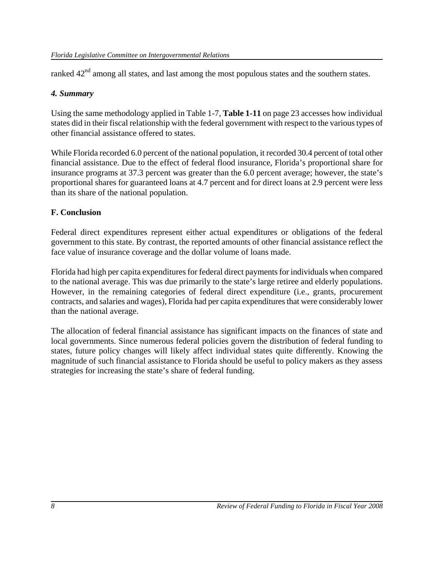ranked 42<sup>nd</sup> among all states, and last among the most populous states and the southern states.

#### *4. Summary*

Using the same methodology applied in Table 1-7, **Table 1-11** on page 23 accesses how individual states did in their fiscal relationship with the federal government with respect to the various types of other financial assistance offered to states.

While Florida recorded 6.0 percent of the national population, it recorded 30.4 percent of total other financial assistance. Due to the effect of federal flood insurance, Florida's proportional share for insurance programs at 37.3 percent was greater than the 6.0 percent average; however, the state's proportional shares for guaranteed loans at 4.7 percent and for direct loans at 2.9 percent were less than its share of the national population.

# **F. Conclusion**

Federal direct expenditures represent either actual expenditures or obligations of the federal government to this state. By contrast, the reported amounts of other financial assistance reflect the face value of insurance coverage and the dollar volume of loans made.

Florida had high per capita expenditures for federal direct payments for individuals when compared to the national average. This was due primarily to the state's large retiree and elderly populations. However, in the remaining categories of federal direct expenditure (i.e., grants, procurement contracts, and salaries and wages), Florida had per capita expenditures that were considerably lower than the national average.

The allocation of federal financial assistance has significant impacts on the finances of state and local governments. Since numerous federal policies govern the distribution of federal funding to states, future policy changes will likely affect individual states quite differently. Knowing the magnitude of such financial assistance to Florida should be useful to policy makers as they assess strategies for increasing the state's share of federal funding.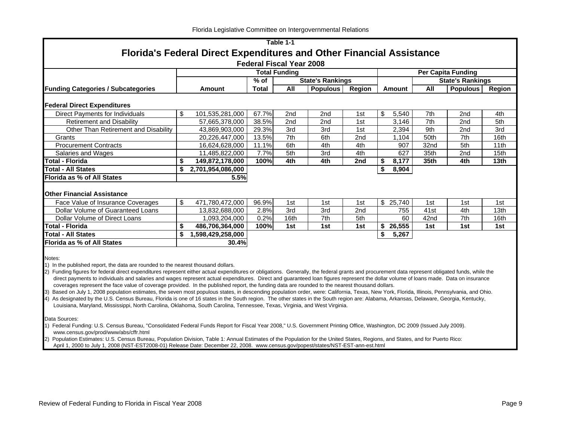|                                                                                                                                                                                                                                                                                                                                                                                                                                                                                                                                                                                                                                                                                                                                                                                                                                                                                                                                                                                                                                                                                                                                                                |    |                   |                                                              | Table 1-1       |                 |               |    |          |      |                 |                  |
|----------------------------------------------------------------------------------------------------------------------------------------------------------------------------------------------------------------------------------------------------------------------------------------------------------------------------------------------------------------------------------------------------------------------------------------------------------------------------------------------------------------------------------------------------------------------------------------------------------------------------------------------------------------------------------------------------------------------------------------------------------------------------------------------------------------------------------------------------------------------------------------------------------------------------------------------------------------------------------------------------------------------------------------------------------------------------------------------------------------------------------------------------------------|----|-------------------|--------------------------------------------------------------|-----------------|-----------------|---------------|----|----------|------|-----------------|------------------|
|                                                                                                                                                                                                                                                                                                                                                                                                                                                                                                                                                                                                                                                                                                                                                                                                                                                                                                                                                                                                                                                                                                                                                                |    |                   |                                                              |                 |                 |               |    |          |      |                 |                  |
| <b>Florida's Federal Direct Expenditures and Other Financial Assistance</b>                                                                                                                                                                                                                                                                                                                                                                                                                                                                                                                                                                                                                                                                                                                                                                                                                                                                                                                                                                                                                                                                                    |    |                   |                                                              |                 |                 |               |    |          |      |                 |                  |
| <b>Federal Fiscal Year 2008</b>                                                                                                                                                                                                                                                                                                                                                                                                                                                                                                                                                                                                                                                                                                                                                                                                                                                                                                                                                                                                                                                                                                                                |    |                   |                                                              |                 |                 |               |    |          |      |                 |                  |
| <b>Per Capita Funding</b><br><b>Total Funding</b>                                                                                                                                                                                                                                                                                                                                                                                                                                                                                                                                                                                                                                                                                                                                                                                                                                                                                                                                                                                                                                                                                                              |    |                   |                                                              |                 |                 |               |    |          |      |                 |                  |
|                                                                                                                                                                                                                                                                                                                                                                                                                                                                                                                                                                                                                                                                                                                                                                                                                                                                                                                                                                                                                                                                                                                                                                |    |                   | <b>State's Rankings</b><br><b>State's Rankings</b><br>$%$ of |                 |                 |               |    |          |      |                 |                  |
| <b>Funding Categories / Subcategories</b>                                                                                                                                                                                                                                                                                                                                                                                                                                                                                                                                                                                                                                                                                                                                                                                                                                                                                                                                                                                                                                                                                                                      |    | Amount            | <b>Total</b>                                                 | <b>All</b>      | <b>Populous</b> | <b>Region</b> |    | Amount   | All  | <b>Populous</b> | <b>Region</b>    |
| <b>Federal Direct Expenditures</b>                                                                                                                                                                                                                                                                                                                                                                                                                                                                                                                                                                                                                                                                                                                                                                                                                                                                                                                                                                                                                                                                                                                             |    |                   |                                                              |                 |                 |               |    |          |      |                 |                  |
| Direct Payments for Individuals                                                                                                                                                                                                                                                                                                                                                                                                                                                                                                                                                                                                                                                                                                                                                                                                                                                                                                                                                                                                                                                                                                                                | \$ | 101,535,281,000   | 67.7%                                                        | 2nd             | 2nd             | 1st           | \$ | 5,540    | 7th  | 2 <sub>nd</sub> | 4th              |
| <b>Retirement and Disability</b>                                                                                                                                                                                                                                                                                                                                                                                                                                                                                                                                                                                                                                                                                                                                                                                                                                                                                                                                                                                                                                                                                                                               |    | 57,665,378,000    | 38.5%                                                        | 2 <sub>nd</sub> | 2nd             | 1st           |    | 3.146    | 7th  | 2 <sub>nd</sub> | 5th              |
| Other Than Retirement and Disability                                                                                                                                                                                                                                                                                                                                                                                                                                                                                                                                                                                                                                                                                                                                                                                                                                                                                                                                                                                                                                                                                                                           |    | 43,869,903,000    | 29.3%                                                        | 3rd             | 3rd             | 1st           |    | 2,394    | 9th  | 2 <sub>nd</sub> | 3rd              |
| Grants                                                                                                                                                                                                                                                                                                                                                                                                                                                                                                                                                                                                                                                                                                                                                                                                                                                                                                                                                                                                                                                                                                                                                         |    | 20,226,447,000    | 13.5%                                                        | 7th             | 6th             | 2nd           |    | 1,104    | 50th | 7th             | 16th             |
| <b>Procurement Contracts</b>                                                                                                                                                                                                                                                                                                                                                                                                                                                                                                                                                                                                                                                                                                                                                                                                                                                                                                                                                                                                                                                                                                                                   |    | 16,624,628,000    | 11.1%                                                        | 6th             | 4th             | 4th           |    | 907      | 32nd | 5th             | 11th             |
| Salaries and Wages                                                                                                                                                                                                                                                                                                                                                                                                                                                                                                                                                                                                                                                                                                                                                                                                                                                                                                                                                                                                                                                                                                                                             |    | 11,485,822,000    | 7.7%                                                         | 5th             | 3rd             | 4th           |    | 627      | 35th | 2nd             | 15th             |
| <b>Total - Florida</b>                                                                                                                                                                                                                                                                                                                                                                                                                                                                                                                                                                                                                                                                                                                                                                                                                                                                                                                                                                                                                                                                                                                                         | \$ | 149,872,178,000   | 100%                                                         | 4th             | 4th             | 2nd           | \$ | 8,177    | 35th | 4th             | 13th             |
| <b>Total - All States</b><br>2,701,954,086,000<br>\$<br>8,904                                                                                                                                                                                                                                                                                                                                                                                                                                                                                                                                                                                                                                                                                                                                                                                                                                                                                                                                                                                                                                                                                                  |    |                   |                                                              |                 |                 |               |    |          |      |                 |                  |
| <b>Florida as % of All States</b><br>5.5%                                                                                                                                                                                                                                                                                                                                                                                                                                                                                                                                                                                                                                                                                                                                                                                                                                                                                                                                                                                                                                                                                                                      |    |                   |                                                              |                 |                 |               |    |          |      |                 |                  |
| <b>Other Financial Assistance</b>                                                                                                                                                                                                                                                                                                                                                                                                                                                                                                                                                                                                                                                                                                                                                                                                                                                                                                                                                                                                                                                                                                                              |    |                   |                                                              |                 |                 |               |    |          |      |                 |                  |
| Face Value of Insurance Coverages                                                                                                                                                                                                                                                                                                                                                                                                                                                                                                                                                                                                                                                                                                                                                                                                                                                                                                                                                                                                                                                                                                                              | \$ | 471,780,472,000   | 96.9%                                                        | 1st             | 1st             | 1st           |    | \$25,740 | 1st  | 1st             | 1st              |
| Dollar Volume of Guaranteed Loans                                                                                                                                                                                                                                                                                                                                                                                                                                                                                                                                                                                                                                                                                                                                                                                                                                                                                                                                                                                                                                                                                                                              |    | 13,832,688,000    | 2.8%                                                         | 3rd             | 3rd             | 2nd           |    | 755      | 41st | 4th             | 13 <sub>th</sub> |
| Dollar Volume of Direct Loans                                                                                                                                                                                                                                                                                                                                                                                                                                                                                                                                                                                                                                                                                                                                                                                                                                                                                                                                                                                                                                                                                                                                  |    | 1,093,204,000     | 0.2%                                                         | 16th            | 7th             | 5th           |    | 60       | 42nd | 7th             | 16th             |
| <b>Total - Florida</b>                                                                                                                                                                                                                                                                                                                                                                                                                                                                                                                                                                                                                                                                                                                                                                                                                                                                                                                                                                                                                                                                                                                                         | \$ | 486,706,364,000   | 100%                                                         | 1st             | 1st             | 1st           | \$ | 26,555   | 1st  | 1st             | 1st              |
| <b>Total - All States</b>                                                                                                                                                                                                                                                                                                                                                                                                                                                                                                                                                                                                                                                                                                                                                                                                                                                                                                                                                                                                                                                                                                                                      | \$ | 1,598,429,258,000 |                                                              |                 |                 |               | \$ | 5,267    |      |                 |                  |
| <b>Florida as % of All States</b>                                                                                                                                                                                                                                                                                                                                                                                                                                                                                                                                                                                                                                                                                                                                                                                                                                                                                                                                                                                                                                                                                                                              |    | 30.4%             |                                                              |                 |                 |               |    |          |      |                 |                  |
| Notes:<br>1) In the published report, the data are rounded to the nearest thousand dollars.<br>2) Funding figures for federal direct expenditures represent either actual expenditures or obligations. Generally, the federal grants and procurement data represent obligated funds, while the<br>direct payments to individuals and salaries and wages represent actual expenditures. Direct and guaranteed loan figures represent the dollar volume of loans made. Data on insurance<br>coverages represent the face value of coverage provided. In the published report, the funding data are rounded to the nearest thousand dollars.<br>Based on July 1, 2008 population estimates, the seven most populous states, in descending population order, were: California, Texas, New York, Florida, Illinois, Pennsylvania, and Ohio.<br>4) As designated by the U.S. Census Bureau, Florida is one of 16 states in the South region. The other states in the South region are: Alabama, Arkansas, Delaware, Georgia, Kentucky,<br>Louisiana, Maryland, Mississippi, North Carolina, Oklahoma, South Carolina, Tennessee, Texas, Virginia, and West Virginia. |    |                   |                                                              |                 |                 |               |    |          |      |                 |                  |

Data Sources:

1) Federal Funding: U.S. Census Bureau, "Consolidated Federal Funds Report for Fiscal Year 2008," U.S. Government Printing Office, Washington, DC 2009 (Issued July 2009). www.census.gov/prod/www/abs/cffr.html

2) Population Estimates: U.S. Census Bureau, Population Division, Table 1: Annual Estimates of the Population for the United States, Regions, and States, and for Puerto Rico:

April 1, 2000 to July 1, 2008 (NST-EST2008-01) Release Date: December 22, 2008. www.census.gov/popest/states/NST-EST-ann-est.html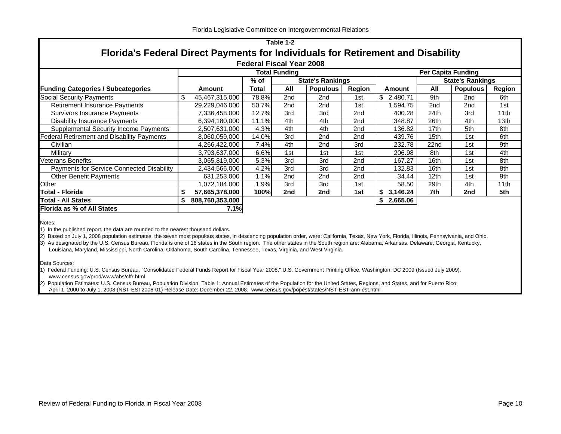| Table 1-2                                                                       |    |                 |        |                                 |                         |               |                |                           |                         |        |  |  |
|---------------------------------------------------------------------------------|----|-----------------|--------|---------------------------------|-------------------------|---------------|----------------|---------------------------|-------------------------|--------|--|--|
| Florida's Federal Direct Payments for Individuals for Retirement and Disability |    |                 |        |                                 |                         |               |                |                           |                         |        |  |  |
|                                                                                 |    |                 |        | <b>Federal Fiscal Year 2008</b> |                         |               |                |                           |                         |        |  |  |
|                                                                                 |    |                 |        | <b>Total Funding</b>            |                         |               |                | <b>Per Capita Funding</b> |                         |        |  |  |
|                                                                                 |    |                 | $%$ of |                                 | <b>State's Rankings</b> |               |                |                           | <b>State's Rankings</b> |        |  |  |
| <b>Funding Categories / Subcategories</b>                                       |    | <b>Amount</b>   | Total  | All                             | <b>Populous</b>         | <b>Region</b> | Amount         | All                       | <b>Populous</b>         | Region |  |  |
| <b>Social Security Payments</b>                                                 | \$ | 45,467,315,000  | 78.8%  | 2 <sub>nd</sub>                 | 2nd                     | 1st           | \$2,480.71     | 9th                       | 2nd                     | 6th    |  |  |
| Retirement Insurance Payments                                                   |    | 29,229,046,000  | 50.7%  | 2 <sub>nd</sub>                 | 2nd                     | 1st           | .594.75        | 2nd                       | 2nd                     | 1st    |  |  |
| <b>Survivors Insurance Payments</b>                                             |    | 7,336,458,000   | 12.7%  | 3rd                             | 3rd                     | 2nd           | 400.28         | 24th                      | 3rd                     | 11th   |  |  |
| Disability Insurance Payments                                                   |    | 6,394,180,000   | 11.1%  | 4th                             | 4th                     | 2nd           | 348.87         | 26th                      | 4th                     | 13th   |  |  |
| Supplemental Security Income Payments                                           |    | 2,507,631,000   | 4.3%   | 4th                             | 4th                     | 2nd           | 136.82         | 17th                      | 5th                     | 8th    |  |  |
| <b>Federal Retirement and Disability Payments</b>                               |    | 8,060,059,000   | 14.0%  | 3rd                             | 2nd                     | 2nd           | 439.76         | 15th                      | 1st                     | 6th    |  |  |
| Civilian                                                                        |    | 4,266,422,000   | 7.4%   | 4th                             | 2nd                     | 3rd           | 232.78         | 22nd                      | 1st                     | 9th    |  |  |
| Military                                                                        |    | 3,793,637,000   | 6.6%   | 1st                             | 1st                     | 1st           | 206.98         | 8th                       | 1st                     | 4th    |  |  |
| <b>Veterans Benefits</b>                                                        |    | 3,065,819,000   | 5.3%   | 3rd                             | 3rd                     | 2nd           | 167.27         | 16th                      | 1st                     | 8th    |  |  |
| Payments for Service Connected Disability                                       |    | 2,434,566,000   | 4.2%   | 3rd                             | 3rd                     | 2nd           | 132.83         | 16th                      | 1st                     | 8th    |  |  |
| <b>Other Benefit Payments</b>                                                   |    | 631,253,000     | 1.1%   | 2 <sub>nd</sub>                 | 2nd                     | 2nd           | 34.44          | 12 <sub>th</sub>          | 1st                     | 9th    |  |  |
| Other                                                                           |    | 1,072,184,000   | 1.9%   | 3rd                             | 3rd                     | 1st           | 58.50          | 29th                      | 4th                     | 11th   |  |  |
| <b>Total - Florida</b>                                                          | \$ | 57,665,378,000  | 100%   | 2nd                             | 2nd                     | 1st           | 3,146.24       | 7th                       | 2nd                     | 5th    |  |  |
| <b>Total - All States</b>                                                       |    | 808,760,353,000 |        |                                 |                         |               | 2,665.06<br>S. |                           |                         |        |  |  |
| Florida as % of All States                                                      |    | 7.1%            |        |                                 |                         |               |                |                           |                         |        |  |  |

Notes:

1) In the published report, the data are rounded to the nearest thousand dollars.

2) Based on July 1, 2008 population estimates, the seven most populous states, in descending population order, were: California, Texas, New York, Florida, Illinois, Pennsylvania, and Ohio.

3) As designated by the U.S. Census Bureau, Florida is one of 16 states in the South region. The other states in the South region are: Alabama, Arkansas, Delaware, Georgia, Kentucky, Louisiana, Maryland, Mississippi, North Carolina, Oklahoma, South Carolina, Tennessee, Texas, Virginia, and West Virginia.

Data Sources:

1) Federal Funding: U.S. Census Bureau, "Consolidated Federal Funds Report for Fiscal Year 2008," U.S. Government Printing Office, Washington, DC 2009 (Issued July 2009). www.census.gov/prod/www/abs/cffr.html

2) Population Estimates: U.S. Census Bureau, Population Division, Table 1: Annual Estimates of the Population for the United States, Regions, and States, and for Puerto Rico: April 1, 2000 to July 1, 2008 (NST-EST2008-01) Release Date: December 22, 2008. www.census.gov/popest/states/NST-EST-ann-est.html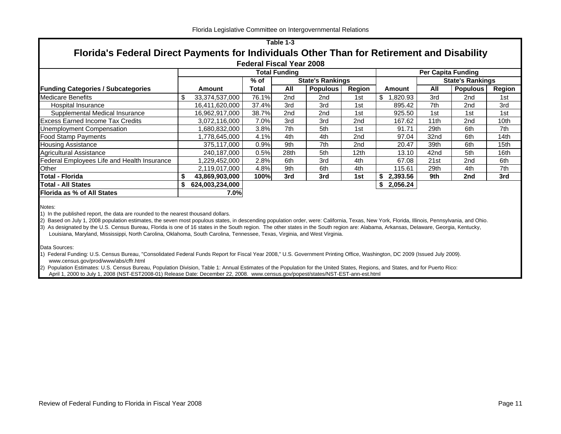|                                                                                            |                      |                                 | Table 1-3       |                 |                  |                |                  |                           |        |  |
|--------------------------------------------------------------------------------------------|----------------------|---------------------------------|-----------------|-----------------|------------------|----------------|------------------|---------------------------|--------|--|
| Florida's Federal Direct Payments for Individuals Other Than for Retirement and Disability |                      |                                 |                 |                 |                  |                |                  |                           |        |  |
|                                                                                            |                      | <b>Federal Fiscal Year 2008</b> |                 |                 |                  |                |                  |                           |        |  |
|                                                                                            |                      |                                 | Total Funding   |                 |                  |                |                  | <b>Per Capita Funding</b> |        |  |
|                                                                                            |                      | % of<br><b>State's Rankings</b> |                 |                 |                  |                |                  | <b>State's Rankings</b>   |        |  |
| Funding Categories / Subcategories                                                         | Amount               | Total                           | All             | <b>Populous</b> | Region           | Amount         | All              | <b>Populous</b>           | Region |  |
| Medicare Benefits                                                                          | \$<br>33,374,537,000 | 76.1%                           | 2 <sub>nd</sub> | 2nd             | 1st              | \$<br>.820.93  | 3rd              | 2nd                       | 1st    |  |
| Hospital Insurance                                                                         | 16,411,620,000       | 37.4%                           | 3rd             | 3rd             | 1st              | 895.42         | 7th              | 2nd                       | 3rd    |  |
| Supplemental Medical Insurance                                                             | 16,962,917,000       | 38.7%                           | 2 <sub>nd</sub> | 2nd             | 1st              | 925.50         | 1st              | 1st                       | 1st    |  |
| Excess Earned Income Tax Credits                                                           | 3,072,116,000        | 7.0%                            | 3rd             | 3rd             | 2 <sub>nd</sub>  | 167.62         | 11th             | 2 <sub>nd</sub>           | 10th   |  |
| Unemployment Compensation                                                                  | ,680,832,000         | 3.8%                            | 7th             | 5th             | 1st              | 91.71          | 29th             | 6th                       | 7th    |  |
| Food Stamp Payments                                                                        | 1,778,645,000        | 4.1%                            | 4th             | 4th             | 2 <sub>nd</sub>  | 97.04          | 32nd             | 6th                       | 14th   |  |
| Housing Assistance                                                                         | 375,117,000          | 0.9%                            | 9th             | 7th             | 2 <sub>nd</sub>  | 20.47          | 39th             | 6th                       | 15th   |  |
| <b>Agricultural Assistance</b>                                                             | 240,187,000          | 0.5%                            | 28th            | 5th             | 12 <sub>th</sub> | 13.10          | 42 <sub>nd</sub> | 5th                       | 16th   |  |
| Federal Employees Life and Health Insurance                                                | ,229,452,000         | 2.8%                            | 6th             | 3rd             | 4th              | 67.08          | 21st             | 2 <sub>nd</sub>           | 6th    |  |
| Other                                                                                      | 2,119,017,000        | 4.8%                            | 9th             | 6th             | 4th              | 115.61         | 29th             | 4th                       | 7th    |  |
| Total - Florida                                                                            | 43,869,903,000       | 100%                            | 3rd             | 3rd             | 1st              | 2,393.56<br>S. | 9th              | 2nd                       | 3rd    |  |
| <b>Total - All States</b>                                                                  | 624,003,234,000      |                                 |                 |                 |                  | 2,056.24<br>\$ |                  |                           |        |  |
| Florida as % of All States                                                                 | 7.0%                 |                                 |                 |                 |                  |                |                  |                           |        |  |

Notes:

1) In the published report, the data are rounded to the nearest thousand dollars.

2) Based on July 1, 2008 population estimates, the seven most populous states, in descending population order, were: California, Texas, New York, Florida, Illinois, Pennsylvania, and Ohio.

3) As designated by the U.S. Census Bureau, Florida is one of 16 states in the South region. The other states in the South region are: Alabama, Arkansas, Delaware, Georgia, Kentucky, Louisiana, Maryland, Mississippi, North Carolina, Oklahoma, South Carolina, Tennessee, Texas, Virginia, and West Virginia.

Data Sources:

1) Federal Funding: U.S. Census Bureau, "Consolidated Federal Funds Report for Fiscal Year 2008," U.S. Government Printing Office, Washington, DC 2009 (Issued July 2009). www.census.gov/prod/www/abs/cffr.html

2) Population Estimates: U.S. Census Bureau, Population Division, Table 1: Annual Estimates of the Population for the United States, Regions, and States, and for Puerto Rico: April 1, 2000 to July 1, 2008 (NST-EST2008-01) Release Date: December 22, 2008. www.census.gov/popest/states/NST-EST-ann-est.html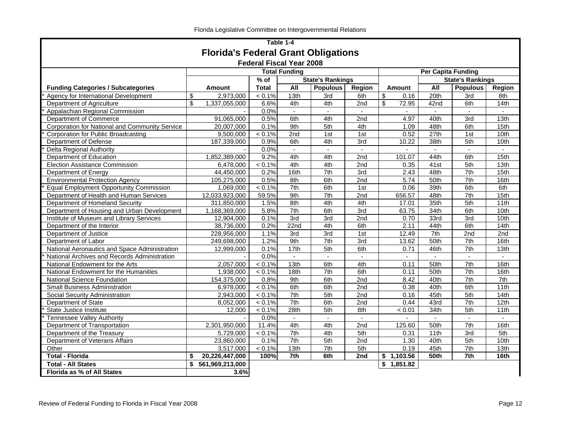| Table 1-4                                      |                                            |              |                                 |                         |        |                |                           |                         |                   |  |  |
|------------------------------------------------|--------------------------------------------|--------------|---------------------------------|-------------------------|--------|----------------|---------------------------|-------------------------|-------------------|--|--|
|                                                | <b>Florida's Federal Grant Obligations</b> |              |                                 |                         |        |                |                           |                         |                   |  |  |
|                                                |                                            |              | <b>Federal Fiscal Year 2008</b> |                         |        |                |                           |                         |                   |  |  |
|                                                |                                            |              | <b>Total Funding</b>            |                         |        |                | <b>Per Capita Funding</b> |                         |                   |  |  |
|                                                |                                            | $%$ of       |                                 | <b>State's Rankings</b> |        |                |                           | <b>State's Rankings</b> |                   |  |  |
| <b>Funding Categories / Subcategories</b>      | <b>Amount</b>                              | <b>Total</b> | All                             | <b>Populous</b>         | Region | <b>Amount</b>  | <b>All</b>                | <b>Populous</b>         | Region            |  |  |
| Agency for International Development           | \$<br>2,973,000                            | $< 0.1\%$    | 13th                            | 3rd                     | 6th    | \$<br>0.16     | 20th                      | 3rd                     | 8th               |  |  |
| Department of Agriculture                      | $\mathfrak{L}$<br>1,337,055,000            | 6.6%         | 4th                             | 4th                     | 2nd    | \$<br>72.95    | 42nd                      | 6th                     | 14th              |  |  |
| Appalachian Regional Commission                |                                            | 0.0%         | $\mathcal{L}$                   | $\overline{a}$          |        | $\blacksquare$ | $\blacksquare$            | ÷,                      |                   |  |  |
| Department of Commerce                         | 91,065,000                                 | 0.5%         | 6th                             | 4th                     | 2nd    | 4.97           | 40th                      | 3rd                     | 13th              |  |  |
| Corporation for National and Community Service | $\overline{20,007,000}$                    | 0.1%         | 9th                             | 5th                     | 4th    | 1.09           | 48th                      | 6th                     | 15th              |  |  |
| Corporation for Public Broadcasting            | 9,500,000                                  | < 0.1%       | 2nd                             | 1st                     | 1st    | 0.52           | 27th                      | 1st                     | 10th              |  |  |
| Department of Defense                          | 187,339,000                                | 0.9%         | 6th                             | 4th                     | 3rd    | 10.22          | 38th                      | 5th                     | 10th              |  |  |
| Delta Regional Authority                       |                                            | 0.0%         | $\mathbf{r}$                    | $\mathbf{u}$            |        |                |                           | $\mathbf{u}$            |                   |  |  |
| Department of Education                        | 1,852,389,000                              | 9.2%         | 4th                             | 4th                     | 2nd    | 101.07         | 44th                      | 6th                     | 15th              |  |  |
| <b>Election Assistance Commission</b>          | 6,478,000                                  | $< 0.1\%$    | 4th                             | 4th                     | 2nd    | 0.35           | 41st                      | 5th                     | 13th              |  |  |
| Department of Energy                           | 44,450,000                                 | 0.2%         | 16th                            | 7th                     | 3rd    | 2.43           | 48th                      | 7th                     | 15th              |  |  |
| <b>Environmental Protection Agency</b>         | 105,275,000                                | 0.5%         | 8th                             | 6th                     | 2nd    | 5.74           | 50th                      | $\overline{7}$ th       | 16th              |  |  |
| <b>Equal Employment Opportunity Commission</b> | 1,069,000                                  | $< 0.1\%$    | 7th                             | 6th                     | 1st    | 0.06           | 39th                      | 6th                     | 6th               |  |  |
| Department of Health and Human Services        | 12,033,923,000                             | 59.5%        | 9th                             | 7th                     | 2nd    | 656.57         | 48th                      | $\overline{7}$ th       | 15th              |  |  |
| Department of Homeland Security                | 311,850,000                                | 1.5%         | 8th                             | 4th                     | 4th    | 17.01          | 35th                      | 5th                     | 11th              |  |  |
| Department of Housing and Urban Development    | 1,168,369,000                              | 5.8%         | 7th                             | 6th                     | 3rd    | 63.75          | 34th                      | 6th                     | 10th              |  |  |
| Institute of Museum and Library Services       | 12,904,000                                 | 0.1%         | 3rd                             | 3rd                     | 2nd    | 0.70           | 33rd                      | 3rd                     | 10th              |  |  |
| Department of the Interior                     | 38,736,000                                 | 0.2%         | 22nd                            | 4th                     | 6th    | 2.11           | 44th                      | 6th                     | 14th              |  |  |
| Department of Justice                          | 228,956,000                                | 1.1%         | 3rd                             | 3rd                     | 1st    | 12.49          | 7th                       | 2nd                     | 2nd               |  |  |
| Department of Labor                            | 249,698,000                                | 1.2%         | 9th                             | $\overline{7}$ th       | 3rd    | 13.62          | 50th                      | $\overline{7}$ th       | 16th              |  |  |
| National Aeronautics and Space Administration  | 12,999,000                                 | 0.1%         | 17th                            | 5th                     | 6th    | 0.71           | 46th                      | 7th                     | 13th              |  |  |
| National Archives and Records Administration   |                                            | 0.0%         | $\omega$                        | $\sim$                  |        | $\blacksquare$ | $\overline{a}$            | $\blacksquare$          |                   |  |  |
| National Endowment for the Arts                | 2,057,000                                  | $< 0.1\%$    | 13th                            | 6th                     | 4th    | 0.11           | 50th                      | 7th                     | 16th              |  |  |
| National Endowment for the Humanities          | 1,938,000                                  | $< 0.1\%$    | 18th                            | 7th                     | 6th    | 0.11           | 50th                      | 7th                     | 16th              |  |  |
| National Science Foundation                    | 154,375,000                                | 0.8%         | 9th                             | 6th                     | 2nd    | 8.42           | 40th                      | 7th                     | $\overline{7}$ th |  |  |
| <b>Small Business Administration</b>           | 6,978,000                                  | < 0.1%       | 6th                             | 6th                     | 2nd    | 0.38           | 40th                      | 6th                     | 11th              |  |  |
| Social Security Administration                 | 2,943,000                                  | $< 0.1\%$    | $\overline{7}$ th               | 5th                     | 2nd    | 0.16           | 45th                      | 5th                     | 14th              |  |  |
| Department of State                            | 8,052,000                                  | $< 0.1\%$    | 7th                             | 6th                     | 2nd    | 0.44           | 43rd                      | 7th                     | 12th              |  |  |
| State Justice Institute                        | 12,000                                     | < 0.1%       | 28th                            | 5th                     | 8th    | < 0.01         | 34th                      | 5th                     | 11th              |  |  |
| <b>Tennessee Valley Authority</b>              |                                            | 0.0%         | $\mathbf{r}$                    | $\mathbf{r}$            | $\sim$ |                | $\mathbf{r}$              | $\mathbf{r}$            | $\sim$            |  |  |
| Department of Transportation                   | 2,301,950,000                              | 11.4%        | 4th                             | 4th                     | 2nd    | 125.60         | 50th                      | 7th                     | 16th              |  |  |
| Department of the Treasury                     | 5,729,000                                  | $< 0.1\%$    | 7th                             | 4th                     | 5th    | 0.31           | 11th                      | 3rd                     | 5th               |  |  |
| Department of Veterans Affairs                 | 23,860,000                                 | 0.1%         | $\overline{7}$ th               | 5th                     | 2nd    | 1.30           | 40th                      | 5th                     | 10th              |  |  |
| Other                                          | 3,517,000                                  | $< 0.1\%$    | 13th                            | 7th                     | 5th    | 0.19           | 45th                      | 7th                     | 13th              |  |  |
| <b>Total - Florida</b>                         | 20,226,447,000<br>\$                       | 100%         | 7th                             | 6th                     | 2nd    | \$1,103.56     | 50th                      | 7th                     | 16th              |  |  |
| <b>Total - All States</b>                      | 561,969,213,000<br>\$                      |              |                                 |                         |        | 1,851.82<br>\$ |                           |                         |                   |  |  |
| Florida as % of All States                     | 3.6%                                       |              |                                 |                         |        |                |                           |                         |                   |  |  |
|                                                |                                            |              |                                 |                         |        |                |                           |                         |                   |  |  |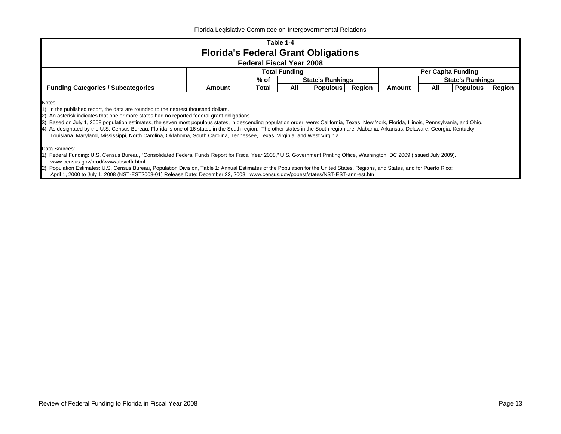|                                                                                                                                                                                                                                                                                                                                                                                                                                                                                                                                                                                                                                                                                                                                                                                                                                                                                                                         |                                 |       | Table 1-4 |                 |               |        |     |                         |               |  |  |
|-------------------------------------------------------------------------------------------------------------------------------------------------------------------------------------------------------------------------------------------------------------------------------------------------------------------------------------------------------------------------------------------------------------------------------------------------------------------------------------------------------------------------------------------------------------------------------------------------------------------------------------------------------------------------------------------------------------------------------------------------------------------------------------------------------------------------------------------------------------------------------------------------------------------------|---------------------------------|-------|-----------|-----------------|---------------|--------|-----|-------------------------|---------------|--|--|
| <b>Florida's Federal Grant Obligations</b>                                                                                                                                                                                                                                                                                                                                                                                                                                                                                                                                                                                                                                                                                                                                                                                                                                                                              |                                 |       |           |                 |               |        |     |                         |               |  |  |
| <b>Federal Fiscal Year 2008</b>                                                                                                                                                                                                                                                                                                                                                                                                                                                                                                                                                                                                                                                                                                                                                                                                                                                                                         |                                 |       |           |                 |               |        |     |                         |               |  |  |
| <b>Total Funding</b><br>Per Capita Funding                                                                                                                                                                                                                                                                                                                                                                                                                                                                                                                                                                                                                                                                                                                                                                                                                                                                              |                                 |       |           |                 |               |        |     |                         |               |  |  |
|                                                                                                                                                                                                                                                                                                                                                                                                                                                                                                                                                                                                                                                                                                                                                                                                                                                                                                                         | % of<br><b>State's Rankings</b> |       |           |                 |               |        |     | <b>State's Rankings</b> |               |  |  |
| <b>Funding Categories / Subcategories</b>                                                                                                                                                                                                                                                                                                                                                                                                                                                                                                                                                                                                                                                                                                                                                                                                                                                                               | Amount                          | Total | All       | <b>Populous</b> | <b>Region</b> | Amount | All | <b>Populous</b>         | <b>Region</b> |  |  |
| Notes:<br>1) In the published report, the data are rounded to the nearest thousand dollars.<br>An asterisk indicates that one or more states had no reported federal grant obligations.<br>2)<br>Based on July 1, 2008 population estimates, the seven most populous states, in descending population order, were: California, Texas, New York, Florida, Illinois, Pennsylvania, and Ohio.<br>3)<br>As designated by the U.S. Census Bureau, Florida is one of 16 states in the South region. The other states in the South region are: Alabama, Arkansas, Delaware, Georgia, Kentucky,<br>4)<br>Louisiana, Maryland, Mississippi, North Carolina, Oklahoma, South Carolina, Tennessee, Texas, Virginia, and West Virginia.<br>Data Sources:<br>4) Federal Funding: U.O. Oceano Dusson, "Canadidated Federal Funda Denoutles Fiscal Vess 2000 "U.O. Conservant Delation Office, Washington, DC 2000 (legued, July 2000) |                                 |       |           |                 |               |        |     |                         |               |  |  |

1) Federal Funding: U.S. Census Bureau, "Consolidated Federal Funds Report for Fiscal Year 2008," U.S. Government Printing Office, Washington, DC 2009 (Issued July 2009). www.census.gov/prod/www/abs/cffr.html

2) Population Estimates: U.S. Census Bureau, Population Division, Table 1: Annual Estimates of the Population for the United States, Regions, and States, and for Puerto Rico: April 1, 2000 to July 1, 2008 (NST-EST2008-01) Release Date: December 22, 2008. www.census.gov/popest/states/NST-EST-ann-est.htm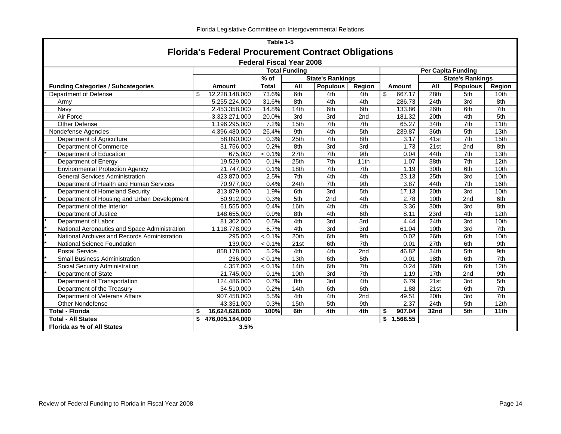| Table 1-5                                     |                                                           |                    |                                 |                         |        |                          |                           |                         |        |  |  |
|-----------------------------------------------|-----------------------------------------------------------|--------------------|---------------------------------|-------------------------|--------|--------------------------|---------------------------|-------------------------|--------|--|--|
|                                               | <b>Florida's Federal Procurement Contract Obligations</b> |                    |                                 |                         |        |                          |                           |                         |        |  |  |
|                                               |                                                           |                    |                                 |                         |        |                          |                           |                         |        |  |  |
|                                               |                                                           |                    | <b>Federal Fiscal Year 2008</b> |                         |        |                          |                           |                         |        |  |  |
|                                               |                                                           |                    | <b>Total Funding</b>            |                         |        |                          | <b>Per Capita Funding</b> |                         |        |  |  |
|                                               |                                                           | $\overline{\%}$ of |                                 | <b>State's Rankings</b> |        |                          |                           | <b>State's Rankings</b> |        |  |  |
| <b>Funding Categories / Subcategories</b>     | Amount                                                    | <b>Total</b>       | All                             | <b>Populous</b>         | Region | Amount                   | All                       | <b>Populous</b>         | Region |  |  |
| Department of Defense                         | \$<br>12,228,148,000                                      | 73.6%              | 6th                             | 4th                     | 4th    | $\mathfrak{S}$<br>667.17 | 28th                      | 5th                     | 10th   |  |  |
| Army                                          | 5,255,224,000                                             | 31.6%              | 8th                             | 4th                     | 4th    | 286.73                   | 24th                      | 3rd                     | 8th    |  |  |
| Navy                                          | 2,453,358,000                                             | 14.8%              | 14th                            | 6th                     | 6th    | 133.86                   | 26th                      | 6th                     | 7th    |  |  |
| Air Force                                     | 3,323,271,000                                             | 20.0%              | 3rd                             | 3rd                     | 2nd    | 181.32                   | 20th                      | 4th                     | 5th    |  |  |
| <b>Other Defense</b>                          | 1,196,295,000                                             | 7.2%               | 15th                            | 7th                     | 7th    | 65.27                    | 34th                      | 7th                     | 11th   |  |  |
| Nondefense Agencies                           | 4,396,480,000                                             | 26.4%              | 9th                             | 4th                     | 5th    | 239.87                   | 36th                      | 5th                     | 13th   |  |  |
| Department of Agriculture                     | 58,090,000                                                | 0.3%               | 25th                            | $\overline{7}$ th       | 8th    | 3.17                     | 41st                      | $\overline{7}$ th       | 15th   |  |  |
| Department of Commerce                        | 31,756,000                                                | 0.2%               | 8th                             | 3rd                     | 3rd    | 1.73                     | $\overline{21st}$         | 2nd                     | 8th    |  |  |
| Department of Education                       | 675,000                                                   | $< 0.1\%$          | 27th                            | 7th                     | 9th    | 0.04                     | 44th                      | 7th                     | 13th   |  |  |
| Department of Energy                          | 19,529,000                                                | 0.1%               | 25th                            | 7th                     | 11th   | 1.07                     | 38th                      | 7th                     | 12th   |  |  |
| <b>Environmental Protection Agency</b>        | 21,747,000                                                | 0.1%               | 18th                            | 7th                     | 7th    | 1.19                     | 30th                      | 6th                     | 10th   |  |  |
| <b>General Services Administration</b>        | 423,870,000                                               | 2.5%               | 7th                             | 4th                     | 4th    | 23.13                    | 25th                      | 3rd                     | 10th   |  |  |
| Department of Health and Human Services       | 70,977,000                                                | 0.4%               | 24th                            | 7th                     | 9th    | 3.87                     | 44th                      | $\overline{7}$ th       | 16th   |  |  |
| Department of Homeland Security               | 313,879,000                                               | 1.9%               | 6th                             | 3rd                     | 5th    | 17.13                    | 20th                      | 3rd                     | 10th   |  |  |
| Department of Housing and Urban Development   | 50,912,000                                                | 0.3%               | 5th                             | 2nd                     | 4th    | 2.78                     | 10th                      | 2nd                     | 6th    |  |  |
| Department of the Interior                    | 61,555,000                                                | 0.4%               | 16th                            | 4th                     | 4th    | 3.36                     | 30th                      | 3rd                     | 8th    |  |  |
| Department of Justice                         | 148,655,000                                               | 0.9%               | 8th                             | 4th                     | 6th    | 8.11                     | 23rd                      | 4th                     | 12th   |  |  |
| Department of Labor                           | 81,302,000                                                | 0.5%               | 4th                             | 3rd                     | 3rd    | 4.44                     | 24th                      | 3rd                     | 10th   |  |  |
| National Aeronautics and Space Administration | 1,118,778,000                                             | 6.7%               | 4th                             | 3rd                     | 3rd    | 61.04                    | 10th                      | 3rd                     | 7th    |  |  |
| National Archives and Records Administration  | 295,000                                                   | $< 0.1\%$          | 20th                            | 6th                     | 9th    | 0.02                     | 26th                      | 6th                     | 10th   |  |  |
| National Science Foundation                   | 139,000                                                   | $< 0.1\%$          | 21st                            | 6th                     | 7th    | 0.01                     | 27th                      | 6th                     | 9th    |  |  |
| <b>Postal Service</b>                         | 858,178,000                                               | 5.2%               | 4th                             | 4th                     | 2nd    | 46.82                    | 34th                      | 5th                     | 9th    |  |  |
| <b>Small Business Administration</b>          | 236.000                                                   | $< 0.1\%$          | 13th                            | 6th                     | 5th    | 0.01                     | 18th                      | 6th                     | 7th    |  |  |
| Social Security Administration                | 4,357,000                                                 | $< 0.1\%$          | 14th                            | 6th                     | 7th    | 0.24                     | 36th                      | 6th                     | 12th   |  |  |
| Department of State                           | 21,745,000                                                | 0.1%               | 10th                            | 3rd                     | 7th    | 1.19                     | 17th                      | 2nd                     | 9th    |  |  |
| Department of Transportation                  | 124,486,000                                               | 0.7%               | 8th                             | 3rd                     | 4th    | 6.79                     | 21st                      | 3rd                     | 5th    |  |  |
| Department of the Treasury                    | 34,510,000                                                | 0.2%               | 14th                            | 6th                     | 6th    | 1.88                     | 21st                      | 6th                     | 7th    |  |  |
| Department of Veterans Affairs                | 907,458,000                                               | 5.5%               | 4th                             | 4th                     | 2nd    | 49.51                    | 20th                      | 3rd                     | 7th    |  |  |
| Other Nondefense                              | 43,351,000                                                | 0.3%               | 15th                            | 5th                     | 9th    | 2.37                     | 24th                      | 5th                     | 12th   |  |  |
| <b>Total - Florida</b>                        | \$<br>16,624,628,000                                      | 100%               | 6th                             | 4th                     | 4th    | 907.04<br>\$             | 32nd                      | 5th                     | 11th   |  |  |
| <b>Total - All States</b>                     | 476,005,184,000<br>\$                                     |                    |                                 |                         |        | \$<br>1,568.55           |                           |                         |        |  |  |
| Florida as % of All States                    | 3.5%                                                      |                    |                                 |                         |        |                          |                           |                         |        |  |  |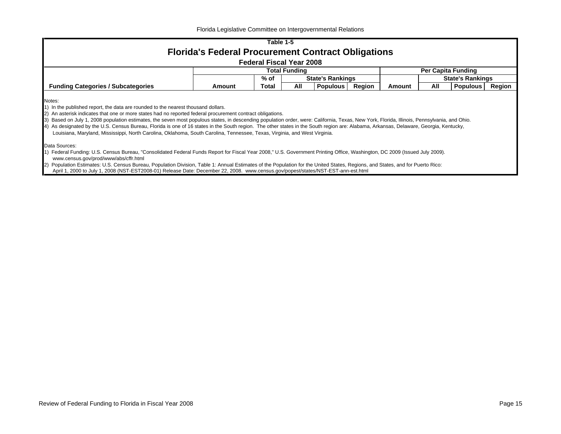| Table 1-5                                                                                                                                                                                                                                                                                                                                                                                                                                                                                                                                                                                                                                                                                                                                          |                                 |  |  |  |  |  |  |                         |        |  |  |
|----------------------------------------------------------------------------------------------------------------------------------------------------------------------------------------------------------------------------------------------------------------------------------------------------------------------------------------------------------------------------------------------------------------------------------------------------------------------------------------------------------------------------------------------------------------------------------------------------------------------------------------------------------------------------------------------------------------------------------------------------|---------------------------------|--|--|--|--|--|--|-------------------------|--------|--|--|
| <b>Florida's Federal Procurement Contract Obligations</b>                                                                                                                                                                                                                                                                                                                                                                                                                                                                                                                                                                                                                                                                                          |                                 |  |  |  |  |  |  |                         |        |  |  |
|                                                                                                                                                                                                                                                                                                                                                                                                                                                                                                                                                                                                                                                                                                                                                    |                                 |  |  |  |  |  |  |                         |        |  |  |
| <b>Federal Fiscal Year 2008</b>                                                                                                                                                                                                                                                                                                                                                                                                                                                                                                                                                                                                                                                                                                                    |                                 |  |  |  |  |  |  |                         |        |  |  |
| <b>Total Funding</b><br>Per Capita Funding                                                                                                                                                                                                                                                                                                                                                                                                                                                                                                                                                                                                                                                                                                         |                                 |  |  |  |  |  |  |                         |        |  |  |
|                                                                                                                                                                                                                                                                                                                                                                                                                                                                                                                                                                                                                                                                                                                                                    | % of<br><b>State's Rankings</b> |  |  |  |  |  |  | <b>State's Rankings</b> |        |  |  |
| <b>Funding Categories / Subcategories</b><br>All<br><b>Populous</b><br>Region<br>All<br><b>Populous</b><br>Total<br>Amount<br>Amount                                                                                                                                                                                                                                                                                                                                                                                                                                                                                                                                                                                                               |                                 |  |  |  |  |  |  |                         | Region |  |  |
| Notes:<br>1) In the published report, the data are rounded to the nearest thousand dollars.<br>2) An asterisk indicates that one or more states had no reported federal procurement contract obligations.<br>3) Based on July 1, 2008 population estimates, the seven most populous states, in descending population order, were: California, Texas, New York, Florida, Illinois, Pennsylvania, and Ohio.<br>4) As designated by the U.S. Census Bureau, Florida is one of 16 states in the South region. The other states in the South region are: Alabama, Arkansas, Delaware, Georgia, Kentucky,<br>Louisiana, Maryland, Mississippi, North Carolina, Oklahoma, South Carolina, Tennessee, Texas, Virginia, and West Virginia.<br>Data Sources: |                                 |  |  |  |  |  |  |                         |        |  |  |
| Federal Funding: U.S. Census Bureau, "Consolidated Federal Funds Report for Fiscal Year 2008," U.S. Government Printing Office, Washington, DC 2009 (Issued July 2009).<br>www.census.gov/prod/www/abs/cffr.html                                                                                                                                                                                                                                                                                                                                                                                                                                                                                                                                   |                                 |  |  |  |  |  |  |                         |        |  |  |
| Population Estimates: U.S. Census Bureau, Population Division, Table 1: Annual Estimates of the Population for the United States, Regions, and States, and for Puerto Rico:<br>April 1, 2000 to July 1, 2008 (NST-EST2008-01) Release Date: December 22, 2008. www.census.gov/popest/states/NST-EST-ann-est.html                                                                                                                                                                                                                                                                                                                                                                                                                                   |                                 |  |  |  |  |  |  |                         |        |  |  |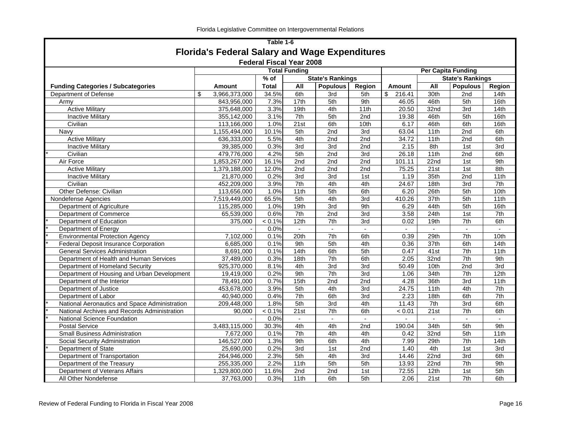| Table 1-6                                     |                                                       |              |                                 |                         |        |              |                             |                             |                   |  |  |
|-----------------------------------------------|-------------------------------------------------------|--------------|---------------------------------|-------------------------|--------|--------------|-----------------------------|-----------------------------|-------------------|--|--|
|                                               | <b>Florida's Federal Salary and Wage Expenditures</b> |              |                                 |                         |        |              |                             |                             |                   |  |  |
|                                               |                                                       |              | <b>Federal Fiscal Year 2008</b> |                         |        |              |                             |                             |                   |  |  |
|                                               |                                                       |              | <b>Total Funding</b>            |                         |        |              |                             | <b>Per Capita Funding</b>   |                   |  |  |
|                                               |                                                       | $%$ of       |                                 | <b>State's Rankings</b> |        |              |                             | <b>State's Rankings</b>     |                   |  |  |
| <b>Funding Categories / Subcategories</b>     | <b>Amount</b>                                         | <b>Total</b> | <b>All</b>                      | <b>Populous</b>         | Region | Amount       | All                         | <b>Populous</b>             | Region            |  |  |
| Department of Defense                         | \$<br>3,966,373,000                                   | 34.5%        | 6th                             | 3rd                     | 5th    | \$<br>216.41 | 30th                        | 2nd                         | 14th              |  |  |
| Army                                          | 843,956,000                                           | 7.3%         | 17th                            | 5th                     | 9th    | 46.05        | 46th                        | 5th                         | 16th              |  |  |
| <b>Active Military</b>                        | 375,648,000                                           | 3.3%         | 19th                            | 4th                     | 11th   | 20.50        | 32nd                        | 3rd                         | 14th              |  |  |
| <b>Inactive Military</b>                      | 355,142,000                                           | 3.1%         | 7th                             | 5th                     | 2nd    | 19.38        | 46th                        | 5th                         | 16th              |  |  |
| Civilian                                      | 113,166,000                                           | 1.0%         | 21st                            | 6th                     | 10th   | 6.17         | 46th                        | 6th                         | 16th              |  |  |
| Navv                                          | 1,155,494,000                                         | 10.1%        | 5th                             | 2nd                     | 3rd    | 63.04        | 11th                        | 2nd                         | 6th               |  |  |
| <b>Active Military</b>                        | 636,333,000                                           | 5.5%         | 4th                             | 2nd                     | 2nd    | 34.72        | 11th                        | 2nd                         | 6th               |  |  |
| <b>Inactive Military</b>                      | 39,385,000                                            | 0.3%         | 3rd                             | 3rd                     | 2nd    | 2.15         | 8th                         | 1st                         | 3rd               |  |  |
| Civilian                                      | 479,776,000                                           | 4.2%         | 5th                             | 2nd                     | 3rd    | 26.18        | 11th                        | 2nd                         | 6th               |  |  |
| Air Force                                     | 1,853,267,000                                         | 16.1%        | 2nd                             | 2nd                     | 2nd    | 101.11       | 22 <sub>nd</sub>            | 1st                         | 9th               |  |  |
| <b>Active Military</b>                        | 1,379,188,000                                         | 12.0%        | 2nd                             | 2nd                     | 2nd    | 75.25        | 21st                        | 1st                         | 8th               |  |  |
| <b>Inactive Military</b>                      | 21,870,000                                            | 0.2%         | 3rd                             | 3rd                     | 1st    | 1.19         | 35th                        | 2nd                         | 11th              |  |  |
| Civilian                                      | 452,209,000                                           | 3.9%         | 7th                             | 4th                     | 4th    | 24.67        | 18th                        | 3rd                         | $\overline{7}$ th |  |  |
| Other Defense: Civilian                       | 113,656,000                                           | 1.0%         | 11th                            | 5th                     | 6th    | 6.20         | 26th                        | 5th                         | 10th              |  |  |
| Nondefense Agencies                           | 7,519,449,000                                         | 65.5%        | 5th                             | 4th                     | 3rd    | 410.26       | 37th                        | 5th                         | 11th              |  |  |
| Department of Agriculture                     | 115,285,000                                           | 1.0%         | 19th                            | 3rd                     | 9th    | 6.29         | 44th                        | 5th                         | 16th              |  |  |
| Department of Commerce                        | 65,539,000                                            | 0.6%         | 7th                             | 2nd                     | 3rd    | 3.58         | 24th                        | 1st                         | 7th               |  |  |
| Department of Education                       | 375,000                                               | $< 0.1\%$    | 12th                            | 7th                     | 3rd    | 0.02         | 19th                        | 7th                         | 6th               |  |  |
| Department of Energy                          |                                                       | 0.0%         | $\mathcal{L}_{\mathcal{A}}$     | $\sim$                  | $\sim$ | $\sim$       | $\mathcal{L}_{\mathcal{A}}$ | $\mathcal{L}_{\mathcal{A}}$ | $\mathbf{r}$      |  |  |
| <b>Environmental Protection Agency</b>        | 7,102,000                                             | 0.1%         | 20th                            | 7th                     | 6th    | 0.39         | 29th                        | 7th                         | 10th              |  |  |
| <b>Federal Deposit Insurance Corporation</b>  | 6,685,000                                             | 0.1%         | 9th                             | 5th                     | 4th    | 0.36         | 37th                        | 6th                         | 14th              |  |  |
| <b>General Services Administration</b>        | 8,691,000                                             | 0.1%         | 14th                            | 6th                     | 5th    | 0.47         | 41st                        | 7th                         | 11th              |  |  |
| Department of Health and Human Services       | 37,489,000                                            | 0.3%         | 18th                            | 7th                     | 6th    | 2.05         | 32 <sub>nd</sub>            | 7th                         | 9th               |  |  |
| Department of Homeland Security               | 925,370,000                                           | 8.1%         | 4th                             | 3rd                     | 3rd    | 50.49        | 10th                        | 2nd                         | 3rd               |  |  |
| Department of Housing and Urban Development   | 19,419,000                                            | 0.2%         | 9th                             | 7th                     | 3rd    | 1.06         | 34th                        | 7th                         | 12th              |  |  |
| Department of the Interior                    | 78,491,000                                            | 0.7%         | 15th                            | 2nd                     | 2nd    | 4.28         | 36th                        | 3rd                         | 11th              |  |  |
| Department of Justice                         | 453,678,000                                           | 3.9%         | 5th                             | 4th                     | 3rd    | 24.75        | 11th                        | 4th                         | 7th               |  |  |
| Department of Labor                           | 40,940,000                                            | 0.4%         | $\overline{7}$ th               | 6th                     | 3rd    | 2.23         | 18th                        | 6th                         | $\overline{7}$ th |  |  |
| National Aeronautics and Space Administration | 209,448,000                                           | 1.8%         | 5th                             | 3rd                     | 4th    | 11.43        | 7th                         | 3rd                         | 6th               |  |  |
| National Archives and Records Administration  | 90.000                                                | $< 0.1\%$    | 21st                            | 7th                     | 6th    | < 0.01       | $\overline{2}$ 1st          | 7th                         | 6th               |  |  |
| National Science Foundation                   |                                                       | 0.0%         | $\sim$                          | $\sim$                  | $\sim$ | $\sim$       | $\sim$                      | $\sim$                      | $\sim$            |  |  |
| <b>Postal Service</b>                         | 3,483,115,000                                         | 30.3%        | 4th                             | 4th                     | 2nd    | 190.04       | 34th                        | 5th                         | 9th               |  |  |
| <b>Small Business Administration</b>          | 7,672,000                                             | 0.1%         | $\overline{7}$ th               | 4th                     | 4th    | 0.42         | 32nd                        | 5th                         | 11th              |  |  |
| Social Security Administration                | 146,527,000                                           | 1.3%         | 9th                             | 6th                     | 4th    | 7.99         | 29th                        | 7th                         | 14th              |  |  |
| Department of State                           | 25,690,000                                            | 0.2%         | 3rd                             | 1st                     | 2nd    | 1.40         | 4th                         | 1st                         | 3rd               |  |  |
| Department of Transportation                  | 264,946,000                                           | 2.3%         | 5th                             | 4th                     | 3rd    | 14.46        | 22nd                        | 3rd                         | 6th               |  |  |
| Department of the Treasury                    | 255,335,000                                           | 2.2%         | 11th                            | 5th                     | 5th    | 13.93        | 22nd                        | 7th                         | 9th               |  |  |
| Department of Veterans Affairs                | 1,329,800,000                                         | 11.6%        | 2nd                             | 2nd                     | 1st    | 72.55        | 12th                        | 1st                         | 5th               |  |  |
|                                               |                                                       | 0.3%         |                                 |                         | 5th    | 2.06         |                             | $\overline{7}$ th           |                   |  |  |
| All Other Nondefense                          | 37,763,000                                            |              | 11th                            | 6th                     |        |              | 21st                        |                             | 6th               |  |  |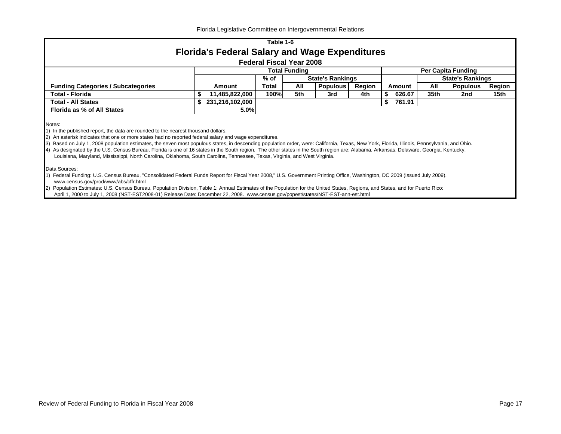| Table 1-6<br><b>Florida's Federal Salary and Wage Expenditures</b> |                 |                                                            |                      |                 |               |  |        |      |                    |        |
|--------------------------------------------------------------------|-----------------|------------------------------------------------------------|----------------------|-----------------|---------------|--|--------|------|--------------------|--------|
| <b>Federal Fiscal Year 2008</b>                                    |                 |                                                            |                      |                 |               |  |        |      |                    |        |
|                                                                    |                 |                                                            | <b>Total Funding</b> |                 |               |  |        |      | Per Capita Funding |        |
|                                                                    |                 | <b>State's Rankings</b><br><b>State's Rankings</b><br>% of |                      |                 |               |  |        |      |                    |        |
| <b>Funding Categories / Subcategories</b>                          | Amount          | Total                                                      | All                  | <b>Populous</b> | <b>Region</b> |  | Amount | All  | <b>Populous</b>    | Region |
| <b>Total - Florida</b>                                             | 11,485,822,000  | 100%                                                       | 5th                  | 3rd             | 4th           |  | 626.67 | 35th | 2nd                | 15th   |
| <b>Total - All States</b>                                          | 231,216,102,000 |                                                            |                      |                 |               |  | 761.91 |      |                    |        |
| Florida as % of All States                                         | 5.0%            |                                                            |                      |                 |               |  |        |      |                    |        |
| Notes:                                                             |                 |                                                            |                      |                 |               |  |        |      |                    |        |

1) In the published report, the data are rounded to the nearest thousand dollars.

2) An asterisk indicates that one or more states had no reported federal salary and wage expenditures.

3) Based on July 1, 2008 population estimates, the seven most populous states, in descending population order, were: California, Texas, New York, Florida, Illinois, Pennsylvania, and Ohio.

4) As designated by the U.S. Census Bureau, Florida is one of 16 states in the South region. The other states in the South region are: Alabama, Arkansas, Delaware, Georgia, Kentucky, Louisiana, Maryland, Mississippi, North Carolina, Oklahoma, South Carolina, Tennessee, Texas, Virginia, and West Virginia.

Data Sources:

1) Federal Funding: U.S. Census Bureau, "Consolidated Federal Funds Report for Fiscal Year 2008," U.S. Government Printing Office, Washington, DC 2009 (Issued July 2009). www.census.gov/prod/www/abs/cffr.html

2) Population Estimates: U.S. Census Bureau, Population Division, Table 1: Annual Estimates of the Population for the United States, Regions, and States, and for Puerto Rico: April 1, 2000 to July 1, 2008 (NST-EST2008-01) Release Date: December 22, 2008. www.census.gov/popest/states/NST-EST-ann-est.html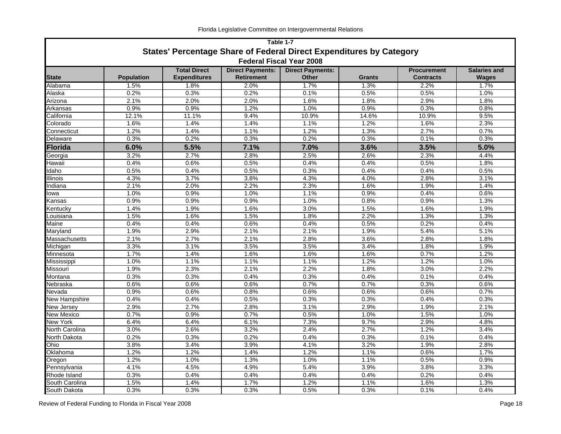| Table 1-7<br>States' Percentage Share of Federal Direct Expenditures by Category |                   |                     |                         |                                 |               |                    |                     |  |  |  |  |
|----------------------------------------------------------------------------------|-------------------|---------------------|-------------------------|---------------------------------|---------------|--------------------|---------------------|--|--|--|--|
|                                                                                  |                   |                     |                         | <b>Federal Fiscal Year 2008</b> |               |                    |                     |  |  |  |  |
|                                                                                  |                   | <b>Total Direct</b> | <b>Direct Payments:</b> | <b>Direct Payments:</b>         |               | <b>Procurement</b> | <b>Salaries and</b> |  |  |  |  |
| <b>State</b>                                                                     | <b>Population</b> | <b>Expenditures</b> | <b>Retirement</b>       | <b>Other</b>                    | <b>Grants</b> | <b>Contracts</b>   | Wages               |  |  |  |  |
| Alabama                                                                          | 1.5%              | 1.8%                | 2.0%                    | 1.7%                            | 1.3%          | 2.2%               | 1.7%                |  |  |  |  |
| Alaska                                                                           | 0.2%              | 0.3%                | 0.2%                    | 0.1%                            | 0.5%          | 0.5%               | 1.0%                |  |  |  |  |
| Arizona                                                                          | 2.1%              | 2.0%                | 2.0%                    | 1.6%                            | 1.8%          | 2.9%               | 1.8%                |  |  |  |  |
| Arkansas                                                                         | 0.9%              | 0.9%                | 1.2%                    | 1.0%                            | 0.9%          | 0.3%               | 0.8%                |  |  |  |  |
| California                                                                       | 12.1%             | 11.1%               | 9.4%                    | 10.9%                           | 14.6%         | 10.9%              | 9.5%                |  |  |  |  |
| Colorado                                                                         | 1.6%              | 1.4%                | 1.4%                    | 1.1%                            | 1.2%          | 1.6%               | 2.3%                |  |  |  |  |
| Connecticut                                                                      | 1.2%              | 1.4%                | 1.1%                    | 1.2%                            | 1.3%          | 2.7%               | 0.7%                |  |  |  |  |
| Delaware                                                                         | 0.3%              | 0.2%                | 0.3%                    | 0.2%                            | 0.3%          | 0.1%               | 0.3%                |  |  |  |  |
| Florida                                                                          | 6.0%              | 5.5%                | 7.1%                    | 7.0%                            | 3.6%          | 3.5%               | 5.0%                |  |  |  |  |
| Georgia                                                                          | 3.2%              | 2.7%                | 2.8%                    | 2.5%                            | 2.6%          | 2.3%               | 4.4%                |  |  |  |  |
| Hawaii                                                                           | 0.4%              | 0.6%                | 0.5%                    | 0.4%                            | 0.4%          | 0.5%               | 1.8%                |  |  |  |  |
| Idaho                                                                            | 0.5%              | 0.4%                | 0.5%                    | 0.3%                            | 0.4%          | 0.4%               | 0.5%                |  |  |  |  |
| Illinois                                                                         | 4.3%              | 3.7%                | 3.8%                    | 4.3%                            | 4.0%          | 2.8%               | 3.1%                |  |  |  |  |
| Indiana                                                                          | 2.1%              | 2.0%                | 2.2%                    | 2.3%                            | 1.6%          | 1.9%               | 1.4%                |  |  |  |  |
| lowa                                                                             | 1.0%              | 0.9%                | 1.0%                    | 1.1%                            | 0.9%          | 0.4%               | 0.6%                |  |  |  |  |
| Kansas                                                                           | 0.9%              | 0.9%                | 0.9%                    | 1.0%                            | 0.8%          | 0.9%               | 1.3%                |  |  |  |  |
| Kentucky                                                                         | 1.4%              | 1.9%                | 1.6%                    | 3.0%                            | 1.5%          | 1.6%               | 1.9%                |  |  |  |  |
| Louisiana                                                                        | 1.5%              | 1.6%                | 1.5%                    | 1.8%                            | 2.2%          | 1.3%               | 1.3%                |  |  |  |  |
| Maine                                                                            | 0.4%              | 0.4%                | 0.6%                    | 0.4%                            | 0.5%          | 0.2%               | 0.4%                |  |  |  |  |
| Maryland                                                                         | 1.9%              | 2.9%                | 2.1%                    | 2.1%                            | 1.9%          | 5.4%               | 5.1%                |  |  |  |  |
| Massachusetts                                                                    | 2.1%              | 2.7%                | 2.1%                    | 2.8%                            | 3.6%          | 2.8%               | 1.8%                |  |  |  |  |
| Michigan                                                                         | 3.3%              | 3.1%                | 3.5%                    | 3.5%                            | 3.4%          | 1.8%               | 1.9%                |  |  |  |  |
| Minnesota                                                                        | 1.7%              | 1.4%                | 1.6%                    | 1.6%                            | 1.6%          | 0.7%               | 1.2%                |  |  |  |  |
| Mississippi                                                                      | 1.0%              | 1.1%                | 1.1%                    | 1.1%                            | 1.2%          | 1.2%               | 1.0%                |  |  |  |  |
| Missouri                                                                         | 1.9%              | 2.3%                | 2.1%                    | 2.2%                            | 1.8%          | 3.0%               | 2.2%                |  |  |  |  |
| Montana                                                                          | 0.3%              | 0.3%                | 0.4%                    | 0.3%                            | 0.4%          | 0.1%               | 0.4%                |  |  |  |  |
| Nebraska                                                                         | 0.6%              | 0.6%                | 0.6%                    | 0.7%                            | 0.7%          | 0.3%               | 0.6%                |  |  |  |  |
| Nevada                                                                           | 0.9%              | 0.6%                | 0.8%                    | 0.6%                            | 0.6%          | 0.6%               | 0.7%                |  |  |  |  |
| New Hampshire                                                                    | 0.4%              | 0.4%                | 0.5%                    | 0.3%                            | 0.3%          | 0.4%               | 0.3%                |  |  |  |  |
| <b>New Jersey</b>                                                                | 2.9%              | 2.7%                | 2.8%                    | 3.1%                            | 2.9%          | 1.9%               | 2.1%                |  |  |  |  |
| <b>New Mexico</b>                                                                | 0.7%              | 0.9%                | 0.7%                    | 0.5%                            | 1.0%          | 1.5%               | 1.0%                |  |  |  |  |
| <b>New York</b>                                                                  | 6.4%              | 6.4%                | 6.1%                    | 7.3%                            | 9.7%          | 2.9%               | 4.8%                |  |  |  |  |
| North Carolina                                                                   | 3.0%              | 2.6%                | 3.2%                    | 2.4%                            | 2.7%          | 1.2%               | 3.4%                |  |  |  |  |
| North Dakota                                                                     | 0.2%              | 0.3%                | 0.2%                    | 0.4%                            | 0.3%          | 0.1%               | 0.4%                |  |  |  |  |
| Ohio                                                                             | 3.8%              | 3.4%                | 3.9%                    | 4.1%                            | 3.2%          | 1.9%               | 2.8%                |  |  |  |  |
| Oklahoma                                                                         | 1.2%              | 1.2%                | 1.4%                    | 1.2%                            | 1.1%          | 0.6%               | 1.7%                |  |  |  |  |
| Oregon                                                                           | 1.2%              | 1.0%                | 1.3%                    | 1.0%                            | 1.1%          | 0.5%               | 0.9%                |  |  |  |  |
| Pennsylvania                                                                     | 4.1%              | 4.5%                | 4.9%                    | 5.4%                            | 3.9%          | 3.8%               | 3.3%                |  |  |  |  |
| Rhode Island                                                                     | 0.3%              | 0.4%                | 0.4%                    | 0.4%                            | 0.4%          | 0.2%               | 0.4%                |  |  |  |  |
| South Carolina                                                                   | 1.5%              | 1.4%                | 1.7%                    | 1.2%                            | 1.1%          | 1.6%               | 1.3%                |  |  |  |  |
| South Dakota                                                                     | 0.3%              | 0.3%                | 0.3%                    | 0.5%                            | 0.3%          | 0.1%               | 0.4%                |  |  |  |  |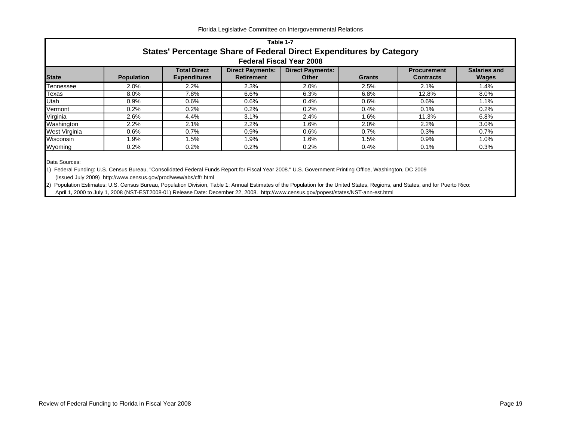| Table 1-7<br>States' Percentage Share of Federal Direct Expenditures by Category<br><b>Federal Fiscal Year 2008</b> |                   |                                            |                                              |                                         |               |                                        |                                     |  |  |  |  |  |
|---------------------------------------------------------------------------------------------------------------------|-------------------|--------------------------------------------|----------------------------------------------|-----------------------------------------|---------------|----------------------------------------|-------------------------------------|--|--|--|--|--|
| <b>State</b>                                                                                                        | <b>Population</b> | <b>Total Direct</b><br><b>Expenditures</b> | <b>Direct Payments:</b><br><b>Retirement</b> | <b>Direct Payments:</b><br><b>Other</b> | <b>Grants</b> | <b>Procurement</b><br><b>Contracts</b> | <b>Salaries and</b><br><b>Wages</b> |  |  |  |  |  |
| Tennessee                                                                                                           | 2.0%              | 2.2%                                       | 2.3%                                         | 2.0%                                    | 2.5%          | 2.1%                                   | 1.4%                                |  |  |  |  |  |
| Texas                                                                                                               | 8.0%              | 7.8%                                       | 6.6%                                         | 6.3%                                    | 6.8%          | 12.8%                                  | 8.0%                                |  |  |  |  |  |
| Utah                                                                                                                | 0.9%              | 0.6%                                       | 0.6%                                         | 0.4%                                    | 0.6%          | 0.6%                                   | 1.1%                                |  |  |  |  |  |
| Vermont                                                                                                             | 0.2%              | 0.2%                                       | $0.2\%$                                      | 0.2%                                    | 0.4%          | $0.1\%$                                | 0.2%                                |  |  |  |  |  |
| Virginia                                                                                                            | 2.6%              | 4.4%                                       | 3.1%                                         | 2.4%                                    | 1.6%          | 11.3%                                  | 6.8%                                |  |  |  |  |  |
| Washington                                                                                                          | 2.2%              | 2.1%                                       | 2.2%                                         | 1.6%                                    | 2.0%          | 2.2%                                   | 3.0%                                |  |  |  |  |  |
| West Virginia                                                                                                       | 0.6%              | 0.7%                                       | 0.9%                                         | $0.6\%$                                 | 0.7%          | 0.3%                                   | 0.7%                                |  |  |  |  |  |
| Wisconsin                                                                                                           | ∣.9%              | 1.5%                                       | 1.9%                                         | $1.6\%$                                 | 1.5%          | $0.9\%$                                | 1.0%                                |  |  |  |  |  |
| Wyoming                                                                                                             | 0.2%              | 0.2%                                       | $0.2\%$                                      | 0.2%                                    | $0.4\%$       | $0.1\%$                                | 0.3%                                |  |  |  |  |  |

Data Sources:

1) Federal Funding: U.S. Census Bureau, "Consolidated Federal Funds Report for Fiscal Year 2008." U.S. Government Printing Office, Washington, DC 2009 (Issued July 2009) http://www.census.gov/prod/www/abs/cffr.html

2) Population Estimates: U.S. Census Bureau, Population Division, Table 1: Annual Estimates of the Population for the United States, Regions, and States, and for Puerto Rico: April 1, 2000 to July 1, 2008 (NST-EST2008-01) Release Date: December 22, 2008. http://www.census.gov/popest/states/NST-ann-est.html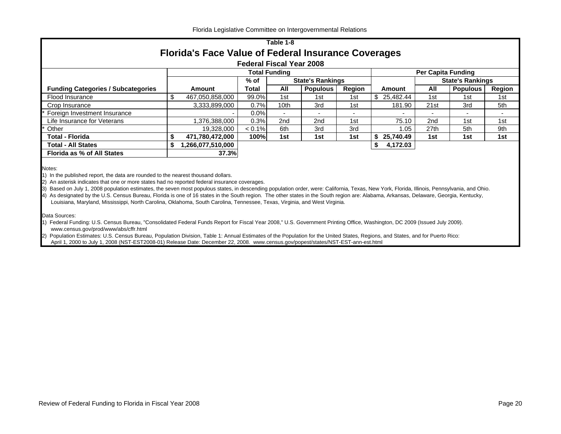| Table 1-8<br><b>Florida's Face Value of Federal Insurance Coverages</b> |    |                  |                                                            |                          |                 |        |                  |                          |                          |        |  |  |
|-------------------------------------------------------------------------|----|------------------|------------------------------------------------------------|--------------------------|-----------------|--------|------------------|--------------------------|--------------------------|--------|--|--|
| <b>Federal Fiscal Year 2008</b>                                         |    |                  |                                                            |                          |                 |        |                  |                          |                          |        |  |  |
| <b>Per Capita Funding</b><br><b>Total Funding</b>                       |    |                  |                                                            |                          |                 |        |                  |                          |                          |        |  |  |
|                                                                         |    |                  | % of<br><b>State's Rankings</b><br><b>State's Rankings</b> |                          |                 |        |                  |                          |                          |        |  |  |
| <b>Funding Categories / Subcategories</b>                               |    | Amount           | Total                                                      | All                      | <b>Populous</b> | Region | Amount           | All                      | <b>Populous</b>          | Region |  |  |
| Flood Insurance                                                         | \$ | 467,050,858,000  | 99.0%                                                      | 1st                      | 1st             | 1st    | \$.<br>25.482.44 | 1st                      | 1st                      | 1st    |  |  |
| Crop Insurance                                                          |    | 3.333.899.000    | 0.7%                                                       | 10 <sub>th</sub>         | 3rd             | 1st    | 181.90           | 21st                     | 3rd                      | 5th    |  |  |
| Foreign Investment Insurance                                            |    |                  | 0.0%                                                       | $\overline{\phantom{0}}$ | -               | -      |                  | $\overline{\phantom{a}}$ | $\overline{\phantom{0}}$ |        |  |  |
| Life Insurance for Veterans                                             |    | 1,376,388,000    | 0.3%                                                       | 2 <sub>nd</sub>          | 2nd             | 1st    | 75.10            | 2nd                      | 1st                      | 1st    |  |  |
| Other                                                                   |    | 19,328,000       | $< 0.1\%$                                                  | 6th                      | 3rd             | 3rd    | .05              | 27th                     | 5th                      | 9th    |  |  |
| <b>Total - Florida</b>                                                  | \$ | 471,780,472,000  | 100%                                                       | 1st                      | 1st             | 1st    | 25,740.49<br>\$  | 1st                      | 1st                      | 1st    |  |  |
| <b>Total - All States</b>                                               | \$ | ,266,077,510,000 |                                                            |                          |                 |        | \$<br>4,172.03   |                          |                          |        |  |  |
| Florida as % of All States                                              |    | <b>37.3%</b>     |                                                            |                          |                 |        |                  |                          |                          |        |  |  |

Notes:

1) In the published report, the data are rounded to the nearest thousand dollars.

2) An asterisk indicates that one or more states had no reported federal insurance coverages.

3) Based on July 1, 2008 population estimates, the seven most populous states, in descending population order, were: California, Texas, New York, Florida, Illinois, Pennsylvania, and Ohio.

4) As designated by the U.S. Census Bureau, Florida is one of 16 states in the South region. The other states in the South region are: Alabama, Arkansas, Delaware, Georgia, Kentucky, Louisiana, Maryland, Mississippi, North Carolina, Oklahoma, South Carolina, Tennessee, Texas, Virginia, and West Virginia.

Data Sources:

1) Federal Funding: U.S. Census Bureau, "Consolidated Federal Funds Report for Fiscal Year 2008," U.S. Government Printing Office, Washington, DC 2009 (Issued July 2009). www.census.gov/prod/www/abs/cffr.html

2) Population Estimates: U.S. Census Bureau, Population Division, Table 1: Annual Estimates of the Population for the United States, Regions, and States, and for Puerto Rico:

April 1, 2000 to July 1, 2008 (NST-EST2008-01) Release Date: December 22, 2008. www.census.gov/popest/states/NST-EST-ann-est.html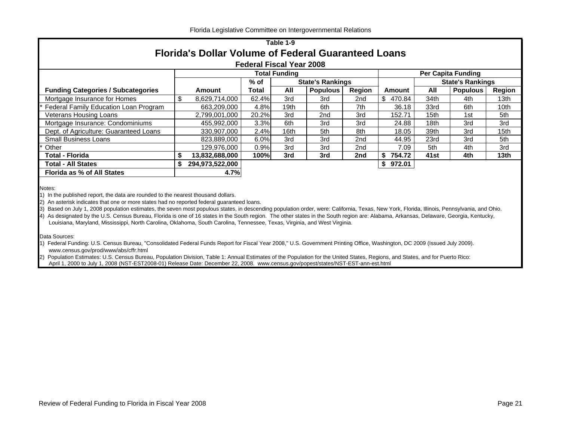|                                                            |  |                 |        | Table 1-9            |                         |                 |              |      |                           |                  |  |
|------------------------------------------------------------|--|-----------------|--------|----------------------|-------------------------|-----------------|--------------|------|---------------------------|------------------|--|
| <b>Florida's Dollar Volume of Federal Guaranteed Loans</b> |  |                 |        |                      |                         |                 |              |      |                           |                  |  |
| <b>Federal Fiscal Year 2008</b>                            |  |                 |        |                      |                         |                 |              |      |                           |                  |  |
|                                                            |  |                 |        | <b>Total Funding</b> |                         |                 |              |      | <b>Per Capita Funding</b> |                  |  |
|                                                            |  |                 | $%$ of |                      | <b>State's Rankings</b> |                 |              |      | <b>State's Rankings</b>   |                  |  |
| <b>Funding Categories / Subcategories</b>                  |  | Amount          | Total  | All                  | <b>Populous</b>         | Region          | Amount       | All  | <b>Populous</b>           | Region           |  |
| Mortgage Insurance for Homes                               |  | 8,629,714,000   | 62.4%  | 3rd                  | 3rd                     | 2 <sub>nd</sub> | \$<br>470.84 | 34th | 4th                       | 13th             |  |
| Federal Family Education Loan Program                      |  | 663,209,000     | 4.8%   | 19th                 | 6th                     | 7th             | 36.18        | 33rd | 6th                       | 10th             |  |
| <b>Veterans Housing Loans</b>                              |  | 2.799.001.000   | 20.2%  | 3rd                  | 2nd                     | 3rd             | 152.71       | 15th | 1st                       | 5th              |  |
| Mortgage Insurance: Condominiums                           |  | 455,992,000     | 3.3%   | 6th                  | 3rd                     | 3rd             | 24.88        | 18th | 3rd                       | 3rd              |  |
| Dept. of Agriculture: Guaranteed Loans                     |  | 330,907,000     | 2.4%   | 16th                 | 5th                     | 8th             | 18.05        | 39th | 3rd                       | 15th             |  |
| <b>Small Business Loans</b>                                |  | 823,889,000     | 6.0%   | 3rd                  | 3rd                     | 2 <sub>nd</sub> | 44.95        | 23rd | 3rd                       | 5th              |  |
| Other                                                      |  | 129.976.000     | 0.9%   | 3rd                  | 3rd                     | 2 <sub>nd</sub> | 7.09         | 5th  | 4th                       | 3rd              |  |
| <b>Total - Florida</b>                                     |  | 13,832,688,000  | 100%   | 3rd                  | 3rd                     | 2nd             | 754.72<br>S. | 41st | 4th                       | 13 <sub>th</sub> |  |
| <b>Total - All States</b>                                  |  | 294,973,522,000 |        |                      |                         |                 | 972.01<br>S. |      |                           |                  |  |
| Florida as % of All States                                 |  | 4.7%            |        |                      |                         |                 |              |      |                           |                  |  |

Notes:

1) In the published report, the data are rounded to the nearest thousand dollars.

2) An asterisk indicates that one or more states had no reported federal guaranteed loans.

3) Based on July 1, 2008 population estimates, the seven most populous states, in descending population order, were: California, Texas, New York, Florida, Illinois, Pennsylvania, and Ohio.

4) As designated by the U.S. Census Bureau, Florida is one of 16 states in the South region. The other states in the South region are: Alabama, Arkansas, Delaware, Georgia, Kentucky, Louisiana, Maryland, Mississippi, North Carolina, Oklahoma, South Carolina, Tennessee, Texas, Virginia, and West Virginia.

Data Sources:

1) Federal Funding: U.S. Census Bureau, "Consolidated Federal Funds Report for Fiscal Year 2008," U.S. Government Printing Office, Washington, DC 2009 (Issued July 2009). www.census.gov/prod/www/abs/cffr.html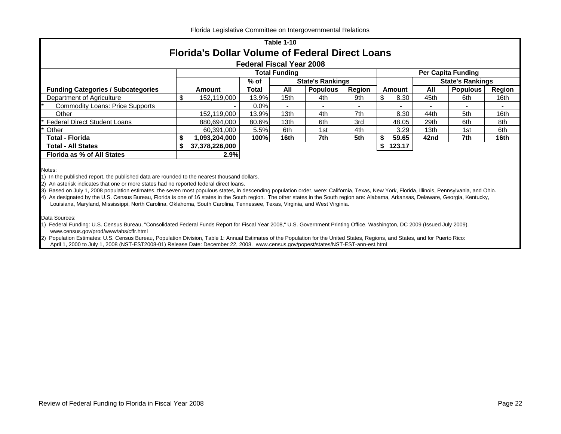| <b>Table 1-10</b><br><b>Florida's Dollar Volume of Federal Direct Loans</b> |    |                |         |      |                         |        |  |        |      |                           |        |
|-----------------------------------------------------------------------------|----|----------------|---------|------|-------------------------|--------|--|--------|------|---------------------------|--------|
| <b>Federal Fiscal Year 2008</b>                                             |    |                |         |      |                         |        |  |        |      |                           |        |
| Total Funding                                                               |    |                |         |      |                         |        |  |        |      | <b>Per Capita Funding</b> |        |
|                                                                             |    |                | $%$ of  |      | <b>State's Rankings</b> |        |  |        |      | <b>State's Rankings</b>   |        |
| <b>Funding Categories / Subcategories</b>                                   |    | Amount         | Total   | All  | <b>Populous</b>         | Region |  | Amount | All  | <b>Populous</b>           | Region |
| Department of Agriculture                                                   | \$ | 152.119.000    | 13.9%   | 15th | 4th                     | 9th    |  | 8.30   | 45th | 6th                       | 16th   |
| $\star$<br><b>Commodity Loans: Price Supports</b>                           |    | $\sim$         | $0.0\%$ |      |                         |        |  |        |      |                           |        |
| Other                                                                       |    | 152.119.000    | 13.9%   | 13th | 4th                     | 7th    |  | 8.30   | 44th | 5th                       | 16th   |
| Federal Direct Student Loans                                                |    | 880,694,000    | 80.6%   | 13th | 6th                     | 3rd    |  | 48.05  | 29th | 6th                       | 8th    |
| Other                                                                       |    | 60.391.000     | 5.5%    | 6th  | 1st                     | 4th    |  | 3.29   | 13th | 1st                       | 6th    |
| <b>Total - Florida</b>                                                      |    | .093.204.000   | 100%    | 16th | 7th                     | 5th    |  | 59.65  | 42nd | 7th                       | 16th   |
| <b>Total - All States</b>                                                   |    | 37,378,226,000 |         |      |                         |        |  | 123.17 |      |                           |        |
| Florida as % of All States                                                  |    | 2.9%           |         |      |                         |        |  |        |      |                           |        |

Notes:

1) In the published report, the published data are rounded to the nearest thousand dollars.

2) An asterisk indicates that one or more states had no reported federal direct loans.

3) Based on July 1, 2008 population estimates, the seven most populous states, in descending population order, were: California, Texas, New York, Florida, Illinois, Pennsylvania, and Ohio.

4) As designated by the U.S. Census Bureau, Florida is one of 16 states in the South region. The other states in the South region are: Alabama, Arkansas, Delaware, Georgia, Kentucky, Louisiana, Maryland, Mississippi, North Carolina, Oklahoma, South Carolina, Tennessee, Texas, Virginia, and West Virginia.

Data Sources:

1) Federal Funding: U.S. Census Bureau, "Consolidated Federal Funds Report for Fiscal Year 2008," U.S. Government Printing Office, Washington, DC 2009 (Issued July 2009). www.census.gov/prod/www/abs/cffr.html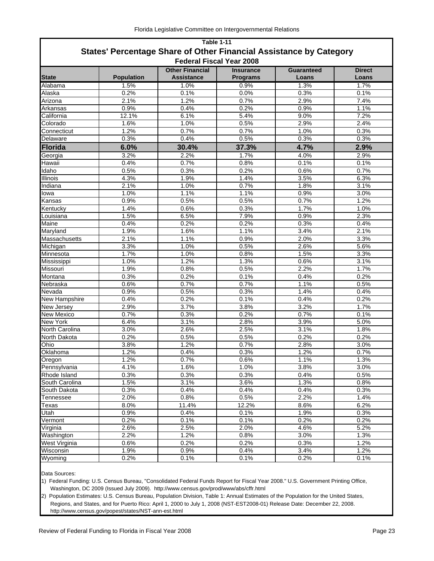| Table 1-11                                                         |                   |                        |                  |                   |               |  |  |  |  |
|--------------------------------------------------------------------|-------------------|------------------------|------------------|-------------------|---------------|--|--|--|--|
| States' Percentage Share of Other Financial Assistance by Category |                   |                        |                  |                   |               |  |  |  |  |
| <b>Federal Fiscal Year 2008</b>                                    |                   |                        |                  |                   |               |  |  |  |  |
|                                                                    |                   | <b>Other Financial</b> | <b>Insurance</b> | <b>Guaranteed</b> | <b>Direct</b> |  |  |  |  |
| <b>State</b>                                                       | <b>Population</b> | <b>Assistance</b>      | <b>Programs</b>  | Loans             | Loans         |  |  |  |  |
| Alabama                                                            | 1.5%              | 1.0%                   | 0.9%             | 1.3%              | 1.7%          |  |  |  |  |
| Alaska                                                             | 0.2%              | 0.1%                   | 0.0%             | 0.3%              | 0.1%          |  |  |  |  |
| Arizona                                                            | 2.1%              | 1.2%                   | 0.7%             | 2.9%              | 7.4%          |  |  |  |  |
| Arkansas                                                           | 0.9%              | 0.4%                   | 0.2%             | 0.9%              | 1.1%          |  |  |  |  |
| California                                                         | 12.1%             | 6.1%                   | 5.4%             | 9.0%              | 7.2%          |  |  |  |  |
| Colorado                                                           | 1.6%              | 1.0%                   | 0.5%             | 2.9%              | 2.4%          |  |  |  |  |
| Connecticut                                                        | 1.2%              | 0.7%                   | 0.7%             | 1.0%              | 0.3%          |  |  |  |  |
| Delaware                                                           | 0.3%              | 0.4%                   | 0.5%             | 0.3%              | 0.3%          |  |  |  |  |
| Florida                                                            | 6.0%              | 30.4%                  | 37.3%            | 4.7%              | 2.9%          |  |  |  |  |
|                                                                    | 3.2%              |                        |                  |                   |               |  |  |  |  |
| Georgia                                                            |                   | 2.2%<br>0.7%           | 1.7%             | 4.0%<br>0.1%      | 2.9%          |  |  |  |  |
| Hawaii                                                             | 0.4%              |                        | 0.8%             |                   | 0.1%          |  |  |  |  |
| Idaho                                                              | 0.5%              | 0.3%                   | 0.2%             | 0.6%              | 0.7%          |  |  |  |  |
| Illinois                                                           | 4.3%              | 1.9%                   | 1.4%             | 3.5%              | 6.3%          |  |  |  |  |
| Indiana                                                            | 2.1%              | 1.0%                   | 0.7%<br>1.1%     | 1.8%              | 3.1%          |  |  |  |  |
| lowa                                                               | 1.0%              | 1.1%                   |                  | 0.9%<br>0.7%      | 3.0%          |  |  |  |  |
| Kansas                                                             | 0.9%              | 0.5%                   | 0.5%             |                   | 1.2%          |  |  |  |  |
| Kentucky                                                           | 1.4%              | 0.6%                   | 0.3%             | 1.7%              | 1.0%          |  |  |  |  |
| Louisiana                                                          | 1.5%              | 6.5%                   | 7.9%             | 0.9%              | 2.3%          |  |  |  |  |
| Maine                                                              | 0.4%              | 0.2%                   | 0.2%<br>1.1%     | 0.3%              | 0.4%          |  |  |  |  |
| Maryland                                                           | 1.9%              | 1.6%                   |                  | 3.4%              | 2.1%          |  |  |  |  |
| <b>Massachusetts</b>                                               | 2.1%              | 1.1%                   | 0.9%             | 2.0%              | 3.3%          |  |  |  |  |
| Michigan                                                           | 3.3%              | 1.0%                   | 0.5%             | 2.6%              | 5.6%          |  |  |  |  |
| Minnesota                                                          | 1.7%              | 1.0%                   | 0.8%             | 1.5%              | 3.3%          |  |  |  |  |
| Mississippi                                                        | 1.0%              | 1.2%                   | 1.3%             | 0.6%              | 3.1%          |  |  |  |  |
| Missouri                                                           | 1.9%              | 0.8%                   | 0.5%             | 2.2%              | 1.7%          |  |  |  |  |
| Montana                                                            | 0.3%              | 0.2%                   | 0.1%             | 0.4%              | 0.2%          |  |  |  |  |
| Nebraska                                                           | 0.6%              | 0.7%                   | 0.7%             | 1.1%              | 0.5%          |  |  |  |  |
| Nevada                                                             | 0.9%              | 0.5%                   | 0.3%             | 1.4%              | 0.4%          |  |  |  |  |
| New Hampshire                                                      | 0.4%              | 0.2%                   | 0.1%             | 0.4%              | 0.2%          |  |  |  |  |
| New Jersey                                                         | 2.9%              | 3.7%                   | 3.8%             | 3.2%              | 1.7%          |  |  |  |  |
| <b>New Mexico</b>                                                  | 0.7%              | 0.3%                   | 0.2%             | 0.7%              | 0.1%          |  |  |  |  |
| New York                                                           | 6.4%              | 3.1%                   | 2.8%             | 3.9%              | 5.0%          |  |  |  |  |
| <b>North Carolina</b>                                              | 3.0%              | 2.6%                   | 2.5%             | 3.1%              | 1.8%          |  |  |  |  |
| North Dakota                                                       | 0.2%              | 0.5%                   | 0.5%             | 0.2%              | 0.2%          |  |  |  |  |
| Ohio                                                               | 3.8%              | 1.2%                   | 0.7%             | 2.8%              | 3.0%<br>0.7%  |  |  |  |  |
| Oklahoma                                                           | 1.2%              | 0.4%                   | 0.3%             | 1.2%              |               |  |  |  |  |
| Oregon                                                             | 1.2%              | 0.7%                   | 0.6%             | 1.1%              | 1.3%          |  |  |  |  |
| Pennsylvania                                                       | 4.1%              | 1.6%                   | 1.0%             | 3.8%              | 3.0%          |  |  |  |  |
| Rhode Island                                                       | 0.3%              | 0.3%                   | 0.3%             | 0.4%              | 0.5%          |  |  |  |  |
| South Carolina                                                     | 1.5%              | 3.1%                   | 3.6%             | 1.3%              | 0.8%          |  |  |  |  |
| South Dakota                                                       | 0.3%              | 0.4%                   | 0.4%             | 0.4%              | 0.3%          |  |  |  |  |
| <b>Tennessee</b>                                                   | 2.0%              | 0.8%                   | 0.5%             | 2.2%              | 1.4%          |  |  |  |  |
| Texas                                                              | 8.0%              | 11.4%                  | 12.2%            | 8.6%              | 6.2%          |  |  |  |  |
| Utah                                                               | 0.9%              | 0.4%                   | 0.1%             | 1.9%              | 0.3%          |  |  |  |  |
| Vermont                                                            | 0.2%              | 0.1%                   | 0.1%             | 0.2%              | 0.2%          |  |  |  |  |
| Virginia                                                           | 2.6%              | 2.5%                   | 2.0%             | 4.6%              | 5.2%          |  |  |  |  |
| Washington                                                         | 2.2%              | 1.2%                   | 0.8%             | 3.0%              | 1.3%          |  |  |  |  |
| West Virginia                                                      | 0.6%              | 0.2%                   | 0.2%             | 0.3%              | 1.2%          |  |  |  |  |
| Wisconsin                                                          | 1.9%              | 0.9%                   | 0.4%             | 3.4%              | 1.2%          |  |  |  |  |
| Wyoming                                                            | 0.2%              | 0.1%                   | 0.1%             | 0.2%              | 0.1%          |  |  |  |  |

Data Sources:

1) Federal Funding: U.S. Census Bureau, "Consolidated Federal Funds Report for Fiscal Year 2008." U.S. Government Printing Office, Washington, DC 2009 (Issued July 2009). http://www.census.gov/prod/www/abs/cffr.html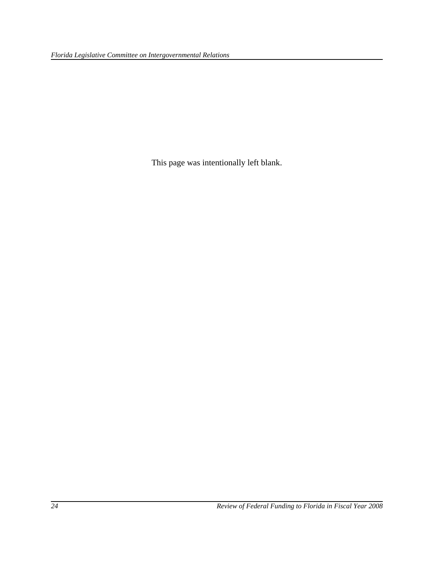This page was intentionally left blank.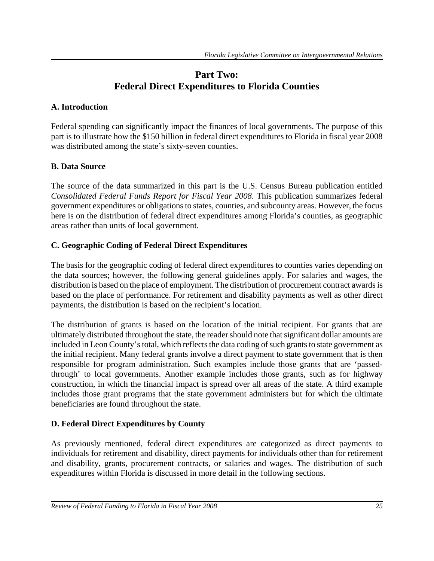## **Part Two: Federal Direct Expenditures to Florida Counties**

### **A. Introduction**

Federal spending can significantly impact the finances of local governments. The purpose of this part is to illustrate how the \$150 billion in federal direct expenditures to Florida in fiscal year 2008 was distributed among the state's sixty-seven counties.

### **B. Data Source**

The source of the data summarized in this part is the U.S. Census Bureau publication entitled *Consolidated Federal Funds Report for Fiscal Year 2008*. This publication summarizes federal government expenditures or obligations to states, counties, and subcounty areas. However, the focus here is on the distribution of federal direct expenditures among Florida's counties, as geographic areas rather than units of local government.

## **C. Geographic Coding of Federal Direct Expenditures**

The basis for the geographic coding of federal direct expenditures to counties varies depending on the data sources; however, the following general guidelines apply. For salaries and wages, the distribution is based on the place of employment. The distribution of procurement contract awards is based on the place of performance. For retirement and disability payments as well as other direct payments, the distribution is based on the recipient's location.

The distribution of grants is based on the location of the initial recipient. For grants that are ultimately distributed throughout the state, the reader should note that significant dollar amounts are included in Leon County's total, which reflects the data coding of such grants to state government as the initial recipient. Many federal grants involve a direct payment to state government that is then responsible for program administration. Such examples include those grants that are 'passedthrough' to local governments. Another example includes those grants, such as for highway construction, in which the financial impact is spread over all areas of the state. A third example includes those grant programs that the state government administers but for which the ultimate beneficiaries are found throughout the state.

## **D. Federal Direct Expenditures by County**

As previously mentioned, federal direct expenditures are categorized as direct payments to individuals for retirement and disability, direct payments for individuals other than for retirement and disability, grants, procurement contracts, or salaries and wages. The distribution of such expenditures within Florida is discussed in more detail in the following sections.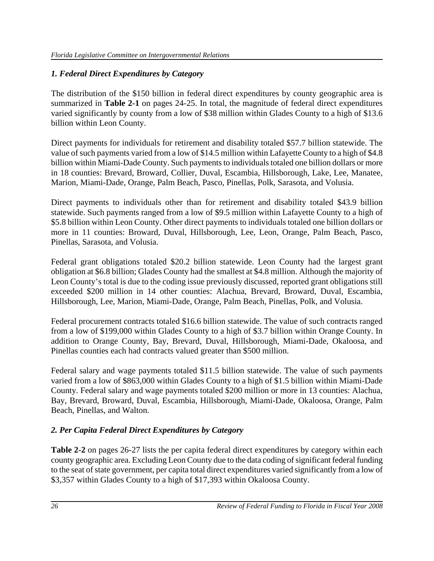## *1. Federal Direct Expenditures by Category*

The distribution of the \$150 billion in federal direct expenditures by county geographic area is summarized in **Table 2-1** on pages 24-25. In total, the magnitude of federal direct expenditures varied significantly by county from a low of \$38 million within Glades County to a high of \$13.6 billion within Leon County.

Direct payments for individuals for retirement and disability totaled \$57.7 billion statewide. The value of such payments varied from a low of \$14.5 million within Lafayette County to a high of \$4.8 billion within Miami-Dade County. Such payments to individuals totaled one billion dollars or more in 18 counties: Brevard, Broward, Collier, Duval, Escambia, Hillsborough, Lake, Lee, Manatee, Marion, Miami-Dade, Orange, Palm Beach, Pasco, Pinellas, Polk, Sarasota, and Volusia.

Direct payments to individuals other than for retirement and disability totaled \$43.9 billion statewide. Such payments ranged from a low of \$9.5 million within Lafayette County to a high of \$5.8 billion within Leon County. Other direct payments to individuals totaled one billion dollars or more in 11 counties: Broward, Duval, Hillsborough, Lee, Leon, Orange, Palm Beach, Pasco, Pinellas, Sarasota, and Volusia.

Federal grant obligations totaled \$20.2 billion statewide. Leon County had the largest grant obligation at \$6.8 billion; Glades County had the smallest at \$4.8 million. Although the majority of Leon County's total is due to the coding issue previously discussed, reported grant obligations still exceeded \$200 million in 14 other counties: Alachua, Brevard, Broward, Duval, Escambia, Hillsborough, Lee, Marion, Miami-Dade, Orange, Palm Beach, Pinellas, Polk, and Volusia.

Federal procurement contracts totaled \$16.6 billion statewide. The value of such contracts ranged from a low of \$199,000 within Glades County to a high of \$3.7 billion within Orange County. In addition to Orange County, Bay, Brevard, Duval, Hillsborough, Miami-Dade, Okaloosa, and Pinellas counties each had contracts valued greater than \$500 million.

Federal salary and wage payments totaled \$11.5 billion statewide. The value of such payments varied from a low of \$863,000 within Glades County to a high of \$1.5 billion within Miami-Dade County. Federal salary and wage payments totaled \$200 million or more in 13 counties: Alachua, Bay, Brevard, Broward, Duval, Escambia, Hillsborough, Miami-Dade, Okaloosa, Orange, Palm Beach, Pinellas, and Walton.

## *2. Per Capita Federal Direct Expenditures by Category*

**Table 2-2** on pages 26-27 lists the per capita federal direct expenditures by category within each county geographic area. Excluding Leon County due to the data coding of significant federal funding to the seat of state government, per capita total direct expenditures varied significantly from a low of \$3,357 within Glades County to a high of \$17,393 within Okaloosa County.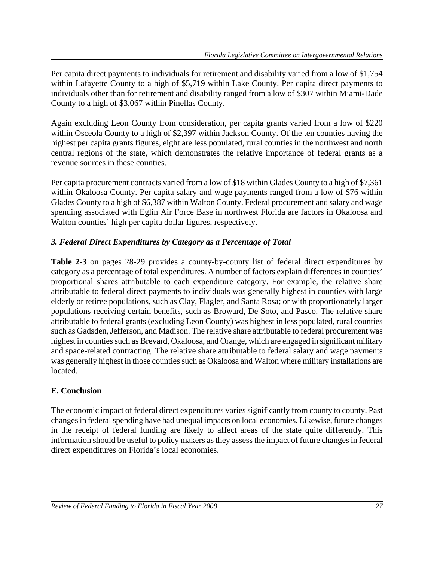Per capita direct payments to individuals for retirement and disability varied from a low of \$1,754 within Lafayette County to a high of \$5,719 within Lake County. Per capita direct payments to individuals other than for retirement and disability ranged from a low of \$307 within Miami-Dade County to a high of \$3,067 within Pinellas County.

Again excluding Leon County from consideration, per capita grants varied from a low of \$220 within Osceola County to a high of \$2,397 within Jackson County. Of the ten counties having the highest per capita grants figures, eight are less populated, rural counties in the northwest and north central regions of the state, which demonstrates the relative importance of federal grants as a revenue sources in these counties.

Per capita procurement contracts varied from a low of \$18 within Glades County to a high of \$7,361 within Okaloosa County. Per capita salary and wage payments ranged from a low of \$76 within Glades County to a high of \$6,387 within Walton County. Federal procurement and salary and wage spending associated with Eglin Air Force Base in northwest Florida are factors in Okaloosa and Walton counties' high per capita dollar figures, respectively.

## *3. Federal Direct Expenditures by Category as a Percentage of Total*

**Table 2-3** on pages 28-29 provides a county-by-county list of federal direct expenditures by category as a percentage of total expenditures. A number of factors explain differences in counties' proportional shares attributable to each expenditure category. For example, the relative share attributable to federal direct payments to individuals was generally highest in counties with large elderly or retiree populations, such as Clay, Flagler, and Santa Rosa; or with proportionately larger populations receiving certain benefits, such as Broward, De Soto, and Pasco. The relative share attributable to federal grants (excluding Leon County) was highest in less populated, rural counties such as Gadsden, Jefferson, and Madison. The relative share attributable to federal procurement was highest in counties such as Brevard, Okaloosa, and Orange, which are engaged in significant military and space-related contracting. The relative share attributable to federal salary and wage payments was generally highest in those counties such as Okaloosa and Walton where military installations are located.

## **E. Conclusion**

The economic impact of federal direct expenditures varies significantly from county to county. Past changes in federal spending have had unequal impacts on local economies. Likewise, future changes in the receipt of federal funding are likely to affect areas of the state quite differently. This information should be useful to policy makers as they assess the impact of future changes in federal direct expenditures on Florida's local economies.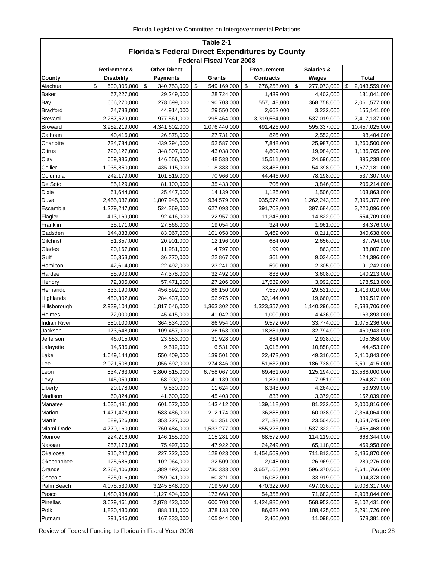| Table 2-1                                              |                         |                            |                                 |                   |                          |                                |  |  |  |
|--------------------------------------------------------|-------------------------|----------------------------|---------------------------------|-------------------|--------------------------|--------------------------------|--|--|--|
| <b>Florida's Federal Direct Expenditures by County</b> |                         |                            |                                 |                   |                          |                                |  |  |  |
|                                                        |                         |                            | <b>Federal Fiscal Year 2008</b> |                   |                          |                                |  |  |  |
|                                                        | <b>Retirement &amp;</b> | <b>Other Direct</b>        |                                 | Procurement       | Salaries &               |                                |  |  |  |
| County                                                 | <b>Disability</b>       | <b>Payments</b>            | Grants                          | <b>Contracts</b>  | Wages                    | Total                          |  |  |  |
| Alachua                                                | \$<br>600,305,000       | \$<br>340,753,000          | \$<br>549,169,000               | \$<br>276,258,000 | \$<br>277,073,000        | \$<br>2,043,559,000            |  |  |  |
| Baker                                                  | 67,227,000              | 29,249,000                 | 28,724,000                      | 1,439,000         | 4,402,000                | 131,041,000                    |  |  |  |
| Bay                                                    | 666,270,000             | 278,699,000                | 190,703,000                     | 557,148,000       | 368,758,000              | 2,061,577,000                  |  |  |  |
| <b>Bradford</b>                                        | 74,783,000              | 44,914,000                 | 29,550,000                      | 2,662,000         | 3,232,000                | 155,141,000                    |  |  |  |
| <b>Brevard</b>                                         | 2,287,529,000           | 977,561,000                | 295,464,000                     | 3,319,564,000     | 537,019,000              | 7,417,137,000                  |  |  |  |
| <b>Broward</b>                                         | 3,952,219,000           | 4,341,602,000              | 1,076,440,000                   | 491,426,000       | 595,337,000              | 10,457,025,000                 |  |  |  |
| Calhoun                                                | 40,416,000              | 26,878,000                 | 27,731,000                      | 826,000           | 2,552,000                | 98,404,000                     |  |  |  |
| Charlotte                                              | 734,784,000             | 439,294,000                | 52,587,000                      | 7,848,000         | 25,987,000               | 1,260,500,000                  |  |  |  |
| Citrus                                                 | 720,127,000             | 348,807,000                | 43,038,000                      | 4,809,000         | 19,984,000               | 1,136,765,000                  |  |  |  |
| Clay                                                   | 659,936,000             | 146,556,000                | 48,538,000                      | 15,511,000        | 24,696,000               | 895,238,000                    |  |  |  |
| Collier                                                | 1,035,850,000           | 435,115,000                | 118,383,000                     | 33,435,000        | 54,398,000               | 1,677,181,000                  |  |  |  |
| Columbia                                               | 242,179,000             | 101,519,000                | 70,966,000                      | 44,446,000        | 78,198,000               | 537,307,000                    |  |  |  |
| De Soto                                                | 85,129,000              | 81,100,000                 | 35,433,000                      | 706,000           | 3,846,000                | 206,214,000                    |  |  |  |
| Dixie                                                  | 61,644,000              | 25,447,000                 | 14,139,000                      | 1,126,000         | 1,506,000                | 103,863,000                    |  |  |  |
| Duval                                                  | 2,455,037,000           | 1,807,945,000              | 934,579,000                     | 935,572,000       | 1,262,243,000            | 7,395,377,000                  |  |  |  |
| Escambia                                               | 1,279,247,000           | 524,369,000                | 627,093,000                     | 391,703,000       | 397,684,000              | 3,220,096,000                  |  |  |  |
| Flagler                                                | 413,169,000             | 92,416,000                 | 22,957,000                      | 11,346,000        | 14,822,000               | 554,709,000                    |  |  |  |
| Franklin                                               | 35,171,000              | 27,866,000                 | 19,054,000                      | 324,000           | 1,961,000                | 84,376,000                     |  |  |  |
| Gadsden                                                | 144,833,000             | 83,067,000                 | 101,058,000                     | 3,469,000         | 8,211,000                | 340,638,000                    |  |  |  |
| Gilchrist                                              | 51,357,000              | 20,901,000                 | 12,196,000                      | 684,000           | 2,656,000                | 87,794,000                     |  |  |  |
| Glades                                                 | 20,167,000              | 11,981,000                 | 4,797,000                       | 199,000           | 863,000                  | 38,007,000                     |  |  |  |
| Gulf                                                   | 55,363,000              | 36,770,000                 | 22,867,000                      | 361,000           | 9,034,000                | 124,396,000                    |  |  |  |
| Hamilton                                               | 42,614,000              | 22,492,000                 | 23,241,000                      | 590,000           | 2,305,000                | 91,242,000                     |  |  |  |
| Hardee                                                 | 55,903,000              | 47,378,000                 | 32,492,000                      | 833,000           | 3,608,000                | 140,213,000                    |  |  |  |
| Hendry                                                 | 72,305,000              | 57,471,000                 | 27,206,000                      | 17,539,000        | 3,992,000                | 178,513,000                    |  |  |  |
| Hernando                                               | 833,190,000             | 456,592,000                | 86,150,000                      | 7,557,000         | 29,521,000               | 1,413,010,000                  |  |  |  |
| Highlands                                              | 450,302,000             | 284,437,000                | 52,975,000                      | 32,144,000        | 19,660,000               | 839,517,000                    |  |  |  |
| Hillsborough                                           | 2,939,104,000           | 1,817,646,000              | 1,363,302,000                   | 1,323,357,000     | 1,140,296,000            | 8,583,706,000                  |  |  |  |
| Holmes                                                 | 72,000,000              | 45,415,000                 | 41,042,000                      | 1,000,000         | 4,436,000                | 163,893,000                    |  |  |  |
| <b>Indian River</b>                                    | 580,100,000             | 364,834,000                | 86,954,000                      | 9,572,000         | 33,774,000               | 1,075,236,000                  |  |  |  |
| Jackson                                                | 173,648,000             | 109,457,000                | 126,163,000                     | 18,881,000        | 32,794,000               | 460,943,000                    |  |  |  |
| Jefferson                                              | 46,015,000              | 23,653,000                 | 31,928,000                      | 834,000           | 2,928,000                | 105,358,000                    |  |  |  |
| Lafayette                                              | 14,536,000              | 9,512,000                  | 6,531,000                       | 3,016,000         | 10,858,000               | 44,453,000                     |  |  |  |
| Lake                                                   | 1,649,144,000           | 550,409,000                | 139,501,000                     | 22,473,000        | 49,316,000               | 2,410,843,000                  |  |  |  |
| Lee                                                    | 2,021,508,000           | 1,056,692,000              | 274,846,000                     | 51,632,000        | 186,738,000              | 3,591,415,000                  |  |  |  |
| Leon                                                   | 834,763,000             | 5,800,515,000              | 6,758,067,000                   | 69,461,000        | 125,194,000              | 13,588,000,000                 |  |  |  |
| Levy                                                   | 145,059,000             | 68,902,000                 | 41,139,000                      | 1,821,000         | 7,951,000                | 264,871,000                    |  |  |  |
| Liberty                                                | 20,178,000              | 9,530,000                  | 11,624,000                      | 8,343,000         | 4,264,000                | 53,939,000                     |  |  |  |
| Madison                                                | 60,824,000              | 41,600,000                 | 45,403,000                      | 833,000           | 3,379,000                | 152,039,000                    |  |  |  |
| Manatee                                                | 1,035,481,000           | 601,572,000                | 143,412,000                     | 139,118,000       | 81,232,000               |                                |  |  |  |
|                                                        | 1,471,478,000           |                            | 212,174,000                     | 36,888,000        |                          | 2,000,816,000                  |  |  |  |
| Marion<br>Martin                                       | 589,526,000             | 583,486,000<br>353,227,000 | 61,351,000                      | 27,138,000        | 60,038,000<br>23,504,000 | 2,364,064,000<br>1,054,745,000 |  |  |  |
|                                                        |                         |                            |                                 |                   |                          | 9,456,468,000                  |  |  |  |
| Miami-Dade                                             | 4,770,160,000           | 760,484,000                | 1,533,277,000                   | 855,226,000       | 1,537,322,000            |                                |  |  |  |
| Monroe                                                 | 224,216,000             | 146,155,000                | 115,281,000                     | 68,572,000        | 114,119,000              | 668,344,000                    |  |  |  |
| Nassau                                                 | 257,173,000             | 75,497,000                 | 47,922,000                      | 24,249,000        | 65,118,000               | 469,958,000                    |  |  |  |
| Okaloosa                                               | 915,242,000             | 227,222,000                | 128,023,000                     | 1,454,569,000     | 711,813,000              | 3,436,870,000                  |  |  |  |
| Okeechobee                                             | 125,686,000             | 102,064,000                | 32,509,000                      | 2,048,000         | 26,969,000               | 289,276,000                    |  |  |  |
| Orange                                                 | 2,268,406,000           | 1,389,492,000              | 730,333,000                     | 3,657,165,000     | 596,370,000              | 8,641,766,000                  |  |  |  |
| Osceola                                                | 625,016,000             | 259,041,000                | 60,321,000                      | 16,082,000        | 33,919,000               | 994,378,000                    |  |  |  |
| Palm Beach                                             | 4,075,530,000           | 3,245,848,000              | 719,590,000                     | 470,322,000       | 497,026,000              | 9,008,317,000                  |  |  |  |
| Pasco                                                  | 1,480,934,000           | 1,127,404,000              | 173,668,000                     | 54,356,000        | 71,682,000               | 2,908,044,000                  |  |  |  |
| Pinellas                                               | 3,629,461,000           | 2,878,423,000              | 600,708,000                     | 1,424,886,000     | 568,952,000              | 9,102,431,000                  |  |  |  |
| Polk                                                   | 1,830,430,000           | 888,111,000                | 378,138,000                     | 86,622,000        | 108,425,000              | 3,291,726,000                  |  |  |  |
| Putnam                                                 | 291,546,000             | 167,333,000                | 105,944,000                     | 2,460,000         | 11,098,000               | 578,381,000                    |  |  |  |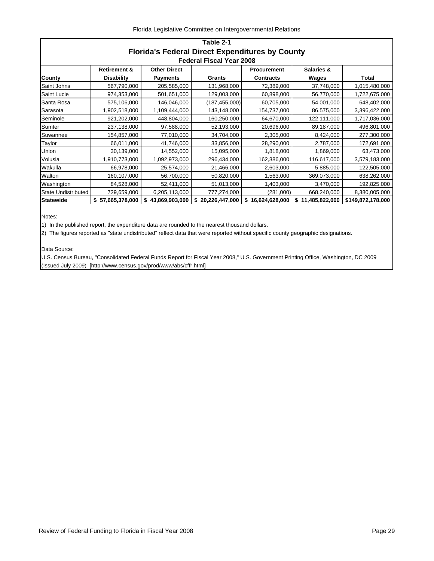| Table 2-1                                                                          |                      |                      |                  |                      |                      |                   |  |  |  |  |
|------------------------------------------------------------------------------------|----------------------|----------------------|------------------|----------------------|----------------------|-------------------|--|--|--|--|
| <b>Florida's Federal Direct Expenditures by County</b>                             |                      |                      |                  |                      |                      |                   |  |  |  |  |
| <b>Federal Fiscal Year 2008</b>                                                    |                      |                      |                  |                      |                      |                   |  |  |  |  |
| <b>Retirement &amp;</b><br><b>Other Direct</b><br>Salaries &<br><b>Procurement</b> |                      |                      |                  |                      |                      |                   |  |  |  |  |
| <b>County</b>                                                                      | <b>Disability</b>    | <b>Payments</b>      | Grants           | <b>Contracts</b>     | Wages                | <b>Total</b>      |  |  |  |  |
| Saint Johns                                                                        | 567,790,000          | 205,585,000          | 131,968,000      | 72,389,000           | 37,748,000           | 1,015,480,000     |  |  |  |  |
| <b>Saint Lucie</b>                                                                 | 974,353,000          | 501,651,000          | 129,003,000      | 60,898,000           | 56,770,000           | 1,722,675,000     |  |  |  |  |
| Santa Rosa                                                                         | 575,106,000          | 146,046,000          | (187, 455, 000)  | 60,705,000           | 54,001,000           | 648,402,000       |  |  |  |  |
| Sarasota                                                                           | 1,902,518,000        | 1,109,444,000        | 143,148,000      | 154,737,000          | 86,575,000           | 3,396,422,000     |  |  |  |  |
| Seminole                                                                           | 921,202,000          | 448,804,000          | 160,250,000      | 64,670,000           | 122,111,000          | 1,717,036,000     |  |  |  |  |
| Sumter                                                                             | 237,138,000          | 97,588,000           | 52,193,000       | 20,696,000           | 89,187,000           | 496,801,000       |  |  |  |  |
| Suwannee                                                                           | 154,857,000          | 77,010,000           | 34,704,000       | 2,305,000            | 8,424,000            | 277,300,000       |  |  |  |  |
| Taylor                                                                             | 66,011,000           | 41,746,000           | 33,856,000       | 28,290,000           | 2,787,000            | 172,691,000       |  |  |  |  |
| Union                                                                              | 30,139,000           | 14,552,000           | 15,095,000       | 1,818,000            | 1,869,000            | 63,473,000        |  |  |  |  |
| Volusia                                                                            | 1,910,773,000        | 1,092,973,000        | 296,434,000      | 162,386,000          | 116,617,000          | 3,579,183,000     |  |  |  |  |
| Wakulla                                                                            | 66,978,000           | 25,574,000           | 21,466,000       | 2,603,000            | 5,885,000            | 122,505,000       |  |  |  |  |
| Walton                                                                             | 160,107,000          | 56,700,000           | 50,820,000       | 1,563,000            | 369,073,000          | 638,262,000       |  |  |  |  |
| Washington                                                                         | 84,528,000           | 52,411,000           | 51,013,000       | 1,403,000            | 3,470,000            | 192,825,000       |  |  |  |  |
| <b>State Undistributed</b>                                                         | 729,659,000          | 6,205,113,000        | 777,274,000      | (281,000)            | 668,240,000          | 8,380,005,000     |  |  |  |  |
| Statewide                                                                          | 57,665,378,000<br>S. | 43,869,903,000<br>S. | \$20,226,447,000 | \$<br>16,624,628,000 | 11,485,822,000<br>S. | \$149,872,178,000 |  |  |  |  |

Notes:

1) In the published report, the expenditure data are rounded to the nearest thousand dollars.

2) The figures reported as "state undistributed" reflect data that were reported without specific county geographic designations.

Data Source:

U.S. Census Bureau, "Consolidated Federal Funds Report for Fiscal Year 2008," U.S. Government Printing Office, Washington, DC 2009 (Issued July 2009) [http://www.census.gov/prod/www/abs/cffr.html]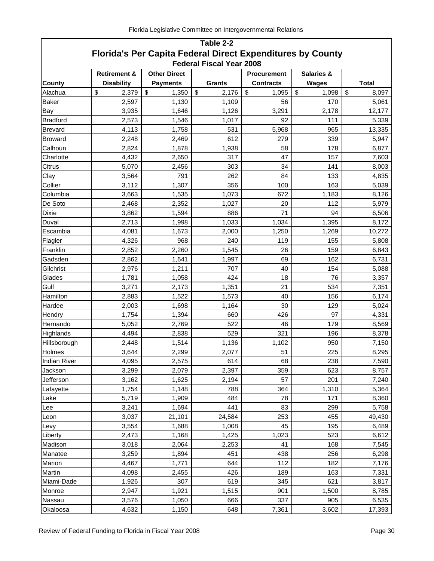| Table 2-2           |                                 |                                    |                                  |                                    |                                                                   |              |  |  |  |  |  |
|---------------------|---------------------------------|------------------------------------|----------------------------------|------------------------------------|-------------------------------------------------------------------|--------------|--|--|--|--|--|
|                     |                                 |                                    |                                  |                                    | <b>Florida's Per Capita Federal Direct Expenditures by County</b> |              |  |  |  |  |  |
|                     | <b>Federal Fiscal Year 2008</b> |                                    |                                  |                                    |                                                                   |              |  |  |  |  |  |
|                     | <b>Retirement &amp;</b>         | <b>Other Direct</b>                |                                  | <b>Procurement</b>                 | Salaries &                                                        |              |  |  |  |  |  |
| <b>County</b>       | <b>Disability</b>               | <b>Payments</b>                    | <b>Grants</b>                    | <b>Contracts</b>                   | <b>Wages</b>                                                      | <b>Total</b> |  |  |  |  |  |
| Alachua             | \$<br>2,379                     | $\boldsymbol{\mathsf{S}}$<br>1,350 | $\sqrt[6]{\frac{1}{2}}$<br>2,176 | $\boldsymbol{\mathsf{S}}$<br>1,095 | \$<br>1,098                                                       | \$<br>8,097  |  |  |  |  |  |
| <b>Baker</b>        | 2,597                           | 1,130                              | 1,109                            | 56                                 | 170                                                               | 5,061        |  |  |  |  |  |
| Bay                 | 3,935                           | 1,646                              | 1,126                            | 3,291                              | 2,178                                                             | 12,177       |  |  |  |  |  |
| <b>Bradford</b>     | 2,573                           | 1,546                              | 1,017                            | 92                                 | 111                                                               | 5,339        |  |  |  |  |  |
| <b>Brevard</b>      | 4,113                           | 1,758                              | 531                              | 5,968                              | 965                                                               | 13,335       |  |  |  |  |  |
| <b>Broward</b>      | 2,248                           | 2,469                              | 612                              | 279                                | 339                                                               | 5,947        |  |  |  |  |  |
| Calhoun             | 2,824                           | 1,878                              | 1,938                            | 58                                 | 178                                                               | 6,877        |  |  |  |  |  |
| Charlotte           | 4,432                           | 2,650                              | 317                              | 47                                 | 157                                                               | 7,603        |  |  |  |  |  |
| Citrus              | 5,070                           | 2,456                              | 303                              | 34                                 | 141                                                               | 8,003        |  |  |  |  |  |
| Clay                | 3,564                           | 791                                | 262                              | 84                                 | 133                                                               | 4,835        |  |  |  |  |  |
| Collier             | 3,112                           | 1,307                              | 356                              | 100                                | 163                                                               | 5,039        |  |  |  |  |  |
| Columbia            | 3,663                           | 1,535                              | 1,073                            | 672                                | 1,183                                                             | 8,126        |  |  |  |  |  |
| De Soto             | 2,468                           | 2,352                              | 1,027                            | 20                                 | 112                                                               | 5,979        |  |  |  |  |  |
| <b>Dixie</b>        | 3,862                           | 1,594                              | 886                              | 71                                 | 94                                                                | 6,506        |  |  |  |  |  |
| Duval               | 2,713                           | 1,998                              | 1,033                            | 1,034                              | 1,395                                                             | 8,172        |  |  |  |  |  |
| Escambia            | 4,081                           | 1,673                              | 2,000                            | 1,250                              | 1,269                                                             | 10,272       |  |  |  |  |  |
| Flagler             | 4,326                           | 968                                | 240                              | 119                                | 155                                                               | 5,808        |  |  |  |  |  |
| Franklin            | 2,852                           | 2,260                              | 1,545                            | 26                                 | 159                                                               | 6,843        |  |  |  |  |  |
| Gadsden             | 2,862                           | 1,641                              | 1,997                            | 69                                 | 162                                                               | 6,731        |  |  |  |  |  |
| Gilchrist           | 2,976                           | 1,211                              | 707                              | 40                                 | 154                                                               | 5,088        |  |  |  |  |  |
| Glades              | 1,781                           | 1,058                              | 424                              | 18                                 | 76                                                                | 3,357        |  |  |  |  |  |
| Gulf                | 3,271                           | 2,173                              | 1,351                            | 21                                 | 534                                                               | 7,351        |  |  |  |  |  |
| Hamilton            | 2,883                           | 1,522                              | 1,573                            | 40                                 | 156                                                               | 6,174        |  |  |  |  |  |
| Hardee              | 2,003                           | 1,698                              | 1,164                            | 30                                 | 129                                                               | 5,024        |  |  |  |  |  |
| Hendry              | 1,754                           | 1,394                              | 660                              | 426                                | 97                                                                | 4,331        |  |  |  |  |  |
| Hernando            | 5,052                           | 2,769                              | 522                              | 46                                 | 179                                                               | 8,569        |  |  |  |  |  |
| Highlands           | 4,494                           | 2,838                              | 529                              | 321                                | 196                                                               | 8,378        |  |  |  |  |  |
| Hillsborough        | 2,448                           | 1,514                              | 1,136                            | 1,102                              | 950                                                               | 7,150        |  |  |  |  |  |
| Holmes              | 3,644                           | 2,299                              | 2,077                            | 51                                 | 225                                                               | 8,295        |  |  |  |  |  |
| <b>Indian River</b> | 4,095                           | 2,575                              | 614                              | 68                                 | 238                                                               | 7,590        |  |  |  |  |  |
| Jackson             | 3,299                           | 2,079                              | 2,397                            | 359                                | 623                                                               | 8,757        |  |  |  |  |  |
| Jefferson           | 3,162                           | 1,625                              | 2,194                            | 57                                 | 201                                                               | 7,240        |  |  |  |  |  |
| Lafayette           | 1,754                           | 1,148                              | 788                              | 364                                | 1,310                                                             | 5,364        |  |  |  |  |  |
| Lake                | 5,719                           | 1,909                              | 484                              | 78                                 | 171                                                               | 8,360        |  |  |  |  |  |
| Lee                 | 3,241                           | 1,694                              | 441                              | 83                                 | 299                                                               | 5,758        |  |  |  |  |  |
| Leon                | 3,037                           | 21,101                             | 24,584                           | 253                                | 455                                                               | 49,430       |  |  |  |  |  |
| Levy                | 3,554                           | 1,688                              | 1,008                            | 45                                 | 195                                                               | 6,489        |  |  |  |  |  |
| Liberty             | 2,473                           | 1,168                              | 1,425                            | 1,023                              | 523                                                               | 6,612        |  |  |  |  |  |
| Madison             | 3,018                           | 2,064                              | 2,253                            | 41                                 | 168                                                               | 7,545        |  |  |  |  |  |
| Manatee             | 3,259                           | 1,894                              | 451                              | 438                                | 256                                                               | 6,298        |  |  |  |  |  |
| Marion              | 4,467                           | 1,771                              | 644                              | 112                                | 182                                                               | 7,176        |  |  |  |  |  |
| Martin              | 4,098                           | 2,455                              | 426                              | 189                                | 163                                                               | 7,331        |  |  |  |  |  |
| Miami-Dade          | 1,926                           | 307                                | 619                              | 345                                | 621                                                               | 3,817        |  |  |  |  |  |
| Monroe              | 2,947                           | 1,921                              | 1,515                            | 901                                | 1,500                                                             | 8,785        |  |  |  |  |  |
| Nassau              | 3,576                           | 1,050                              | 666                              | 337                                | 905                                                               | 6,535        |  |  |  |  |  |
| Okaloosa            | 4,632                           | 1,150                              | 648                              | 7,361                              | 3,602                                                             | 17,393       |  |  |  |  |  |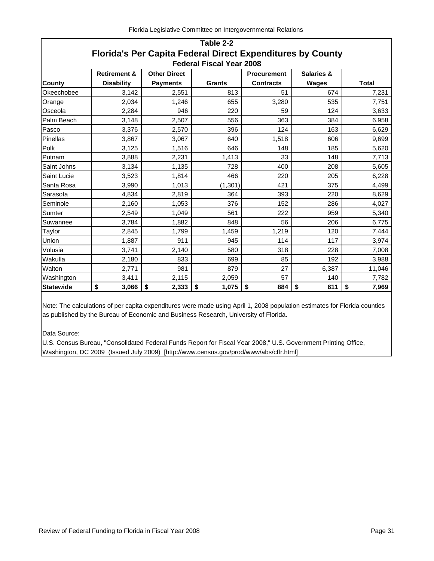|                                 | Table 2-2                                                         |                     |               |                    |              |              |  |  |  |  |  |
|---------------------------------|-------------------------------------------------------------------|---------------------|---------------|--------------------|--------------|--------------|--|--|--|--|--|
|                                 | <b>Florida's Per Capita Federal Direct Expenditures by County</b> |                     |               |                    |              |              |  |  |  |  |  |
| <b>Federal Fiscal Year 2008</b> |                                                                   |                     |               |                    |              |              |  |  |  |  |  |
|                                 | <b>Retirement &amp;</b>                                           | <b>Other Direct</b> |               | <b>Procurement</b> | Salaries &   |              |  |  |  |  |  |
| <b>County</b>                   | <b>Disability</b>                                                 | <b>Payments</b>     | <b>Grants</b> | <b>Contracts</b>   | <b>Wages</b> | <b>Total</b> |  |  |  |  |  |
| Okeechobee                      | 3,142                                                             | 2,551               | 813           | 51                 | 674          | 7,231        |  |  |  |  |  |
| Orange                          | 2,034                                                             | 1,246               | 655           | 3,280              | 535          | 7,751        |  |  |  |  |  |
| Osceola                         | 2,284                                                             | 946                 | 220           | 59                 | 124          | 3,633        |  |  |  |  |  |
| Palm Beach                      | 3,148                                                             | 2,507               | 556           | 363                | 384          | 6,958        |  |  |  |  |  |
| Pasco                           | 3,376                                                             | 2,570               | 396           | 124                | 163          | 6,629        |  |  |  |  |  |
| Pinellas                        | 3,867                                                             | 3,067               | 640           | 1,518              | 606          | 9,699        |  |  |  |  |  |
| Polk                            | 3,125                                                             | 1,516               | 646           | 148                | 185          | 5,620        |  |  |  |  |  |
| Putnam                          | 3,888                                                             | 2,231               | 1,413         | 33                 | 148          | 7,713        |  |  |  |  |  |
| Saint Johns                     | 3,134                                                             | 1,135               | 728           | 400                | 208          | 5,605        |  |  |  |  |  |
| Saint Lucie                     | 3,523                                                             | 1,814               | 466           | 220                | 205          | 6,228        |  |  |  |  |  |
| Santa Rosa                      | 3,990                                                             | 1,013               | (1, 301)      | 421                | 375          | 4,499        |  |  |  |  |  |
| Sarasota                        | 4,834                                                             | 2,819               | 364           | 393                | 220          | 8,629        |  |  |  |  |  |
| Seminole                        | 2,160                                                             | 1,053               | 376           | 152                | 286          | 4,027        |  |  |  |  |  |
| Sumter                          | 2,549                                                             | 1,049               | 561           | 222                | 959          | 5,340        |  |  |  |  |  |
| Suwannee                        | 3,784                                                             | 1,882               | 848           | 56                 | 206          | 6,775        |  |  |  |  |  |
| Taylor                          | 2,845                                                             | 1,799               | 1,459         | 1,219              | 120          | 7,444        |  |  |  |  |  |
| Union                           | 1,887                                                             | 911                 | 945           | 114                | 117          | 3,974        |  |  |  |  |  |
| Volusia                         | 3,741                                                             | 2,140               | 580           | 318                | 228          | 7,008        |  |  |  |  |  |
| Wakulla                         | 2,180                                                             | 833                 | 699           | 85                 | 192          | 3,988        |  |  |  |  |  |
| Walton                          | 2,771                                                             | 981                 | 879           | 27                 | 6,387        | 11,046       |  |  |  |  |  |
| Washington                      | 3,411                                                             | 2,115               | 2,059         | 57                 | 140          | 7,782        |  |  |  |  |  |
| <b>Statewide</b>                | \$<br>3,066                                                       | \$<br>2,333         | \$<br>1,075   | \$<br>884          | \$<br>611    | \$<br>7,969  |  |  |  |  |  |

Note: The calculations of per capita expenditures were made using April 1, 2008 population estimates for Florida counties as published by the Bureau of Economic and Business Research, University of Florida.

Data Source:

U.S. Census Bureau, "Consolidated Federal Funds Report for Fiscal Year 2008," U.S. Government Printing Office, Washington, DC 2009 (Issued July 2009) [http://www.census.gov/prod/www/abs/cffr.html]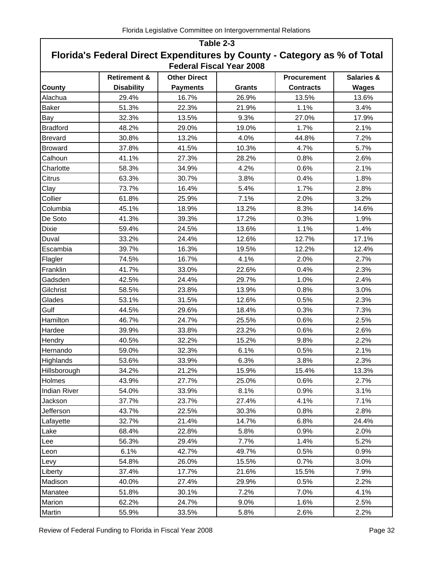| Table 2-3<br>Florida's Federal Direct Expenditures by County - Category as % of Total<br><b>Federal Fiscal Year 2008</b> |                   |                 |               |                  |              |  |  |  |  |
|--------------------------------------------------------------------------------------------------------------------------|-------------------|-----------------|---------------|------------------|--------------|--|--|--|--|
|                                                                                                                          |                   |                 |               |                  |              |  |  |  |  |
| County                                                                                                                   | <b>Disability</b> | <b>Payments</b> | <b>Grants</b> | <b>Contracts</b> | <b>Wages</b> |  |  |  |  |
| Alachua                                                                                                                  | 29.4%             | 16.7%           | 26.9%         | 13.5%            | 13.6%        |  |  |  |  |
| <b>Baker</b>                                                                                                             | 51.3%             | 22.3%           | 21.9%         | 1.1%             | 3.4%         |  |  |  |  |
| Bay                                                                                                                      | 32.3%             | 13.5%           | 9.3%          | 27.0%            | 17.9%        |  |  |  |  |
| <b>Bradford</b>                                                                                                          | 48.2%             | 29.0%           | 19.0%         | 1.7%             | 2.1%         |  |  |  |  |
| <b>Brevard</b>                                                                                                           | 30.8%             | 13.2%           | 4.0%          | 44.8%            | 7.2%         |  |  |  |  |
| <b>Broward</b>                                                                                                           | 37.8%             | 41.5%           | 10.3%         | 4.7%             | 5.7%         |  |  |  |  |
| Calhoun                                                                                                                  | 41.1%             | 27.3%           | 28.2%         | 0.8%             | 2.6%         |  |  |  |  |
| Charlotte                                                                                                                | 58.3%             | 34.9%           | 4.2%          | 0.6%             | 2.1%         |  |  |  |  |
| <b>Citrus</b>                                                                                                            | 63.3%             | 30.7%           | 3.8%          | 0.4%             | 1.8%         |  |  |  |  |
| Clay                                                                                                                     | 73.7%             | 16.4%           | 5.4%          | 1.7%             | 2.8%         |  |  |  |  |
| Collier                                                                                                                  | 61.8%             | 25.9%           | 7.1%          | 2.0%             | 3.2%         |  |  |  |  |
| Columbia                                                                                                                 | 45.1%             | 18.9%           | 13.2%         | 8.3%             | 14.6%        |  |  |  |  |
| De Soto                                                                                                                  | 41.3%             | 39.3%           | 17.2%         | 0.3%             | 1.9%         |  |  |  |  |
| <b>Dixie</b>                                                                                                             | 59.4%             | 24.5%           | 13.6%         | 1.1%             | 1.4%         |  |  |  |  |
| Duval                                                                                                                    | 33.2%             | 24.4%           | 12.6%         | 12.7%            | 17.1%        |  |  |  |  |
| Escambia                                                                                                                 | 39.7%             | 16.3%           | 19.5%         | 12.2%            | 12.4%        |  |  |  |  |
| Flagler                                                                                                                  | 74.5%             | 16.7%           | 4.1%          | 2.0%             | 2.7%         |  |  |  |  |
| Franklin                                                                                                                 | 41.7%             | 33.0%           | 22.6%         | 0.4%             | 2.3%         |  |  |  |  |
| Gadsden                                                                                                                  | 42.5%             | 24.4%           | 29.7%         | 1.0%             | 2.4%         |  |  |  |  |
| Gilchrist                                                                                                                | 58.5%             | 23.8%           | 13.9%         | 0.8%             | 3.0%         |  |  |  |  |
| Glades                                                                                                                   | 53.1%             | 31.5%           | 12.6%         | 0.5%             | 2.3%         |  |  |  |  |
| Gulf                                                                                                                     | 44.5%             | 29.6%           | 18.4%         | 0.3%             | 7.3%         |  |  |  |  |
| Hamilton                                                                                                                 | 46.7%             | 24.7%           | 25.5%         | 0.6%             | 2.5%         |  |  |  |  |
| Hardee                                                                                                                   | 39.9%             | 33.8%           | 23.2%         | 0.6%             | 2.6%         |  |  |  |  |
| Hendry                                                                                                                   | 40.5%             | 32.2%           | 15.2%         | 9.8%             | 2.2%         |  |  |  |  |
| Hernando                                                                                                                 | 59.0%             | 32.3%           | 6.1%          | 0.5%             | 2.1%         |  |  |  |  |
| Highlands                                                                                                                | 53.6%             | 33.9%           | 6.3%          | 3.8%             | 2.3%         |  |  |  |  |
| Hillsborough                                                                                                             | 34.2%             | 21.2%           | 15.9%         | 15.4%            | 13.3%        |  |  |  |  |
| Holmes                                                                                                                   | 43.9%             | 27.7%           | 25.0%         | 0.6%             | 2.7%         |  |  |  |  |
| <b>Indian River</b>                                                                                                      | 54.0%             | 33.9%           | 8.1%          | 0.9%             | 3.1%         |  |  |  |  |
| Jackson                                                                                                                  | 37.7%             | 23.7%           | 27.4%         | 4.1%             | 7.1%         |  |  |  |  |
| Jefferson                                                                                                                | 43.7%             | 22.5%           | 30.3%         | 0.8%             | 2.8%         |  |  |  |  |
| Lafayette                                                                                                                | 32.7%             | 21.4%           | 14.7%         | 6.8%             | 24.4%        |  |  |  |  |
| Lake                                                                                                                     | 68.4%             | 22.8%           | 5.8%          | 0.9%             | 2.0%         |  |  |  |  |
| Lee                                                                                                                      | 56.3%             | 29.4%           | 7.7%          | 1.4%             | 5.2%         |  |  |  |  |
| Leon                                                                                                                     | 6.1%              | 42.7%           | 49.7%         | 0.5%             | 0.9%         |  |  |  |  |
| Levy                                                                                                                     | 54.8%             | 26.0%           | 15.5%         | 0.7%             | 3.0%         |  |  |  |  |
| Liberty                                                                                                                  | 37.4%             | 17.7%           | 21.6%         | 15.5%            | 7.9%         |  |  |  |  |
| Madison                                                                                                                  | 40.0%             | 27.4%           | 29.9%         | 0.5%             | 2.2%         |  |  |  |  |
| Manatee                                                                                                                  | 51.8%             | 30.1%           | 7.2%          | 7.0%             | 4.1%         |  |  |  |  |
| Marion                                                                                                                   | 62.2%             | 24.7%           | 9.0%          | 1.6%             | 2.5%         |  |  |  |  |
| Martin                                                                                                                   | 55.9%             | 33.5%           | 5.8%          | 2.6%             | 2.2%         |  |  |  |  |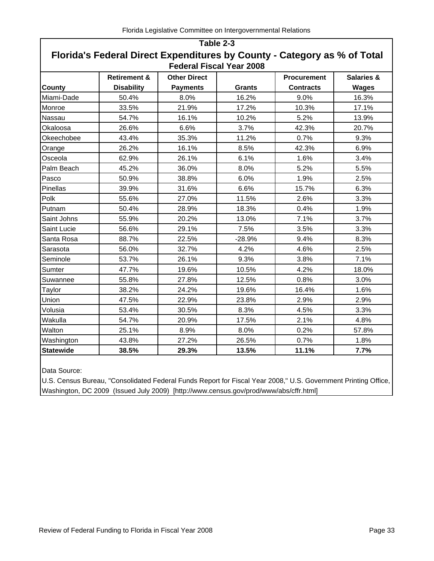| Table 2-3                       |                                                                          |                     |               |                    |              |  |  |  |  |  |
|---------------------------------|--------------------------------------------------------------------------|---------------------|---------------|--------------------|--------------|--|--|--|--|--|
|                                 | Florida's Federal Direct Expenditures by County - Category as % of Total |                     |               |                    |              |  |  |  |  |  |
| <b>Federal Fiscal Year 2008</b> |                                                                          |                     |               |                    |              |  |  |  |  |  |
|                                 | <b>Retirement &amp;</b>                                                  | <b>Other Direct</b> |               | <b>Procurement</b> | Salaries &   |  |  |  |  |  |
| <b>County</b>                   | <b>Disability</b>                                                        | <b>Payments</b>     | <b>Grants</b> | <b>Contracts</b>   | <b>Wages</b> |  |  |  |  |  |
| Miami-Dade                      | 50.4%                                                                    | 8.0%                | 16.2%         | 9.0%               | 16.3%        |  |  |  |  |  |
| Monroe                          | 33.5%                                                                    | 21.9%               | 17.2%         | 10.3%              | 17.1%        |  |  |  |  |  |
| Nassau                          | 54.7%                                                                    | 16.1%               | 10.2%         | 5.2%               | 13.9%        |  |  |  |  |  |
| Okaloosa                        | 26.6%                                                                    | 6.6%                | 3.7%          | 42.3%              | 20.7%        |  |  |  |  |  |
| Okeechobee                      | 43.4%                                                                    | 35.3%               | 11.2%         | 0.7%               | 9.3%         |  |  |  |  |  |
| Orange                          | 26.2%                                                                    | 16.1%               | 8.5%          | 42.3%              | 6.9%         |  |  |  |  |  |
| Osceola                         | 62.9%                                                                    | 26.1%               | 6.1%          | 1.6%               | 3.4%         |  |  |  |  |  |
| Palm Beach                      | 45.2%                                                                    | 36.0%               | 8.0%          | 5.2%               | 5.5%         |  |  |  |  |  |
| Pasco                           | 50.9%                                                                    | 38.8%               | 6.0%          | 1.9%               | 2.5%         |  |  |  |  |  |
| Pinellas                        | 39.9%                                                                    | 31.6%               | 6.6%          | 15.7%              | 6.3%         |  |  |  |  |  |
| Polk                            | 55.6%                                                                    | 27.0%               | 11.5%         | 2.6%               | 3.3%         |  |  |  |  |  |
| Putnam                          | 50.4%                                                                    | 28.9%               | 18.3%         | 0.4%               | 1.9%         |  |  |  |  |  |
| Saint Johns                     | 55.9%                                                                    | 20.2%               | 13.0%         | 7.1%               | 3.7%         |  |  |  |  |  |
| Saint Lucie                     | 56.6%                                                                    | 29.1%               | 7.5%          | 3.5%               | 3.3%         |  |  |  |  |  |
| Santa Rosa                      | 88.7%                                                                    | 22.5%               | $-28.9%$      | 9.4%               | 8.3%         |  |  |  |  |  |
| Sarasota                        | 56.0%                                                                    | 32.7%               | 4.2%          | 4.6%               | 2.5%         |  |  |  |  |  |
| Seminole                        | 53.7%                                                                    | 26.1%               | 9.3%          | 3.8%               | 7.1%         |  |  |  |  |  |
| Sumter                          | 47.7%                                                                    | 19.6%               | 10.5%         | 4.2%               | 18.0%        |  |  |  |  |  |
| Suwannee                        | 55.8%                                                                    | 27.8%               | 12.5%         | 0.8%               | 3.0%         |  |  |  |  |  |
| Taylor                          | 38.2%                                                                    | 24.2%               | 19.6%         | 16.4%              | 1.6%         |  |  |  |  |  |
| Union                           | 47.5%                                                                    | 22.9%               | 23.8%         | 2.9%               | 2.9%         |  |  |  |  |  |
| Volusia                         | 53.4%                                                                    | 30.5%               | 8.3%          | 4.5%               | 3.3%         |  |  |  |  |  |
| Wakulla                         | 54.7%                                                                    | 20.9%               | 17.5%         | 2.1%               | 4.8%         |  |  |  |  |  |
| Walton                          | 25.1%                                                                    | 8.9%                | 8.0%          | 0.2%               | 57.8%        |  |  |  |  |  |
| Washington                      | 43.8%                                                                    | 27.2%               | 26.5%         | 0.7%               | 1.8%         |  |  |  |  |  |
| <b>Statewide</b>                | 38.5%                                                                    | 29.3%               | 13.5%         | 11.1%              | 7.7%         |  |  |  |  |  |

Data Source:

U.S. Census Bureau, "Consolidated Federal Funds Report for Fiscal Year 2008," U.S. Government Printing Office, Washington, DC 2009 (Issued July 2009) [http://www.census.gov/prod/www/abs/cffr.html]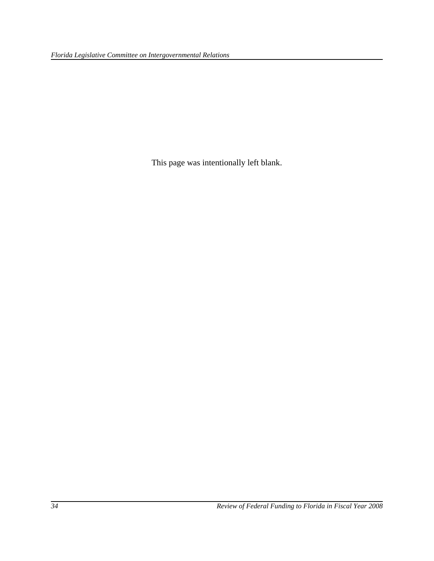This page was intentionally left blank.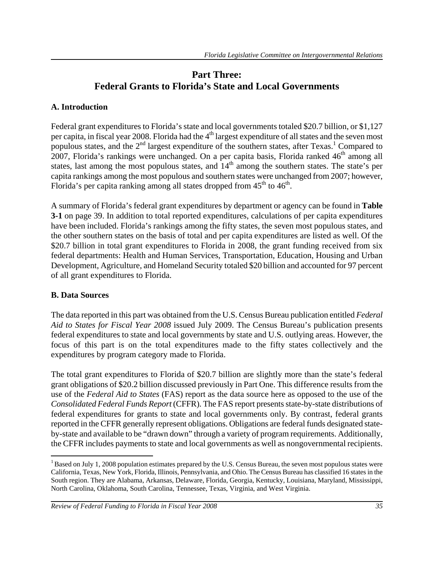## **Part Three: Federal Grants to Florida's State and Local Governments**

### **A. Introduction**

Federal grant expenditures to Florida's state and local governments totaled \$20.7 billion, or \$1,127 per capita, in fiscal year 2008. Florida had the 4<sup>th</sup> largest expenditure of all states and the seven most populous states, and the  $2<sup>nd</sup>$  largest expenditure of the southern states, after Texas.<sup>1</sup> Compared to 2007, Florida's rankings were unchanged. On a per capita basis, Florida ranked  $46<sup>th</sup>$  among all states, last among the most populous states, and  $14<sup>th</sup>$  among the southern states. The state's per capita rankings among the most populous and southern states were unchanged from 2007; however, Florida's per capita ranking among all states dropped from  $45<sup>th</sup>$  to  $46<sup>th</sup>$ .

A summary of Florida's federal grant expenditures by department or agency can be found in **Table 3-1** on page 39. In addition to total reported expenditures, calculations of per capita expenditures have been included. Florida's rankings among the fifty states, the seven most populous states, and the other southern states on the basis of total and per capita expenditures are listed as well. Of the \$20.7 billion in total grant expenditures to Florida in 2008, the grant funding received from six federal departments: Health and Human Services, Transportation, Education, Housing and Urban Development, Agriculture, and Homeland Security totaled \$20 billion and accounted for 97 percent of all grant expenditures to Florida.

### **B. Data Sources**

<u>.</u>

The data reported in this part was obtained from the U.S. Census Bureau publication entitled *Federal Aid to States for Fiscal Year 2008* issued July 2009. The Census Bureau's publication presents federal expenditures to state and local governments by state and U.S. outlying areas. However, the focus of this part is on the total expenditures made to the fifty states collectively and the expenditures by program category made to Florida.

The total grant expenditures to Florida of \$20.7 billion are slightly more than the state's federal grant obligations of \$20.2 billion discussed previously in Part One. This difference results from the use of the *Federal Aid to States* (FAS) report as the data source here as opposed to the use of the *Consolidated Federal Funds Report* (CFFR). The FAS report presents state-by-state distributions of federal expenditures for grants to state and local governments only. By contrast, federal grants reported in the CFFR generally represent obligations. Obligations are federal funds designated stateby-state and available to be "drawn down" through a variety of program requirements. Additionally, the CFFR includes payments to state and local governments as well as nongovernmental recipients.

<sup>&</sup>lt;sup>1</sup> Based on July 1, 2008 population estimates prepared by the U.S. Census Bureau, the seven most populous states were California, Texas, New York, Florida, Illinois, Pennsylvania, and Ohio. The Census Bureau has classified 16 states in the South region. They are Alabama, Arkansas, Delaware, Florida, Georgia, Kentucky, Louisiana, Maryland, Mississippi, North Carolina, Oklahoma, South Carolina, Tennessee, Texas, Virginia, and West Virginia.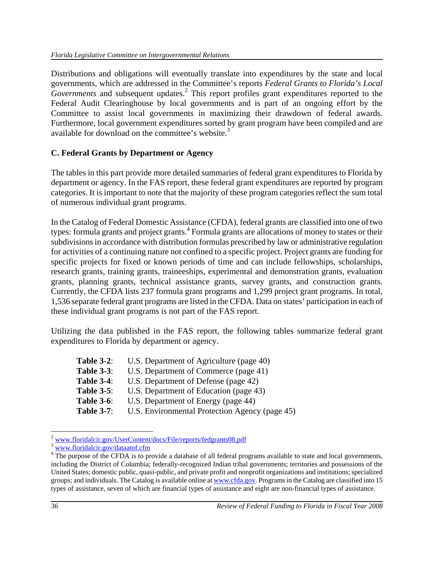Distributions and obligations will eventually translate into expenditures by the state and local governments, which are addressed in the Committee's reports *Federal Grants to Florida's Local*  Governments and subsequent updates.<sup>2</sup> This report profiles grant expenditures reported to the Federal Audit Clearinghouse by local governments and is part of an ongoing effort by the Committee to assist local governments in maximizing their drawdown of federal awards. Furthermore, local government expenditures sorted by grant program have been compiled and are available for download on the committee's website.<sup>3</sup>

### **C. Federal Grants by Department or Agency**

The tables in this part provide more detailed summaries of federal grant expenditures to Florida by department or agency. In the FAS report, these federal grant expenditures are reported by program categories. It is important to note that the majority of these program categories reflect the sum total of numerous individual grant programs.

In the Catalog of Federal Domestic Assistance (CFDA), federal grants are classified into one of two types: formula grants and project grants.<sup>4</sup> Formula grants are allocations of money to states or their subdivisions in accordance with distribution formulas prescribed by law or administrative regulation for activities of a continuing nature not confined to a specific project. Project grants are funding for specific projects for fixed or known periods of time and can include fellowships, scholarships, research grants, training grants, traineeships, experimental and demonstration grants, evaluation grants, planning grants, technical assistance grants, survey grants, and construction grants. Currently, the CFDA lists 237 formula grant programs and 1,299 project grant programs. In total, 1,536 separate federal grant programs are listed in the CFDA. Data on states' participation in each of these individual grant programs is not part of the FAS report.

Utilizing the data published in the FAS report, the following tables summarize federal grant expenditures to Florida by department or agency.

| <b>Table 3-2:</b> | U.S. Department of Agriculture (page 40)       |
|-------------------|------------------------------------------------|
| <b>Table 3-3:</b> | U.S. Department of Commerce (page 41)          |
| <b>Table 3-4:</b> | U.S. Department of Defense (page 42)           |
| <b>Table 3-5:</b> | U.S. Department of Education (page 43)         |
| <b>Table 3-6:</b> | U.S. Department of Energy (page 44)            |
| <b>Table 3-7:</b> | U.S. Environmental Protection Agency (page 45) |
|                   |                                                |

 $\frac{2}{3}$  www.floridalcir.gov/UserContent/docs/File/reports/fedgrants08.pdf  $\frac{3}{3}$  www.floridalcir.gov/dataato<u>f.cfm</u>

 $\overline{a}$ 

<sup>&</sup>lt;sup>4</sup> The purpose of the CFDA is to provide a database of all federal programs available to state and local governments, including the District of Columbia; federally-recognized Indian tribal governments; territories and possessions of the United States; domestic public, quasi-public, and private profit and nonprofit organizations and institutions; specialized groups; and individuals. The Catalog is available online at www.cfda.gov. Programs in the Catalog are classified into 15 types of assistance, seven of which are financial types of assistance and eight are non-financial types of assistance.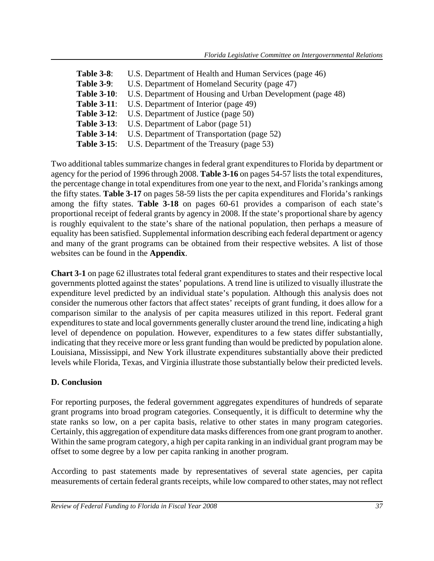| <b>Table 3-8:</b>   | U.S. Department of Health and Human Services (page 46)     |
|---------------------|------------------------------------------------------------|
| <b>Table 3-9:</b>   | U.S. Department of Homeland Security (page 47)             |
| <b>Table 3-10:</b>  | U.S. Department of Housing and Urban Development (page 48) |
| <b>Table 3-11:</b>  | U.S. Department of Interior (page 49)                      |
| <b>Table 3-12:</b>  | U.S. Department of Justice (page 50)                       |
| <b>Table 3-13:</b>  | U.S. Department of Labor (page 51)                         |
| <b>Table 3-14:</b>  | U.S. Department of Transportation (page 52)                |
| <b>Table 3-15</b> : | U.S. Department of the Treasury (page 53)                  |
|                     |                                                            |

Two additional tables summarize changes in federal grant expenditures to Florida by department or agency for the period of 1996 through 2008. **Table 3-16** on pages 54-57 lists the total expenditures, the percentage change in total expenditures from one year to the next, and Florida's rankings among the fifty states. **Table 3-17** on pages 58-59 lists the per capita expenditures and Florida's rankings among the fifty states. **Table 3-18** on pages 60-61 provides a comparison of each state's proportional receipt of federal grants by agency in 2008. If the state's proportional share by agency is roughly equivalent to the state's share of the national population, then perhaps a measure of equality has been satisfied. Supplemental information describing each federal department or agency and many of the grant programs can be obtained from their respective websites. A list of those websites can be found in the **Appendix**.

**Chart 3-1** on page 62 illustrates total federal grant expenditures to states and their respective local governments plotted against the states' populations. A trend line is utilized to visually illustrate the expenditure level predicted by an individual state's population. Although this analysis does not consider the numerous other factors that affect states' receipts of grant funding, it does allow for a comparison similar to the analysis of per capita measures utilized in this report. Federal grant expenditures to state and local governments generally cluster around the trend line, indicating a high level of dependence on population. However, expenditures to a few states differ substantially, indicating that they receive more or less grant funding than would be predicted by population alone. Louisiana, Mississippi, and New York illustrate expenditures substantially above their predicted levels while Florida, Texas, and Virginia illustrate those substantially below their predicted levels.

### **D. Conclusion**

For reporting purposes, the federal government aggregates expenditures of hundreds of separate grant programs into broad program categories. Consequently, it is difficult to determine why the state ranks so low, on a per capita basis, relative to other states in many program categories. Certainly, this aggregation of expenditure data masks differences from one grant program to another. Within the same program category, a high per capita ranking in an individual grant program may be offset to some degree by a low per capita ranking in another program.

According to past statements made by representatives of several state agencies, per capita measurements of certain federal grants receipts, while low compared to other states, may not reflect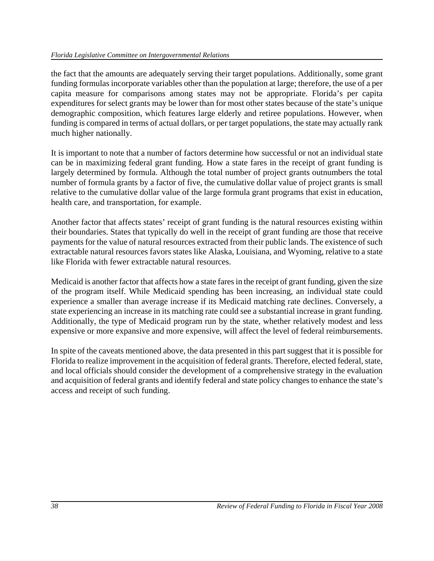the fact that the amounts are adequately serving their target populations. Additionally, some grant funding formulas incorporate variables other than the population at large; therefore, the use of a per capita measure for comparisons among states may not be appropriate. Florida's per capita expenditures for select grants may be lower than for most other states because of the state's unique demographic composition, which features large elderly and retiree populations. However, when funding is compared in terms of actual dollars, or per target populations, the state may actually rank much higher nationally.

It is important to note that a number of factors determine how successful or not an individual state can be in maximizing federal grant funding. How a state fares in the receipt of grant funding is largely determined by formula. Although the total number of project grants outnumbers the total number of formula grants by a factor of five, the cumulative dollar value of project grants is small relative to the cumulative dollar value of the large formula grant programs that exist in education, health care, and transportation, for example.

Another factor that affects states' receipt of grant funding is the natural resources existing within their boundaries. States that typically do well in the receipt of grant funding are those that receive payments for the value of natural resources extracted from their public lands. The existence of such extractable natural resources favors states like Alaska, Louisiana, and Wyoming, relative to a state like Florida with fewer extractable natural resources.

Medicaid is another factor that affects how a state fares in the receipt of grant funding, given the size of the program itself. While Medicaid spending has been increasing, an individual state could experience a smaller than average increase if its Medicaid matching rate declines. Conversely, a state experiencing an increase in its matching rate could see a substantial increase in grant funding. Additionally, the type of Medicaid program run by the state, whether relatively modest and less expensive or more expansive and more expensive, will affect the level of federal reimbursements.

In spite of the caveats mentioned above, the data presented in this part suggest that it is possible for Florida to realize improvement in the acquisition of federal grants. Therefore, elected federal, state, and local officials should consider the development of a comprehensive strategy in the evaluation and acquisition of federal grants and identify federal and state policy changes to enhance the state's access and receipt of such funding.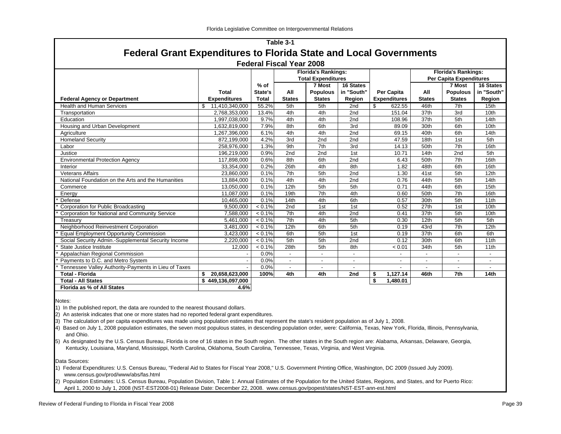| Table 3-1                                                                |                       |           |                 |                            |                          |                          |                            |                                |                          |
|--------------------------------------------------------------------------|-----------------------|-----------|-----------------|----------------------------|--------------------------|--------------------------|----------------------------|--------------------------------|--------------------------|
|                                                                          |                       |           |                 |                            |                          |                          |                            |                                |                          |
| <b>Federal Grant Expenditures to Florida State and Local Governments</b> |                       |           |                 |                            |                          |                          |                            |                                |                          |
| <b>Federal Fiscal Year 2008</b>                                          |                       |           |                 |                            |                          |                          |                            |                                |                          |
|                                                                          |                       |           |                 | <b>Florida's Rankings:</b> |                          |                          | <b>Florida's Rankings:</b> |                                |                          |
|                                                                          |                       |           |                 | <b>Total Expenditures</b>  |                          |                          |                            | <b>Per Capita Expenditures</b> |                          |
|                                                                          |                       | $%$ of    |                 | 7 Most                     | 16 States                |                          |                            | 7 Most                         | 16 States                |
|                                                                          | Total                 | State's   | All             | <b>Populous</b>            | in "South"               | Per Capita               | All                        | <b>Populous</b>                | in "South"               |
| <b>Federal Agency or Department</b>                                      | <b>Expenditures</b>   | Total     | <b>States</b>   | <b>States</b>              | Region                   | <b>Expenditures</b>      | <b>States</b>              | <b>States</b>                  | Region                   |
| <b>Health and Human Services</b>                                         | \$.<br>11,410,340,000 | 55.2%     | 5th             | 5th                        | 2nd                      | \$.<br>622.55            | 46th                       | 7th                            | 15th                     |
| Transportation                                                           | 2,768,353,000         | 13.4%     | 4th             | 4th                        | 2nd                      | 151.04                   | 37th                       | 3rd                            | 10th                     |
| Education                                                                | 1,997,038,000         | 9.7%      | 4th             | 4th                        | 2nd                      | 108.96                   | 37th                       | 5th                            | 14th                     |
| Housing and Urban Development                                            | 1,632,819,000         | 7.9%      | 8th             | 6th                        | 3rd                      | 89.09                    | 30th                       | 6th                            | 10th                     |
| Agriculture                                                              | 1,267,396,000         | 6.1%      | 4th             | 4th                        | 2nd                      | 69.15                    | 40th                       | 6th                            | 14th                     |
| <b>Homeland Security</b>                                                 | 872,199,000           | 4.2%      | 3rd             | 2 <sub>nd</sub>            | 2nd                      | 47.59                    | 18th                       | 1st                            | 5th                      |
| Labor                                                                    | 258,976,000           | 1.3%      | 9th             | 7th                        | 3rd                      | 14.13                    | 50th                       | 7th                            | 16th                     |
| Justice                                                                  | 196,219,000           | 0.9%      | 2 <sub>nd</sub> | 2nd                        | 1st                      | 10.71                    | 14th                       | 2 <sub>nd</sub>                | 5th                      |
| <b>Environmental Protection Agency</b>                                   | 117,898,000           | 0.6%      | 8th             | 6th                        | 2nd                      | 6.43                     | 50th                       | 7th                            | 16th                     |
| Interior                                                                 | 33,354,000            | 0.2%      | 26th            | 4th                        | 8th                      | 1.82                     | 48th                       | 6th                            | 16th                     |
| <b>Veterans Affairs</b>                                                  | 23.860.000            | 0.1%      | 7th             | 5th                        | 2nd                      | 1.30                     | 41 <sub>st</sub>           | 5th                            | 12th                     |
| National Foundation on the Arts and the Humanities                       | 13,884,000            | 0.1%      | 4th             | 4th                        | 2nd                      | 0.76                     | 44th                       | 5th                            | 14th                     |
| Commerce                                                                 | 13,050,000            | 0.1%      | 12th            | 5th                        | 5th                      | 0.71                     | 44th                       | 6th                            | 15th                     |
| Energy                                                                   | 11.087.000            | 0.1%      | 19th            | 7th                        | 4th                      | 0.60                     | 50th                       | 7th                            | 16th                     |
| Defense                                                                  | 10,465,000            | 0.1%      | 14th            | 4th                        | 6th                      | 0.57                     | 30th                       | 5th                            | 11th                     |
| Corporation for Public Broadcasting                                      | 9,500,000             | $< 0.1\%$ | 2 <sub>nd</sub> | 1st                        | 1st                      | 0.52                     | 27th                       | 1st                            | 10th                     |
| Corporation for National and Community Service                           | 7,588,000             | $< 0.1\%$ | 7th             | 4th                        | 2nd                      | 0.41                     | 37th                       | 5th                            | 10th                     |
| Treasury                                                                 | 5,461,000             | $< 0.1\%$ | 7th             | 4th                        | 5th                      | 0.30                     | 12th                       | 5th                            | 5th                      |
| Neighborhood Reinvestment Corporation                                    | 3,481,000             | $< 0.1\%$ | 12th            | 6th                        | 5th                      | 0.19                     | 43rd                       | 7th                            | 12th                     |
| <b>Equal Employment Opportunity Commission</b>                           | 3.423.000             | $< 0.1\%$ | 6th             | 5th                        | 1st                      | 0.19                     | 37th                       | 6th                            | 6th                      |
| Social Security Admin.-Supplemental Security Income                      | 2,220,000             | $< 0.1\%$ | 5th             | 5th                        | 2nd                      | 0.12                     | 30th                       | 6th                            | 11th                     |
| State Justice Institute                                                  | 12,000                | $< 0.1\%$ | 28th            | 5th                        | 8th                      | < 0.01                   | 34th                       | 5th                            | 11th                     |
| Appalachian Regional Commission                                          |                       | 0.0%      | $\blacksquare$  | $\overline{\phantom{a}}$   | $\overline{\phantom{a}}$ | $\overline{\phantom{a}}$ | $\overline{\phantom{a}}$   | $\overline{\phantom{a}}$       | $\blacksquare$           |
| Payments to D.C. and Metro System                                        |                       | 0.0%      | $\blacksquare$  | $\blacksquare$             | $\blacksquare$           | $\overline{\phantom{a}}$ | $\overline{\phantom{a}}$   | $\overline{\phantom{a}}$       | $\overline{\phantom{a}}$ |
| Tennessee Valley Authority-Payments in Lieu of Taxes                     |                       | 0.0%      | $\sim$          | $\blacksquare$             | $\blacksquare$           | $\overline{\phantom{a}}$ | $\overline{\phantom{a}}$   | $\overline{\phantom{a}}$       | $\blacksquare$           |
| <b>Total - Florida</b>                                                   | 20,658,623,000<br>\$  | 100%      | 4th             | 4th                        | 2nd                      | 1,127.14<br>\$           | 46th                       | 7th                            | <b>14th</b>              |
| <b>Total - All States</b>                                                | \$449,136,097,000     |           |                 |                            |                          | \$<br>1,480.01           |                            |                                |                          |
| Florida as % of All States                                               | 4.6%                  |           |                 |                            |                          |                          |                            |                                |                          |

Notes:

1) In the published report, the data are rounded to the nearest thousand dollars.

2) An asterisk indicates that one or more states had no reported federal grant expenditures.

3) The calculation of per capita expenditures was made using population estimates that represent the state's resident population as of July 1, 2008.

4) Based on July 1, 2008 population estimates, the seven most populous states, in descending population order, were: California, Texas, New York, Florida, Illinois, Pennsylvania, and Ohio.

5) As designated by the U.S. Census Bureau, Florida is one of 16 states in the South region. The other states in the South region are: Alabama, Arkansas, Delaware, Georgia, Kentucky, Louisiana, Maryland, Mississippi, North Carolina, Oklahoma, South Carolina, Tennessee, Texas, Virginia, and West Virginia.

Data Sources:

1) Federal Expenditures: U.S. Census Bureau, "Federal Aid to States for Fiscal Year 2008," U.S. Government Printing Office, Washington, DC 2009 (Issued July 2009). www.census.gov/prod/www/abs/fas.html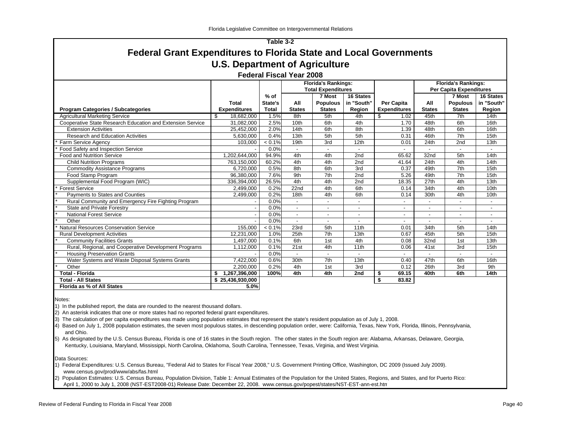| Table 3-2                                                  |                                                                          |              |                          |                            |                          |                          |                  |                                |                          |  |  |
|------------------------------------------------------------|--------------------------------------------------------------------------|--------------|--------------------------|----------------------------|--------------------------|--------------------------|------------------|--------------------------------|--------------------------|--|--|
|                                                            | <b>Federal Grant Expenditures to Florida State and Local Governments</b> |              |                          |                            |                          |                          |                  |                                |                          |  |  |
|                                                            |                                                                          |              |                          |                            |                          |                          |                  |                                |                          |  |  |
|                                                            | <b>U.S. Department of Agriculture</b>                                    |              |                          |                            |                          |                          |                  |                                |                          |  |  |
| <b>Federal Fiscal Year 2008</b>                            |                                                                          |              |                          |                            |                          |                          |                  |                                |                          |  |  |
|                                                            |                                                                          |              |                          | <b>Florida's Rankings:</b> |                          |                          |                  | <b>Florida's Rankings:</b>     |                          |  |  |
|                                                            |                                                                          |              |                          | <b>Total Expenditures</b>  |                          |                          |                  | <b>Per Capita Expenditures</b> |                          |  |  |
|                                                            |                                                                          | $%$ of       |                          | 7 Most                     | 16 States                |                          |                  | 7 Most<br>16 States            |                          |  |  |
|                                                            | <b>Total</b>                                                             | State's      | All                      | <b>Populous</b>            | in "South"               | Per Capita               | All              | <b>Populous</b>                | in "South"               |  |  |
| <b>Program Categories / Subcategories</b>                  | <b>Expenditures</b>                                                      | <b>Total</b> | <b>States</b>            | <b>States</b>              | Region                   | <b>Expenditures</b>      | <b>States</b>    | <b>States</b>                  | Region                   |  |  |
| <b>Agricultural Marketing Service</b>                      | 18,682,000<br>\$.                                                        | 1.5%         | 8th                      | 5th                        | 4th                      | \$<br>1.02               | 45th             | 7th                            | 14th                     |  |  |
| Cooperative State Research Education and Extension Service | 31,082,000                                                               | 2.5%         | 10th                     | 6th                        | 4th                      | 1.70                     | 48th             | 6th                            | 16th                     |  |  |
| <b>Extension Activities</b>                                | 25,452,000                                                               | 2.0%         | 14th                     | 6th                        | 8th                      | 1.39                     | 48th             | 6th                            | 16th                     |  |  |
| Research and Education Activities                          | 5,630,000                                                                | 0.4%         | 13th                     | 5th                        | 5th                      | 0.31                     | 46th             | 7th                            | 15th                     |  |  |
| Farm Service Agency                                        | 103,000                                                                  | $< 0.1\%$    | 19th                     | 3rd                        | 12th                     | 0.01                     | 24th             | 2 <sub>nd</sub>                | 13 <sub>th</sub>         |  |  |
| Food Safety and Inspection Service                         |                                                                          | 0.0%         | $\overline{\phantom{a}}$ | $\blacksquare$             |                          |                          |                  |                                |                          |  |  |
| Food and Nutrition Service                                 | 1,202,644,000                                                            | 94.9%        | 4th                      | 4th                        | 2 <sub>nd</sub>          | 65.62                    | 32nd             | 5th                            | 14th                     |  |  |
| <b>Child Nutrition Programs</b>                            | 763,150,000                                                              | 60.2%        | 4th                      | 4th                        | 2 <sub>nd</sub>          | 41.64                    | 24th             | 4th                            | 14th                     |  |  |
| <b>Commodity Assistance Programs</b>                       | 6.720.000                                                                | 0.5%         | 8th                      | 6th                        | 3rd                      | 0.37                     | 49th             | $\overline{7}$ th              | 15th                     |  |  |
| Food Stamp Program                                         | 96,380,000                                                               | 7.6%         | 9th                      | 7th                        | 2nd                      | 5.26                     | 49th             | 7th                            | 15th                     |  |  |
| Supplemental Food Program (WIC)                            | 336,394,000                                                              | 26.5%        | 4th                      | 4th                        | 2nd                      | 18.35                    | 27th             | 4th                            | 13 <sub>th</sub>         |  |  |
| Forest Service                                             | 2.499.000                                                                | 0.2%         | 22 <sub>nd</sub>         | 4th                        | 6th                      | 0.14                     | 34th             | 4th                            | 10 <sub>th</sub>         |  |  |
| Payments to States and Counties                            | 2,499,000                                                                | 0.2%         | 18th                     | 4th                        | 6th                      | 0.14                     | 30th             | 4th                            | 10th                     |  |  |
| Rural Community and Emergency Fire Fighting Program        |                                                                          | 0.0%         |                          |                            |                          |                          |                  |                                |                          |  |  |
| <b>State and Private Forestry</b>                          |                                                                          | 0.0%         | $\overline{\phantom{a}}$ | $\sim$                     | $\overline{\phantom{a}}$ | $\overline{\phantom{a}}$ |                  | $\overline{a}$                 |                          |  |  |
| <b>National Forest Service</b>                             |                                                                          | 0.0%         | ÷.                       | $\overline{a}$             |                          | $\blacksquare$           | $\sim$           | $\overline{a}$                 | $\overline{\phantom{a}}$ |  |  |
| Other                                                      |                                                                          | 0.0%         | $\sim$                   | $\overline{\phantom{a}}$   | $\overline{\phantom{a}}$ | $\blacksquare$           | $\sim$           | $\overline{\phantom{a}}$       | $\overline{\phantom{a}}$ |  |  |
| <b>Natural Resources Conservation Service</b>              | 155,000                                                                  | < 0.1%       | 23rd                     | 5th                        | 11th                     | 0.01                     | 34th             | 5th                            | 14th                     |  |  |
| <b>Rural Development Activities</b>                        | 12,231,000                                                               | 1.0%         | 25th                     | 7th                        | 13 <sub>th</sub>         | 0.67                     | 45th             | 5th                            | 15th                     |  |  |
| <b>Community Facilities Grants</b>                         | 1,497,000                                                                | 0.1%         | 6th                      | 1st                        | 4th                      | 0.08                     | 32 <sub>nd</sub> | 1st                            | 13th                     |  |  |
| Rural, Regional, and Cooperative Development Programs      | 1,112,000                                                                | 0.1%         | 21st                     | 4th                        | 11th                     | 0.06                     | 41st             | 3rd                            | 15th                     |  |  |
| <b>Housing Preservation Grants</b>                         |                                                                          | 0.0%         | $\blacksquare$           | $\overline{\phantom{a}}$   |                          |                          |                  | $\blacksquare$                 |                          |  |  |
| Water Systems and Waste Disposal Systems Grants            | 7,422,000                                                                | 0.6%         | 30th                     | 7th                        | 13th                     | 0.40                     | 47th             | 6th                            | 16th                     |  |  |
| Other                                                      | 2.200.000                                                                | 0.2%         | 4th                      | 1st                        | 3rd                      | 0.12                     | 26th             | 3rd                            | 9th                      |  |  |
| <b>Total - Florida</b>                                     | 1,267,396,000<br>\$                                                      | 100%         | 4th                      | 4th                        | 2nd                      | 69.15<br>\$              | 40th             | 6th                            | <b>14th</b>              |  |  |
| <b>Total - All States</b>                                  | \$25,436,930,000                                                         |              |                          |                            |                          | \$<br>83.82              |                  |                                |                          |  |  |
| Florida as % of All States                                 | 5.0%                                                                     |              |                          |                            |                          |                          |                  |                                |                          |  |  |

Notes:

1) In the published report, the data are rounded to the nearest thousand dollars.

2) An asterisk indicates that one or more states had no reported federal grant expenditures.

3) The calculation of per capita expenditures was made using population estimates that represent the state's resident population as of July 1, 2008.

4) Based on July 1, 2008 population estimates, the seven most populous states, in descending population order, were: California, Texas, New York, Florida, Illinois, Pennsylvania, and Ohio.

5) As designated by the U.S. Census Bureau, Florida is one of 16 states in the South region. The other states in the South region are: Alabama, Arkansas, Delaware, Georgia, Kentucky, Louisiana, Maryland, Mississippi, North Carolina, Oklahoma, South Carolina, Tennessee, Texas, Virginia, and West Virginia.

Data Sources:

1) Federal Expenditures: U.S. Census Bureau, "Federal Aid to States for Fiscal Year 2008," U.S. Government Printing Office, Washington, DC 2009 (Issued July 2009). www.census.gov/prod/www/abs/fas.html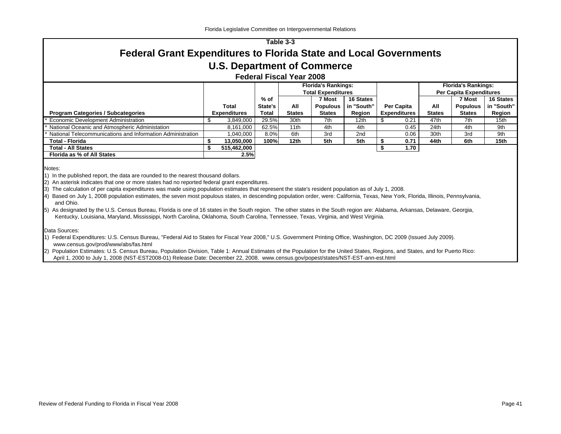# **Table 3-3U.S. Department of Commerce Federal Grant Expenditures to Florida State and Local Governments**

### **Federal Fiscal Year 2008**

|                                                            |                     |         | <b>Florida's Rankings:</b><br><b>Total Expenditures</b> |                 |                 |                     | <b>Florida's Rankings:</b> |                                |                  |  |
|------------------------------------------------------------|---------------------|---------|---------------------------------------------------------|-----------------|-----------------|---------------------|----------------------------|--------------------------------|------------------|--|
|                                                            |                     |         |                                                         |                 |                 |                     |                            | <b>Per Capita Expenditures</b> |                  |  |
|                                                            |                     | % of    |                                                         | 7 Most          | 16 States       |                     |                            | 7 Most                         | <b>16 States</b> |  |
|                                                            | Total               | State's | All                                                     | <b>Populous</b> | in "South"      | <b>Per Capita</b>   | All                        | <b>Populous</b>                | in "South"       |  |
| <b>Program Categories / Subcategories</b>                  | <b>Expenditures</b> | Total   | States                                                  | <b>States</b>   | Region          | <b>Expenditures</b> | <b>States</b>              | <b>States</b>                  | Region           |  |
| Economic Development Administration                        | 3,849,000           | 29.5%   | 30th                                                    | 7th             | 12th            | 0.21                | 47th                       | 7th                            | 15th             |  |
| National Oceanic and Atmospheric Administation             | 8.161.000           | 62.5%   | 11th                                                    | 4th             | 4th             | 0.45                | 24th                       | 4th                            | 9th              |  |
| National Telecommunications and Information Administration | 1,040,000           | 8.0%    | 6th                                                     | 3rd             | 2 <sub>nd</sub> | 0.06                | 30th                       | 3rd                            | 9th              |  |
| <b>Total - Florida</b>                                     | 13.050.000          | 100%    | 12 <sub>th</sub>                                        | 5th             | 5th             | 0.71                | 44th                       | 6th                            | 15th             |  |
| <b>Total - All States</b>                                  | 515,462,000         |         |                                                         |                 |                 | 1.70                |                            |                                |                  |  |
| Florida as % of All States                                 | 2.5%                |         |                                                         |                 |                 |                     |                            |                                |                  |  |

Notes:

1) In the published report, the data are rounded to the nearest thousand dollars.

2) An asterisk indicates that one or more states had no reported federal grant expenditures.

3) The calculation of per capita expenditures was made using population estimates that represent the state's resident population as of July 1, 2008.

4) Based on July 1, 2008 population estimates, the seven most populous states, in descending population order, were: California, Texas, New York, Florida, Illinois, Pennsylvania, and Ohio.

5) As designated by the U.S. Census Bureau, Florida is one of 16 states in the South region. The other states in the South region are: Alabama, Arkansas, Delaware, Georgia, Kentucky, Louisiana, Maryland, Mississippi, North Carolina, Oklahoma, South Carolina, Tennessee, Texas, Virginia, and West Virginia.

Data Sources:

1) Federal Expenditures: U.S. Census Bureau, "Federal Aid to States for Fiscal Year 2008," U.S. Government Printing Office, Washington, DC 2009 (Issued July 2009). www.census.gov/prod/www/abs/fas.html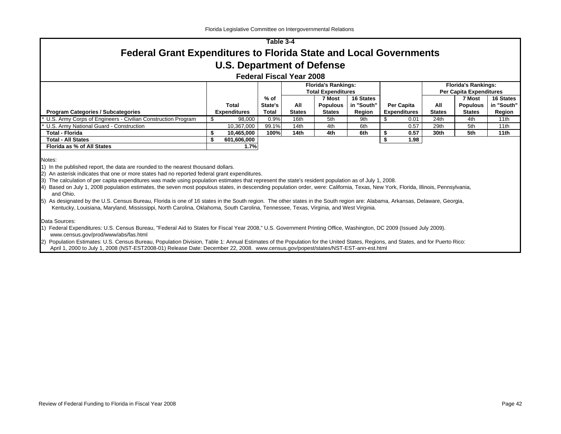# **Table 3-4U.S. Department of Defense Federal Grant Expenditures to Florida State and Local Governments**

### **Federal Fiscal Year 2008**

|                                                                |                     |         | <b>Florida's Rankings:</b><br><b>Total Expenditures</b> |                 |            |                     |               | <b>Florida's Rankings:</b><br><b>Per Capita Expenditures</b> |            |
|----------------------------------------------------------------|---------------------|---------|---------------------------------------------------------|-----------------|------------|---------------------|---------------|--------------------------------------------------------------|------------|
|                                                                |                     | % of    | 16 States<br>7 Most                                     |                 |            |                     | 7 Most        | <b>16 States</b>                                             |            |
|                                                                | Total               | State's | All                                                     | <b>Populous</b> | in "South" | Per Capita          | All           | <b>Populous</b>                                              | in "South" |
| <b>Program Categories / Subcategories</b>                      | <b>Expenditures</b> | Total   | <b>States</b>                                           | <b>States</b>   | Region     | <b>Expenditures</b> | <b>States</b> | <b>States</b>                                                | Region     |
| * U.S. Army Corps of Engineers - Civilian Construction Program | 98.000              | 0.9%    | 16th                                                    | 5th             | 9th        | 0.01                | 24th          | 4th                                                          | 11th       |
| * U.S. Army National Guard - Construction                      | 10.367.000          | 99.1%   | 14th                                                    | 4th             | 6th        | 0.57                | 29th          | 5th                                                          | 11th       |
| <b>Total - Florida</b>                                         | 10.465.000          | 100%    | 14th                                                    | 4th             | 6th        | 0.57                | 30th          | 5th                                                          | 11th       |
| Total - All States                                             | 601.606.000         |         |                                                         |                 |            | 1.98                |               |                                                              |            |
| Florida as % of All States                                     | 1.7%                |         |                                                         |                 |            |                     |               |                                                              |            |

Notes:

1) In the published report, the data are rounded to the nearest thousand dollars.

2) An asterisk indicates that one or more states had no reported federal grant expenditures.

3) The calculation of per capita expenditures was made using population estimates that represent the state's resident population as of July 1, 2008.

4) Based on July 1, 2008 population estimates, the seven most populous states, in descending population order, were: California, Texas, New York, Florida, Illinois, Pennsylvania, and Ohio.

5) As designated by the U.S. Census Bureau, Florida is one of 16 states in the South region. The other states in the South region are: Alabama, Arkansas, Delaware, Georgia, Kentucky, Louisiana, Maryland, Mississippi, North Carolina, Oklahoma, South Carolina, Tennessee, Texas, Virginia, and West Virginia.

Data Sources:

1) Federal Expenditures: U.S. Census Bureau, "Federal Aid to States for Fiscal Year 2008," U.S. Government Printing Office, Washington, DC 2009 (Issued July 2009). www.census.gov/prod/www/abs/fas.html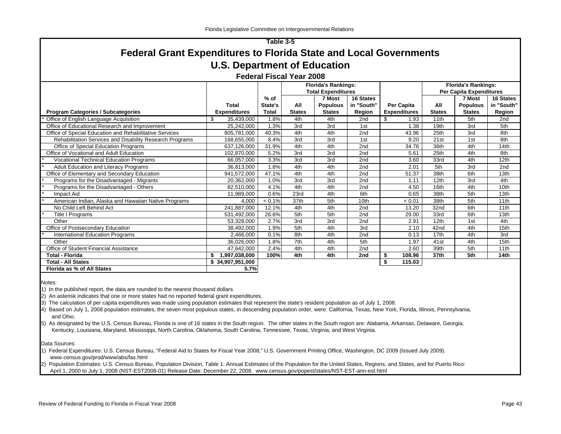| Table 3-5                                                                |
|--------------------------------------------------------------------------|
| <b>Federal Grant Expenditures to Florida State and Local Governments</b> |
| <b>U.S. Department of Education</b>                                      |

### **Federal Fiscal Year 2008**

| . cac.a.oca. . ca. 2000                                  |                     |              |               |                            |                  |                     |               |                            |                  |  |  |  |
|----------------------------------------------------------|---------------------|--------------|---------------|----------------------------|------------------|---------------------|---------------|----------------------------|------------------|--|--|--|
|                                                          |                     |              |               | <b>Florida's Rankings:</b> |                  |                     |               | <b>Florida's Rankings:</b> |                  |  |  |  |
|                                                          |                     |              |               | <b>Total Expenditures</b>  |                  |                     |               | Per Capita Expenditures    |                  |  |  |  |
|                                                          |                     | $%$ of       |               | 7 Most                     | <b>16 States</b> |                     |               | 7 Most                     | 16 States        |  |  |  |
|                                                          | Total               | State's      | All           | <b>Populous</b>            | in "South"       | Per Capita          | All           | <b>Populous</b>            | in "South"       |  |  |  |
| <b>Program Categories / Subcategories</b>                | <b>Expenditures</b> | <b>Total</b> | <b>States</b> | <b>States</b>              | Region           | <b>Expenditures</b> | <b>States</b> | <b>States</b>              | Region           |  |  |  |
| Office of English Language Acquisition                   | 35,439,000<br>\$    | 1.8%         | 4th           | 4th                        | 2 <sub>nd</sub>  | 1.93<br>\$          | 11th          | 5th                        | 2 <sub>nd</sub>  |  |  |  |
| Office of Educational Research and Improvement           | 25,242,000          | 1.3%         | 3rd           | 3rd                        | 1st              | 1.38                | 19th          | 3rd                        | 5th              |  |  |  |
| Office of Special Education and Rehabilitative Services  | 805,781,000         | 40.3%        | 4th           | 4th                        | 2nd              | 43.96               | 25th          | 3rd                        | 8th              |  |  |  |
| Rehabilitation Services and Disability Research Programs | 168,655,000         | 8.4%         | 3rd           | 3rd                        | 1st              | 9.20                | 21st          | 1st                        | 8th              |  |  |  |
| Office of Special Education Programs                     | 637,126,000         | 31.9%        | 4th           | 4th                        | 2nd              | 34.76               | 36th          | 4th                        | 14th             |  |  |  |
| Office of Vocational and Adult Education                 | 102,870,000         | 5.2%         | 3rd           | 3rd                        | 2nd              | 5.61                | 25th          | 4th                        | 8th              |  |  |  |
| <b>Vocational Technical Education Programs</b>           | 66,057,000          | 3.3%         | 3rd           | 3rd                        | 2 <sub>nd</sub>  | 3.60                | 33rd          | 4th                        | 12th             |  |  |  |
| <b>Adult Education and Literacy Programs</b>             | 36,813,000          | 1.8%         | 4th           | 4th                        | 2nd              | 2.01                | 5th           | 3rd                        | 2nd              |  |  |  |
| Office of Elementary and Secondary Education             | 941,572,000         | 47.1%        | 4th           | 4th                        | 2nd              | 51.37               | 38th          | 6th                        | 13th             |  |  |  |
| Programs for the Disadvantaged - Migrants                | 20,362,000          | 1.0%         | 3rd           | 3rd                        | 2 <sub>nd</sub>  | 1.11                | 12th          | 3rd                        | 4th              |  |  |  |
| Programs for the Disadvantaged - Others                  | 82,510,000          | 4.1%         | 4th           | 4th                        | 2 <sub>nd</sub>  | 4.50                | 16th          | 4th                        | 10th             |  |  |  |
| $\star$<br>Impact Aid                                    | 11,989,000          | 0.6%         | 23rd          | 4th                        | 6th              | 0.65                | 38th          | 5th                        | 13 <sub>th</sub> |  |  |  |
| American Indian, Alaska and Hawaiian Native Programs     | 4.000               | $< 0.1\%$    | 37th          | 5th                        | 10th             | < 0.01              | 38th          | 5th                        | 11th             |  |  |  |
| No Child Left Behind Act                                 | 241,887,000         | 12.1%        | 4th           | 4th                        | 2 <sub>nd</sub>  | 13.20               | 32nd          | 6th                        | 11th             |  |  |  |
| Title I Programs                                         | 531,492,000         | 26.6%        | 5th           | 5th                        | 2nd              | 29.00               | 33rd          | 6th                        | 13th             |  |  |  |
| Other                                                    | 53,328,000          | 2.7%         | 3rd           | 3rd                        | 2 <sub>nd</sub>  | 2.91                | 12th          | 1st                        | 4th              |  |  |  |
| Office of Postsecondary Education                        | 38,492,000          | 1.9%         | 5th           | 4th                        | 3rd              | 2.10                | 42nd          | 4th                        | 15th             |  |  |  |
| International Education Programs                         | 2.466.000           | 0.1%         | 8th           | 4th                        | 2nd              | 0.13                | 17th          | 4th                        | 3rd              |  |  |  |
| Other                                                    | 36,026,000          | 1.8%         | 7th           | 4th                        | 5th              | 1.97                | 41st          | 4th                        | 15th             |  |  |  |
| Office of Student Financial Assistance                   | 47,642,000          | 2.4%         | 4th           | 4th                        | 2nd              | 2.60                | 39th          | 5th                        | 11th             |  |  |  |
| Total - Florida                                          | 1,997,038,000       | 100%         | 4th           | 4th                        | 2nd              | 108.96              | 37th          | 5th                        | 14th             |  |  |  |
| <b>Total - All States</b>                                | \$34,907,951,000    |              |               |                            |                  | \$<br>115.03        |               |                            |                  |  |  |  |
| Florida as % of All States                               | 5.7%                |              |               |                            |                  |                     |               |                            |                  |  |  |  |

Notes:

1) In the published report, the data are rounded to the nearest thousand dollars.

2) An asterisk indicates that one or more states had no reported federal grant expenditures.

3) The calculation of per capita expenditures was made using population estimates that represent the state's resident population as of July 1, 2008.

4) Based on July 1, 2008 population estimates, the seven most populous states, in descending population order, were: California, Texas, New York, Florida, Illinois, Pennsylvania, and Ohio.

5) As designated by the U.S. Census Bureau, Florida is one of 16 states in the South region. The other states in the South region are: Alabama, Arkansas, Delaware, Georgia, Kentucky, Louisiana, Maryland, Mississippi, North Carolina, Oklahoma, South Carolina, Tennessee, Texas, Virginia, and West Virginia.

Data Sources:

1) Federal Expenditures: U.S. Census Bureau, "Federal Aid to States for Fiscal Year 2008," U.S. Government Printing Office, Washington, DC 2009 (Issued July 2009). www.census.gov/prod/www/abs/fas.html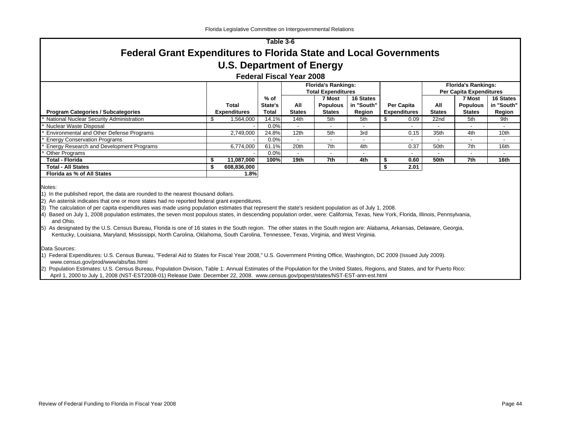# **Table 3-6U.S. Department of Energy Federal Grant Expenditures to Florida State and Local Governments**

#### **% of 7 Most 16 States 7 Most 16 StatesTotal State's All Populous in "South" Per Capita All Populous in "South"** Program Categories / Subcategories | States | Total | States | States | Region | Expenditures | States | States | Region National Nuclear Security Administration 1,564,000 | 14.1% 14th 5th | 5th | 5th | \$ 0.09 | 22nd | 5th 9th Nuclear Waste Disposal and the contract of the contract of the contract of the contract of the contract of the contract of the contract of the contract of the contract of the contract of the contract of the contract of the Environmental and Other Defense Programs 
2,749,000 | 24.8% | 12th | 3rd | 3rd | 0.15 | 35th | 4th | 10th Energy Conservation Programs - 0.0% - - - - - - - Energy Research and Development Programs (6,774,000 61.1% 20th 7th 4th 0.37 50th 7th 16th 16th Other Programs - | 0.0%| - | - | - | - | - | - | -**Total - Florida 11,087,000 \$ 100% 19th 7th 4th 0.60 \$ 50th 7th 16th Total - All States 608,836,000 \$ \$ 2.01 Florida as % of All States 1.8%Total Expenditures Per Capita Expenditures Federal Fiscal Year 2008 Florida's Rankings: Florida's Rankings:**

Notes:

\*

\*

\*

\*

\*

\*

1) In the published report, the data are rounded to the nearest thousand dollars.

2) An asterisk indicates that one or more states had no reported federal grant expenditures.

3) The calculation of per capita expenditures was made using population estimates that represent the state's resident population as of July 1, 2008.

4) Based on July 1, 2008 population estimates, the seven most populous states, in descending population order, were: California, Texas, New York, Florida, Illinois, Pennsylvania, and Ohio.

5) As designated by the U.S. Census Bureau, Florida is one of 16 states in the South region. The other states in the South region are: Alabama, Arkansas, Delaware, Georgia, Kentucky, Louisiana, Maryland, Mississippi, North Carolina, Oklahoma, South Carolina, Tennessee, Texas, Virginia, and West Virginia.

Data Sources:

1) Federal Expenditures: U.S. Census Bureau, "Federal Aid to States for Fiscal Year 2008," U.S. Government Printing Office, Washington, DC 2009 (Issued July 2009). www.census.gov/prod/www/abs/fas.html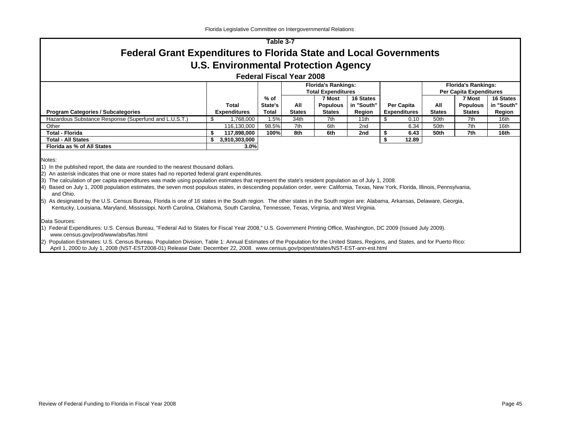## **Table 3-7U.S. Environmental Protection Agency Federal Grant Expenditures to Florida State and Local Governments**

### **Federal Fiscal Year 2008**

|                                                       |                     |         | <b>Florida's Rankings:</b> |                           |                 |  |                     |               | <b>Florida's Rankings:</b>     |            |  |
|-------------------------------------------------------|---------------------|---------|----------------------------|---------------------------|-----------------|--|---------------------|---------------|--------------------------------|------------|--|
|                                                       |                     |         |                            | <b>Total Expenditures</b> |                 |  |                     |               | <b>Per Capita Expenditures</b> |            |  |
|                                                       |                     | $%$ of  | 16 States<br>7 Most        |                           |                 |  |                     |               | 7 Most                         | 16 States  |  |
|                                                       | Total               | State's | All                        | <b>Populous</b>           | in "South"      |  | <b>Per Capita</b>   | All           | <b>Populous</b>                | in "South" |  |
| <b>Program Categories / Subcategories</b>             | <b>Expenditures</b> | Total   | <b>States</b>              | <b>States</b>             | Region          |  | <b>Expenditures</b> | <b>States</b> | <b>States</b>                  | Region     |  |
| Hazardous Substance Response (Superfund and L.U.S.T.) | 768.000. ا          | 1.5%    | 34th                       | 7th                       | 11th            |  | 0.10                | 50th          | 7th                            | 16th       |  |
| Other                                                 | 116,130,000         | 98.5%   | 7th                        | 6th                       | 2 <sub>nd</sub> |  | 6.34                | 50th          | 7th                            | 16th       |  |
| <b>Total - Florida</b>                                | 117.898.000         | 100%    | 8th                        | 6th                       | 2nd             |  | 6.43                | <b>50th</b>   | 7th                            | 16th       |  |
| <b>Total - All States</b>                             | 3.910.303.000       |         |                            |                           |                 |  | 12.89               |               |                                |            |  |
| Florida as % of All States                            | $3.0\%$             |         |                            |                           |                 |  |                     |               |                                |            |  |

Notes:

1) In the published report, the data are rounded to the nearest thousand dollars.

2) An asterisk indicates that one or more states had no reported federal grant expenditures.

3) The calculation of per capita expenditures was made using population estimates that represent the state's resident population as of July 1, 2008.

4) Based on July 1, 2008 population estimates, the seven most populous states, in descending population order, were: California, Texas, New York, Florida, Illinois, Pennsylvania, and Ohio.

5) As designated by the U.S. Census Bureau, Florida is one of 16 states in the South region. The other states in the South region are: Alabama, Arkansas, Delaware, Georgia, Kentucky, Louisiana, Maryland, Mississippi, North Carolina, Oklahoma, South Carolina, Tennessee, Texas, Virginia, and West Virginia.

Data Sources:

1) Federal Expenditures: U.S. Census Bureau, "Federal Aid to States for Fiscal Year 2008," U.S. Government Printing Office, Washington, DC 2009 (Issued July 2009). www.census.gov/prod/www/abs/fas.html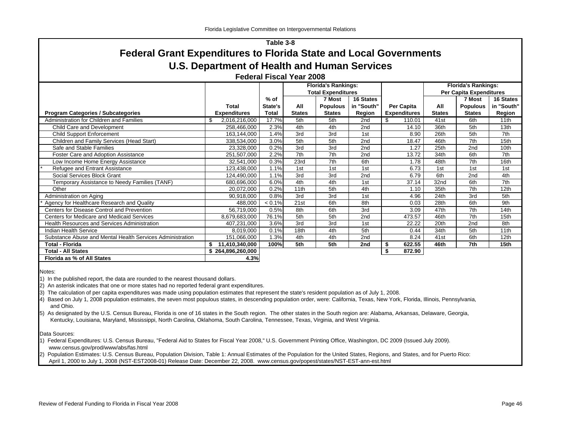### **Table 3-8U.S. Department of Health and Human Services Federal Grant Expenditures to Florida State and Local Governments**

### **Federal Fiscal Year 2008**

| I GUGIUI I ISCUI TGUI LUUU                                |                      |              |               |                            |                 |                     |               |                                |                  |  |  |
|-----------------------------------------------------------|----------------------|--------------|---------------|----------------------------|-----------------|---------------------|---------------|--------------------------------|------------------|--|--|
|                                                           |                      |              |               | <b>Florida's Rankings:</b> |                 |                     |               | <b>Florida's Rankings:</b>     |                  |  |  |
|                                                           |                      |              |               | <b>Total Expenditures</b>  |                 |                     |               | <b>Per Capita Expenditures</b> |                  |  |  |
|                                                           |                      | $%$ of       |               | 7 Most                     | 16 States       |                     |               | 7 Most                         | 16 States        |  |  |
|                                                           | <b>Total</b>         | State's      | All           | <b>Populous</b>            | in "South"      | Per Capita          | All           | <b>Populous</b>                | in "South"       |  |  |
| <b>Program Categories / Subcategories</b>                 | <b>Expenditures</b>  | <b>Total</b> | <b>States</b> | <b>States</b>              | Region          | <b>Expenditures</b> | <b>States</b> | <b>States</b>                  | Region           |  |  |
| Administration for Children and Families                  | 2,016,216,000<br>\$  | 17.7%        | 5th           | 5th                        | 2nd             | \$<br>110.01        | 41st          | 6th                            | 11th             |  |  |
| Child Care and Development                                | 258,466,000          | 2.3%         | 4th           | 4th                        | 2 <sub>nd</sub> | 14.10               | 36th          | 5th                            | 13th             |  |  |
| <b>Child Support Enforcement</b>                          | 163,144,000          | 1.4%         | 3rd           | 3rd                        | 1st             | 8.90                | 26th          | 5th                            | 7th              |  |  |
| Children and Family Services (Head Start)                 | 338,534,000          | 3.0%         | 5th           | 5th                        | 2 <sub>nd</sub> | 18.47               | 46th          | 7th                            | 15th             |  |  |
| Safe and Stable Families                                  | 23,328,000           | 0.2%         | 3rd           | 3rd                        | 2nd             | 1.27                | 25th          | 2 <sub>nd</sub>                | 10th             |  |  |
| Foster Care and Adoption Assistance                       | 251,507,000          | 2.2%         | 7th           | 7th                        | 2 <sub>nd</sub> | 13.72               | 34th          | 6th                            | 7th              |  |  |
| Low Income Home Energy Assistance                         | 32,541,000           | 0.3%         | 23rd          | 7th                        | 6th             | 1.78                | 48th          | 7th                            | 16th             |  |  |
| Refugee and Entrant Assistance                            | 123,438,000          | 1.1%         | 1st           | 1st                        | 1st             | 6.73                | 1st           | 1st                            | 1st              |  |  |
| Social Services Block Grant                               | 124,490,000          | 1.1%         | 3rd           | 3rd                        | 2nd             | 6.79                | 6th           | 2 <sub>nd</sub>                | 4th              |  |  |
| Temporary Assistance to Needy Families (TANF)             | 680,696,000          | 6.0%         | 4th           | 4th                        | 1st             | 37.14               | 32nd          | 6th                            | 7th              |  |  |
| Other                                                     | 20,072,000           | 0.2%         | 11th          | 5th                        | 4th             | 1.10                | 35th          | 7th                            | 12 <sub>th</sub> |  |  |
| Administration on Aging                                   | 90,918,000           | 0.8%         | 3rd           | 3rd                        | 1st             | 4.96                | 24th          | 3rd                            | 5th              |  |  |
| Agency for Healthcare Research and Quality                | 488,000              | $< 0.1\%$    | 21st          | 6th                        | 8th             | 0.03                | 28th          | 6th                            | 9th              |  |  |
| Centers for Disease Control and Prevention                | 56,719,000           | 0.5%         | 8th           | 6th                        | 3rd             | 3.09                | 47th          | 7th                            | 14th             |  |  |
| Centers for Medicare and Medicaid Services                | 8,679,683,000        | 76.1%        | 5th           | 5th                        | 2nd             | 473.57              | 46th          | 7th                            | 15th             |  |  |
| Health Resources and Services Administration              | 407,231,000          | 3.6%         | 3rd           | 3rd                        | 1st             | 22.22               | 20th          | 2 <sub>nd</sub>                | 8th              |  |  |
| <b>Indian Health Service</b>                              | 8,019,000            | 0.1%         | 18th          | 4th                        | 5th             | 0.44                | 34th          | 5th                            | 11 <sub>th</sub> |  |  |
| Substance Abuse and Mental Health Services Administration | 151,066,000          | 1.3%         | 4th           | 4th                        | 2 <sub>nd</sub> | 8.24                | 41st          | 6th                            | 12th             |  |  |
| <b>Total - Florida</b>                                    | S.<br>11,410,340,000 | 100%         | 5th           | 5th                        | 2nd             | 622.55              | 46th          | 7th                            | 15th             |  |  |
| <b>Total - All States</b>                                 | \$264,896,260,000    |              |               |                            |                 | 872.90<br>\$        |               |                                |                  |  |  |
| Florida as % of All States                                | 4.3%                 |              |               |                            |                 |                     |               |                                |                  |  |  |

Notes:

1) In the published report, the data are rounded to the nearest thousand dollars.

2) An asterisk indicates that one or more states had no reported federal grant expenditures.

3) The calculation of per capita expenditures was made using population estimates that represent the state's resident population as of July 1, 2008.

4) Based on July 1, 2008 population estimates, the seven most populous states, in descending population order, were: California, Texas, New York, Florida, Illinois, Pennsylvania, and Ohio.

5) As designated by the U.S. Census Bureau, Florida is one of 16 states in the South region. The other states in the South region are: Alabama, Arkansas, Delaware, Georgia, Kentucky, Louisiana, Maryland, Mississippi, North Carolina, Oklahoma, South Carolina, Tennessee, Texas, Virginia, and West Virginia.

Data Sources:

1) Federal Expenditures: U.S. Census Bureau, "Federal Aid to States for Fiscal Year 2008," U.S. Government Printing Office, Washington, DC 2009 (Issued July 2009). www.census.gov/prod/www/abs/fas.html

2) Population Estimates: U.S. Census Bureau, Population Division, Table 1: Annual Estimates of the Population for the United States, Regions, and States, and for Puerto Rico:

April 1, 2000 to July 1, 2008 (NST-EST2008-01) Release Date: December 22, 2008. www.census.gov/popest/states/NST-EST-ann-est.html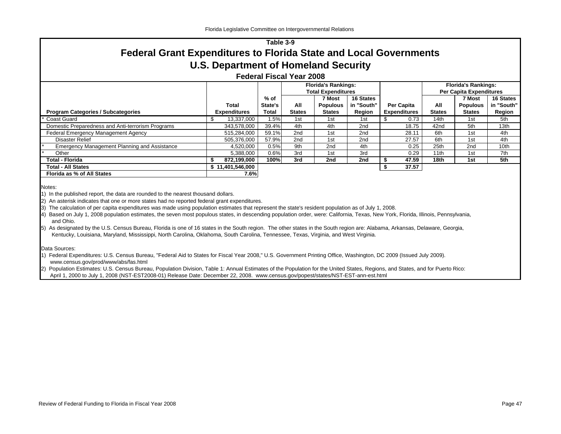## **Table 3-9U.S. Department of Homeland Security Federal Grant Expenditures to Florida State and Local Governments**

### **Federal Fiscal Year 2008**

|                                                   |                     |         | <b>Florida's Rankings:</b> |                           |                 |  |                     | <b>Florida's Rankings:</b> |                                |                  |  |  |
|---------------------------------------------------|---------------------|---------|----------------------------|---------------------------|-----------------|--|---------------------|----------------------------|--------------------------------|------------------|--|--|
|                                                   |                     |         |                            | <b>Total Expenditures</b> |                 |  |                     |                            | <b>Per Capita Expenditures</b> |                  |  |  |
|                                                   |                     | % of    |                            | 7 Most                    | 16 States       |  |                     |                            | 7 Most                         | <b>16 States</b> |  |  |
|                                                   | Total               | State's | All                        | <b>Populous</b>           | in "South"      |  | Per Capita          | All                        | <b>Populous</b>                | in "South"       |  |  |
| <b>Program Categories / Subcategories</b>         | <b>Expenditures</b> | Total   | <b>States</b>              | <b>States</b>             | Region          |  | <b>Expenditures</b> | <b>States</b>              | <b>States</b>                  | Region           |  |  |
| <b>Coast Guard</b>                                | 13,337,000<br>\$    | 1.5%    | 1st                        | 1st                       | 1st             |  | 0.73                | 14th                       | 1st                            | 5th              |  |  |
| Domestic Preparedness and Anti-terrorism Programs | 343,578,000         | 39.4%   | 4th                        | 4th                       | 2nd             |  | 18.75               | 42nd                       | 5th                            | 13 <sub>th</sub> |  |  |
| Federal Emergency Management Agency               | 515,284,000         | 59.1%   | 2nd                        | 1st                       | 2 <sub>nd</sub> |  | 28.11               | 6th                        | 1st                            | 4th              |  |  |
| <b>Disaster Relief</b>                            | 505.376.000         | 57.9%   | 2 <sub>nd</sub>            | 1st                       | 2nd             |  | 27.57               | 6th                        | 1st                            | 4th              |  |  |
| Emergency Management Planning and Assistance      | 4,520,000           | 0.5%    | 9th                        | 2 <sub>nd</sub>           | 4th             |  | 0.25                | 25th                       | 2 <sub>nd</sub>                | 10th             |  |  |
| Other                                             | 5,388,000           | 0.6%    | 3rd                        | 1st                       | 3rd             |  | 0.29                | 11th                       | 1st                            | 7th              |  |  |
| <b>Total - Florida</b>                            | 872.199.000         | 100%    | 3rd                        | 2nd                       | 2nd             |  | 47.59               | 18th                       | 1st                            | 5th              |  |  |
| <b>Total - All States</b>                         | \$11,401,546,000    |         |                            |                           |                 |  | 37.57               |                            |                                |                  |  |  |
| Florida as % of All States                        | 7.6%                |         |                            |                           |                 |  |                     |                            |                                |                  |  |  |

Notes:

1) In the published report, the data are rounded to the nearest thousand dollars.

2) An asterisk indicates that one or more states had no reported federal grant expenditures.

3) The calculation of per capita expenditures was made using population estimates that represent the state's resident population as of July 1, 2008.

4) Based on July 1, 2008 population estimates, the seven most populous states, in descending population order, were: California, Texas, New York, Florida, Illinois, Pennsylvania, and Ohio.

5) As designated by the U.S. Census Bureau, Florida is one of 16 states in the South region. The other states in the South region are: Alabama, Arkansas, Delaware, Georgia, Kentucky, Louisiana, Maryland, Mississippi, North Carolina, Oklahoma, South Carolina, Tennessee, Texas, Virginia, and West Virginia.

Data Sources:

1) Federal Expenditures: U.S. Census Bureau, "Federal Aid to States for Fiscal Year 2008," U.S. Government Printing Office, Washington, DC 2009 (Issued July 2009). www.census.gov/prod/www/abs/fas.html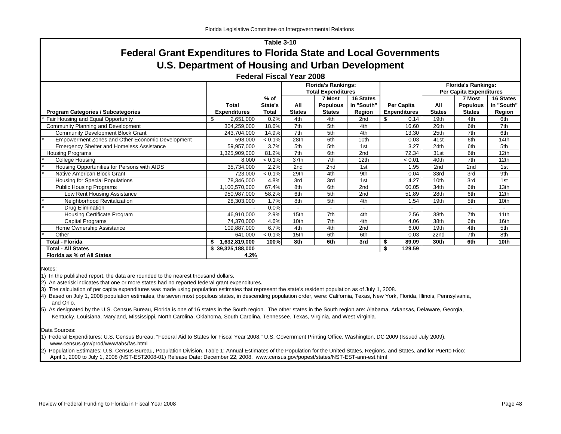### **Table 3-10U.S. Department of Housing and Urban Development Federal Grant Expenditures to Florida State and Local Governments**

### **Federal Fiscal Year 2008**

| 1 YUVIUI 1 1990I 1901 EVVV                       |                     |                         |                      |                                                         |                  |                     |                      |                                                       |                  |  |  |  |
|--------------------------------------------------|---------------------|-------------------------|----------------------|---------------------------------------------------------|------------------|---------------------|----------------------|-------------------------------------------------------|------------------|--|--|--|
|                                                  |                     |                         |                      | <b>Florida's Rankings:</b><br><b>Total Expenditures</b> |                  |                     |                      | <b>Florida's Rankings:</b><br>Per Capita Expenditures |                  |  |  |  |
|                                                  |                     | $%$ of                  |                      | 7 Most                                                  | <b>16 States</b> |                     |                      | 7 Most                                                | 16 States        |  |  |  |
|                                                  |                     |                         |                      |                                                         |                  |                     |                      |                                                       |                  |  |  |  |
|                                                  | <b>Total</b>        | State's<br><b>Total</b> | All<br><b>States</b> | <b>Populous</b><br><b>States</b>                        | in "South"       | Per Capita          | All<br><b>States</b> | <b>Populous</b>                                       | in "South"       |  |  |  |
| <b>Program Categories / Subcategories</b>        | <b>Expenditures</b> |                         |                      |                                                         | Region           | <b>Expenditures</b> |                      | <b>States</b>                                         | Region           |  |  |  |
| Fair Housing and Equal Opportunity               | 2,651,000<br>\$.    | 0.2%                    | 4th                  | 4th                                                     | 2nd              | \$<br>0.14          | 19th                 | 4th                                                   | 6th              |  |  |  |
| Community Planning and Development               | 304,259,000         | 18.6%                   | 7th                  | 5th                                                     | 4th              | 16.60               | 26th                 | 6th                                                   | 7th              |  |  |  |
| <b>Community Development Block Grant</b>         | 243,704,000         | 14.9%                   | 7th                  | 5th                                                     | 4th              | 13.30               | 25th                 | 7th                                                   | 6th              |  |  |  |
| Empowerment Zones and Other Economic Development | 598,000             | $< 0.1\%$               | 28th                 | 6th                                                     | 10th             | 0.03                | 41st                 | 6th                                                   | 14th             |  |  |  |
| <b>Emergency Shelter and Homeless Assistance</b> | 59,957,000          | 3.7%                    | 5th                  | 5th                                                     | 1st              | 3.27                | 24th                 | 6th                                                   | 5th              |  |  |  |
| <b>Housing Programs</b>                          | ,325,909,000        | 81.2%                   | 7th                  | 6th                                                     | 2nd              | 72.34               | 31st                 | 6th                                                   | 12th             |  |  |  |
| College Housing                                  | 8,000               | $< 0.1\%$               | 37th                 | 7th                                                     | 12th             | < 0.01              | 40th                 | 7th                                                   | 12th             |  |  |  |
| Housing Opportunities for Persons with AIDS      | 35,734,000          | 2.2%                    | 2 <sub>nd</sub>      | 2 <sub>nd</sub>                                         | 1st              | 1.95                | 2nd                  | 2nd                                                   | 1st              |  |  |  |
| Native American Block Grant                      | 723,000             | $< 0.1\%$               | 29th                 | 4th                                                     | 9th              | 0.04                | 33rd                 | 3rd                                                   | 9th              |  |  |  |
| Housing for Special Populations                  | 78,346,000          | 4.8%                    | 3rd                  | 3rd                                                     | 1st              | 4.27                | 10th                 | 3rd                                                   | 1st              |  |  |  |
| <b>Public Housing Programs</b>                   | ,100,570,000        | 67.4%                   | 8th                  | 6th                                                     | 2 <sub>nd</sub>  | 60.05               | 34th                 | 6th                                                   | 13 <sub>th</sub> |  |  |  |
| Low Rent Housing Assistance                      | 950,987,000         | 58.2%                   | 6th                  | 5th                                                     | 2 <sub>nd</sub>  | 51.89               | 28th                 | 6th                                                   | 12 <sub>th</sub> |  |  |  |
| Neighborhood Revitalization                      | 28,303,000          | 1.7%                    | 8th                  | 5th                                                     | 4th              | 1.54                | 19th                 | 5th                                                   | 10th             |  |  |  |
| Drug Elimination                                 |                     | 0.0%                    |                      |                                                         |                  |                     |                      |                                                       |                  |  |  |  |
| <b>Housing Certificate Program</b>               | 46,910,000          | 2.9%                    | 15th                 | 7th                                                     | 4th              | 2.56                | 38th                 | 7th                                                   | 11th             |  |  |  |
| <b>Capital Programs</b>                          | 74,370,000          | 4.6%                    | 10th                 | 7th                                                     | 4th              | 4.06                | 38th                 | 6th                                                   | 16th             |  |  |  |
| Home Ownership Assistance                        | 109,887,000         | 6.7%                    | 4th                  | 4th                                                     | 2nd              | 6.00                | 19 <sub>th</sub>     | 4th                                                   | 5th              |  |  |  |
| Other                                            | 641,000             | $< 0.1\%$               | 15th                 | 6th                                                     | 6th              | 0.03                | 22nd                 | 7th                                                   | 8th              |  |  |  |
| <b>Total - Florida</b>                           | 1,632,819,000       | 100%                    | 8th                  | 6th                                                     | 3rd              | 89.09<br>\$         | 30th                 | 6th                                                   | 10th             |  |  |  |
| <b>Total - All States</b>                        | 39,325,188,000      |                         |                      |                                                         |                  | 129.59<br>-\$       |                      |                                                       |                  |  |  |  |
| Florida as % of All States                       | 4.2%                |                         |                      |                                                         |                  |                     |                      |                                                       |                  |  |  |  |

Notes:

1) In the published report, the data are rounded to the nearest thousand dollars.

2) An asterisk indicates that one or more states had no reported federal grant expenditures.

3) The calculation of per capita expenditures was made using population estimates that represent the state's resident population as of July 1, 2008.

4) Based on July 1, 2008 population estimates, the seven most populous states, in descending population order, were: California, Texas, New York, Florida, Illinois, Pennsylvania, and Ohio.

5) As designated by the U.S. Census Bureau, Florida is one of 16 states in the South region. The other states in the South region are: Alabama, Arkansas, Delaware, Georgia, Kentucky, Louisiana, Maryland, Mississippi, North Carolina, Oklahoma, South Carolina, Tennessee, Texas, Virginia, and West Virginia.

Data Sources:

1) Federal Expenditures: U.S. Census Bureau, "Federal Aid to States for Fiscal Year 2008," U.S. Government Printing Office, Washington, DC 2009 (Issued July 2009). www.census.gov/prod/www/abs/fas.html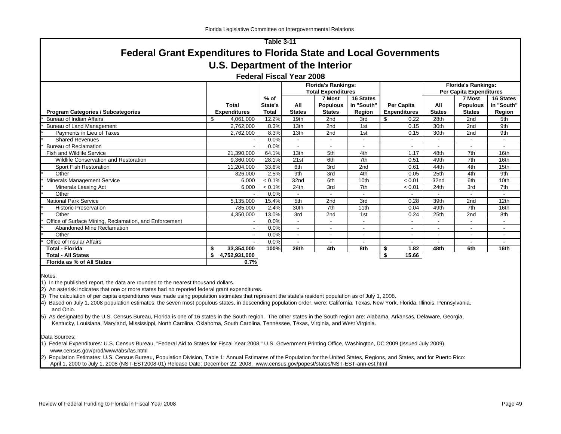| Table 3-11                                                               |
|--------------------------------------------------------------------------|
| <b>Federal Grant Expenditures to Florida State and Local Governments</b> |
| U.S. Department of the Interior                                          |

### **Federal Fiscal Year 2008**

| 1 CUCIUI I 130AI 10AI <del>1</del> 000                 |                     |              |                          |                            |                          |                          |                          |                                |                          |  |  |
|--------------------------------------------------------|---------------------|--------------|--------------------------|----------------------------|--------------------------|--------------------------|--------------------------|--------------------------------|--------------------------|--|--|
|                                                        |                     |              |                          | <b>Florida's Rankings:</b> |                          |                          |                          | <b>Florida's Rankings:</b>     |                          |  |  |
|                                                        |                     |              |                          | <b>Total Expenditures</b>  |                          |                          |                          | <b>Per Capita Expenditures</b> |                          |  |  |
|                                                        |                     | $%$ of       |                          | 7 Most                     | 16 States                |                          |                          | 7 Most                         | 16 States                |  |  |
|                                                        | <b>Total</b>        | State's      | All                      | <b>Populous</b>            | in "South"               | Per Capita               | All                      | <b>Populous</b>                | in "South"               |  |  |
| <b>Program Categories / Subcategories</b>              | <b>Expenditures</b> | <b>Total</b> | <b>States</b>            | <b>States</b>              | Region                   | <b>Expenditures</b>      | <b>States</b>            | <b>States</b>                  | Region                   |  |  |
| <b>Bureau of Indian Affairs</b>                        | 4,061,000<br>\$     | 12.2%        | 19 <sub>th</sub>         | 2 <sub>nd</sub>            | 3rd                      | \$<br>0.22               | 28th                     | 2 <sub>nd</sub>                | 5th                      |  |  |
| Bureau of Land Management                              | 2.762.000           | 8.3%         | 13 <sub>th</sub>         | 2 <sub>nd</sub>            | 1st                      | 0.15                     | 30th                     | 2nd                            | 9th                      |  |  |
| Payments in Lieu of Taxes                              | 2,762,000           | 8.3%         | 13th                     | 2nd                        | 1st                      | 0.15                     | 30th                     | 2 <sub>nd</sub>                | 9th                      |  |  |
| <b>Shared Revenues</b>                                 |                     | 0.0%         | $\blacksquare$           |                            | $\overline{\phantom{a}}$ | $\blacksquare$           | $\overline{\phantom{a}}$ | $\overline{\phantom{0}}$       | $\blacksquare$           |  |  |
| <b>Bureau of Reclamation</b>                           |                     | 0.0%         | $\blacksquare$           |                            |                          | $\overline{\phantom{0}}$ |                          |                                |                          |  |  |
| Fish and Wildlife Service                              | 21,390,000          | 64.1%        | 13 <sub>th</sub>         | 5th                        | 4th                      | 1.17                     | 48th                     | 7th                            | 16th                     |  |  |
| Wildlife Conservation and Restoration                  | 9,360,000           | 28.1%        | 21st                     | 6th                        | 7th                      | 0.51                     | 49th                     | 7th                            | 16th                     |  |  |
| Sport Fish Restoration                                 | 11.204.000          | 33.6%        | 6th                      | 3rd                        | 2nd                      | 0.61                     | 44th                     | 4th                            | 15th                     |  |  |
| Other                                                  | 826,000             | 2.5%         | 9th                      | 3rd                        | 4th                      | 0.05                     | 25th                     | 4th                            | 9th                      |  |  |
| Minerals Management Service                            | 6,000               | $< 0.1\%$    | 32nd                     | 6th                        | 10th                     | < 0.01                   | 32nd                     | 6th                            | 10th                     |  |  |
| Minerals Leasing Act                                   | 6,000               | $< 0.1\%$    | 24th                     | 3rd                        | 7th                      | < 0.01                   | 24th                     | 3rd                            | 7th                      |  |  |
| Other                                                  |                     | 0.0%         | $\blacksquare$           |                            |                          |                          |                          | -                              |                          |  |  |
| <b>National Park Service</b>                           | 5,135,000           | 15.4%        | 5th                      | 2nd                        | 3rd                      | 0.28                     | 39th                     | 2 <sub>nd</sub>                | 12th                     |  |  |
| <b>Historic Preservation</b>                           | 785,000             | 2.4%         | 30th                     | 7th                        | 11th                     | 0.04                     | 49th                     | 7th                            | 16th                     |  |  |
| Other                                                  | 4,350,000           | 13.0%        | 3rd                      | 2 <sub>nd</sub>            | 1st                      | 0.24                     | 25th                     | 2nd                            | 8th                      |  |  |
| Office of Surface Mining, Reclamation, and Enforcement |                     | 0.0%         | $\overline{\phantom{a}}$ |                            | $\overline{\phantom{a}}$ | $\overline{\phantom{0}}$ |                          | ٠                              | $\blacksquare$           |  |  |
| Abandoned Mine Reclamation                             |                     | 0.0%         | $\blacksquare$           |                            | $\overline{\phantom{0}}$ |                          |                          |                                |                          |  |  |
| Other                                                  |                     | 0.0%         | $\blacksquare$           |                            | $\blacksquare$           | $\blacksquare$           |                          | $\overline{\phantom{0}}$       | $\overline{\phantom{a}}$ |  |  |
| Office of Insular Affairs                              |                     | 0.0%         | $\blacksquare$           |                            |                          | $\blacksquare$           |                          |                                |                          |  |  |
| Total - Florida                                        | 33,354,000          | 100%         | 26th                     | 4th                        | 8th                      | 1.82                     | 48th                     | 6th                            | 16th                     |  |  |
| <b>Total - All States</b>                              | \$<br>4,752,931,000 |              |                          |                            |                          | 15.66<br>\$              |                          |                                |                          |  |  |
| Florida as % of All States                             | 0.7%                |              |                          |                            |                          |                          |                          |                                |                          |  |  |

Notes:

1) In the published report, the data are rounded to the nearest thousand dollars.

2) An asterisk indicates that one or more states had no reported federal grant expenditures.

3) The calculation of per capita expenditures was made using population estimates that represent the state's resident population as of July 1, 2008.

4) Based on July 1, 2008 population estimates, the seven most populous states, in descending population order, were: California, Texas, New York, Florida, Illinois, Pennsylvania, and Ohio.

5) As designated by the U.S. Census Bureau, Florida is one of 16 states in the South region. The other states in the South region are: Alabama, Arkansas, Delaware, Georgia, Kentucky, Louisiana, Maryland, Mississippi, North Carolina, Oklahoma, South Carolina, Tennessee, Texas, Virginia, and West Virginia.

Data Sources:

1) Federal Expenditures: U.S. Census Bureau, "Federal Aid to States for Fiscal Year 2008," U.S. Government Printing Office, Washington, DC 2009 (Issued July 2009). www.census.gov/prod/www/abs/fas.html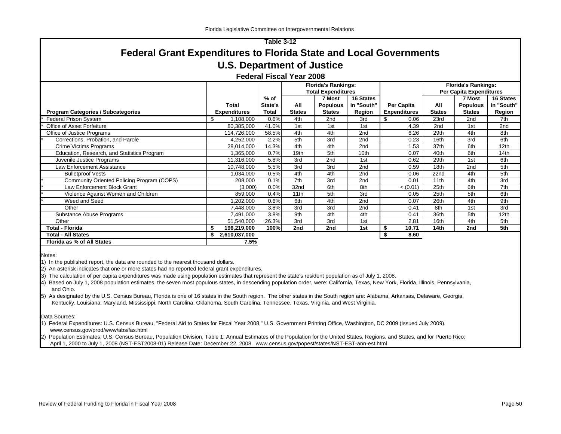# **Table 3-12U.S. Department of Justice Federal Grant Expenditures to Florida State and Local Governments**

#### **% of 7 Most 16 States 7 Most 16 StatesTotal State's All Populous in "South" Per Capita All Populous in "South"** Program Categories / Subcategories | Expenditures | Total | States | States | Region | Expenditures | States | States | Region Federal Prison System 1,108,000 \$ 0.6% 4th 2nd 3rd 0.06 \$ 23rd 2nd 7th Office of Asset Forfeiture 80,385,000 121.0% 1st 1st 1st 1st 1st 4.39 2nd 1st 2nd Office of Justice Programs 114,726,000 | 58.5% | 4th | 2nd | 6.26 | 29th | 4th | 8th Corrections, Probation, and Parole **6th 10.252,000** 12.2% 5th 3rd 2nd 2nd 0.23 16th 3rd 6th Crime Victims Programs 28,014,000 14.3% 4th 4th 2nd 1.53 37th 6th 12th Education, Research, and Statistics Program 1,365,000 0.7% 19th 5th 10th 0.07 40th 6th 14th Juvenile Justice Programs 11,316,000 5.8% 3rd 2nd 1st 0.62 29th 1st 6th Law Enforcement Assistance 10,748,000 5.5% 3rd 3rd 2nd 0.59 18th 2nd 5th Bulletproof Vests | 1,034,000 | 0.5%| 4th | 4th | 2nd | 0.06 | 22nd | 4th | 5th Community Oriented Policing Program (COPS) 208,000 0.1% 7th 3rd 2nd 0.01 11th 4th 3rd Law Enforcement Block Grant (3,000) 0.0% 32nd 6th 8th < (0.01) 25th 6th 7th Violence Against Women and Children **859,000 1** 859,000 1 84% 11th 1 5th 1 3rd 1 9.05 25th 5th 5th 6th Weed and Seed 1,202,000 0.6% 6th 4th 2nd 0.07 26th 4th 9th Other 7,448,000 3.8% 3rd 3rd 2nd 0.41 8th 1st 3rd Substance Abuse Programs The Communication of the T.491,000 and 3.8% 9th 4th 4th 4th 14th 0.41 36th 5th 12th Other 51,540,000 26.3% 3rd 3rd 1st 2.81 16th 4th 5th **Total - Florida 196,219,000 \$ 100% 2nd 2nd 1st 10.71 \$ 14th 2nd 5th Total - All States 2,610,037,000 \$ \$ 8.60 Florida as % of All States 7.5%Total Expenditures Per Capita Expenditures Federal Fiscal Year 2008 Florida's Rankings: Florida's Rankings:**

Notes:

\*

\*

\*

\*

\*

\*

\*

1) In the published report, the data are rounded to the nearest thousand dollars.

2) An asterisk indicates that one or more states had no reported federal grant expenditures.

3) The calculation of per capita expenditures was made using population estimates that represent the state's resident population as of July 1, 2008.

4) Based on July 1, 2008 population estimates, the seven most populous states, in descending population order, were: California, Texas, New York, Florida, Illinois, Pennsylvania, and Ohio.

5) As designated by the U.S. Census Bureau, Florida is one of 16 states in the South region. The other states in the South region are: Alabama, Arkansas, Delaware, Georgia, Kentucky, Louisiana, Maryland, Mississippi, North Carolina, Oklahoma, South Carolina, Tennessee, Texas, Virginia, and West Virginia.

Data Sources:

1) Federal Expenditures: U.S. Census Bureau, "Federal Aid to States for Fiscal Year 2008," U.S. Government Printing Office, Washington, DC 2009 (Issued July 2009). www.census.gov/prod/www/abs/fas.html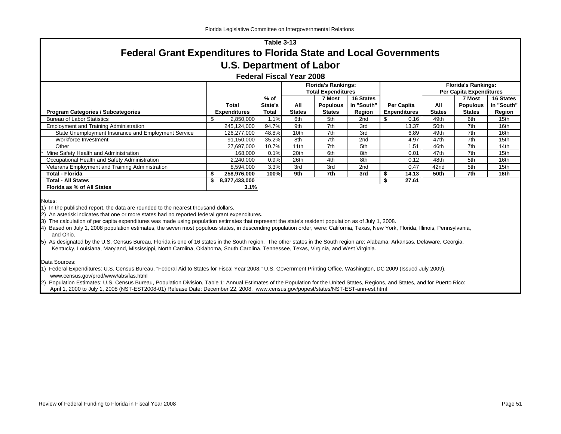# **Table 3-13U.S. Department of Labor Federal Grant Expenditures to Florida State and Local Governments**

# **Federal Fiscal Year 2008**

|                                                     |                     |         | <b>Florida's Rankings:</b> |                           |                  |                     |               | <b>Florida's Rankings:</b>     |                  |  |
|-----------------------------------------------------|---------------------|---------|----------------------------|---------------------------|------------------|---------------------|---------------|--------------------------------|------------------|--|
|                                                     |                     |         |                            | <b>Total Expenditures</b> |                  |                     |               | <b>Per Capita Expenditures</b> |                  |  |
|                                                     |                     | $%$ of  |                            | 7 Most                    | <b>16 States</b> |                     |               | 7 Most                         | 16 States        |  |
|                                                     | <b>Total</b>        | State's | All                        | <b>Populous</b>           | in "South"       | Per Capita          | All           | <b>Populous</b>                | in "South"       |  |
| <b>Program Categories / Subcategories</b>           | <b>Expenditures</b> | Total   | <b>States</b>              | <b>States</b>             | Region           | <b>Expenditures</b> | <b>States</b> | <b>States</b>                  | Region           |  |
| <b>Bureau of Labor Statistics</b>                   | 2.850.000<br>\$.    | 1.1%    | 6th                        | 5th                       | 2nd              | 0.16                | 49th          | 6th                            | 15th             |  |
| <b>Employment and Training Administration</b>       | 245,124,000         | 94.7%   | 9th                        | 7th                       | 3rd              | 13.37               | 50th          | 7th                            | 16th             |  |
| State Unemployment Insurance and Employment Service | 126,277,000         | 48.8%   | 10 <sub>th</sub>           | 7th                       | 3rd              | 6.89                | 49th          | 7th                            | 16th             |  |
| Workforce Investment                                | 91.150.000          | 35.2%   | 8th                        | 7th                       | 2nd              | 4.97                | 47th          | 7th                            | 15 <sub>th</sub> |  |
| Other                                               | 27,697,000          | 10.7%   | 11th                       | 7th                       | 5th              | 1.51                | 46th          | 7th                            | 14th             |  |
| Mine Safety Health and Administration               | 168.000             | 0.1%    | 20th                       | 6th                       | 8th              | 0.01                | 47th          | 7th                            | 15th             |  |
| Occupational Health and Safety Administration       | 2.240.000           | 0.9%    | 26th                       | 4th                       | 8th              | 0.12                | 48th          | 5th                            | 16th             |  |
| Veterans Employment and Training Administration     | 8,594,000           | 3.3%    | 3rd                        | 3rd                       | 2 <sub>nd</sub>  | 0.47                | 42nd          | 5th                            | 15 <sub>th</sub> |  |
| <b>Total - Florida</b>                              | 258.976.000         | 100%    | 9th                        | 7th                       | 3rd              | 14.13               | 50th          | 7th                            | 16th             |  |
| <b>Total - All States</b>                           | 8,377,433,000       |         |                            |                           |                  | 27.61               |               |                                |                  |  |
| Florida as % of All States                          | 3.1%                |         |                            |                           |                  |                     |               |                                |                  |  |

Notes:

1) In the published report, the data are rounded to the nearest thousand dollars.

2) An asterisk indicates that one or more states had no reported federal grant expenditures.

3) The calculation of per capita expenditures was made using population estimates that represent the state's resident population as of July 1, 2008.

4) Based on July 1, 2008 population estimates, the seven most populous states, in descending population order, were: California, Texas, New York, Florida, Illinois, Pennsylvania, and Ohio.

5) As designated by the U.S. Census Bureau, Florida is one of 16 states in the South region. The other states in the South region are: Alabama, Arkansas, Delaware, Georgia, Kentucky, Louisiana, Maryland, Mississippi, North Carolina, Oklahoma, South Carolina, Tennessee, Texas, Virginia, and West Virginia.

Data Sources:

1) Federal Expenditures: U.S. Census Bureau, "Federal Aid to States for Fiscal Year 2008," U.S. Government Printing Office, Washington, DC 2009 (Issued July 2009). www.census.gov/prod/www/abs/fas.html

2) Population Estimates: U.S. Census Bureau, Population Division, Table 1: Annual Estimates of the Population for the United States, Regions, and States, and for Puerto Rico:

April 1, 2000 to July 1, 2008 (NST-EST2008-01) Release Date: December 22, 2008. www.census.gov/popest/states/NST-EST-ann-est.html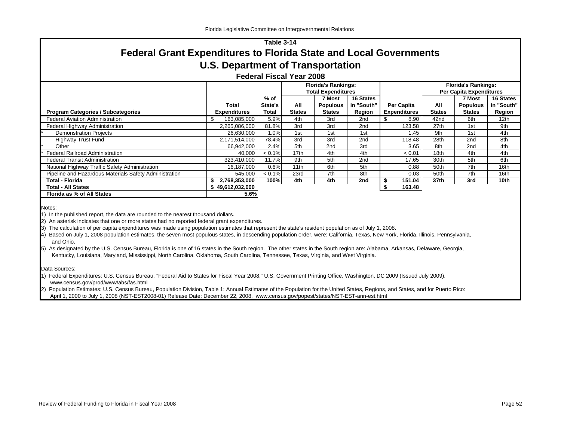# **Table 3-14U.S. Department of Transportation Federal Grant Expenditures to Florida State and Local Governments**

### **Federal Fiscal Year 2008**

|                                                        |                     |           |               | <b>Florida's Rankings:</b><br><b>Total Expenditures</b> |                 |                     | <b>Florida's Rankings:</b><br><b>Per Capita Expenditures</b> |                 |                  |  |  |
|--------------------------------------------------------|---------------------|-----------|---------------|---------------------------------------------------------|-----------------|---------------------|--------------------------------------------------------------|-----------------|------------------|--|--|
|                                                        |                     | $%$ of    |               | 7 Most                                                  | 16 States       |                     |                                                              | 7 Most          | 16 States        |  |  |
|                                                        | Total               | State's   | All           | <b>Populous</b>                                         | in "South"      | Per Capita          | All                                                          | <b>Populous</b> | in "South"       |  |  |
| <b>Program Categories / Subcategories</b>              | <b>Expenditures</b> | Total     | <b>States</b> | <b>States</b>                                           | Region          | <b>Expenditures</b> | <b>States</b>                                                | <b>States</b>   | Region           |  |  |
| <b>Federal Aviation Administration</b>                 | 163,085,000<br>Ъ.   | 5.9%      | 4th           | 3rd                                                     | 2nd             | 8.90                | 42nd                                                         | 6th             | 12 <sub>th</sub> |  |  |
| Federal Highway Administration                         | 2,265,086,000       | 81.8%     | 3rd           | 3rd                                                     | 2 <sub>nd</sub> | 123.58              | 27th                                                         | 1st             | 9th              |  |  |
| <b>Demonstration Projects</b>                          | 26,630,000          | 1.0%      | 1st           | 1st                                                     | 1st             | 1.45                | 9th                                                          | 1st             | 4th              |  |  |
| <b>Highway Trust Fund</b>                              | 2,171,514,000       | 78.4%     | 3rd           | 3rd                                                     | 2 <sub>nd</sub> | 118.48              | 28th                                                         | 2 <sub>nd</sub> | 8th              |  |  |
| Other                                                  | 66.942.000          | 2.4%      | 5th           | 2 <sub>nd</sub>                                         | 3rd             | 3.65                | 8th                                                          | 2 <sub>nd</sub> | 4th              |  |  |
| <b>Federal Railroad Administration</b>                 | 40,000              | $< 0.1\%$ | 17th          | 4th                                                     | 4th             | < 0.01              | 18 <sub>th</sub>                                             | 4th             | 4th              |  |  |
| <b>Federal Transit Administration</b>                  | 323,410,000         | 11.7%     | 9th           | 5th                                                     | 2nd             | 17.65               | 30th                                                         | 5th             | 6th              |  |  |
| National Highway Traffic Safety Administration         | 16.187.000          | 0.6%      | 11th          | 6th                                                     | 5th             | 0.88                | 50th                                                         | 7th             | 16th             |  |  |
| Pipeline and Hazardous Materials Safety Administration | 545,000             | $< 0.1\%$ | 23rd          | 7th                                                     | 8th             | 0.03                | 50th                                                         | 7th             | 16th             |  |  |
| <b>Total - Florida</b>                                 | 2,768,353,000       | 100%      | 4th           | 4th                                                     | 2nd             | 151.04              | 37 <sub>th</sub>                                             | 3rd             | 10 <sub>th</sub> |  |  |
| <b>Total - All States</b>                              | 49,612,032,000      |           |               |                                                         |                 | 163.48              |                                                              |                 |                  |  |  |
| Florida as % of All States                             | 5.6%                |           |               |                                                         |                 |                     |                                                              |                 |                  |  |  |

Notes:

1) In the published report, the data are rounded to the nearest thousand dollars.

2) An asterisk indicates that one or more states had no reported federal grant expenditures.

3) The calculation of per capita expenditures was made using population estimates that represent the state's resident population as of July 1, 2008.

4) Based on July 1, 2008 population estimates, the seven most populous states, in descending population order, were: California, Texas, New York, Florida, Illinois, Pennsylvania, and Ohio.

5) As designated by the U.S. Census Bureau, Florida is one of 16 states in the South region. The other states in the South region are: Alabama, Arkansas, Delaware, Georgia, Kentucky, Louisiana, Maryland, Mississippi, North Carolina, Oklahoma, South Carolina, Tennessee, Texas, Virginia, and West Virginia.

Data Sources:

1) Federal Expenditures: U.S. Census Bureau, "Federal Aid to States for Fiscal Year 2008," U.S. Government Printing Office, Washington, DC 2009 (Issued July 2009). www.census.gov/prod/www/abs/fas.html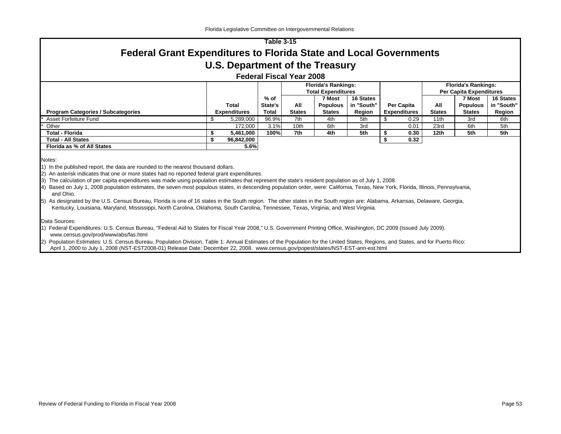# **Table 3-15U.S. Department of the Treasury Federal Grant Expenditures to Florida State and Local Governments**

### **Federal Fiscal Year 2008**

|                                           |                     |         | <b>Florida's Rankings:</b> |                           |            |  |                     | <b>Florida's Rankings:</b> |                                |                  |  |  |
|-------------------------------------------|---------------------|---------|----------------------------|---------------------------|------------|--|---------------------|----------------------------|--------------------------------|------------------|--|--|
|                                           |                     |         |                            | <b>Total Expenditures</b> |            |  |                     |                            | <b>Per Capita Expenditures</b> |                  |  |  |
|                                           |                     | $%$ of  |                            | 7 Most                    | 16 States  |  |                     |                            | 7 Most                         | <b>16 States</b> |  |  |
|                                           | Total               | State's | All                        | <b>Populous</b>           | in "South" |  | <b>Per Capita</b>   | All                        | <b>Populous</b>                | in "South"       |  |  |
| <b>Program Categories / Subcategories</b> | <b>Expenditures</b> | Total   | <b>States</b>              | <b>States</b>             | Region     |  | <b>Expenditures</b> | <b>States</b>              | <b>States</b>                  | Region           |  |  |
| Asset Forfeiture Fund                     | 5,289,000           | 96.9%   | 7th                        | 4th                       | 5th        |  | 0.29                | 11th                       | 3rd                            | 6th              |  |  |
| Other                                     | 172.000             | 3.1%    | 10th                       | 6th                       | 3rd        |  | 0.01                | 23rd                       | 6th                            | 5th              |  |  |
| <b>Total - Florida</b>                    | 5,461,000           | 100%    | 7th                        | 4th                       | 5th        |  | 0.30                | 12th                       | 5th                            | 5th              |  |  |
| <b>Total - All States</b>                 | 96,842,000          |         |                            |                           |            |  | 0.32                |                            |                                |                  |  |  |
| Florida as % of All States                | 5.6%                |         |                            |                           |            |  |                     |                            |                                |                  |  |  |

Notes:

1) In the published report, the data are rounded to the nearest thousand dollars.

2) An asterisk indicates that one or more states had no reported federal grant expenditures.

3) The calculation of per capita expenditures was made using population estimates that represent the state's resident population as of July 1, 2008.

4) Based on July 1, 2008 population estimates, the seven most populous states, in descending population order, were: California, Texas, New York, Florida, Illinois, Pennsylvania, and Ohio.

5) As designated by the U.S. Census Bureau, Florida is one of 16 states in the South region. The other states in the South region are: Alabama, Arkansas, Delaware, Georgia, Kentucky, Louisiana, Maryland, Mississippi, North Carolina, Oklahoma, South Carolina, Tennessee, Texas, Virginia, and West Virginia.

Data Sources:

1) Federal Expenditures: U.S. Census Bureau, "Federal Aid to States for Fiscal Year 2008," U.S. Government Printing Office, Washington, DC 2009 (Issued July 2009). www.census.gov/prod/www/abs/fas.html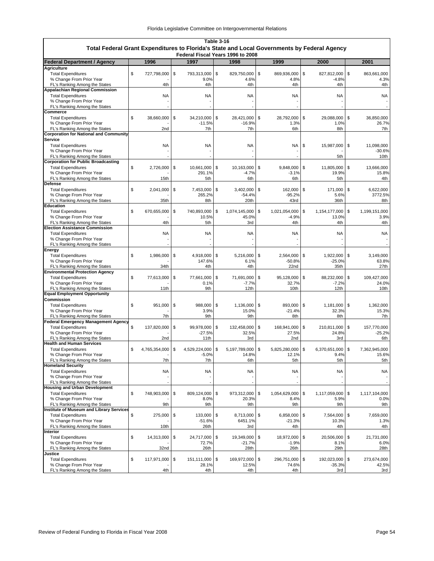|                                                                                             |                     | Table 3-16          |                                   |          |                  |     |                  |                     |
|---------------------------------------------------------------------------------------------|---------------------|---------------------|-----------------------------------|----------|------------------|-----|------------------|---------------------|
| Total Federal Grant Expenditures to Florida's State and Local Governments by Federal Agency |                     |                     | Federal Fiscal Years 1996 to 2008 |          |                  |     |                  |                     |
| <b>Federal Department / Agency</b>                                                          | 1996                | 1997                | 1998                              |          | 1999             |     | 2000             | 2001                |
| <b>Agriculture</b>                                                                          |                     |                     |                                   |          |                  |     |                  |                     |
| <b>Total Expenditures</b>                                                                   | \$<br>727,798,000   | \$<br>793,313,000   | \$<br>829,750,000                 | \$       | 869,936,000      | \$  | 827,812,000      | \$<br>863,661,000   |
| % Change From Prior Year                                                                    |                     | 9.0%                | 4.6%                              |          | 4.8%             |     | $-4.8%$          | 4.3%                |
| FL's Ranking Among the States                                                               | 4th                 | 4th                 | 4th                               |          | 4th              |     | 4th              | 4th                 |
| <b>Appalachian Regional Commission</b>                                                      |                     |                     |                                   |          |                  |     |                  |                     |
| <b>Total Expenditures</b>                                                                   | <b>NA</b>           | <b>NA</b>           | <b>NA</b>                         |          | <b>NA</b>        |     | <b>NA</b>        | <b>NA</b>           |
| % Change From Prior Year<br>FL's Ranking Among the States                                   |                     |                     |                                   |          |                  |     |                  |                     |
| <b>Commerce</b>                                                                             |                     |                     |                                   |          |                  |     |                  |                     |
| <b>Total Expenditures</b>                                                                   | \$<br>38,660,000    | \$<br>34,210,000    | \$<br>28,421,000                  | \$       | 28,792,000       | \$  | 29,088,000       | \$<br>36,850,000    |
| % Change From Prior Year                                                                    |                     | $-11.5%$            | $-16.9%$                          |          | 1.3%             |     | 1.0%             | 26.7%               |
| FL's Ranking Among the States                                                               | 2nd                 | 7th                 | 7th                               |          | 6th              |     | 8th              | 7th                 |
| <b>Corporation for National and Community</b>                                               |                     |                     |                                   |          |                  |     |                  |                     |
| <b>Service</b>                                                                              |                     |                     |                                   |          |                  |     |                  |                     |
| <b>Total Expenditures</b>                                                                   | <b>NA</b>           | <b>NA</b>           | <b>NA</b>                         |          | NA               | \$  | 15,987,000       | \$<br>11,098,000    |
| % Change From Prior Year                                                                    |                     |                     |                                   |          |                  |     |                  | $-30.6%$            |
| FL's Ranking Among the States                                                               |                     |                     |                                   |          |                  |     | 5th              | 10th                |
| <b>Corporation for Public Broadcasting</b>                                                  |                     |                     |                                   |          |                  |     |                  |                     |
| <b>Total Expenditures</b>                                                                   | \$<br>2,726,000     | \$<br>10,661,000    | \$<br>10,163,000                  | \$       | 9,848,000        | \$  | 11,805,000       | \$<br>13,666,000    |
| % Change From Prior Year                                                                    |                     | 291.1%              | $-4.7%$                           |          | $-3.1%$          |     | 19.9%            | 15.8%               |
| FL's Ranking Among the States                                                               | 15th                | 5th                 | 6th                               |          | 6th              |     | 5th              | 4th                 |
| Defense                                                                                     |                     |                     |                                   |          |                  |     |                  |                     |
| <b>Total Expenditures</b>                                                                   | \$<br>2.041.000     | \$<br>7,453,000     | \$<br>3.402.000                   | \$       | 162,000          | \$  | 171,000          | \$<br>6,622,000     |
| % Change From Prior Year                                                                    |                     | 265.2%              | $-54.4%$                          |          | $-95.2%$         |     | 5.6%             | 3772.5%             |
| FL's Ranking Among the States                                                               | 35th                | 8th                 | 20th                              |          | 43rd             |     | 36th             | 8th                 |
| <b>Education</b>                                                                            |                     |                     |                                   |          |                  |     |                  |                     |
| <b>Total Expenditures</b>                                                                   | \$<br>670,655,000   | \$<br>740,893,000   | \$<br>1,074,145,000               | \$       | 1,021,054,000    | \$  | 1,154,177,000    | \$<br>1,199,151,000 |
| % Change From Prior Year                                                                    |                     | 10.5%               | 45.0%                             |          | $-4.9%$          |     | 13.0%<br>4th     | 3.9%                |
| FL's Ranking Among the States<br><b>Election Assistance Commission</b>                      | 4th                 | 5th                 | 3rd                               |          | 4th              |     |                  | 4th                 |
| <b>Total Expenditures</b>                                                                   | <b>NA</b>           | <b>NA</b>           | <b>NA</b>                         |          | <b>NA</b>        |     | <b>NA</b>        | NA                  |
| % Change From Prior Year                                                                    |                     |                     |                                   |          |                  |     |                  |                     |
| FL's Ranking Among the States                                                               |                     |                     |                                   |          |                  |     |                  |                     |
| Energy                                                                                      |                     |                     |                                   |          |                  |     |                  |                     |
| <b>Total Expenditures</b>                                                                   | \$<br>1,986,000     | \$<br>4,918,000     | \$<br>5,216,000                   | \$       | 2,564,000        | \$  | 1,922,000        | \$<br>3,149,000     |
| % Change From Prior Year                                                                    |                     | 147.6%              | 6.1%                              |          | $-50.8%$         |     | $-25.0%$         | 63.8%               |
| FL's Ranking Among the States                                                               | 34th                | 4th                 | 4th                               |          | 22nd             |     | 35th             | 27th                |
| <b>Environmental Protection Agency</b>                                                      |                     |                     |                                   |          |                  |     |                  |                     |
| <b>Total Expenditures</b>                                                                   | \$<br>77,613,000    | \$<br>77,661,000    | \$<br>71,691,000                  | \$       | 95,128,000       | \$  | 88,232,000       | \$<br>109,427,000   |
| % Change From Prior Year                                                                    |                     | 0.1%                | $-7.7%$                           |          | 32.7%            |     | $-7.2%$          | 24.0%               |
| FL's Ranking Among the States                                                               | 11th                | 9th                 | 12th                              |          | 10th             |     | 12th             | 10th                |
| <b>Equal Employment Opportunity</b>                                                         |                     |                     |                                   |          |                  |     |                  |                     |
| Commission                                                                                  |                     |                     |                                   |          |                  |     |                  |                     |
| <b>Total Expenditures</b>                                                                   | \$<br>951,000       | \$<br>988,000       | \$<br>1,136,000                   | \$       | 893,000          | \$  | 1,181,000        | \$<br>1,362,000     |
| % Change From Prior Year                                                                    |                     | 3.9%                | 15.0%                             |          | $-21.4%$         |     | 32.3%            | 15.3%               |
| FL's Ranking Among the States                                                               | 7th                 | 9th                 | 9th                               |          | 8th              |     | 8th              | 7th                 |
| <b>Federal Emergency Management Agency</b>                                                  |                     |                     |                                   |          |                  |     |                  |                     |
| <b>Total Expenditures</b>                                                                   | \$<br>137,820,000   | \$<br>99,978,000    | \$<br>132,458,000                 | \$       | 168,941,000      | \$  | 210,811,000      | \$<br>157,770,000   |
| % Change From Prior Year                                                                    |                     | $-27.5%$            | 32.5%                             |          | 27.5%            |     | 24.8%            | $-25.2%$            |
| FL's Ranking Among the States                                                               | 2nd                 | 11th                | 3rd                               |          | 2 <sub>nd</sub>  |     | 3rd              | 6th                 |
| <b>Health and Human Services</b>                                                            |                     |                     |                                   |          |                  |     | 6,370,651,000 \$ |                     |
| <b>Total Expenditures</b>                                                                   | \$<br>4,765,354,000 | \$<br>4,529,224,000 | \$<br>5,197,789,000               | \$       | 5,825,280,000 \$ |     |                  | 7,362,945,000       |
| % Change From Prior Year<br>FL's Ranking Among the States                                   | 7th                 | -5.0%<br>7th        | 14.8%<br>6th                      |          | 12.1%<br>5th     |     | $9.4\%$<br>5th   | 15.6%<br>5th        |
| <b>Homeland Security</b>                                                                    |                     |                     |                                   |          |                  |     |                  |                     |
| <b>Total Expenditures</b>                                                                   | <b>NA</b>           | NA                  | <b>NA</b>                         |          | <b>NA</b>        |     | <b>NA</b>        | NA                  |
| % Change From Prior Year                                                                    |                     |                     |                                   |          |                  |     |                  |                     |
| FL's Ranking Among the States                                                               |                     |                     |                                   |          |                  |     |                  |                     |
| <b>Housing and Urban Development</b>                                                        |                     |                     |                                   |          |                  |     |                  |                     |
| <b>Total Expenditures</b>                                                                   | \$<br>748,903,000   | \$<br>809,124,000   | \$<br>973,312,000                 | <b>S</b> | 1,054,629,000    | \$  | 1,117,059,000    | \$<br>1,117,104,000 |
| % Change From Prior Year                                                                    |                     | 8.0%                | 20.3%                             |          | 8.4%             |     | 5.9%             | 0.0%                |
| FL's Ranking Among the States                                                               | 9th                 | 9th                 | 9th                               |          | 9th              |     | 9th              | 9th                 |
| Institute of Museum and Library Services                                                    |                     |                     |                                   |          |                  |     |                  |                     |
| <b>Total Expenditures</b>                                                                   | \$<br>275,000       | \$<br>133,000       | \$<br>8,713,000 \$                |          | 6,858,000        | -\$ | 7,564,000        | \$<br>7,659,000     |
| % Change From Prior Year                                                                    |                     | $-51.6%$            | 6451.1%                           |          | $-21.3%$         |     | 10.3%            | 1.3%                |
| FL's Ranking Among the States                                                               | 10th                | 26th                | 3rd                               |          | 4th              |     | 4th              | 4th                 |
| Interior                                                                                    |                     |                     |                                   |          |                  |     |                  |                     |
| <b>Total Expenditures</b>                                                                   | \$<br>14,313,000    | \$<br>24,717,000    | \$<br>19,349,000                  | \$       | 18,972,000       | \$  | 20,506,000       | \$<br>21,731,000    |
| % Change From Prior Year                                                                    |                     | 72.7%               | $-21.7%$                          |          | $-1.9%$          |     | 8.1%             | 6.0%                |
| FL's Ranking Among the States                                                               | 32nd                | 26th                | 28th                              |          | 26th             |     | 29th             | 28th                |
| Justice                                                                                     |                     |                     |                                   |          |                  |     |                  |                     |
| <b>Total Expenditures</b>                                                                   | \$<br>117,971,000   | \$<br>151,111,000   | \$<br>169,972,000 \$              |          | 296,751,000 \$   |     | 192,023,000 \$   | 273,674,000         |
| % Change From Prior Year                                                                    |                     | 28.1%               | 12.5%                             |          | 74.6%            |     | $-35.3%$         | 42.5%               |
| FL's Ranking Among the States                                                               | 4th                 | 4th                 | 4th                               |          | 4th              |     | 3rd              | 3rd                 |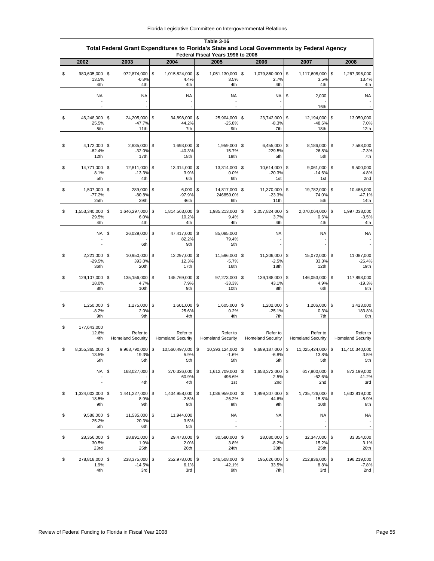| Table 3-16<br>Total Federal Grant Expenditures to Florida's State and Local Governments by Federal Agency<br>Federal Fiscal Years 1996 to 2008 |                          |                         |    |                          |    |                          |    |                          |    |                          |    |                          |
|------------------------------------------------------------------------------------------------------------------------------------------------|--------------------------|-------------------------|----|--------------------------|----|--------------------------|----|--------------------------|----|--------------------------|----|--------------------------|
| 2002                                                                                                                                           | 2003                     |                         |    | 2004                     |    | 2005                     |    | 2006                     |    | 2007                     |    | 2008                     |
|                                                                                                                                                |                          |                         |    |                          |    |                          |    |                          |    |                          |    |                          |
| \$<br>980,605,000<br>13.5%                                                                                                                     | \$                       | 972,874,000<br>$-0.8%$  | \$ | 1,015,824,000<br>4.4%    | \$ | 1,051,130,000<br>3.5%    | \$ | 1,079,860,000<br>2.7%    | \$ | 1,117,608,000<br>3.5%    | \$ | 1,267,396,000<br>13.4%   |
| 4th                                                                                                                                            |                          | 4th                     |    | 4th                      |    | 4th                      |    | 4th                      |    | 4th                      |    | 4th                      |
| <b>NA</b>                                                                                                                                      |                          | <b>NA</b>               |    | <b>NA</b>                |    | <b>NA</b>                |    | <b>NA</b>                | \$ | 2,000                    |    | <b>NA</b>                |
|                                                                                                                                                |                          |                         |    |                          |    |                          |    |                          |    | 16th                     |    |                          |
|                                                                                                                                                |                          |                         |    |                          |    |                          |    |                          |    |                          |    |                          |
| \$<br>46,248,000<br>25.5%                                                                                                                      | \$                       | 24,205,000<br>$-47.7%$  | \$ | 34,898,000<br>44.2%      | \$ | 25,904,000<br>$-25.8%$   | \$ | 23,742,000<br>$-8.3%$    | \$ | 12,194,000<br>$-48.6%$   | \$ | 13,050,000<br>7.0%       |
| 5th                                                                                                                                            |                          | 11th                    |    | 7th                      |    | 9th                      |    | 7th                      |    | 18th                     |    | 12th                     |
|                                                                                                                                                |                          |                         |    |                          |    |                          |    |                          |    |                          |    |                          |
| \$<br>4,172,000<br>$-62.4%$                                                                                                                    | \$                       | 2,835,000<br>$-32.0%$   | \$ | 1,693,000<br>$-40.3%$    | \$ | 1,959,000<br>15.7%       | \$ | 6,455,000<br>229.5%      | \$ | 8,186,000<br>26.8%       | \$ | 7,588,000<br>$-7.3%$     |
| 12th                                                                                                                                           |                          | 17th                    |    | 18th                     |    | 18th                     |    | 5th                      |    | 5th                      |    | 7th                      |
| \$<br>14,771,000                                                                                                                               | \$                       | 12,811,000              | \$ | 13,314,000               | \$ | 13,314,000               | \$ | 10,614,000               | \$ | 9,061,000                | \$ | 9,500,000                |
| 8.1%                                                                                                                                           |                          | $-13.3%$                |    | 3.9%                     |    | 0.0%                     |    | $-20.3%$                 |    | $-14.6%$                 |    | 4.8%                     |
| 5th                                                                                                                                            |                          | 4th                     |    | 6th                      |    | 6th                      |    | 1st                      |    | 1st                      |    | 2nd                      |
| \$<br>1,507,000<br>$-77.2%$                                                                                                                    | \$                       | 289,000<br>$-80.8%$     | \$ | 6,000<br>$-97.9%$        | \$ | 14,817,000<br>246850.0%  | \$ | 11,370,000<br>$-23.3%$   | \$ | 19,782,000<br>74.0%      | \$ | 10,465,000<br>$-47.1%$   |
| 25th                                                                                                                                           |                          | 39th                    |    | 46th                     |    | 6th                      |    | 11th                     |    | 5th                      |    | 14th                     |
| \$<br>1,553,340,000                                                                                                                            | \$                       | 1,646,297,000           | \$ | 1,814,563,000            | \$ | 1,985,213,000            | \$ | 2,057,824,000            | \$ | 2,070,064,000            | \$ | 1,997,038,000            |
| 29.5%                                                                                                                                          |                          | 6.0%                    |    | 10.2%                    |    | 9.4%                     |    | 3.7%                     |    | 0.6%                     |    | $-3.5%$                  |
| 4th                                                                                                                                            |                          | 4th                     |    | 4th                      |    | 4th                      |    | 4th                      |    | 4th                      |    | 4th                      |
| <b>NA</b>                                                                                                                                      | \$                       | 26,029,000              | \$ | 47,417,000<br>82.2%      | \$ | 85,085,000<br>79.4%      |    | <b>NA</b>                |    | NA                       |    | <b>NA</b>                |
|                                                                                                                                                |                          | 6th                     |    | 9th                      |    | 5th                      |    |                          |    |                          |    |                          |
| \$<br>2,221,000                                                                                                                                | \$                       | 10,950,000              | \$ | 12,297,000               | \$ | 11,596,000               | \$ | 11,306,000               | \$ | 15,072,000               | \$ | 11,087,000               |
| $-29.5%$                                                                                                                                       |                          | 393.0%                  |    | 12.3%                    |    | $-5.7%$                  |    | $-2.5%$                  |    | 33.3%                    |    | $-26.4%$                 |
| 36th                                                                                                                                           |                          | 20th                    |    | 17th                     |    | 16th                     |    | 18th                     |    | 12th                     |    | 19th                     |
| \$<br>129,107,000<br>18.0%                                                                                                                     | \$                       | 135,156,000<br>4.7%     | \$ | 145,769,000<br>7.9%      | \$ | 97,273,000<br>$-33.3%$   | \$ | 139,188,000<br>43.1%     | \$ | 146,053,000<br>4.9%      | \$ | 117,898,000<br>$-19.3%$  |
| 8th                                                                                                                                            |                          | 10th                    |    | 9th                      |    | 10th                     |    | 8th                      |    | 6th                      |    | 8th                      |
|                                                                                                                                                |                          |                         |    |                          |    |                          |    |                          |    |                          |    |                          |
| \$<br>1,250,000                                                                                                                                | \$                       | 1,275,000               | \$ | 1,601,000                | \$ | 1,605,000                | \$ | 1,202,000                | \$ | 1,206,000                | \$ | 3,423,000                |
| $-8.2%$<br>9th                                                                                                                                 |                          | 2.0%<br>9th             |    | 25.6%<br>4th             |    | 0.2%<br>4th              |    | $-25.1%$<br>7th          |    | 0.3%<br>7th              |    | 183.8%<br>6th            |
| \$<br>177,643,000                                                                                                                              |                          |                         |    |                          |    |                          |    |                          |    |                          |    |                          |
| 12.6%                                                                                                                                          |                          | Refer to                |    | Refer to                 |    | Refer to                 |    | Refer to                 |    | Refer to                 |    | Refer to                 |
| 4th                                                                                                                                            | <b>Homeland Security</b> |                         |    | <b>Homeland Security</b> |    | <b>Homeland Security</b> |    | <b>Homeland Security</b> |    | <b>Homeland Security</b> |    | <b>Homeland Security</b> |
| \$<br>8,355,365,000 \$                                                                                                                         |                          | 9,968,790,000           | \$ | 10,560,497,000<br>5.9%   | \$ | 10,393,124,000           | \$ | 9,689,187,000 \$         |    | 11,025,424,000<br>13.8%  | \$ | 11,410,340,000           |
| 13.5%<br>5th                                                                                                                                   |                          | 19.3%<br>5th            |    | 5th                      |    | $-1.6%$<br>5th           |    | $-6.8%$<br>5th           |    | 5th                      |    | 3.5%<br>5th              |
| <b>NA</b>                                                                                                                                      | \$                       | 168,027,000             | \$ | 270,326,000              | \$ | 1,612,709,000            | \$ | 1,653,372,000            | \$ | 617,800,000              | \$ | 872,199,000              |
|                                                                                                                                                |                          |                         |    | 60.9%                    |    | 496.6%                   |    | 2.5%                     |    | $-62.6%$                 |    | 41.2%                    |
|                                                                                                                                                |                          | 4th                     |    | 4th                      |    | 1st                      |    | 2nd                      |    | 2nd                      |    | 3rd                      |
| \$<br>1,324,002,000                                                                                                                            | \$                       | 1,441,227,000           | \$ | 1,404,958,000            | \$ | 1,036,959,000            | \$ | 1,499,207,000            | \$ | 1,735,726,000            | \$ | 1,632,819,000            |
| 18.5%<br>9th                                                                                                                                   |                          | 8.9%<br>9th             |    | $-2.5%$<br>9th           |    | $-26.2%$<br>9th          |    | 44.6%<br>9th             |    | 15.8%<br>10th            |    | $-5.9%$<br>8th           |
| \$<br>9,586,000                                                                                                                                | \$                       | 11,535,000              | \$ | 11,944,000               |    | <b>NA</b>                |    | NA                       |    | NA                       |    | <b>NA</b>                |
| 25.2%                                                                                                                                          |                          | 20.3%                   |    | 3.5%                     |    | Ĭ.                       |    |                          |    |                          |    |                          |
| 5th                                                                                                                                            |                          | 6th                     |    | 5th                      |    |                          |    |                          |    |                          |    |                          |
| \$<br>28,356,000                                                                                                                               | \$                       | 28,891,000              | \$ | 29,473,000               | \$ | 30,580,000               | \$ | 28,080,000               | \$ | 32,347,000               | \$ | 33,354,000               |
| 30.5%<br>23rd                                                                                                                                  |                          | 1.9%<br>25th            |    | 2.0%<br>26th             |    | 3.8%<br>24th             |    | $-8.2%$<br>30th          |    | 15.2%<br>25th            |    | 3.1%<br>26th             |
|                                                                                                                                                |                          |                         |    |                          |    |                          |    |                          |    |                          |    |                          |
| \$<br>278,818,000<br>1.9%                                                                                                                      | \$                       | 238,375,000<br>$-14.5%$ | \$ | 252,978,000<br>6.1%      | \$ | 146,508,000<br>$-42.1%$  | \$ | 195,626,000<br>33.5%     | \$ | 212,836,000<br>8.8%      | \$ | 196,219,000<br>$-7.8%$   |
| 4th                                                                                                                                            |                          | 3rd                     |    | 3rd                      |    | 9th                      |    | 7th                      |    | 3rd                      |    | 2nd                      |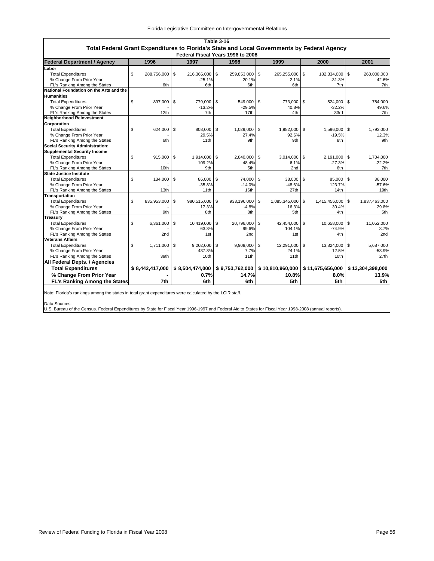| Table 3-16<br>Total Federal Grant Expenditures to Florida's State and Local Governments by Federal Agency |    |                 |    |                 |     |                                   |      |                         |          |                  |          |                  |
|-----------------------------------------------------------------------------------------------------------|----|-----------------|----|-----------------|-----|-----------------------------------|------|-------------------------|----------|------------------|----------|------------------|
|                                                                                                           |    |                 |    |                 |     | Federal Fiscal Years 1996 to 2008 |      |                         |          |                  |          |                  |
| <b>Federal Department / Agency</b>                                                                        |    | 1996            |    | 1997            |     | 1998                              |      | 1999                    |          | 2000             |          | 2001             |
| Labor                                                                                                     |    |                 |    |                 |     |                                   |      |                         |          |                  |          |                  |
| <b>Total Expenditures</b>                                                                                 | \$ | 288,756,000     | \$ | 216,366,000     | \$  | 259,853,000                       | l \$ | 265,255,000             | l \$     | 182,334,000 \$   |          | 260,008,000      |
| % Change From Prior Year                                                                                  |    |                 |    | $-25.1%$        |     | 20.1%                             |      | 2.1%                    |          | $-31.3%$         |          | 42.6%            |
| FL's Ranking Among the States                                                                             |    | 6th             |    | 6th             |     | 6th                               |      | 6th                     |          | 7th              |          | 7th              |
| National Foundation on the Arts and the                                                                   |    |                 |    |                 |     |                                   |      |                         |          |                  |          |                  |
| <b>Humanities</b>                                                                                         |    |                 |    |                 |     |                                   |      |                         |          |                  |          |                  |
| <b>Total Expenditures</b>                                                                                 | \$ | 897,000         | \$ | 779,000         | \$  | 549,000 \$                        |      | 773,000                 | <b>S</b> | 524,000 \$       |          | 784,000          |
| % Change From Prior Year                                                                                  |    |                 |    | $-13.2%$        |     | $-29.5%$                          |      | 40.8%                   |          | $-32.2%$         |          | 49.6%            |
| FL's Ranking Among the States                                                                             |    | 12th            |    | 7th             |     | 17th                              |      | 4th                     |          | 33rd             |          | 7th              |
| <b>Neighborhood Reinvestment</b>                                                                          |    |                 |    |                 |     |                                   |      |                         |          |                  |          |                  |
| Corporation                                                                                               |    |                 |    |                 |     |                                   |      |                         |          |                  |          |                  |
| <b>Total Expenditures</b>                                                                                 | \$ | 624.000         | \$ | 808.000         | \$  | 1.029.000                         | l \$ | 1.982.000 \$            |          | 1,596,000 \$     |          | 1.793.000        |
| % Change From Prior Year                                                                                  |    |                 |    | 29.5%           |     | 27.4%                             |      | 92.6%                   |          | $-19.5%$         |          | 12.3%            |
| FL's Ranking Among the States<br><b>Social Security Administration:</b>                                   |    | 6th             |    | 11th            |     | 9th                               |      | 9th                     |          | 8th              |          | 9th              |
|                                                                                                           |    |                 |    |                 |     |                                   |      |                         |          |                  |          |                  |
| <b>Supplemental Security Income</b>                                                                       |    |                 |    |                 |     |                                   |      |                         |          |                  |          |                  |
| <b>Total Expenditures</b>                                                                                 | \$ | 915,000         | \$ | 1.914.000       | -\$ | $2.840.000$ \$                    |      | $3.014.000$ \ \$        |          | 2.191.000        | l \$     | 1,704,000        |
| % Change From Prior Year<br>FL's Ranking Among the States                                                 |    | 10th            |    | 109.2%<br>9th   |     | 48.4%<br>5th                      |      | 6.1%<br>2 <sub>nd</sub> |          | $-27.3%$<br>6th  |          | $-22.2%$<br>7th  |
| <b>State Justice Institute</b>                                                                            |    |                 |    |                 |     |                                   |      |                         |          |                  |          |                  |
| <b>Total Expenditures</b>                                                                                 | \$ | 134.000         | \$ | 86,000          | \$  | 74.000                            | l \$ | 38.000                  | \$       | 85.000           | \$       | 36.000           |
| % Change From Prior Year                                                                                  |    |                 |    | $-35.8%$        |     | $-14.0%$                          |      | $-48.6%$                |          | 123.7%           |          | $-57.6%$         |
| FL's Ranking Among the States                                                                             |    | 13th            |    | 11th            |     | 16th                              |      | 27th                    |          | 14th             |          | 19th             |
| <b>Transportation</b>                                                                                     |    |                 |    |                 |     |                                   |      |                         |          |                  |          |                  |
| <b>Total Expenditures</b>                                                                                 | \$ | 835,953,000     | \$ | 980,515,000     | \$  | 933,196,000 \$                    |      | 1,085,345,000 \$        |          | 1,415,456,000    | <b>S</b> | 1,837,463,000    |
| % Change From Prior Year                                                                                  |    |                 |    | 17.3%           |     | $-4.8%$                           |      | 16.3%                   |          | 30.4%            |          | 29.8%            |
| FL's Ranking Among the States                                                                             |    | 9th             |    | 8th             |     | 8th                               |      | 5th                     |          | 4th              |          | 5th              |
| Treasury                                                                                                  |    |                 |    |                 |     |                                   |      |                         |          |                  |          |                  |
| <b>Total Expenditures</b>                                                                                 | \$ | 6.361.000       | \$ | 10,419,000      | \$  | 20.796.000                        | l \$ | 42,454,000              | \$       | 10,658,000       | \$       | 11,052,000       |
| % Change From Prior Year                                                                                  |    |                 |    | 63.8%           |     | 99.6%                             |      | 104.1%                  |          | $-74.9%$         |          | 3.7%             |
| FL's Ranking Among the States                                                                             |    | 2nd             |    | 1st             |     | 2nd                               |      | 1st                     |          | 4th              |          | 2nd              |
| <b>Veterans Affairs</b>                                                                                   |    |                 |    |                 |     |                                   |      |                         |          |                  |          |                  |
| <b>Total Expenditures</b>                                                                                 | \$ | 1,711,000       | \$ | 9,202,000       | \$  | 9,908,000                         | \$   | 12,291,000              | <b>S</b> | 13,824,000       | \$       | 5,687,000        |
| % Change From Prior Year                                                                                  |    |                 |    | 437.8%          |     | 7.7%                              |      | 24.1%                   |          | 12.5%            |          | $-58.9%$         |
| FL's Ranking Among the States                                                                             |    | 39th            |    | 10th            |     | 11th                              |      | 11th                    |          | 10th             |          | 27th             |
| All Federal Depts. / Agencies                                                                             |    |                 |    |                 |     |                                   |      |                         |          |                  |          |                  |
| <b>Total Expenditures</b>                                                                                 |    | \$8,442,417,000 |    | \$8,504,474,000 |     | \$9,753,762,000                   |      | \$10,810,960,000        |          | \$11,675,656,000 |          | \$13,304,398,000 |
| % Change From Prior Year                                                                                  |    |                 |    | 0.7%            |     | 14.7%                             |      | 10.8%                   |          | 8.0%             |          | 13.9%            |
| FL's Ranking Among the States                                                                             |    | 7th             |    | 6th             |     | 6th                               |      | 5th                     |          | 5th              |          | 5th              |

Note: Florida's rankings among the states in total grant expenditures were calculated by the LCIR staff.

Data Sources: U.S. Bureau of the Census. Federal Expenditures by State for Fiscal Year 1996-1997 and Federal Aid to States for Fiscal Year 1998-2008 (annual reports).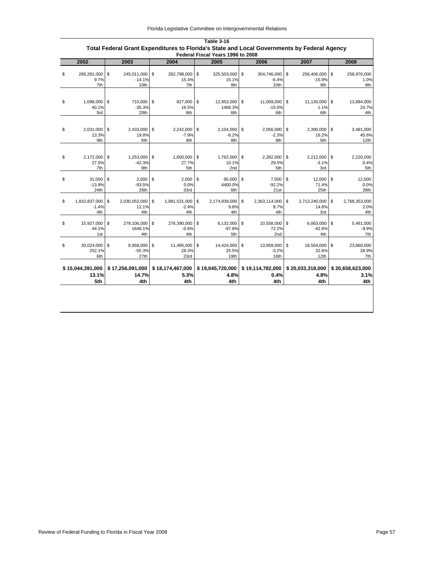|                                       |                                                |                                                        | Table 3-16<br>Total Federal Grant Expenditures to Florida's State and Local Governments by Federal Agency |                                      |                                      |                                    |
|---------------------------------------|------------------------------------------------|--------------------------------------------------------|-----------------------------------------------------------------------------------------------------------|--------------------------------------|--------------------------------------|------------------------------------|
|                                       |                                                |                                                        | Federal Fiscal Years 1996 to 2008                                                                         |                                      |                                      |                                    |
| 2002                                  | 2003                                           | 2004                                                   | 2005                                                                                                      | 2006                                 | 2007                                 | 2008                               |
| \$<br>285,281,000<br>9.7%<br>7th      | \$<br>245,011,000<br>$-14.1%$<br>10th          | \$<br>282,798,000<br>15.4%<br>7th                      | \$<br>325,503,000<br>15.1%<br>8th                                                                         | \$<br>304,746,000<br>$-6.4%$<br>10th | \$<br>256,406,000<br>$-15.9%$<br>9th | \$<br>258,976,000<br>1.0%<br>9th   |
| \$<br>1,098,000<br>40.1%<br>3rd       | $\mathbb{S}$<br>710,000<br>$-35.3%$<br>20th    | \$<br>827,000<br>16.5%<br>8th                          | \$<br>12,953,000<br>1466.3%<br>6th                                                                        | \$<br>11,009,000<br>$-15.0%$<br>6th  | \$<br>11,130,000<br>1.1%<br>6th      | \$<br>13,884,000<br>24.7%<br>4th   |
| \$<br>2,031,000<br>13.3%<br>9th       | \$<br>2,433,000<br>19.8%<br>6th                | \$<br>2,242,000<br>$-7.9%$<br>8th                      | \$<br>2,104,000<br>$-6.2%$<br>8th                                                                         | \$<br>2,056,000<br>$-2.3%$<br>8th    | \$<br>2,390,000<br>16.2%<br>6th      | \$<br>3,481,000<br>45.6%<br>12th   |
| \$<br>2,172,000<br>27.5%<br>7th       | $\mathfrak{s}$<br>1,253,000<br>$-42.3%$<br>9th | $\boldsymbol{\mathsf{S}}$<br>1,600,000<br>27.7%<br>5th | \$<br>1,762,000<br>10.1%<br>2nd                                                                           | \$<br>2,282,000<br>29.5%<br>5th      | \$<br>2,212,000<br>$-3.1%$<br>3rd    | \$<br>2,220,000<br>0.4%<br>5th     |
| \$<br>31.000<br>$-13.9%$<br>24th      | \$<br>2,000<br>$-93.5%$<br>26th                | \$<br>2,000<br>0.0%<br>33rd                            | \$<br>90.000<br>4400.0%<br>6th                                                                            | \$<br>7,000<br>$-92.2%$<br>21st      | \$<br>12,000<br>71.4%<br>25th        | \$<br>12,000<br>0.0%<br>28th       |
| \$<br>1,810,837,000<br>$-1.4%$<br>4th | $\mathbb{S}$<br>2,030,052,000<br>12.1%<br>4th  | \$<br>1,981,531,000<br>$-2.4%$<br>4th                  | \$<br>2,174,939,000<br>9.8%<br>4th                                                                        | \$<br>2,363,114,000<br>8.7%<br>4th   | \$<br>2,713,240,000<br>14.8%<br>3rd  | \$<br>2,768,353,000<br>2.0%<br>4th |
| \$<br>15,927,000<br>44.1%<br>1st      | \$<br>278,106,000<br>1646.1%<br>4th            | \$<br>276,390,000<br>$-0.6%$<br>4th                    | \$<br>6,132,000<br>$-97.8%$<br>5th                                                                        | \$<br>10,558,000<br>72.2%<br>2nd     | \$<br>6,063,000<br>$-42.6%$<br>4th   | \$<br>5,461,000<br>$-9.9%$<br>7th  |
| \$<br>20,024,000<br>252.1%<br>6th     | \$<br>8,958,000<br>$-55.3%$<br>27th            | \$<br>11,495,000<br>28.3%<br>23rd                      | \$<br>14,424,000<br>25.5%<br>19th                                                                         | \$<br>13,959,000<br>$-3.2%$<br>16th  | \$<br>18,504,000<br>32.6%<br>12th    | \$<br>23,860,000<br>28.9%<br>7th   |
| \$15,044,391,000<br>13.1%<br>5th      | \$17,256,091,000<br>14.7%<br>4th               | \$18,174,467,000<br>5.3%<br>4th                        | \$19,045,720,000<br>4.8%<br>4th                                                                           | \$19,114,782,000<br>0.4%<br>4th      | \$20,033,318,000<br>4.8%<br>4th      | \$20,658,623,000<br>3.1%<br>4th    |
|                                       |                                                |                                                        |                                                                                                           |                                      |                                      |                                    |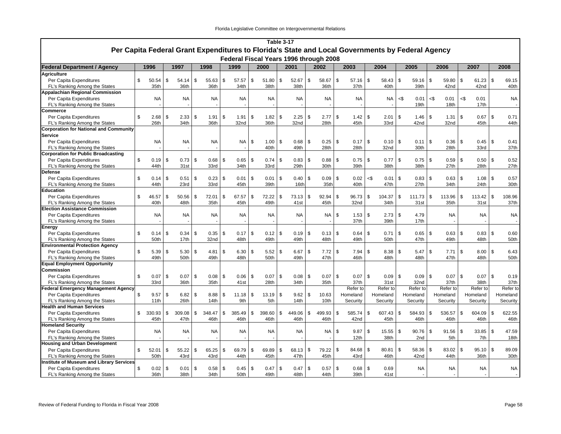|                                                                                                  |                |           |              |      |           |              | Table 3-17      |                |                  |                |                                        |                  |              |           |     |           |          |           |              |            |      |              |
|--------------------------------------------------------------------------------------------------|----------------|-----------|--------------|------|-----------|--------------|-----------------|----------------|------------------|----------------|----------------------------------------|------------------|--------------|-----------|-----|-----------|----------|-----------|--------------|------------|------|--------------|
| Per Capita Federal Grant Expenditures to Florida's State and Local Governments by Federal Agency |                |           |              |      |           |              |                 |                |                  |                |                                        |                  |              |           |     |           |          |           |              |            |      |              |
|                                                                                                  |                |           |              |      |           |              |                 |                |                  |                | Federal Fiscal Years 1996 through 2008 |                  |              |           |     |           |          |           |              |            |      |              |
| <b>Federal Department / Agency</b>                                                               |                | 1996      | 1997         | 1998 |           | 1999         | 2000            |                | 2001             |                | 2002                                   | 2003             |              | 2004      |     | 2005      |          | 2006      |              | 2007       |      | 2008         |
| <b>Agriculture</b>                                                                               |                |           |              |      |           |              |                 |                |                  |                |                                        |                  |              |           |     |           |          |           |              |            |      |              |
| Per Capita Expenditures                                                                          | \$             | 50.54     | \$<br>54.14  | \$   | 55.63     | \$<br>57.57  | \$<br>51.80     | \$             | 52.67            | \$             | 58.67                                  | \$<br>57.16      | \$           | 58.43     | \$  | 59.16     | \$       | 59.80     | \$           | $61.23$ \$ |      | 69.15        |
| FL's Ranking Among the States                                                                    |                | 35th      | 36th         |      | 36th      | 34th         | 38th            |                | 38th             |                | 36th                                   | 37th             |              | 40th      |     | 39th      |          | 42nd      |              | 42nd       |      | 40th         |
| <b>Appalachian Regional Commission</b>                                                           |                |           |              |      |           |              |                 |                |                  |                |                                        |                  |              |           |     |           |          |           |              |            |      |              |
| Per Capita Expenditures                                                                          |                | NA        | NA           |      | <b>NA</b> | <b>NA</b>    | <b>NA</b>       |                | <b>NA</b>        |                | <b>NA</b>                              | <b>NA</b>        |              | <b>NA</b> | -\$ | 0.01      | -\$      | 0.01      | $<$ \$       | 0.01       |      | <b>NA</b>    |
| FL's Ranking Among the States                                                                    |                |           |              |      |           |              |                 |                |                  |                |                                        |                  |              |           |     | 19th      |          | 18th      |              | 17th       |      |              |
| <b>Commerce</b>                                                                                  |                |           |              |      |           |              |                 |                |                  |                |                                        |                  |              |           |     |           |          |           |              |            |      |              |
| Per Capita Expenditures                                                                          | \$             | 2.68      | \$<br>2.33   | \$   | 1.91      | \$<br>1.91   | \$<br>1.82      | \$             | 2.25             | \$             | 2.77                                   | \$<br>1.42       | \$           | 2.01      | \$  | 1.46      | \$       | 1.31      | \$           | $0.67$ \$  |      | 0.71         |
| FL's Ranking Among the States                                                                    |                | 26th      | 34th         |      | 36th      | 32nd         | 36th            |                | 32nd             |                | 28th                                   | 45th             |              | 33rd      |     | 42nd      |          | 32nd      |              | 45th       |      | 44th         |
| <b>Corporation for National and Community</b>                                                    |                |           |              |      |           |              |                 |                |                  |                |                                        |                  |              |           |     |           |          |           |              |            |      |              |
| <b>Service</b>                                                                                   |                |           |              |      |           |              |                 |                |                  |                |                                        |                  |              |           |     |           |          |           |              |            |      |              |
| Per Capita Expenditures                                                                          |                | <b>NA</b> | <b>NA</b>    |      | <b>NA</b> | <b>NA</b>    | \$<br>1.00      | \$             | 0.68             | \$             | 0.25                                   | \$<br>0.17       | \$           | 0.10      | \$  | 0.11      | \$       | 0.36      | \$           | 0.45       | l \$ | 0.41         |
| FL's Ranking Among the States                                                                    |                |           |              |      |           |              | 40th            |                | 49th             |                | 28th                                   | 28th             |              | 32nd      |     | 30th      |          | 28th      |              | 33rd       |      | 37th         |
| <b>Corporation for Public Broadcasting</b>                                                       |                |           |              |      |           |              |                 |                |                  |                |                                        |                  |              |           |     |           |          |           |              |            |      |              |
| Per Capita Expenditures                                                                          | \$             | 0.19      | \$<br>0.73   | \$   | 0.68      | \$<br>0.65   | \$<br>0.74      | \$             | 0.83             | \$             | 0.88                                   | \$<br>0.75       | \$           | 0.77      | \$  | 0.75      | \$       | 0.59      | \$           | $0.50$ \$  |      | 0.52         |
| FL's Ranking Among the States                                                                    |                | 44th      | 31st         |      | 33rd      | 34th         | 33rd            |                | 29th             |                | 30th                                   | 39th             |              | 38th      |     | 38th      |          | 27th      |              | 28th       |      | 27th         |
| <b>Defense</b>                                                                                   |                |           |              |      |           |              |                 |                |                  |                |                                        |                  |              |           |     |           |          |           |              |            |      |              |
| Per Capita Expenditures                                                                          | \$             | 0.14      | \$<br>0.51   | \$   | 0.23      | \$<br>0.01   | \$<br>0.01      | \$             | 0.40             | \$             | 0.09                                   | \$<br>0.02       | $<$ \$       | 0.01      | \$  | 0.83      | <b>S</b> | 0.63      | \$           |            |      | 0.57         |
| FL's Ranking Among the States                                                                    |                | 44th      | 23rd         |      | 33rd      | 45th         | 39th            |                | 16th             |                | 35th                                   | 40th             |              | 47th      |     | 27th      |          | 34th      |              | 24th       |      | 30th         |
| ducation                                                                                         |                |           |              |      |           |              |                 |                |                  |                |                                        |                  |              |           |     |           |          |           |              |            |      |              |
| Per Capita Expenditures                                                                          | \$             | 46.57     | \$<br>50.56  | \$   | 72.01     | \$<br>67.57  | \$<br>72.22     | \$             | 73.13            | \$             | 92.94                                  | \$<br>96.73      | \$           | 104.37    | \$  | 111.73    | \$       | 113.96    | \$           |            |      | 108.96       |
| FL's Ranking Among the States                                                                    |                | 40th      | 48th         |      | 35th      | 45th         | 49th            |                | 41 <sub>st</sub> |                | 45th                                   | 32nd             |              | 34th      |     | 31st      |          | 35th      |              | 31st       |      | 37th         |
| <b>lection Assistance Commission</b>                                                             |                |           |              |      |           |              |                 |                |                  |                |                                        |                  |              |           |     |           |          |           |              |            |      |              |
| Per Capita Expenditures                                                                          |                | <b>NA</b> | <b>NA</b>    |      | <b>NA</b> | <b>NA</b>    | <b>NA</b>       |                | <b>NA</b>        |                | <b>NA</b>                              | \$<br>1.53       | \$           | 2.73      | \$  | 4.79      |          | <b>NA</b> |              | <b>NA</b>  |      | <b>NA</b>    |
| FL's Ranking Among the States                                                                    |                |           |              |      |           |              |                 |                |                  |                |                                        | 37th             |              | 39th      |     | 17th      |          |           |              |            |      |              |
| :nergy                                                                                           | \$             | 0.14      | 0.34         |      | 0.35      | \$<br>0.17   | \$<br>$0.12$ \$ |                | 0.19             | \$             | 0.13                                   | \$<br>0.64       | \$           | 0.71      | \$  | 0.65      | <b>S</b> | 0.63      | \$           |            |      |              |
| Per Capita Expenditures                                                                          |                | 50th      | \$<br>17th   | \$   |           | 48th         | 49th            |                | 49th             |                | 48th                                   | 49th             |              | 50th      |     | 47th      |          | 49th      |              | 48th       |      | 0.60<br>50th |
| FL's Ranking Among the States<br><b>Invironmental Protection Agency</b>                          |                |           |              |      | 32nd      |              |                 |                |                  |                |                                        |                  |              |           |     |           |          |           |              |            |      |              |
| Per Capita Expenditures                                                                          | \$             | 5.39      | \$<br>5.30   | \$   | 4.81      | \$<br>6.30   | \$<br>5.52      | \$             | 6.67             | \$             | 7.72                                   | \$<br>7.94       | \$           | 8.38      | \$  | 5.47      | \$       | 7.71      | \$           | $8.00$ \$  |      | 6.43         |
| FL's Ranking Among the States                                                                    |                | 49th      | 50th         |      | 49th      | 48th         | 50th            |                | 49th             |                | 47th                                   | 46th             |              | 48th      |     | 48th      |          | 47th      |              | 48th       |      | 50th         |
| qual Employment Opportunity                                                                      |                |           |              |      |           |              |                 |                |                  |                |                                        |                  |              |           |     |           |          |           |              |            |      |              |
| <b>Commission</b>                                                                                |                |           |              |      |           |              |                 |                |                  |                |                                        |                  |              |           |     |           |          |           |              |            |      |              |
| Per Capita Expenditures                                                                          | \$             | 0.07      | \$<br>0.07   | \$   | 0.08      | \$<br>0.06   | \$<br>0.07      | \$             | 0.08             | \$.            | 0.07                                   | \$<br>0.07       | \$           | 0.09      | \$  | 0.09      | S.       | 0.07      | \$           | $0.07$ \$  |      | 0.19         |
| FL's Ranking Among the States                                                                    |                | 33rd      | 36th         |      | 35th      | 41st         | 28th            |                | 34th             |                | 35th                                   | 37th             |              | 31st      |     | 32nd      |          | 37th      |              | 38th       |      | 37th         |
| <b>Federal Emergency Management Agency</b>                                                       |                |           |              |      |           |              |                 |                |                  |                |                                        | Refer to         |              | Refer to  |     | Refer to  |          | Refer to  |              | Refer to   |      | Refer to     |
| Per Capita Expenditures                                                                          | \$             | 9.57      | \$<br>6.82   | \$   | 8.88      | \$<br>11.18  | \$<br>13.19     | \$             | 9.62             | \$             | 10.63                                  | Homeland         |              | Homeland  |     | Homeland  |          | Homeland  |              | Homeland   |      | Homeland     |
| FL's Ranking Among the States                                                                    |                | 11th      | 26th         |      | 14th      | 9th          | 5th             |                | 14th             |                | 10th                                   | Security         |              | Security  |     | Security  |          | Security  |              | Security   |      | Security     |
| <b>Health and Human Services</b>                                                                 |                |           |              |      |           |              |                 |                |                  |                |                                        |                  |              |           |     |           |          |           |              |            |      |              |
| Per Capita Expenditures                                                                          | \$             | 330.93    | \$<br>309.08 | \$   | 348.47    | \$<br>385.49 | \$<br>398.60    | \$             | 449.06           | \$             | 499.93                                 | \$<br>585.74     | \$           | 607.43    | \$  | 584.93    | \$       | 536.57    | $\mathbf{s}$ | 604.09     | -\$  | 622.55       |
| FL's Ranking Among the States                                                                    |                | 45th      | 47th         |      | 46th      | 46th         | 46th            |                | 46th             |                | 46th                                   | 42nd             |              | 45th      |     | 46th      |          | 46th      |              | 46th       |      | 46th         |
| <b>Iomeland Security</b>                                                                         |                |           |              |      |           |              |                 |                |                  |                |                                        |                  |              |           |     |           |          |           |              |            |      |              |
| Per Capita Expenditures                                                                          |                | <b>NA</b> | <b>NA</b>    |      | <b>NA</b> | <b>NA</b>    | <b>NA</b>       |                | <b>NA</b>        |                | <b>NA</b>                              | \$<br>9.87       | \$           | 15.55     | \$  | 90.76     | \$       | 91.56     | \$           | $33.85$ \$ |      | 47.59        |
| FL's Ranking Among the States                                                                    |                |           |              |      |           |              |                 |                |                  |                |                                        | 12 <sub>th</sub> |              | 38th      |     | 2nd       |          | 5th       |              | 7th        |      | 18th         |
| <b>Housing and Urban Development</b>                                                             |                |           |              |      |           |              |                 |                |                  |                |                                        |                  |              |           |     |           |          |           |              |            |      |              |
| Per Capita Expenditures                                                                          | \$             | 52.01     | \$<br>55.22  | \$   | 65.25     | \$<br>69.79  | \$<br>69.89     | \$             | 68.13            | \$             | 79.22                                  | \$<br>84.68      | \$           | 80.81     | \$  | 58.36     | \$       | 83.02     | \$           | $95.10$ \$ |      | 89.09        |
| FL's Ranking Among the States                                                                    |                | 50th      | 43rd         |      | 43rd      | 44th         | 45th            |                | 47th             |                | 45th                                   | 43rd             |              | 46th      |     | 42nd      |          | 44th      |              | 36th       |      | 30th         |
| Institute of Museum and Library Services                                                         |                |           |              |      |           |              |                 |                |                  |                |                                        |                  |              |           |     |           |          |           |              |            |      |              |
| Per Capita Expenditures                                                                          | $\mathfrak{s}$ | 0.02      | \$<br>0.01   | \$   | 0.58      | \$<br>0.45   | \$<br>0.47      | $\mathfrak{s}$ | 0.47             | $\mathfrak{s}$ | 0.57                                   | \$<br>0.68       | $\mathbf{s}$ | 0.69      |     | <b>NA</b> |          | <b>NA</b> |              | <b>NA</b>  |      | <b>NA</b>    |
| FL's Ranking Among the States                                                                    |                | 36th      | 38th         |      | 34th      | 50th         | 49th            |                | 48th             |                | 44th                                   | 39th             |              | 41st      |     |           |          |           |              |            |      |              |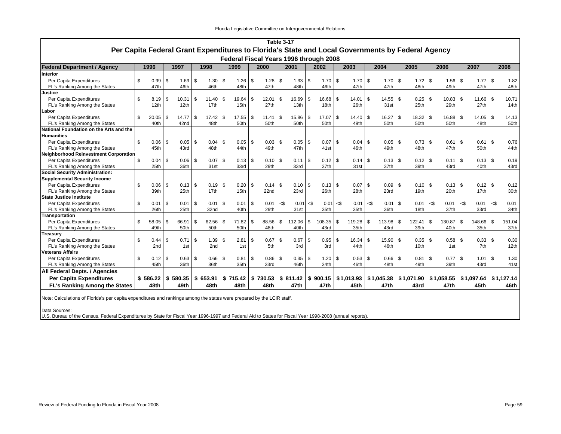|                                                                                                  |             |               |        |          |                  |                 | Table 3-17       |        |          |                |                                        |                          |            |        |               |     |            |              |            |                |            |        |            |
|--------------------------------------------------------------------------------------------------|-------------|---------------|--------|----------|------------------|-----------------|------------------|--------|----------|----------------|----------------------------------------|--------------------------|------------|--------|---------------|-----|------------|--------------|------------|----------------|------------|--------|------------|
| Per Capita Federal Grant Expenditures to Florida's State and Local Governments by Federal Agency |             |               |        |          |                  |                 |                  |        |          |                |                                        |                          |            |        |               |     |            |              |            |                |            |        |            |
|                                                                                                  |             |               |        |          |                  |                 |                  |        |          |                | Federal Fiscal Years 1996 through 2008 |                          |            |        |               |     |            |              |            |                |            |        |            |
| <b>Federal Department / Agency</b>                                                               | 1996        |               | 1997   |          | 1998             | 1999            | 2000             |        | 2001     |                | 2002                                   |                          | 2003       |        | 2004          |     | 2005       |              | 2006       |                | 2007       |        | 2008       |
| Interior                                                                                         |             |               |        |          |                  |                 |                  |        |          |                |                                        |                          |            |        |               |     |            |              |            |                |            |        |            |
| Per Capita Expenditures                                                                          | \$<br>0.99  | \$            | 1.69   | \$       | $1.30$ \$        | 1.26            | \$<br>1.28       | \$     | 1.33     | \$             | 1.70                                   | \$                       | 1.70       | \$     |               |     | 1.72       | \$           | 1.56       | \$             |            |        | 1.82       |
| FL's Ranking Among the States                                                                    | 47th        |               | 46th   |          | 46th             | 48th            | 47th             |        | 48th     |                | 46th                                   |                          | 47th       |        | 47th          |     | 48th       |              | 49th       |                | 47th       |        | 48th       |
| <b>Justice</b>                                                                                   |             |               |        |          |                  |                 |                  |        |          |                |                                        |                          |            |        |               |     |            |              |            |                |            |        |            |
| Per Capita Expenditures                                                                          | \$<br>8.19  | \$            | 10.31  | \$       |                  | 19.64           | \$<br>12.01      | \$     | 16.69    | \$             | 16.68                                  | \$                       | 14.01      | \$     | $14.55$ \$    |     | 8.25       | $\mathbf{s}$ | $10.83$ \$ |                | $11.66$ \$ |        | 10.71      |
| FL's Ranking Among the States                                                                    | 12th        |               | 12th   |          | 17th             | 15th            | 27th             |        | 13th     |                | 18th                                   |                          | 26th       |        | 31st          |     | 25th       |              | 29th       |                | 27th       |        | 14th       |
| Labor                                                                                            |             |               |        |          |                  |                 |                  |        |          |                |                                        |                          |            |        |               |     |            |              |            |                |            |        |            |
| Per Capita Expenditures                                                                          | \$<br>20.05 | <sup>\$</sup> | 14.77  | \$       |                  | 17.55           | \$<br>11.41      | - \$   | 15.86    | \$             | 17.07                                  | \$                       | 14.40      | \$     | 16.27         | \$. | 18.32      | -\$          | 16.88      | \$             |            |        | 14.13      |
| FL's Ranking Among the States                                                                    | 40th        |               | 42nd   |          | 48th             | 50th            | 50th             |        | 50th     |                | 50th                                   |                          | 49th       |        | 50th          |     | 50th       |              | 50th       |                | 48th       |        | 50th       |
| National Foundation on the Arts and the                                                          |             |               |        |          |                  |                 |                  |        |          |                |                                        |                          |            |        |               |     |            |              |            |                |            |        |            |
| <b>Humanities</b>                                                                                |             |               |        |          |                  |                 |                  |        |          |                |                                        |                          |            |        |               |     |            |              |            |                |            |        |            |
| Per Capita Expenditures                                                                          | \$<br>0.06  | <sup>\$</sup> | 0.05   | \$       |                  | 0.05            | \$<br>0.03       | - \$   | 0.05     | - \$           | 0.07                                   | \$                       | 0.04       | \$     | $0.05$ \ \ \$ |     | 0.73       | l \$         | 0.61       | \$             |            |        | 0.76       |
| FL's Ranking Among the States                                                                    | 45th        |               | 43rd   |          | 48th             | 44th            | 49th             |        | 47th     |                | 41 <sub>st</sub>                       |                          | 46th       |        | 49th          |     | 48th       |              | 47th       |                | 50th       |        | 44th       |
| <b>Neighborhood Reinvestment Corporation</b>                                                     |             |               |        |          |                  |                 |                  |        |          |                |                                        |                          |            |        |               |     |            |              |            |                |            |        |            |
| Per Capita Expenditures                                                                          | \$<br>0.04  | <sup>\$</sup> | 0.06   | \$       | $0.07$ \$        | 0.13            | \$               |        | 0.11     | $\mathfrak{L}$ | 0.12                                   | $\overline{\phantom{a}}$ | 0.14       | \$     | $0.13$ \$     |     | 0.12       | <b>S</b>     | 0.11       | $\mathfrak{s}$ |            |        | 0.19       |
| FL's Ranking Among the States                                                                    | 25th        |               | 36th   |          | 31st             | 33rd            | 29th             |        | 33rd     |                | 37th                                   |                          | 31st       |        | 37th          |     | 39th       |              | 43rd       |                | 40th       |        | 43rd       |
| <b>Social Security Administration:</b>                                                           |             |               |        |          |                  |                 |                  |        |          |                |                                        |                          |            |        |               |     |            |              |            |                |            |        |            |
| <b>Supplemental Security Income</b>                                                              |             |               |        |          |                  |                 |                  |        |          |                |                                        |                          |            |        |               |     |            |              |            |                |            |        |            |
| Per Capita Expenditures                                                                          | \$<br>0.06  | \$            | 0.13   | \$       | $0.19$ \$        | 0.20            | \$<br>0.14       | \$     | 0.10     | l \$           | 0.13                                   | l \$                     | 0.07       | \$     |               |     | 0.10       | <b>S</b>     |            |                |            |        | 0.12       |
| FL's Ranking Among the States                                                                    | 39th        |               | 25th   |          | 17 <sub>th</sub> | 15th            | 22 <sub>nd</sub> |        | 23rd     |                | 26th                                   |                          | 28th       |        | 23rd          |     | 19th       |              | 20th       |                | 17th       |        | 30th       |
| <b>State Justice Institute</b>                                                                   |             |               |        |          |                  |                 |                  |        |          |                |                                        |                          |            |        |               |     |            |              |            |                |            |        |            |
| Per Capita Expenditures                                                                          | \$<br>0.01  | \$            | 0.01   | \$       | $0.01$ \\$       | 0.01            | \$<br>0.01       | $<$ \$ | 0.01     | $<$ \$         | 0.01                                   | $<$ \$                   | 0.01       | $<$ \$ | $0.01$ \$     |     | 0.01       | $<$ \$       | 0.01       | <              | 0.01       | $<$ \$ | 0.01       |
| FL's Ranking Among the States                                                                    | 26th        |               | 25th   |          | 32nd             | 40th            | 29th             |        | 31st     |                | 35th                                   |                          | 35th       |        | 36th          |     | 18th       |              | 37th       |                | 33rd       |        | 34th       |
| <b>Transportation</b>                                                                            |             |               |        |          |                  |                 |                  |        |          |                |                                        |                          |            |        |               |     |            |              |            |                |            |        |            |
| Per Capita Expenditures                                                                          | \$<br>58.05 | \$.           | 66.91  | \$       |                  | 71.82           | \$<br>88.56      | \$.    | 112.06   | \$.            | 108.35                                 | \$                       | 119.28     | \$     | 113.98        | -S  | 122.41     | -\$          | 130.87     | \$.            | 148.66 \$  |        | 151.04     |
| FL's Ranking Among the States                                                                    | 49th        |               | 50th   |          | 50th             | 50th            | 48th             |        | 40th     |                | 43rd                                   |                          | 35th       |        | 43rd          |     | 39th       |              | 40th       |                | 35th       |        | 37th       |
| <b>Treasury</b>                                                                                  |             |               |        |          |                  |                 |                  |        |          |                |                                        |                          |            |        |               |     |            |              |            |                |            |        |            |
| Per Capita Expenditures                                                                          | \$<br>0.44  | \$            | 0.71   | \$       |                  | 2.81            | \$<br>0.67       | \$     | 0.67     | \$             | 0.95                                   | - \$                     | 16.34      | \$     | $15.90$ \$    |     | 0.35       | -\$          | 0.58       | \$             | $0.33$ \$  |        | 0.30       |
| FL's Ranking Among the States                                                                    | 2nd         |               | 1st    |          | 2nd              | 1 <sub>st</sub> | 5th              |        | 3rd      |                | 3rd                                    |                          | 44th       |        | 46th          |     | 10th       |              | 1st        |                | 7th        |        | 12th       |
| <b>Veterans Affairs</b>                                                                          |             |               |        |          |                  |                 |                  |        |          |                |                                        |                          |            |        |               |     |            |              |            |                |            |        |            |
| Per Capita Expenditures                                                                          | \$<br>0.12  | \$            | 0.63   | <b>S</b> | $0.66$ \ \$      | 0.81            | \$<br>0.86       | \$     | 0.35     | -S             | 1.20                                   | - \$                     | 0.53       | \$     | 0.66          | \$. | 0.81       | -\$          | 0.77       | \$.            |            |        | 1.30       |
| FL's Ranking Among the States                                                                    | 45th        |               | 36th   |          | 36th             | 35th            | 33rd             |        | 46th     |                | 34th                                   |                          | 46th       |        | 48th          |     | 49th       |              | 39th       |                | 43rd       |        | 41st       |
| <b>All Federal Depts. / Agencies</b>                                                             |             |               |        |          |                  |                 |                  |        |          |                |                                        |                          |            |        |               |     |            |              |            |                |            |        |            |
| <b>Per Capita Expenditures</b>                                                                   | \$586.22    | \$            | 580.35 |          | \$653.91         | \$715.42        | \$730.53         |        | \$811.42 |                | \$900.15                               |                          | \$1,013.93 |        | \$1,045.38    |     | \$1.071.90 |              | \$1,058.55 |                | \$1.097.64 |        | \$1.127.14 |
| <b>FL's Ranking Among the States</b>                                                             | 48th        |               | 49th   |          | 48th             | 48th            | 48th             |        | 47th     |                | 47th                                   |                          | 45th       |        | 47th          |     | 43rd       |              | 47th       |                | 45th       |        | 46th       |
|                                                                                                  |             |               |        |          |                  |                 |                  |        |          |                |                                        |                          |            |        |               |     |            |              |            |                |            |        |            |
|                                                                                                  |             |               |        |          |                  |                 |                  |        |          |                |                                        |                          |            |        |               |     |            |              |            |                |            |        |            |

Note: Calculations of Florida's per capita expenditures and rankings among the states were prepared by the LCIR staff.

Data Sources:

U.S. Bureau of the Census. Federal Expenditures by State for Fiscal Year 1996-1997 and Federal Aid to States for Fiscal Year 1998-2008 (annual reports).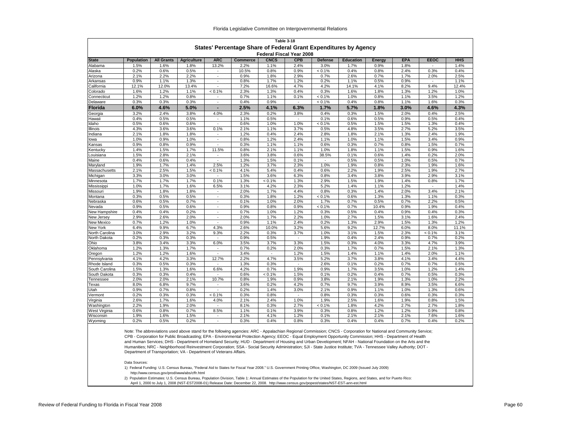| States' Percentage Share of Federal Grant Expenditures by Agency<br><b>Federal Fiscal Year 2008</b><br><b>ARC</b><br><b>CNCS</b><br><b>CPB</b><br><b>Education</b><br><b>EPA</b><br><b>EEOC</b><br><b>HHS</b><br><b>State</b><br>Population<br><b>All Grants</b><br><b>Agriculture</b><br>Commerce<br><b>Defense</b><br>Energy<br>1.8%<br>Alabama<br>1.5%<br>1.6%<br>1.8%<br>13.2%<br>2.2%<br>1.1%<br>2.4%<br>3.0%<br>1.7%<br>0.9%<br>1.4%<br>0.2%<br>0.6%<br>0.5%<br>10.5%<br>0.8%<br>0.9%<br>< 0.1%<br>0.4%<br>0.8%<br>2.4%<br>0.3%<br>0.4%<br>Alaska<br>$\blacksquare$<br>2.1%<br>2.2%<br>2.2%<br>0.9%<br>2.9%<br>0.7%<br>2.6%<br>0.7%<br>2.0%<br>2.5%<br>1.8%<br>1.7%<br>Arizona<br>$\blacksquare$<br>0.9%<br>0.9%<br>1.3%<br>0.8%<br>1.7%<br>1.2%<br>0.2%<br>0.5%<br>1.1%<br>Arkansas<br>1.1%<br>1.1%<br>$\sim$<br>$\sim$<br>12.1%<br>12.0%<br>13.4%<br>7.2%<br>16.6%<br>4.7%<br>4.2%<br>14.1%<br>4.1%<br>8.2%<br>9.4%<br>California<br>$\sim$<br>1.6%<br>1.2%<br>1.1%<br>< 0.1%<br>1.6%<br>1.2%<br>1.0%<br>2.3%<br>1.3%<br>0.4%<br>0.3%<br>1.8%<br>1.3%<br>Colorado<br>1.2%<br>0.8%<br>0.7%<br>1.1%<br>0.8%<br>1.1%<br>3.5%<br>1.2%<br>1.2%<br>0.1%<br>< 0.1%<br>1.0%<br>Connecticut<br>$\sim$<br>0.3%<br>0.3%<br>0.3%<br>0.9%<br>< 0.1%<br>0.4%<br>0.8%<br>1.1%<br>0.3%<br>0.4%<br>1.6%<br>Delaware<br>$\sim$<br>5.7%<br>6.0%<br>4.6%<br>5.0%<br>2.5%<br>4.1%<br>6.3%<br>1.7%<br>1.8%<br>3.0%<br>4.6%<br><b>Florida</b><br>÷<br>2.5%<br>3.2%<br>2.4%<br>3.8%<br>4.0%<br>2.3%<br>0.2%<br>3.8%<br>0.4%<br>0.3%<br>1.5%<br>2.0%<br>0.4%<br>Georgia<br>0.9%<br>0.5%<br>0.4%<br>0.5%<br>0.5%<br>1.1%<br>0.5%<br>0.1%<br>0.6%<br>0.5%<br>0.4%<br>Hawaii<br>0.5%<br>0.6%<br>0.6%<br>0.6%<br>1.0%<br>< 0.1%<br>0.5%<br>1.5%<br>1.5%<br>1.3%<br>0.4%<br>1.0%<br>Idaho<br>$\sim$<br>5.2%<br>3.5%<br>4.3%<br>3.6%<br>3.6%<br>0.1%<br>2.1%<br>1.1%<br>3.7%<br>0.5%<br>4.8%<br>3.5%<br>2.7%<br>Illinois<br>1.2%<br>2.1%<br>1.8%<br>1.8%<br>0.4%<br>2.4%<br>2.8%<br>1.8%<br>2.1%<br>1.3%<br>2.4%<br>1.9%<br>Indiana<br>÷,<br>1.0%<br>0.9%<br>1.0%<br>0.8%<br>1.2%<br>1.1%<br>1.5%<br>3.4%<br>0.9%<br>2.4%<br>1.1%<br>1.0%<br>$\omega$<br>lowa<br>0.9%<br>0.8%<br>0.9%<br>0.3%<br>1.1%<br>1.1%<br>0.6%<br>0.3%<br>0.7%<br>0.8%<br>1.5%<br>0.7%<br>$\mathcal{L}$<br>Kansas<br>1.4%<br>1.5%<br>1.7%<br>11.5%<br>0.8%<br>2.1%<br>1.1%<br>1.0%<br>1.8%<br>1.1%<br>1.5%<br>0.9%<br>1.6%<br>Kentucky<br>1.5%<br>2.8%<br>2.1%<br>3.6%<br>3.8%<br>0.6%<br>38.5%<br>0.1%<br>0.6%<br>1.4%<br>0.2%<br>2.0%<br>ouisiana.<br>$\blacksquare$<br>0.4%<br>0.6%<br>0.4%<br>1.3%<br>1.5%<br>0.1%<br>0.5%<br>0.5%<br>1.0%<br>0.5%<br>0.7%<br>Maine<br>$\omega$<br>÷.<br>2.5%<br>1.9%<br>1.7%<br>1.4%<br>1.2%<br>3.7%<br>2.3%<br>1.0%<br>1.9%<br>0.8%<br>2.3%<br>1.9%<br>1.6%<br>Marvland<br>2.1%<br>2.5%<br>1.5%<br>$< 0.1\%$<br>4.1%<br>5.4%<br>0.4%<br>0.6%<br>2.2%<br>1.9%<br>2.5%<br>1.9%<br>2.7%<br>Massachusetts<br>3.8%<br>2.9%<br>3.3%<br>3.0%<br>3.0%<br>1.5%<br>3.6%<br>6.3%<br>0.8%<br>3.4%<br>3.9%<br>3.1%<br>Michigan<br>÷,<br>0.1%<br>< 0.1%<br>2.9%<br>1.5%<br>1.9%<br>1.7%<br>1.7%<br>1.7%<br>1.3%<br>1.3%<br>1.4%<br>0.8%<br>1.7%<br>Minnesota<br>1.0%<br>1.7%<br>1.6%<br>6.5%<br>3.1%<br>4.2%<br>2.3%<br>5.2%<br>1.4%<br>1.1%<br>1.2%<br>1.4%<br>Mississippi<br>$\overline{\phantom{a}}$<br>1.9%<br>1.8%<br>2.0%<br>1.7%<br>4.4%<br>0.8%<br>0.3%<br>1.4%<br>2.0%<br>3.4%<br>2.1%<br>Missouri<br>1.8%<br>$\overline{\phantom{a}}$<br>0.3%<br>0.5%<br>0.5%<br>0.3%<br>1.8%<br>1.2%<br>0.6%<br>1.3%<br>1.3%<br>1.1%<br>< 0.1%<br>0.3%<br>Montana<br>$\sim$<br>0.6%<br>0.5%<br>0.7%<br>1.0%<br>2.0%<br>1.7%<br>0.7%<br>0.5%<br>0.7%<br>2.2%<br>0.5%<br>Nebraska<br>0.1%<br>$\sim$<br>0.9%<br>0.5%<br>0.9%<br>0.8%<br>0.9%<br>$< 0.1\%$<br>0.7%<br>10.4%<br>0.9%<br>0.4%<br>Nevada<br>0.6%<br>1.9%<br>÷.<br>0.4%<br>0.4%<br>0.2%<br>0.7%<br>1.0%<br>1.2%<br>0.3%<br>0.5%<br>0.4%<br>0.9%<br>0.4%<br>0.3%<br>New Hampshire<br>$\sim$<br>2.9%<br>2.0%<br>1.7%<br>2.2%<br>2.7%<br>New Jersey<br>2.6%<br>2.0%<br>1.0%<br>1.5%<br>3.1%<br>1.6%<br>2.4%<br>$\sim$<br>1.2%<br>New Mexico<br>0.7%<br>1.2%<br>1.0%<br>0.9%<br>1.1%<br>2.4%<br>0.2%<br>1.3%<br>2.9%<br>1.5%<br>1.3%<br>9.9%<br>4.3%<br>10.0%<br>3.2%<br>9.2%<br>8.0%<br>6.4%<br>6.7%<br>2.6%<br>5.6%<br>12.7%<br>6.0%<br>11.1%<br>New York<br>3.0%<br>2.9%<br>3.2%<br>9.3%<br>2.2%<br>0.3%<br>3.7%<br>1.5%<br>2.3%<br>< 0.1%<br>3.1%<br>North Carolina<br>1.0%<br>3.1%<br>0.2%<br>0.3%<br>0.3%<br>0.9%<br>0.5%<br>1.9%<br>0.4%<br>2.4%<br>0.9%<br>0.7%<br>0.2%<br>North Dakota<br>÷,<br>3.8%<br>6.0%<br>3.3%<br>1.5%<br>0.3%<br>4.0%<br>4.7%<br>3.9%<br>Ohio<br>3.4%<br>3.3%<br>3.5%<br>3.7%<br>3.3%<br>2.1%<br>1.2%<br>1.3%<br>1.7%<br>0.7%<br>0.2%<br>2.0%<br>0.3%<br>1.7%<br>0.7%<br>1.5%<br>1.3%<br>Oklahoma<br>$\blacksquare$<br>Oregon<br>1.2%<br>1.2%<br>1.6%<br>3.4%<br>1.2%<br>1.5%<br>1.4%<br>1.1%<br>1.4%<br>2.0%<br>1.1%<br>÷,<br>12.7%<br>4.7%<br>4.4%<br>4.1%<br>4.2%<br>3.3%<br>2.2%<br>3.5%<br>5.2%<br>3.7%<br>3.8%<br>4.1%<br>3.4%<br>Pennsylvania<br>Rhode Island<br>0.3%<br>0.5%<br>0.3%<br>1.3%<br>0.3%<br>2.6%<br>0.1%<br>0.2%<br>0.7%<br>0.7%<br>0.5%<br>$\overline{\phantom{a}}$<br>1.5%<br>1.6%<br>6.6%<br>4.2%<br>0.7%<br>1.9%<br>0.9%<br>1.7%<br>3.5%<br>1.0%<br>1.2%<br>South Carolina<br>1.3%<br>1.4%<br>0.3%<br>0.3%<br>0.4%<br>0.6%<br>< 0.1%<br>1.5%<br>0.2%<br>0.4%<br>0.7%<br>0.5%<br>0.3%<br>0.1%<br>South Dakota<br>$\sim$<br>2.2%<br>2.0%<br>2.0%<br>2.1%<br>10.7%<br>0.8%<br>1.9%<br>0.9%<br>3.8%<br>2.1%<br>1.9%<br>1.3%<br>1.0%<br>Tennessee<br>8.0%<br>6.8%<br>9.7%<br>3.6%<br>0.2%<br>4.2%<br>0.7%<br>9.7%<br>3.9%<br>8.9%<br>3.5%<br>6.6%<br>Texas<br>0.9%<br>0.7%<br>0.8%<br>0.2%<br>1.4%<br>3.0%<br>0.9%<br>1.3%<br>0.6%<br>Utah<br>2.1%<br>1.1%<br>1.0%<br>$\omega$<br>0.2%<br>0.3%<br>0.3%<br>< 0.1%<br>0.3%<br>0.8%<br>0.8%<br>0.3%<br>0.3%<br>0.6%<br>0.3%<br>0.3%<br>Vermont<br>$\sim$<br>1.0%<br>2.6%<br>1.7%<br>1.6%<br>4.0%<br>2.1%<br>2.4%<br>1.9%<br>2.5%<br>1.6%<br>1.9%<br>0.8%<br>1.5%<br>Virginia<br>2.2%<br>1.9%<br>2.0%<br>8.1%<br>0.3%<br>2.7%<br>$< 0.1\%$<br>1.8%<br>4.2%<br>2.7%<br>2.7%<br>1.8%<br>Washington<br>$\omega$<br>0.8%<br>0.7%<br>8.5%<br>0.3%<br>1.2%<br>0.8%<br>West Virginia<br>0.6%<br>1.1%<br>0.1%<br>3.9%<br>0.8%<br>1.2%<br>0.9%<br>2.1%<br>1.9%<br>1.6%<br>1.5%<br>4.1%<br>1.2%<br>0.1%<br>2.1%<br>2.1%<br>2.1%<br>7.6%<br>1.6%<br>Wisconsin<br>$\sim$<br>0.2%<br>0.5%<br>0.2%<br>0.3%<br>0.4%<br>0.8%<br>0.3%<br>0.4%<br>0.4%<br>0.7%<br>0.4%<br>0.2%<br>$\blacksquare$ |         |  |  |  | Table 3-18 |  |  |       |
|------------------------------------------------------------------------------------------------------------------------------------------------------------------------------------------------------------------------------------------------------------------------------------------------------------------------------------------------------------------------------------------------------------------------------------------------------------------------------------------------------------------------------------------------------------------------------------------------------------------------------------------------------------------------------------------------------------------------------------------------------------------------------------------------------------------------------------------------------------------------------------------------------------------------------------------------------------------------------------------------------------------------------------------------------------------------------------------------------------------------------------------------------------------------------------------------------------------------------------------------------------------------------------------------------------------------------------------------------------------------------------------------------------------------------------------------------------------------------------------------------------------------------------------------------------------------------------------------------------------------------------------------------------------------------------------------------------------------------------------------------------------------------------------------------------------------------------------------------------------------------------------------------------------------------------------------------------------------------------------------------------------------------------------------------------------------------------------------------------------------------------------------------------------------------------------------------------------------------------------------------------------------------------------------------------------------------------------------------------------------------------------------------------------------------------------------------------------------------------------------------------------------------------------------------------------------------------------------------------------------------------------------------------------------------------------------------------------------------------------------------------------------------------------------------------------------------------------------------------------------------------------------------------------------------------------------------------------------------------------------------------------------------------------------------------------------------------------------------------------------------------------------------------------------------------------------------------------------------------------------------------------------------------------------------------------------------------------------------------------------------------------------------------------------------------------------------------------------------------------------------------------------------------------------------------------------------------------------------------------------------------------------------------------------------------------------------------------------------------------------------------------------------------------------------------------------------------------------------------------------------------------------------------------------------------------------------------------------------------------------------------------------------------------------------------------------------------------------------------------------------------------------------------------------------------------------------------------------------------------------------------------------------------------------------------------------------------------------------------------------------------------------------------------------------------------------------------------------------------------------------------------------------------------------------------------------------------------------------------------------------------------------------------------------------------------------------------------------------------------------------------------------------------------------------------------------------------------------------------------------------------------------------------------------------------------------------------------------------------------------------------------------------------------------------------------------------------------------------------------------------------------------------------------------------------------------------------------------------------------------------------------------------------------------------------------------------------------------------------------------------------------------------------------------------------------------------------------------------------------------------------------------------------------------------------------------------------------------------------------------------------------------------------------------------------------------------------------------------------------------------------------------------------------------------------------------------------------------------------------------------------------------------------------------------------------------------------------------------------------------------------------------------------------------------------------------------------------------------------------------------------------------------------------------------------------------------------------------------------------------------------------------------------------------------------------------------------------------------------------------------------------------------------------------------------------------------------------------------------------------------|---------|--|--|--|------------|--|--|-------|
|                                                                                                                                                                                                                                                                                                                                                                                                                                                                                                                                                                                                                                                                                                                                                                                                                                                                                                                                                                                                                                                                                                                                                                                                                                                                                                                                                                                                                                                                                                                                                                                                                                                                                                                                                                                                                                                                                                                                                                                                                                                                                                                                                                                                                                                                                                                                                                                                                                                                                                                                                                                                                                                                                                                                                                                                                                                                                                                                                                                                                                                                                                                                                                                                                                                                                                                                                                                                                                                                                                                                                                                                                                                                                                                                                                                                                                                                                                                                                                                                                                                                                                                                                                                                                                                                                                                                                                                                                                                                                                                                                                                                                                                                                                                                                                                                                                                                                                                                                                                                                                                                                                                                                                                                                                                                                                                                                                                                                                                                                                                                                                                                                                                                                                                                                                                                                                                                                                                                                                                                                                                                                                                                                                                                                                                                                                                                                                                                                                                                                                      |         |  |  |  |            |  |  |       |
|                                                                                                                                                                                                                                                                                                                                                                                                                                                                                                                                                                                                                                                                                                                                                                                                                                                                                                                                                                                                                                                                                                                                                                                                                                                                                                                                                                                                                                                                                                                                                                                                                                                                                                                                                                                                                                                                                                                                                                                                                                                                                                                                                                                                                                                                                                                                                                                                                                                                                                                                                                                                                                                                                                                                                                                                                                                                                                                                                                                                                                                                                                                                                                                                                                                                                                                                                                                                                                                                                                                                                                                                                                                                                                                                                                                                                                                                                                                                                                                                                                                                                                                                                                                                                                                                                                                                                                                                                                                                                                                                                                                                                                                                                                                                                                                                                                                                                                                                                                                                                                                                                                                                                                                                                                                                                                                                                                                                                                                                                                                                                                                                                                                                                                                                                                                                                                                                                                                                                                                                                                                                                                                                                                                                                                                                                                                                                                                                                                                                                                      |         |  |  |  |            |  |  |       |
|                                                                                                                                                                                                                                                                                                                                                                                                                                                                                                                                                                                                                                                                                                                                                                                                                                                                                                                                                                                                                                                                                                                                                                                                                                                                                                                                                                                                                                                                                                                                                                                                                                                                                                                                                                                                                                                                                                                                                                                                                                                                                                                                                                                                                                                                                                                                                                                                                                                                                                                                                                                                                                                                                                                                                                                                                                                                                                                                                                                                                                                                                                                                                                                                                                                                                                                                                                                                                                                                                                                                                                                                                                                                                                                                                                                                                                                                                                                                                                                                                                                                                                                                                                                                                                                                                                                                                                                                                                                                                                                                                                                                                                                                                                                                                                                                                                                                                                                                                                                                                                                                                                                                                                                                                                                                                                                                                                                                                                                                                                                                                                                                                                                                                                                                                                                                                                                                                                                                                                                                                                                                                                                                                                                                                                                                                                                                                                                                                                                                                                      |         |  |  |  |            |  |  |       |
|                                                                                                                                                                                                                                                                                                                                                                                                                                                                                                                                                                                                                                                                                                                                                                                                                                                                                                                                                                                                                                                                                                                                                                                                                                                                                                                                                                                                                                                                                                                                                                                                                                                                                                                                                                                                                                                                                                                                                                                                                                                                                                                                                                                                                                                                                                                                                                                                                                                                                                                                                                                                                                                                                                                                                                                                                                                                                                                                                                                                                                                                                                                                                                                                                                                                                                                                                                                                                                                                                                                                                                                                                                                                                                                                                                                                                                                                                                                                                                                                                                                                                                                                                                                                                                                                                                                                                                                                                                                                                                                                                                                                                                                                                                                                                                                                                                                                                                                                                                                                                                                                                                                                                                                                                                                                                                                                                                                                                                                                                                                                                                                                                                                                                                                                                                                                                                                                                                                                                                                                                                                                                                                                                                                                                                                                                                                                                                                                                                                                                                      |         |  |  |  |            |  |  |       |
|                                                                                                                                                                                                                                                                                                                                                                                                                                                                                                                                                                                                                                                                                                                                                                                                                                                                                                                                                                                                                                                                                                                                                                                                                                                                                                                                                                                                                                                                                                                                                                                                                                                                                                                                                                                                                                                                                                                                                                                                                                                                                                                                                                                                                                                                                                                                                                                                                                                                                                                                                                                                                                                                                                                                                                                                                                                                                                                                                                                                                                                                                                                                                                                                                                                                                                                                                                                                                                                                                                                                                                                                                                                                                                                                                                                                                                                                                                                                                                                                                                                                                                                                                                                                                                                                                                                                                                                                                                                                                                                                                                                                                                                                                                                                                                                                                                                                                                                                                                                                                                                                                                                                                                                                                                                                                                                                                                                                                                                                                                                                                                                                                                                                                                                                                                                                                                                                                                                                                                                                                                                                                                                                                                                                                                                                                                                                                                                                                                                                                                      |         |  |  |  |            |  |  |       |
|                                                                                                                                                                                                                                                                                                                                                                                                                                                                                                                                                                                                                                                                                                                                                                                                                                                                                                                                                                                                                                                                                                                                                                                                                                                                                                                                                                                                                                                                                                                                                                                                                                                                                                                                                                                                                                                                                                                                                                                                                                                                                                                                                                                                                                                                                                                                                                                                                                                                                                                                                                                                                                                                                                                                                                                                                                                                                                                                                                                                                                                                                                                                                                                                                                                                                                                                                                                                                                                                                                                                                                                                                                                                                                                                                                                                                                                                                                                                                                                                                                                                                                                                                                                                                                                                                                                                                                                                                                                                                                                                                                                                                                                                                                                                                                                                                                                                                                                                                                                                                                                                                                                                                                                                                                                                                                                                                                                                                                                                                                                                                                                                                                                                                                                                                                                                                                                                                                                                                                                                                                                                                                                                                                                                                                                                                                                                                                                                                                                                                                      |         |  |  |  |            |  |  |       |
|                                                                                                                                                                                                                                                                                                                                                                                                                                                                                                                                                                                                                                                                                                                                                                                                                                                                                                                                                                                                                                                                                                                                                                                                                                                                                                                                                                                                                                                                                                                                                                                                                                                                                                                                                                                                                                                                                                                                                                                                                                                                                                                                                                                                                                                                                                                                                                                                                                                                                                                                                                                                                                                                                                                                                                                                                                                                                                                                                                                                                                                                                                                                                                                                                                                                                                                                                                                                                                                                                                                                                                                                                                                                                                                                                                                                                                                                                                                                                                                                                                                                                                                                                                                                                                                                                                                                                                                                                                                                                                                                                                                                                                                                                                                                                                                                                                                                                                                                                                                                                                                                                                                                                                                                                                                                                                                                                                                                                                                                                                                                                                                                                                                                                                                                                                                                                                                                                                                                                                                                                                                                                                                                                                                                                                                                                                                                                                                                                                                                                                      |         |  |  |  |            |  |  | 12.4% |
|                                                                                                                                                                                                                                                                                                                                                                                                                                                                                                                                                                                                                                                                                                                                                                                                                                                                                                                                                                                                                                                                                                                                                                                                                                                                                                                                                                                                                                                                                                                                                                                                                                                                                                                                                                                                                                                                                                                                                                                                                                                                                                                                                                                                                                                                                                                                                                                                                                                                                                                                                                                                                                                                                                                                                                                                                                                                                                                                                                                                                                                                                                                                                                                                                                                                                                                                                                                                                                                                                                                                                                                                                                                                                                                                                                                                                                                                                                                                                                                                                                                                                                                                                                                                                                                                                                                                                                                                                                                                                                                                                                                                                                                                                                                                                                                                                                                                                                                                                                                                                                                                                                                                                                                                                                                                                                                                                                                                                                                                                                                                                                                                                                                                                                                                                                                                                                                                                                                                                                                                                                                                                                                                                                                                                                                                                                                                                                                                                                                                                                      |         |  |  |  |            |  |  |       |
|                                                                                                                                                                                                                                                                                                                                                                                                                                                                                                                                                                                                                                                                                                                                                                                                                                                                                                                                                                                                                                                                                                                                                                                                                                                                                                                                                                                                                                                                                                                                                                                                                                                                                                                                                                                                                                                                                                                                                                                                                                                                                                                                                                                                                                                                                                                                                                                                                                                                                                                                                                                                                                                                                                                                                                                                                                                                                                                                                                                                                                                                                                                                                                                                                                                                                                                                                                                                                                                                                                                                                                                                                                                                                                                                                                                                                                                                                                                                                                                                                                                                                                                                                                                                                                                                                                                                                                                                                                                                                                                                                                                                                                                                                                                                                                                                                                                                                                                                                                                                                                                                                                                                                                                                                                                                                                                                                                                                                                                                                                                                                                                                                                                                                                                                                                                                                                                                                                                                                                                                                                                                                                                                                                                                                                                                                                                                                                                                                                                                                                      |         |  |  |  |            |  |  |       |
|                                                                                                                                                                                                                                                                                                                                                                                                                                                                                                                                                                                                                                                                                                                                                                                                                                                                                                                                                                                                                                                                                                                                                                                                                                                                                                                                                                                                                                                                                                                                                                                                                                                                                                                                                                                                                                                                                                                                                                                                                                                                                                                                                                                                                                                                                                                                                                                                                                                                                                                                                                                                                                                                                                                                                                                                                                                                                                                                                                                                                                                                                                                                                                                                                                                                                                                                                                                                                                                                                                                                                                                                                                                                                                                                                                                                                                                                                                                                                                                                                                                                                                                                                                                                                                                                                                                                                                                                                                                                                                                                                                                                                                                                                                                                                                                                                                                                                                                                                                                                                                                                                                                                                                                                                                                                                                                                                                                                                                                                                                                                                                                                                                                                                                                                                                                                                                                                                                                                                                                                                                                                                                                                                                                                                                                                                                                                                                                                                                                                                                      |         |  |  |  |            |  |  |       |
|                                                                                                                                                                                                                                                                                                                                                                                                                                                                                                                                                                                                                                                                                                                                                                                                                                                                                                                                                                                                                                                                                                                                                                                                                                                                                                                                                                                                                                                                                                                                                                                                                                                                                                                                                                                                                                                                                                                                                                                                                                                                                                                                                                                                                                                                                                                                                                                                                                                                                                                                                                                                                                                                                                                                                                                                                                                                                                                                                                                                                                                                                                                                                                                                                                                                                                                                                                                                                                                                                                                                                                                                                                                                                                                                                                                                                                                                                                                                                                                                                                                                                                                                                                                                                                                                                                                                                                                                                                                                                                                                                                                                                                                                                                                                                                                                                                                                                                                                                                                                                                                                                                                                                                                                                                                                                                                                                                                                                                                                                                                                                                                                                                                                                                                                                                                                                                                                                                                                                                                                                                                                                                                                                                                                                                                                                                                                                                                                                                                                                                      |         |  |  |  |            |  |  | 4.3%  |
|                                                                                                                                                                                                                                                                                                                                                                                                                                                                                                                                                                                                                                                                                                                                                                                                                                                                                                                                                                                                                                                                                                                                                                                                                                                                                                                                                                                                                                                                                                                                                                                                                                                                                                                                                                                                                                                                                                                                                                                                                                                                                                                                                                                                                                                                                                                                                                                                                                                                                                                                                                                                                                                                                                                                                                                                                                                                                                                                                                                                                                                                                                                                                                                                                                                                                                                                                                                                                                                                                                                                                                                                                                                                                                                                                                                                                                                                                                                                                                                                                                                                                                                                                                                                                                                                                                                                                                                                                                                                                                                                                                                                                                                                                                                                                                                                                                                                                                                                                                                                                                                                                                                                                                                                                                                                                                                                                                                                                                                                                                                                                                                                                                                                                                                                                                                                                                                                                                                                                                                                                                                                                                                                                                                                                                                                                                                                                                                                                                                                                                      |         |  |  |  |            |  |  |       |
|                                                                                                                                                                                                                                                                                                                                                                                                                                                                                                                                                                                                                                                                                                                                                                                                                                                                                                                                                                                                                                                                                                                                                                                                                                                                                                                                                                                                                                                                                                                                                                                                                                                                                                                                                                                                                                                                                                                                                                                                                                                                                                                                                                                                                                                                                                                                                                                                                                                                                                                                                                                                                                                                                                                                                                                                                                                                                                                                                                                                                                                                                                                                                                                                                                                                                                                                                                                                                                                                                                                                                                                                                                                                                                                                                                                                                                                                                                                                                                                                                                                                                                                                                                                                                                                                                                                                                                                                                                                                                                                                                                                                                                                                                                                                                                                                                                                                                                                                                                                                                                                                                                                                                                                                                                                                                                                                                                                                                                                                                                                                                                                                                                                                                                                                                                                                                                                                                                                                                                                                                                                                                                                                                                                                                                                                                                                                                                                                                                                                                                      |         |  |  |  |            |  |  |       |
|                                                                                                                                                                                                                                                                                                                                                                                                                                                                                                                                                                                                                                                                                                                                                                                                                                                                                                                                                                                                                                                                                                                                                                                                                                                                                                                                                                                                                                                                                                                                                                                                                                                                                                                                                                                                                                                                                                                                                                                                                                                                                                                                                                                                                                                                                                                                                                                                                                                                                                                                                                                                                                                                                                                                                                                                                                                                                                                                                                                                                                                                                                                                                                                                                                                                                                                                                                                                                                                                                                                                                                                                                                                                                                                                                                                                                                                                                                                                                                                                                                                                                                                                                                                                                                                                                                                                                                                                                                                                                                                                                                                                                                                                                                                                                                                                                                                                                                                                                                                                                                                                                                                                                                                                                                                                                                                                                                                                                                                                                                                                                                                                                                                                                                                                                                                                                                                                                                                                                                                                                                                                                                                                                                                                                                                                                                                                                                                                                                                                                                      |         |  |  |  |            |  |  |       |
|                                                                                                                                                                                                                                                                                                                                                                                                                                                                                                                                                                                                                                                                                                                                                                                                                                                                                                                                                                                                                                                                                                                                                                                                                                                                                                                                                                                                                                                                                                                                                                                                                                                                                                                                                                                                                                                                                                                                                                                                                                                                                                                                                                                                                                                                                                                                                                                                                                                                                                                                                                                                                                                                                                                                                                                                                                                                                                                                                                                                                                                                                                                                                                                                                                                                                                                                                                                                                                                                                                                                                                                                                                                                                                                                                                                                                                                                                                                                                                                                                                                                                                                                                                                                                                                                                                                                                                                                                                                                                                                                                                                                                                                                                                                                                                                                                                                                                                                                                                                                                                                                                                                                                                                                                                                                                                                                                                                                                                                                                                                                                                                                                                                                                                                                                                                                                                                                                                                                                                                                                                                                                                                                                                                                                                                                                                                                                                                                                                                                                                      |         |  |  |  |            |  |  |       |
|                                                                                                                                                                                                                                                                                                                                                                                                                                                                                                                                                                                                                                                                                                                                                                                                                                                                                                                                                                                                                                                                                                                                                                                                                                                                                                                                                                                                                                                                                                                                                                                                                                                                                                                                                                                                                                                                                                                                                                                                                                                                                                                                                                                                                                                                                                                                                                                                                                                                                                                                                                                                                                                                                                                                                                                                                                                                                                                                                                                                                                                                                                                                                                                                                                                                                                                                                                                                                                                                                                                                                                                                                                                                                                                                                                                                                                                                                                                                                                                                                                                                                                                                                                                                                                                                                                                                                                                                                                                                                                                                                                                                                                                                                                                                                                                                                                                                                                                                                                                                                                                                                                                                                                                                                                                                                                                                                                                                                                                                                                                                                                                                                                                                                                                                                                                                                                                                                                                                                                                                                                                                                                                                                                                                                                                                                                                                                                                                                                                                                                      |         |  |  |  |            |  |  |       |
|                                                                                                                                                                                                                                                                                                                                                                                                                                                                                                                                                                                                                                                                                                                                                                                                                                                                                                                                                                                                                                                                                                                                                                                                                                                                                                                                                                                                                                                                                                                                                                                                                                                                                                                                                                                                                                                                                                                                                                                                                                                                                                                                                                                                                                                                                                                                                                                                                                                                                                                                                                                                                                                                                                                                                                                                                                                                                                                                                                                                                                                                                                                                                                                                                                                                                                                                                                                                                                                                                                                                                                                                                                                                                                                                                                                                                                                                                                                                                                                                                                                                                                                                                                                                                                                                                                                                                                                                                                                                                                                                                                                                                                                                                                                                                                                                                                                                                                                                                                                                                                                                                                                                                                                                                                                                                                                                                                                                                                                                                                                                                                                                                                                                                                                                                                                                                                                                                                                                                                                                                                                                                                                                                                                                                                                                                                                                                                                                                                                                                                      |         |  |  |  |            |  |  |       |
|                                                                                                                                                                                                                                                                                                                                                                                                                                                                                                                                                                                                                                                                                                                                                                                                                                                                                                                                                                                                                                                                                                                                                                                                                                                                                                                                                                                                                                                                                                                                                                                                                                                                                                                                                                                                                                                                                                                                                                                                                                                                                                                                                                                                                                                                                                                                                                                                                                                                                                                                                                                                                                                                                                                                                                                                                                                                                                                                                                                                                                                                                                                                                                                                                                                                                                                                                                                                                                                                                                                                                                                                                                                                                                                                                                                                                                                                                                                                                                                                                                                                                                                                                                                                                                                                                                                                                                                                                                                                                                                                                                                                                                                                                                                                                                                                                                                                                                                                                                                                                                                                                                                                                                                                                                                                                                                                                                                                                                                                                                                                                                                                                                                                                                                                                                                                                                                                                                                                                                                                                                                                                                                                                                                                                                                                                                                                                                                                                                                                                                      |         |  |  |  |            |  |  |       |
|                                                                                                                                                                                                                                                                                                                                                                                                                                                                                                                                                                                                                                                                                                                                                                                                                                                                                                                                                                                                                                                                                                                                                                                                                                                                                                                                                                                                                                                                                                                                                                                                                                                                                                                                                                                                                                                                                                                                                                                                                                                                                                                                                                                                                                                                                                                                                                                                                                                                                                                                                                                                                                                                                                                                                                                                                                                                                                                                                                                                                                                                                                                                                                                                                                                                                                                                                                                                                                                                                                                                                                                                                                                                                                                                                                                                                                                                                                                                                                                                                                                                                                                                                                                                                                                                                                                                                                                                                                                                                                                                                                                                                                                                                                                                                                                                                                                                                                                                                                                                                                                                                                                                                                                                                                                                                                                                                                                                                                                                                                                                                                                                                                                                                                                                                                                                                                                                                                                                                                                                                                                                                                                                                                                                                                                                                                                                                                                                                                                                                                      |         |  |  |  |            |  |  |       |
|                                                                                                                                                                                                                                                                                                                                                                                                                                                                                                                                                                                                                                                                                                                                                                                                                                                                                                                                                                                                                                                                                                                                                                                                                                                                                                                                                                                                                                                                                                                                                                                                                                                                                                                                                                                                                                                                                                                                                                                                                                                                                                                                                                                                                                                                                                                                                                                                                                                                                                                                                                                                                                                                                                                                                                                                                                                                                                                                                                                                                                                                                                                                                                                                                                                                                                                                                                                                                                                                                                                                                                                                                                                                                                                                                                                                                                                                                                                                                                                                                                                                                                                                                                                                                                                                                                                                                                                                                                                                                                                                                                                                                                                                                                                                                                                                                                                                                                                                                                                                                                                                                                                                                                                                                                                                                                                                                                                                                                                                                                                                                                                                                                                                                                                                                                                                                                                                                                                                                                                                                                                                                                                                                                                                                                                                                                                                                                                                                                                                                                      |         |  |  |  |            |  |  |       |
|                                                                                                                                                                                                                                                                                                                                                                                                                                                                                                                                                                                                                                                                                                                                                                                                                                                                                                                                                                                                                                                                                                                                                                                                                                                                                                                                                                                                                                                                                                                                                                                                                                                                                                                                                                                                                                                                                                                                                                                                                                                                                                                                                                                                                                                                                                                                                                                                                                                                                                                                                                                                                                                                                                                                                                                                                                                                                                                                                                                                                                                                                                                                                                                                                                                                                                                                                                                                                                                                                                                                                                                                                                                                                                                                                                                                                                                                                                                                                                                                                                                                                                                                                                                                                                                                                                                                                                                                                                                                                                                                                                                                                                                                                                                                                                                                                                                                                                                                                                                                                                                                                                                                                                                                                                                                                                                                                                                                                                                                                                                                                                                                                                                                                                                                                                                                                                                                                                                                                                                                                                                                                                                                                                                                                                                                                                                                                                                                                                                                                                      |         |  |  |  |            |  |  |       |
|                                                                                                                                                                                                                                                                                                                                                                                                                                                                                                                                                                                                                                                                                                                                                                                                                                                                                                                                                                                                                                                                                                                                                                                                                                                                                                                                                                                                                                                                                                                                                                                                                                                                                                                                                                                                                                                                                                                                                                                                                                                                                                                                                                                                                                                                                                                                                                                                                                                                                                                                                                                                                                                                                                                                                                                                                                                                                                                                                                                                                                                                                                                                                                                                                                                                                                                                                                                                                                                                                                                                                                                                                                                                                                                                                                                                                                                                                                                                                                                                                                                                                                                                                                                                                                                                                                                                                                                                                                                                                                                                                                                                                                                                                                                                                                                                                                                                                                                                                                                                                                                                                                                                                                                                                                                                                                                                                                                                                                                                                                                                                                                                                                                                                                                                                                                                                                                                                                                                                                                                                                                                                                                                                                                                                                                                                                                                                                                                                                                                                                      |         |  |  |  |            |  |  |       |
|                                                                                                                                                                                                                                                                                                                                                                                                                                                                                                                                                                                                                                                                                                                                                                                                                                                                                                                                                                                                                                                                                                                                                                                                                                                                                                                                                                                                                                                                                                                                                                                                                                                                                                                                                                                                                                                                                                                                                                                                                                                                                                                                                                                                                                                                                                                                                                                                                                                                                                                                                                                                                                                                                                                                                                                                                                                                                                                                                                                                                                                                                                                                                                                                                                                                                                                                                                                                                                                                                                                                                                                                                                                                                                                                                                                                                                                                                                                                                                                                                                                                                                                                                                                                                                                                                                                                                                                                                                                                                                                                                                                                                                                                                                                                                                                                                                                                                                                                                                                                                                                                                                                                                                                                                                                                                                                                                                                                                                                                                                                                                                                                                                                                                                                                                                                                                                                                                                                                                                                                                                                                                                                                                                                                                                                                                                                                                                                                                                                                                                      |         |  |  |  |            |  |  |       |
|                                                                                                                                                                                                                                                                                                                                                                                                                                                                                                                                                                                                                                                                                                                                                                                                                                                                                                                                                                                                                                                                                                                                                                                                                                                                                                                                                                                                                                                                                                                                                                                                                                                                                                                                                                                                                                                                                                                                                                                                                                                                                                                                                                                                                                                                                                                                                                                                                                                                                                                                                                                                                                                                                                                                                                                                                                                                                                                                                                                                                                                                                                                                                                                                                                                                                                                                                                                                                                                                                                                                                                                                                                                                                                                                                                                                                                                                                                                                                                                                                                                                                                                                                                                                                                                                                                                                                                                                                                                                                                                                                                                                                                                                                                                                                                                                                                                                                                                                                                                                                                                                                                                                                                                                                                                                                                                                                                                                                                                                                                                                                                                                                                                                                                                                                                                                                                                                                                                                                                                                                                                                                                                                                                                                                                                                                                                                                                                                                                                                                                      |         |  |  |  |            |  |  |       |
|                                                                                                                                                                                                                                                                                                                                                                                                                                                                                                                                                                                                                                                                                                                                                                                                                                                                                                                                                                                                                                                                                                                                                                                                                                                                                                                                                                                                                                                                                                                                                                                                                                                                                                                                                                                                                                                                                                                                                                                                                                                                                                                                                                                                                                                                                                                                                                                                                                                                                                                                                                                                                                                                                                                                                                                                                                                                                                                                                                                                                                                                                                                                                                                                                                                                                                                                                                                                                                                                                                                                                                                                                                                                                                                                                                                                                                                                                                                                                                                                                                                                                                                                                                                                                                                                                                                                                                                                                                                                                                                                                                                                                                                                                                                                                                                                                                                                                                                                                                                                                                                                                                                                                                                                                                                                                                                                                                                                                                                                                                                                                                                                                                                                                                                                                                                                                                                                                                                                                                                                                                                                                                                                                                                                                                                                                                                                                                                                                                                                                                      |         |  |  |  |            |  |  |       |
|                                                                                                                                                                                                                                                                                                                                                                                                                                                                                                                                                                                                                                                                                                                                                                                                                                                                                                                                                                                                                                                                                                                                                                                                                                                                                                                                                                                                                                                                                                                                                                                                                                                                                                                                                                                                                                                                                                                                                                                                                                                                                                                                                                                                                                                                                                                                                                                                                                                                                                                                                                                                                                                                                                                                                                                                                                                                                                                                                                                                                                                                                                                                                                                                                                                                                                                                                                                                                                                                                                                                                                                                                                                                                                                                                                                                                                                                                                                                                                                                                                                                                                                                                                                                                                                                                                                                                                                                                                                                                                                                                                                                                                                                                                                                                                                                                                                                                                                                                                                                                                                                                                                                                                                                                                                                                                                                                                                                                                                                                                                                                                                                                                                                                                                                                                                                                                                                                                                                                                                                                                                                                                                                                                                                                                                                                                                                                                                                                                                                                                      |         |  |  |  |            |  |  |       |
|                                                                                                                                                                                                                                                                                                                                                                                                                                                                                                                                                                                                                                                                                                                                                                                                                                                                                                                                                                                                                                                                                                                                                                                                                                                                                                                                                                                                                                                                                                                                                                                                                                                                                                                                                                                                                                                                                                                                                                                                                                                                                                                                                                                                                                                                                                                                                                                                                                                                                                                                                                                                                                                                                                                                                                                                                                                                                                                                                                                                                                                                                                                                                                                                                                                                                                                                                                                                                                                                                                                                                                                                                                                                                                                                                                                                                                                                                                                                                                                                                                                                                                                                                                                                                                                                                                                                                                                                                                                                                                                                                                                                                                                                                                                                                                                                                                                                                                                                                                                                                                                                                                                                                                                                                                                                                                                                                                                                                                                                                                                                                                                                                                                                                                                                                                                                                                                                                                                                                                                                                                                                                                                                                                                                                                                                                                                                                                                                                                                                                                      |         |  |  |  |            |  |  |       |
|                                                                                                                                                                                                                                                                                                                                                                                                                                                                                                                                                                                                                                                                                                                                                                                                                                                                                                                                                                                                                                                                                                                                                                                                                                                                                                                                                                                                                                                                                                                                                                                                                                                                                                                                                                                                                                                                                                                                                                                                                                                                                                                                                                                                                                                                                                                                                                                                                                                                                                                                                                                                                                                                                                                                                                                                                                                                                                                                                                                                                                                                                                                                                                                                                                                                                                                                                                                                                                                                                                                                                                                                                                                                                                                                                                                                                                                                                                                                                                                                                                                                                                                                                                                                                                                                                                                                                                                                                                                                                                                                                                                                                                                                                                                                                                                                                                                                                                                                                                                                                                                                                                                                                                                                                                                                                                                                                                                                                                                                                                                                                                                                                                                                                                                                                                                                                                                                                                                                                                                                                                                                                                                                                                                                                                                                                                                                                                                                                                                                                                      |         |  |  |  |            |  |  |       |
|                                                                                                                                                                                                                                                                                                                                                                                                                                                                                                                                                                                                                                                                                                                                                                                                                                                                                                                                                                                                                                                                                                                                                                                                                                                                                                                                                                                                                                                                                                                                                                                                                                                                                                                                                                                                                                                                                                                                                                                                                                                                                                                                                                                                                                                                                                                                                                                                                                                                                                                                                                                                                                                                                                                                                                                                                                                                                                                                                                                                                                                                                                                                                                                                                                                                                                                                                                                                                                                                                                                                                                                                                                                                                                                                                                                                                                                                                                                                                                                                                                                                                                                                                                                                                                                                                                                                                                                                                                                                                                                                                                                                                                                                                                                                                                                                                                                                                                                                                                                                                                                                                                                                                                                                                                                                                                                                                                                                                                                                                                                                                                                                                                                                                                                                                                                                                                                                                                                                                                                                                                                                                                                                                                                                                                                                                                                                                                                                                                                                                                      |         |  |  |  |            |  |  |       |
|                                                                                                                                                                                                                                                                                                                                                                                                                                                                                                                                                                                                                                                                                                                                                                                                                                                                                                                                                                                                                                                                                                                                                                                                                                                                                                                                                                                                                                                                                                                                                                                                                                                                                                                                                                                                                                                                                                                                                                                                                                                                                                                                                                                                                                                                                                                                                                                                                                                                                                                                                                                                                                                                                                                                                                                                                                                                                                                                                                                                                                                                                                                                                                                                                                                                                                                                                                                                                                                                                                                                                                                                                                                                                                                                                                                                                                                                                                                                                                                                                                                                                                                                                                                                                                                                                                                                                                                                                                                                                                                                                                                                                                                                                                                                                                                                                                                                                                                                                                                                                                                                                                                                                                                                                                                                                                                                                                                                                                                                                                                                                                                                                                                                                                                                                                                                                                                                                                                                                                                                                                                                                                                                                                                                                                                                                                                                                                                                                                                                                                      |         |  |  |  |            |  |  |       |
|                                                                                                                                                                                                                                                                                                                                                                                                                                                                                                                                                                                                                                                                                                                                                                                                                                                                                                                                                                                                                                                                                                                                                                                                                                                                                                                                                                                                                                                                                                                                                                                                                                                                                                                                                                                                                                                                                                                                                                                                                                                                                                                                                                                                                                                                                                                                                                                                                                                                                                                                                                                                                                                                                                                                                                                                                                                                                                                                                                                                                                                                                                                                                                                                                                                                                                                                                                                                                                                                                                                                                                                                                                                                                                                                                                                                                                                                                                                                                                                                                                                                                                                                                                                                                                                                                                                                                                                                                                                                                                                                                                                                                                                                                                                                                                                                                                                                                                                                                                                                                                                                                                                                                                                                                                                                                                                                                                                                                                                                                                                                                                                                                                                                                                                                                                                                                                                                                                                                                                                                                                                                                                                                                                                                                                                                                                                                                                                                                                                                                                      |         |  |  |  |            |  |  |       |
|                                                                                                                                                                                                                                                                                                                                                                                                                                                                                                                                                                                                                                                                                                                                                                                                                                                                                                                                                                                                                                                                                                                                                                                                                                                                                                                                                                                                                                                                                                                                                                                                                                                                                                                                                                                                                                                                                                                                                                                                                                                                                                                                                                                                                                                                                                                                                                                                                                                                                                                                                                                                                                                                                                                                                                                                                                                                                                                                                                                                                                                                                                                                                                                                                                                                                                                                                                                                                                                                                                                                                                                                                                                                                                                                                                                                                                                                                                                                                                                                                                                                                                                                                                                                                                                                                                                                                                                                                                                                                                                                                                                                                                                                                                                                                                                                                                                                                                                                                                                                                                                                                                                                                                                                                                                                                                                                                                                                                                                                                                                                                                                                                                                                                                                                                                                                                                                                                                                                                                                                                                                                                                                                                                                                                                                                                                                                                                                                                                                                                                      |         |  |  |  |            |  |  |       |
|                                                                                                                                                                                                                                                                                                                                                                                                                                                                                                                                                                                                                                                                                                                                                                                                                                                                                                                                                                                                                                                                                                                                                                                                                                                                                                                                                                                                                                                                                                                                                                                                                                                                                                                                                                                                                                                                                                                                                                                                                                                                                                                                                                                                                                                                                                                                                                                                                                                                                                                                                                                                                                                                                                                                                                                                                                                                                                                                                                                                                                                                                                                                                                                                                                                                                                                                                                                                                                                                                                                                                                                                                                                                                                                                                                                                                                                                                                                                                                                                                                                                                                                                                                                                                                                                                                                                                                                                                                                                                                                                                                                                                                                                                                                                                                                                                                                                                                                                                                                                                                                                                                                                                                                                                                                                                                                                                                                                                                                                                                                                                                                                                                                                                                                                                                                                                                                                                                                                                                                                                                                                                                                                                                                                                                                                                                                                                                                                                                                                                                      |         |  |  |  |            |  |  |       |
|                                                                                                                                                                                                                                                                                                                                                                                                                                                                                                                                                                                                                                                                                                                                                                                                                                                                                                                                                                                                                                                                                                                                                                                                                                                                                                                                                                                                                                                                                                                                                                                                                                                                                                                                                                                                                                                                                                                                                                                                                                                                                                                                                                                                                                                                                                                                                                                                                                                                                                                                                                                                                                                                                                                                                                                                                                                                                                                                                                                                                                                                                                                                                                                                                                                                                                                                                                                                                                                                                                                                                                                                                                                                                                                                                                                                                                                                                                                                                                                                                                                                                                                                                                                                                                                                                                                                                                                                                                                                                                                                                                                                                                                                                                                                                                                                                                                                                                                                                                                                                                                                                                                                                                                                                                                                                                                                                                                                                                                                                                                                                                                                                                                                                                                                                                                                                                                                                                                                                                                                                                                                                                                                                                                                                                                                                                                                                                                                                                                                                                      |         |  |  |  |            |  |  |       |
|                                                                                                                                                                                                                                                                                                                                                                                                                                                                                                                                                                                                                                                                                                                                                                                                                                                                                                                                                                                                                                                                                                                                                                                                                                                                                                                                                                                                                                                                                                                                                                                                                                                                                                                                                                                                                                                                                                                                                                                                                                                                                                                                                                                                                                                                                                                                                                                                                                                                                                                                                                                                                                                                                                                                                                                                                                                                                                                                                                                                                                                                                                                                                                                                                                                                                                                                                                                                                                                                                                                                                                                                                                                                                                                                                                                                                                                                                                                                                                                                                                                                                                                                                                                                                                                                                                                                                                                                                                                                                                                                                                                                                                                                                                                                                                                                                                                                                                                                                                                                                                                                                                                                                                                                                                                                                                                                                                                                                                                                                                                                                                                                                                                                                                                                                                                                                                                                                                                                                                                                                                                                                                                                                                                                                                                                                                                                                                                                                                                                                                      |         |  |  |  |            |  |  |       |
|                                                                                                                                                                                                                                                                                                                                                                                                                                                                                                                                                                                                                                                                                                                                                                                                                                                                                                                                                                                                                                                                                                                                                                                                                                                                                                                                                                                                                                                                                                                                                                                                                                                                                                                                                                                                                                                                                                                                                                                                                                                                                                                                                                                                                                                                                                                                                                                                                                                                                                                                                                                                                                                                                                                                                                                                                                                                                                                                                                                                                                                                                                                                                                                                                                                                                                                                                                                                                                                                                                                                                                                                                                                                                                                                                                                                                                                                                                                                                                                                                                                                                                                                                                                                                                                                                                                                                                                                                                                                                                                                                                                                                                                                                                                                                                                                                                                                                                                                                                                                                                                                                                                                                                                                                                                                                                                                                                                                                                                                                                                                                                                                                                                                                                                                                                                                                                                                                                                                                                                                                                                                                                                                                                                                                                                                                                                                                                                                                                                                                                      |         |  |  |  |            |  |  |       |
|                                                                                                                                                                                                                                                                                                                                                                                                                                                                                                                                                                                                                                                                                                                                                                                                                                                                                                                                                                                                                                                                                                                                                                                                                                                                                                                                                                                                                                                                                                                                                                                                                                                                                                                                                                                                                                                                                                                                                                                                                                                                                                                                                                                                                                                                                                                                                                                                                                                                                                                                                                                                                                                                                                                                                                                                                                                                                                                                                                                                                                                                                                                                                                                                                                                                                                                                                                                                                                                                                                                                                                                                                                                                                                                                                                                                                                                                                                                                                                                                                                                                                                                                                                                                                                                                                                                                                                                                                                                                                                                                                                                                                                                                                                                                                                                                                                                                                                                                                                                                                                                                                                                                                                                                                                                                                                                                                                                                                                                                                                                                                                                                                                                                                                                                                                                                                                                                                                                                                                                                                                                                                                                                                                                                                                                                                                                                                                                                                                                                                                      |         |  |  |  |            |  |  |       |
|                                                                                                                                                                                                                                                                                                                                                                                                                                                                                                                                                                                                                                                                                                                                                                                                                                                                                                                                                                                                                                                                                                                                                                                                                                                                                                                                                                                                                                                                                                                                                                                                                                                                                                                                                                                                                                                                                                                                                                                                                                                                                                                                                                                                                                                                                                                                                                                                                                                                                                                                                                                                                                                                                                                                                                                                                                                                                                                                                                                                                                                                                                                                                                                                                                                                                                                                                                                                                                                                                                                                                                                                                                                                                                                                                                                                                                                                                                                                                                                                                                                                                                                                                                                                                                                                                                                                                                                                                                                                                                                                                                                                                                                                                                                                                                                                                                                                                                                                                                                                                                                                                                                                                                                                                                                                                                                                                                                                                                                                                                                                                                                                                                                                                                                                                                                                                                                                                                                                                                                                                                                                                                                                                                                                                                                                                                                                                                                                                                                                                                      |         |  |  |  |            |  |  |       |
|                                                                                                                                                                                                                                                                                                                                                                                                                                                                                                                                                                                                                                                                                                                                                                                                                                                                                                                                                                                                                                                                                                                                                                                                                                                                                                                                                                                                                                                                                                                                                                                                                                                                                                                                                                                                                                                                                                                                                                                                                                                                                                                                                                                                                                                                                                                                                                                                                                                                                                                                                                                                                                                                                                                                                                                                                                                                                                                                                                                                                                                                                                                                                                                                                                                                                                                                                                                                                                                                                                                                                                                                                                                                                                                                                                                                                                                                                                                                                                                                                                                                                                                                                                                                                                                                                                                                                                                                                                                                                                                                                                                                                                                                                                                                                                                                                                                                                                                                                                                                                                                                                                                                                                                                                                                                                                                                                                                                                                                                                                                                                                                                                                                                                                                                                                                                                                                                                                                                                                                                                                                                                                                                                                                                                                                                                                                                                                                                                                                                                                      |         |  |  |  |            |  |  |       |
|                                                                                                                                                                                                                                                                                                                                                                                                                                                                                                                                                                                                                                                                                                                                                                                                                                                                                                                                                                                                                                                                                                                                                                                                                                                                                                                                                                                                                                                                                                                                                                                                                                                                                                                                                                                                                                                                                                                                                                                                                                                                                                                                                                                                                                                                                                                                                                                                                                                                                                                                                                                                                                                                                                                                                                                                                                                                                                                                                                                                                                                                                                                                                                                                                                                                                                                                                                                                                                                                                                                                                                                                                                                                                                                                                                                                                                                                                                                                                                                                                                                                                                                                                                                                                                                                                                                                                                                                                                                                                                                                                                                                                                                                                                                                                                                                                                                                                                                                                                                                                                                                                                                                                                                                                                                                                                                                                                                                                                                                                                                                                                                                                                                                                                                                                                                                                                                                                                                                                                                                                                                                                                                                                                                                                                                                                                                                                                                                                                                                                                      |         |  |  |  |            |  |  |       |
|                                                                                                                                                                                                                                                                                                                                                                                                                                                                                                                                                                                                                                                                                                                                                                                                                                                                                                                                                                                                                                                                                                                                                                                                                                                                                                                                                                                                                                                                                                                                                                                                                                                                                                                                                                                                                                                                                                                                                                                                                                                                                                                                                                                                                                                                                                                                                                                                                                                                                                                                                                                                                                                                                                                                                                                                                                                                                                                                                                                                                                                                                                                                                                                                                                                                                                                                                                                                                                                                                                                                                                                                                                                                                                                                                                                                                                                                                                                                                                                                                                                                                                                                                                                                                                                                                                                                                                                                                                                                                                                                                                                                                                                                                                                                                                                                                                                                                                                                                                                                                                                                                                                                                                                                                                                                                                                                                                                                                                                                                                                                                                                                                                                                                                                                                                                                                                                                                                                                                                                                                                                                                                                                                                                                                                                                                                                                                                                                                                                                                                      |         |  |  |  |            |  |  |       |
|                                                                                                                                                                                                                                                                                                                                                                                                                                                                                                                                                                                                                                                                                                                                                                                                                                                                                                                                                                                                                                                                                                                                                                                                                                                                                                                                                                                                                                                                                                                                                                                                                                                                                                                                                                                                                                                                                                                                                                                                                                                                                                                                                                                                                                                                                                                                                                                                                                                                                                                                                                                                                                                                                                                                                                                                                                                                                                                                                                                                                                                                                                                                                                                                                                                                                                                                                                                                                                                                                                                                                                                                                                                                                                                                                                                                                                                                                                                                                                                                                                                                                                                                                                                                                                                                                                                                                                                                                                                                                                                                                                                                                                                                                                                                                                                                                                                                                                                                                                                                                                                                                                                                                                                                                                                                                                                                                                                                                                                                                                                                                                                                                                                                                                                                                                                                                                                                                                                                                                                                                                                                                                                                                                                                                                                                                                                                                                                                                                                                                                      |         |  |  |  |            |  |  |       |
|                                                                                                                                                                                                                                                                                                                                                                                                                                                                                                                                                                                                                                                                                                                                                                                                                                                                                                                                                                                                                                                                                                                                                                                                                                                                                                                                                                                                                                                                                                                                                                                                                                                                                                                                                                                                                                                                                                                                                                                                                                                                                                                                                                                                                                                                                                                                                                                                                                                                                                                                                                                                                                                                                                                                                                                                                                                                                                                                                                                                                                                                                                                                                                                                                                                                                                                                                                                                                                                                                                                                                                                                                                                                                                                                                                                                                                                                                                                                                                                                                                                                                                                                                                                                                                                                                                                                                                                                                                                                                                                                                                                                                                                                                                                                                                                                                                                                                                                                                                                                                                                                                                                                                                                                                                                                                                                                                                                                                                                                                                                                                                                                                                                                                                                                                                                                                                                                                                                                                                                                                                                                                                                                                                                                                                                                                                                                                                                                                                                                                                      |         |  |  |  |            |  |  |       |
|                                                                                                                                                                                                                                                                                                                                                                                                                                                                                                                                                                                                                                                                                                                                                                                                                                                                                                                                                                                                                                                                                                                                                                                                                                                                                                                                                                                                                                                                                                                                                                                                                                                                                                                                                                                                                                                                                                                                                                                                                                                                                                                                                                                                                                                                                                                                                                                                                                                                                                                                                                                                                                                                                                                                                                                                                                                                                                                                                                                                                                                                                                                                                                                                                                                                                                                                                                                                                                                                                                                                                                                                                                                                                                                                                                                                                                                                                                                                                                                                                                                                                                                                                                                                                                                                                                                                                                                                                                                                                                                                                                                                                                                                                                                                                                                                                                                                                                                                                                                                                                                                                                                                                                                                                                                                                                                                                                                                                                                                                                                                                                                                                                                                                                                                                                                                                                                                                                                                                                                                                                                                                                                                                                                                                                                                                                                                                                                                                                                                                                      |         |  |  |  |            |  |  |       |
|                                                                                                                                                                                                                                                                                                                                                                                                                                                                                                                                                                                                                                                                                                                                                                                                                                                                                                                                                                                                                                                                                                                                                                                                                                                                                                                                                                                                                                                                                                                                                                                                                                                                                                                                                                                                                                                                                                                                                                                                                                                                                                                                                                                                                                                                                                                                                                                                                                                                                                                                                                                                                                                                                                                                                                                                                                                                                                                                                                                                                                                                                                                                                                                                                                                                                                                                                                                                                                                                                                                                                                                                                                                                                                                                                                                                                                                                                                                                                                                                                                                                                                                                                                                                                                                                                                                                                                                                                                                                                                                                                                                                                                                                                                                                                                                                                                                                                                                                                                                                                                                                                                                                                                                                                                                                                                                                                                                                                                                                                                                                                                                                                                                                                                                                                                                                                                                                                                                                                                                                                                                                                                                                                                                                                                                                                                                                                                                                                                                                                                      |         |  |  |  |            |  |  |       |
|                                                                                                                                                                                                                                                                                                                                                                                                                                                                                                                                                                                                                                                                                                                                                                                                                                                                                                                                                                                                                                                                                                                                                                                                                                                                                                                                                                                                                                                                                                                                                                                                                                                                                                                                                                                                                                                                                                                                                                                                                                                                                                                                                                                                                                                                                                                                                                                                                                                                                                                                                                                                                                                                                                                                                                                                                                                                                                                                                                                                                                                                                                                                                                                                                                                                                                                                                                                                                                                                                                                                                                                                                                                                                                                                                                                                                                                                                                                                                                                                                                                                                                                                                                                                                                                                                                                                                                                                                                                                                                                                                                                                                                                                                                                                                                                                                                                                                                                                                                                                                                                                                                                                                                                                                                                                                                                                                                                                                                                                                                                                                                                                                                                                                                                                                                                                                                                                                                                                                                                                                                                                                                                                                                                                                                                                                                                                                                                                                                                                                                      |         |  |  |  |            |  |  |       |
|                                                                                                                                                                                                                                                                                                                                                                                                                                                                                                                                                                                                                                                                                                                                                                                                                                                                                                                                                                                                                                                                                                                                                                                                                                                                                                                                                                                                                                                                                                                                                                                                                                                                                                                                                                                                                                                                                                                                                                                                                                                                                                                                                                                                                                                                                                                                                                                                                                                                                                                                                                                                                                                                                                                                                                                                                                                                                                                                                                                                                                                                                                                                                                                                                                                                                                                                                                                                                                                                                                                                                                                                                                                                                                                                                                                                                                                                                                                                                                                                                                                                                                                                                                                                                                                                                                                                                                                                                                                                                                                                                                                                                                                                                                                                                                                                                                                                                                                                                                                                                                                                                                                                                                                                                                                                                                                                                                                                                                                                                                                                                                                                                                                                                                                                                                                                                                                                                                                                                                                                                                                                                                                                                                                                                                                                                                                                                                                                                                                                                                      |         |  |  |  |            |  |  |       |
|                                                                                                                                                                                                                                                                                                                                                                                                                                                                                                                                                                                                                                                                                                                                                                                                                                                                                                                                                                                                                                                                                                                                                                                                                                                                                                                                                                                                                                                                                                                                                                                                                                                                                                                                                                                                                                                                                                                                                                                                                                                                                                                                                                                                                                                                                                                                                                                                                                                                                                                                                                                                                                                                                                                                                                                                                                                                                                                                                                                                                                                                                                                                                                                                                                                                                                                                                                                                                                                                                                                                                                                                                                                                                                                                                                                                                                                                                                                                                                                                                                                                                                                                                                                                                                                                                                                                                                                                                                                                                                                                                                                                                                                                                                                                                                                                                                                                                                                                                                                                                                                                                                                                                                                                                                                                                                                                                                                                                                                                                                                                                                                                                                                                                                                                                                                                                                                                                                                                                                                                                                                                                                                                                                                                                                                                                                                                                                                                                                                                                                      |         |  |  |  |            |  |  |       |
|                                                                                                                                                                                                                                                                                                                                                                                                                                                                                                                                                                                                                                                                                                                                                                                                                                                                                                                                                                                                                                                                                                                                                                                                                                                                                                                                                                                                                                                                                                                                                                                                                                                                                                                                                                                                                                                                                                                                                                                                                                                                                                                                                                                                                                                                                                                                                                                                                                                                                                                                                                                                                                                                                                                                                                                                                                                                                                                                                                                                                                                                                                                                                                                                                                                                                                                                                                                                                                                                                                                                                                                                                                                                                                                                                                                                                                                                                                                                                                                                                                                                                                                                                                                                                                                                                                                                                                                                                                                                                                                                                                                                                                                                                                                                                                                                                                                                                                                                                                                                                                                                                                                                                                                                                                                                                                                                                                                                                                                                                                                                                                                                                                                                                                                                                                                                                                                                                                                                                                                                                                                                                                                                                                                                                                                                                                                                                                                                                                                                                                      |         |  |  |  |            |  |  |       |
|                                                                                                                                                                                                                                                                                                                                                                                                                                                                                                                                                                                                                                                                                                                                                                                                                                                                                                                                                                                                                                                                                                                                                                                                                                                                                                                                                                                                                                                                                                                                                                                                                                                                                                                                                                                                                                                                                                                                                                                                                                                                                                                                                                                                                                                                                                                                                                                                                                                                                                                                                                                                                                                                                                                                                                                                                                                                                                                                                                                                                                                                                                                                                                                                                                                                                                                                                                                                                                                                                                                                                                                                                                                                                                                                                                                                                                                                                                                                                                                                                                                                                                                                                                                                                                                                                                                                                                                                                                                                                                                                                                                                                                                                                                                                                                                                                                                                                                                                                                                                                                                                                                                                                                                                                                                                                                                                                                                                                                                                                                                                                                                                                                                                                                                                                                                                                                                                                                                                                                                                                                                                                                                                                                                                                                                                                                                                                                                                                                                                                                      |         |  |  |  |            |  |  |       |
|                                                                                                                                                                                                                                                                                                                                                                                                                                                                                                                                                                                                                                                                                                                                                                                                                                                                                                                                                                                                                                                                                                                                                                                                                                                                                                                                                                                                                                                                                                                                                                                                                                                                                                                                                                                                                                                                                                                                                                                                                                                                                                                                                                                                                                                                                                                                                                                                                                                                                                                                                                                                                                                                                                                                                                                                                                                                                                                                                                                                                                                                                                                                                                                                                                                                                                                                                                                                                                                                                                                                                                                                                                                                                                                                                                                                                                                                                                                                                                                                                                                                                                                                                                                                                                                                                                                                                                                                                                                                                                                                                                                                                                                                                                                                                                                                                                                                                                                                                                                                                                                                                                                                                                                                                                                                                                                                                                                                                                                                                                                                                                                                                                                                                                                                                                                                                                                                                                                                                                                                                                                                                                                                                                                                                                                                                                                                                                                                                                                                                                      |         |  |  |  |            |  |  |       |
|                                                                                                                                                                                                                                                                                                                                                                                                                                                                                                                                                                                                                                                                                                                                                                                                                                                                                                                                                                                                                                                                                                                                                                                                                                                                                                                                                                                                                                                                                                                                                                                                                                                                                                                                                                                                                                                                                                                                                                                                                                                                                                                                                                                                                                                                                                                                                                                                                                                                                                                                                                                                                                                                                                                                                                                                                                                                                                                                                                                                                                                                                                                                                                                                                                                                                                                                                                                                                                                                                                                                                                                                                                                                                                                                                                                                                                                                                                                                                                                                                                                                                                                                                                                                                                                                                                                                                                                                                                                                                                                                                                                                                                                                                                                                                                                                                                                                                                                                                                                                                                                                                                                                                                                                                                                                                                                                                                                                                                                                                                                                                                                                                                                                                                                                                                                                                                                                                                                                                                                                                                                                                                                                                                                                                                                                                                                                                                                                                                                                                                      | Wyoming |  |  |  |            |  |  |       |

Note: The abbreviations used above stand for the following agencies: ARC - Appalachian Regional Commission; CNCS - Corporation for National and Community Service; CPB - Corporation for Public Broadcasting; EPA - Environmental Protection Agency; EEOC - Equal Employment Opportunity Commission; HHS - Department of Health and Human Services; DHS - Department of Homeland Security; HUD - Department of Housing and Urban Development; NFAH - National Foundation on the Arts and the Humanities; NRC - Neighborhood Reinvestment Corporation; SSA - Social Security Administration; SJI - State Justice Institute; TVA - Tennessee Valley Authority; DOT - Department of Transportation; VA - Department of Veterans Affairs.

Data Sources:

1) Federal Funding: U.S. Census Bureau, "Federal Aid to States for Fiscal Year 2008." U.S. Government Printing Office, Washington, DC 2009 (Issued July 2009) http://www.census.gov/prod/www/abs/cffr.html

2) Population Estimates: U.S. Census Bureau, Population Division, Table 1: Annual Estimates of the Population for the United States, Regions, and States, and for Puerto Rico: April 1, 2000 to July 1, 2008 (NST-EST2008-01) Release Date: December 22, 2008. http://www.census.gov/popest/states/NST-EST-ann-est.html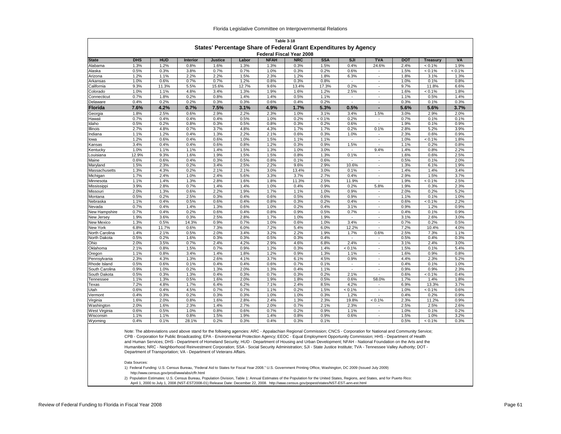|                      |              |              |               |                |       |                                                                  | Table 3-18   |              |                |                |              |                |              |
|----------------------|--------------|--------------|---------------|----------------|-------|------------------------------------------------------------------|--------------|--------------|----------------|----------------|--------------|----------------|--------------|
|                      |              |              |               |                |       | States' Percentage Share of Federal Grant Expenditures by Agency |              |              |                |                |              |                |              |
|                      |              |              |               |                |       | <b>Federal Fiscal Year 2008</b>                                  |              |              |                |                |              |                |              |
| <b>State</b>         | <b>DHS</b>   | <b>HUD</b>   | Interior      | <b>Justice</b> | Labor | <b>NFAH</b>                                                      | <b>NRC</b>   | <b>SSA</b>   | SJI            | <b>TVA</b>     | <b>DOT</b>   | Treasury       | <b>VA</b>    |
| Alabama              | 1.3%         | 1.2%         | 0.8%          | 1.6%           | 1.3%  | 1.3%                                                             | 0.3%         | 1.5%         | 0.4%           | 24.6%          | 2.4%         | < 0.1%         | 1.9%         |
| Alaska               | 0.5%         | 0.3%         | 3.8%          | 0.7%           | 0.7%  | 1.0%                                                             | 0.3%         | 0.2%         | 0.6%           | $\omega$       | 1.5%         | < 0.1%         | $< 0.1\%$    |
| Arizona              | 1.2%         | 1.1%         | 2.2%          | 2.2%           | 1.5%  | 2.3%                                                             | 1.2%         | 1.8%         | 6.3%           | $\blacksquare$ | 1.8%         | 3.1%           | 1.3%         |
| Arkansas             | 1.0%         | 0.6%         | 0.7%          | 0.7%           | 1.2%  | 0.8%                                                             | 0.3%         | 0.8%         |                | L.             | 1.0%         | 0.1%           | 0.8%         |
| California           | 9.3%         | 11.3%        | 5.5%          | 15.6%          | 12.7% | 9.6%                                                             | 13.4%        | 17.3%        | 0.2%           | $\mathbf{r}$   | 9.7%         | 11.8%          | 6.6%         |
| Colorado             | 1.0%         | 1.1%         | 4.8%          | 3.4%           | 1.3%  | 1.9%                                                             | 1.6%         | 1.2%         | 2.5%           | $\sim$         | 1.6%         | < 0.1%         | 1.8%         |
| Connecticut          | 0.7%         | 1.8%         | 0.2%          | 0.8%           | 1.4%  | 1.4%                                                             | 0.5%         | 1.1%         | ä,             | ä,             | 1.1%         | 0.5%           | 1.4%         |
| Delaware             | 0.4%         | 0.2%         | 0.2%          | 0.3%           | 0.3%  | 0.6%                                                             | 0.4%         | 0.2%         | $\sim$         | $\mathbf{r}$   | 0.3%         | 0.1%           | 0.3%         |
| Florida              | 7.6%         | 4.2%         | 0.7%          | 7.5%           | 3.1%  | 4.9%                                                             | 1.7%         | 5.3%         | 0.5%           | ٠              | 5.6%         | 5.6%           | 3.7%         |
| Georgia              | 1.8%         | 2.5%         | 0.6%          | 2.9%           | 2.2%  | 2.3%                                                             | 1.0%         | 3.1%         | 3.4%           | 1.5%           | 3.0%         | 2.9%           | 2.0%         |
| Hawaii               | 0.7%         | 0.4%         | 0.4%          | 0.4%           | 0.5%  | 1.0%                                                             | 0.2%         | < 0.1%       | 0.2%           | $\sim$         | 0.7%         | 0.1%           | 0.1%         |
| Idaho                | 0.5%         | 0.2%         | 0.8%          | 0.3%           | 0.5%  | 0.8%                                                             | 0.3%         | 0.2%         | 0.6%           |                | 1.9%         | 0.1%           | 0.9%         |
| Illinois             | 2.7%         | 4.8%         | 0.7%          | 3.7%           | 4.8%  | 4.3%                                                             | 1.7%         | 1.7%         | 0.2%           | 0.1%           | 2.8%         | 5.2%           | 3.9%         |
| ndiana               | 1.1%         | 1.2%         | 0.4%          | 1.3%           | 2.2%  | 2.1%                                                             | 0.6%         | 0.3%         | 1.0%           | $\sim$         | 2.3%         | 0.6%           | 0.9%         |
| lowa                 | 1.2%         | 0.6%         | 0.4%          | 0.6%           | 1.0%  | 1.5%                                                             | 1.1%         | 1.1%         | ÷.             | ÷.             | 1.0%         | $< 0.1\%$      | 1.8%         |
| <b>Kansas</b>        | 3.4%         | 0.4%         | 0.4%          | 0.6%           | 0.8%  | 1.2%                                                             | 0.3%         | 0.9%         | 1.5%           | $\sim$         | 1.1%         | 0.2%           | 0.8%         |
| <b>Kentucky</b>      | 1.0%         | 1.1%         | 1.1%          | 1.4%           | 1.5%  | 1.3%                                                             | 1.0%         | 3.0%         | $\sim$         | 9.4%           | 1.4%         | 0.8%           | 2.2%         |
| ouisiana             | 12.9%        | 9.3%         | 1.6%          | 1.9%           | 1.5%  | 1.5%                                                             | 0.8%         | 1.3%         | 0.1%           | ä,             | 1.6%         | 0.6%           | 2.5%         |
| Maine                | 0.6%         | 0.6%         | 0.4%          | 0.3%           | 0.5%  | 0.8%                                                             | 0.1%         | 0.6%         |                | $\mathbf{r}$   | 0.5%         | 0.1%           | 2.0%         |
| Maryland             | 1.5%         | 2.3%         | 0.2%          | 3.4%           | 2.5%  | 2.2%                                                             | 9.6%         | 2.9%         | 10.6%          | ÷.             | 1.3%         | 6.1%           | 1.9%         |
| Massachusetts        | 1.3%         | 4.3%         | 0.2%          | 2.1%           | 2.1%  | 3.0%                                                             | 13.4%        | 3.0%         | 0.1%           | ÷.             | 1.4%         | 1.4%           | 3.4%         |
| Michigan             | 1.7%         | 2.4%         | 1.0%          | 2.4%           | 5.6%  | 3.3%                                                             | 3.7%         | 2.7%         | 0.4%           | ÷.             | 2.9%         | 1.5%           | 3.7%         |
| Minnesota            | 1.1%         | 1.4%         | 1.3%          | 2.8%           | 1.6%  | 1.8%                                                             | 11.3%        | 2.5%         | 11.9%          | $\blacksquare$ | 1.9%         | $< 0.1\%$      | 2.5%         |
| Mississippi          | 3.9%         | 2.8%         | 0.7%          | 1.4%           | 1.4%  | 1.0%                                                             | 0.4%         | 0.9%         | 0.2%           | 5.8%           | 1.9%         | 0.3%           | 2.3%         |
| Missouri             | 2.0%         | 1.3%         | 0.6%          | 2.2%           | 1.9%  | 1.7%                                                             | 1.1%         | 1.0%         | 0.9%           | ä,             | 2.0%         | 0.2%           | 5.2%         |
| Montana              | 0.5%         | 0.2%         | 2.5%          | 0.3%           | 0.4%  | 0.6%                                                             | 0.5%         | 0.6%         | 0.9%           | $\sim$         | 1.1%         | 0.1%           | 1.0%         |
| Nebraska             | 1.1%         | 0.4%         | 0.5%          | 0.6%           | 0.4%  | 0.8%                                                             | 0.3%         | 0.2%         | 0.4%           | $\sim$         | 0.6%         | < 0.1%         | 2.2%         |
| Vevada               | 0.7%         | 0.4%         | 1.4%          | 1.3%           | 0.6%  | 1.0%                                                             | 0.2%         | 0.4%         | 3.1%           | $\blacksquare$ | 0.9%         | 1.2%           | 0.9%         |
| New Hampshire        | 0.7%         | 0.4%         | 0.2%          | 0.6%           | 0.4%  | 0.8%                                                             | 0.9%         | 0.5%         | 0.7%           | $\sim$         | 0.4%         | 0.1%           | 0.9%         |
| New Jersey           | 1.9%         | 3.6%         | 0.3%          | 2.5%           | 2.8%  | 1.7%                                                             | 1.0%         | 1.9%         | $\blacksquare$ | $\sim$         | 3.1%         | 2.6%           | 3.0%         |
| New Mexico           | 1.3%         | 0.5%         | 14.3%         | 0.9%           | 0.7%  | 1.0%                                                             | 0.6%         | 1.0%         | 3.4%           | $\sim$         | 0.7%         | 0.2%           | 0.5%         |
| New York             | 6.8%         | 11.7%        | 0.6%          | 7.3%           | 6.0%  | 7.2%                                                             | 5.4%         | 6.0%         | 12.2%          | ÷.             | 7.2%         | 10.4%          | 4.0%         |
| North Carolina       | 1.4%         | 2.1%         | 0.5%          | 2.0%           | 3.4%  | 3.2%                                                             | 2.2%         | 1.9%         | 1.7%           | 0.6%           | 2.5%         | 7.3%           | 1.1%         |
| North Dakota         | 0.5%         | 0.2%         | 1.6%          | 0.3%           | 0.3%  | 0.5%                                                             | 0.3%         | 0.4%         |                | $\blacksquare$ | 0.5%         | 0.4%           | 0.3%         |
| Ohio                 | 2.0%         | 3.5%         | 0.7%          | 2.4%           | 4.2%  | 2.9%                                                             | 4.6%         | 6.8%         | 2.4%           | ÷              | 3.1%         | 2.4%           | 3.0%         |
| Oklahoma             | 2.1%         | 0.8%         | 1.5%          | 0.7%           | 0.9%  | 1.2%                                                             | 0.3%         | 1.4%         | < 0.1%         | $\blacksquare$ | 1.5%         | 0.1%           | 5.4%         |
| Oregon               | 1.1%         | 0.8%         | 3.4%          | 1.4%           | 1.8%  | 1.2%                                                             | 0.9%         | 1.3%         | 1.1%           | $\sim$         | 1.6%         | 0.9%           | 0.8%         |
| Pennsylvania         | 2.3%         | 4.3%         | 1.3%          | 2.6%           | 4.1%  | 3.7%                                                             | 6.1%         | 4.5%         | 0.9%           | ÷.             | 4.4%         | 2.3%           | 5.2%         |
| Rhode Island         | 0.5%         | 0.6%         | 0.1%          | 0.4%           | 0.4%  | 0.6%                                                             | 0.7%         | 0.1%         | $\sim$         | $\blacksquare$ | 0.4%         | 0.1%           | 1.0%         |
| South Carolina       | 0.9%         | 1.0%         | 0.2%          | 1.3%           | 2.0%  | 1.3%                                                             | 0.4%         | 1.1%         | $\blacksquare$ | $\sim$         | 0.9%         | 0.9%           | 2.3%         |
| South Dakota         | 0.5%         | 0.3%         | 1.3%          | 0.4%           | 0.3%  | 0.7%                                                             | 0.3%         | 0.2%         | 2.1%           |                | 0.6%         | < 0.1%         | 0.4%         |
| Tennessee            | 1.1%         | 1.3%         | 0.5%          | 1.6%           | 2.0%  | 1.9%                                                             | 1.8%         | 0.5%         | 0.6%           | 58.0%          | 1.7%         | 1.4%           | 1.8%         |
| Texas                | 7.2%         | 4.8%         | 1.7%          | 6.4%           | 6.2%  | 7.1%                                                             | 2.4%         | 8.5%         | 4.2%           | $\blacksquare$ | 6.9%         | 13.3%          | 3.7%         |
| Utah                 | 0.6%         | 0.4%         | 4.5%          | 0.7%           | 0.7%  | 1.1%                                                             | 0.2%         | 1.5%         | < 0.1%         |                | 1.0%         | < 0.1%         | 0.6%         |
| /ermont              | 0.4%         | 0.3%         | 0.2%          | 0.3%           | 0.3%  | 1.0%                                                             | 1.0%         | 0.3%         | 1.2%           | $\mathbf{r}$   | 0.4%         | 0.2%           | 0.9%         |
| Virginia             | 1.6%         | 2.0%         | 0.8%          | 1.6%           | 2.8%  | 2.4%                                                             | 1.3%         | 2.3%         | 19.8%          | < 0.1%         | 2.3%         | 11.2%          | 0.9%         |
| Washington           | 2.0%         | 1.6%         | 2.3%          | 1.4%           | 2.7%  | 2.0%                                                             | 0.7%         | 2.1%         | 2.3%           | ÷,             | 2.5%         | 2.5%           | 2.6%         |
| West Virginia        | 0.6%         | 0.5%         | 1.0%          | 0.8%           | 0.6%  | 0.7%                                                             | 0.2%         | 0.9%         | 1.1%           | $\omega$       | 1.0%         | 0.1%           | 0.2%         |
|                      |              |              |               |                |       |                                                                  |              |              |                | $\mathbf{r}$   |              |                |              |
| Wisconsin<br>Wyoming | 1.1%<br>0.4% | 1.1%<br>0.1% | 0.8%<br>28.1% | 1.5%<br>0.2%   | 1.9%  | 1.4%<br>0.4%                                                     | 0.8%<br>0.3% | 0.9%<br>0.1% | 0.6%           | ÷.             | 1.5%<br>0.5% | 1.0%<br>< 0.1% | 3.2%<br>0.3% |
|                      |              |              |               |                | 0.3%  |                                                                  |              |              |                |                |              |                |              |

Note: The abbreviations used above stand for the following agencies: ARC - Appalachian Regional Commission; CNCS - Corporation for National and Community Service; CPB - Corporation for Public Broadcasting; EPA - Environmental Protection Agency; EEOC - Equal Employment Opportunity Commission; HHS - Department of Health and Human Services; DHS - Department of Homeland Security; HUD - Department of Housing and Urban Development; NFAH - National Foundation on the Arts and the Humanities; NRC - Neighborhood Reinvestment Corporation; SSA - Social Security Administration; SJI - State Justice Institute; TVA - Tennessee Valley Authority; DOT - Department of Transportation; VA - Department of Veterans Affairs.

Data Sources:

1) Federal Funding: U.S. Census Bureau, "Federal Aid to States for Fiscal Year 2008." U.S. Government Printing Office, Washington, DC 2009 (Issued July 2009) http://www.census.gov/prod/www/abs/cffr.html

2) Population Estimates: U.S. Census Bureau, Population Division, Table 1: Annual Estimates of the Population for the United States, Regions, and States, and for Puerto Rico: April 1, 2000 to July 1, 2008 (NST-EST2008-01) Release Date: December 22, 2008. http://www.census.gov/popest/states/NST-EST-ann-est.html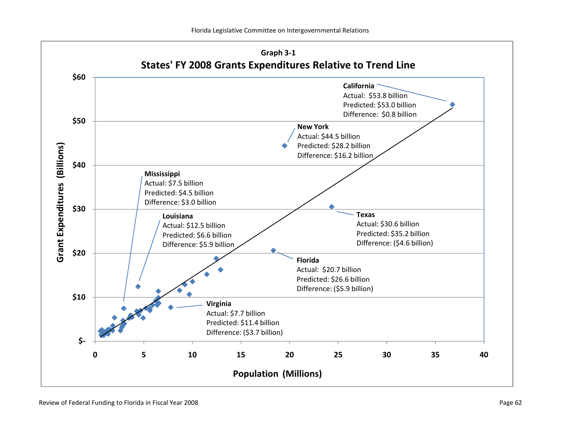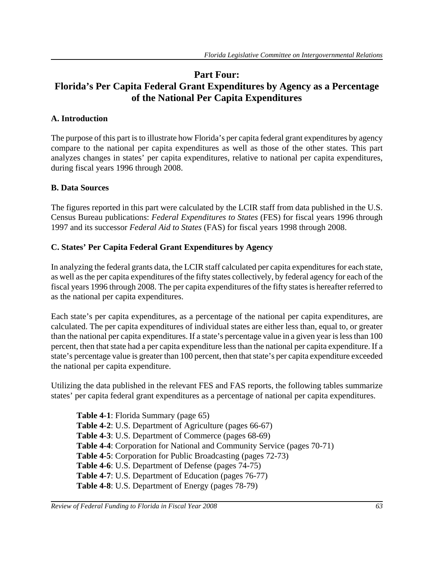# **Part Four: Florida's Per Capita Federal Grant Expenditures by Agency as a Percentage of the National Per Capita Expenditures**

### **A. Introduction**

The purpose of this part is to illustrate how Florida's per capita federal grant expenditures by agency compare to the national per capita expenditures as well as those of the other states. This part analyzes changes in states' per capita expenditures, relative to national per capita expenditures, during fiscal years 1996 through 2008.

#### **B. Data Sources**

The figures reported in this part were calculated by the LCIR staff from data published in the U.S. Census Bureau publications: *Federal Expenditures to States* (FES) for fiscal years 1996 through 1997 and its successor *Federal Aid to States* (FAS) for fiscal years 1998 through 2008.

#### **C. States' Per Capita Federal Grant Expenditures by Agency**

In analyzing the federal grants data, the LCIR staff calculated per capita expenditures for each state, as well as the per capita expenditures of the fifty states collectively, by federal agency for each of the fiscal years 1996 through 2008. The per capita expenditures of the fifty states is hereafter referred to as the national per capita expenditures.

Each state's per capita expenditures, as a percentage of the national per capita expenditures, are calculated. The per capita expenditures of individual states are either less than, equal to, or greater than the national per capita expenditures. If a state's percentage value in a given year is less than 100 percent, then that state had a per capita expenditure less than the national per capita expenditure. If a state's percentage value is greater than 100 percent, then that state's per capita expenditure exceeded the national per capita expenditure.

Utilizing the data published in the relevant FES and FAS reports, the following tables summarize states' per capita federal grant expenditures as a percentage of national per capita expenditures.

**Table 4-1**: Florida Summary (page 65) **Table 4-2**: U.S. Department of Agriculture (pages 66-67) **Table 4-3**: U.S. Department of Commerce (pages 68-69) **Table 4-4**: Corporation for National and Community Service (pages 70-71) **Table 4-5**: Corporation for Public Broadcasting (pages 72-73) **Table 4-6**: U.S. Department of Defense (pages 74-75) **Table 4-7**: U.S. Department of Education (pages 76-77) **Table 4-8**: U.S. Department of Energy (pages 78-79)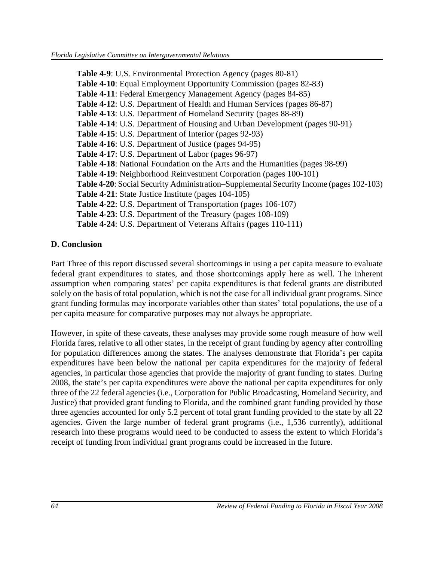**Table 4-9**: U.S. Environmental Protection Agency (pages 80-81) **Table 4-10**: Equal Employment Opportunity Commission (pages 82-83) **Table 4-11**: Federal Emergency Management Agency (pages 84-85) **Table 4-12**: U.S. Department of Health and Human Services (pages 86-87) **Table 4-13**: U.S. Department of Homeland Security (pages 88-89) **Table 4-14**: U.S. Department of Housing and Urban Development (pages 90-91) **Table 4-15**: U.S. Department of Interior (pages 92-93) **Table 4-16**: U.S. Department of Justice (pages 94-95) **Table 4-17**: U.S. Department of Labor (pages 96-97) **Table 4-18**: National Foundation on the Arts and the Humanities (pages 98-99) **Table 4-19**: Neighborhood Reinvestment Corporation (pages 100-101) **Table 4-20**: Social Security Administration–Supplemental Security Income (pages 102-103) **Table 4-21**: State Justice Institute (pages 104-105) **Table 4-22**: U.S. Department of Transportation (pages 106-107) **Table 4-23**: U.S. Department of the Treasury (pages 108-109) **Table 4-24**: U.S. Department of Veterans Affairs (pages 110-111)

## **D. Conclusion**

Part Three of this report discussed several shortcomings in using a per capita measure to evaluate federal grant expenditures to states, and those shortcomings apply here as well. The inherent assumption when comparing states' per capita expenditures is that federal grants are distributed solely on the basis of total population, which is not the case for all individual grant programs. Since grant funding formulas may incorporate variables other than states' total populations, the use of a per capita measure for comparative purposes may not always be appropriate.

However, in spite of these caveats, these analyses may provide some rough measure of how well Florida fares, relative to all other states, in the receipt of grant funding by agency after controlling for population differences among the states. The analyses demonstrate that Florida's per capita expenditures have been below the national per capita expenditures for the majority of federal agencies, in particular those agencies that provide the majority of grant funding to states. During 2008, the state's per capita expenditures were above the national per capita expenditures for only three of the 22 federal agencies (i.e., Corporation for Public Broadcasting, Homeland Security, and Justice) that provided grant funding to Florida, and the combined grant funding provided by those three agencies accounted for only 5.2 percent of total grant funding provided to the state by all 22 agencies. Given the large number of federal grant programs (i.e., 1,536 currently), additional research into these programs would need to be conducted to assess the extent to which Florida's receipt of funding from individual grant programs could be increased in the future.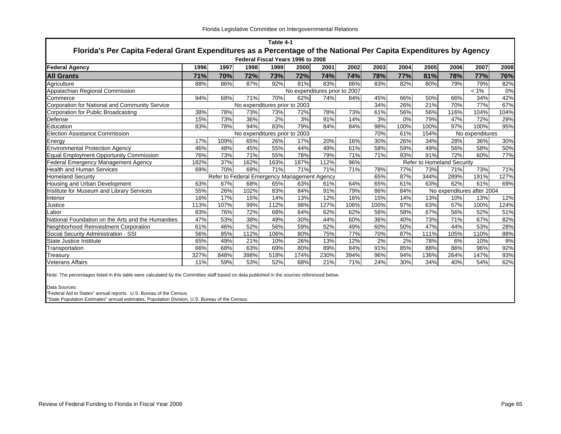|                                                                                                                   |      |      |      | Table 4-1                                    |      |                               |      |      |      |                                   |      |                            |      |
|-------------------------------------------------------------------------------------------------------------------|------|------|------|----------------------------------------------|------|-------------------------------|------|------|------|-----------------------------------|------|----------------------------|------|
| Florida's Per Capita Federal Grant Expenditures as a Percentage of the National Per Capita Expenditures by Agency |      |      |      |                                              |      |                               |      |      |      |                                   |      |                            |      |
|                                                                                                                   |      |      |      | Federal Fiscal Years 1996 to 2008            |      |                               |      |      |      |                                   |      |                            |      |
| <b>Federal Agency</b>                                                                                             | 1996 | 1997 | 1998 | 1999                                         | 2000 | 2001                          | 2002 | 2003 | 2004 | 2005                              | 2006 | 2007                       | 2008 |
| <b>All Grants</b>                                                                                                 | 71%  | 70%  | 72%  | 73%                                          | 72%  | 74%                           | 74%  | 78%  | 77%  | 81%                               | 78%  | 77%                        | 76%  |
| Agriculture                                                                                                       | 88%  | 86%  | 87%  | 92%                                          | 81%  | 83%                           | 86%  | 83%  | 82%  | 80%                               | 79%  | 79%                        | 82%  |
| Appalachian Regional Commission                                                                                   |      |      |      |                                              |      | No expenditures prior to 2007 |      |      |      |                                   |      | $< 1\%$                    | 0%   |
| Commerce                                                                                                          | 94%  | 68%  | 71%  | 70%                                          | 62%  | 74%                           | 84%  | 45%  | 66%  | 50%                               | 66%  | 34%                        | 42%  |
| Corporation for National and Community Service                                                                    |      |      |      | No expenditures prior to 2003                |      |                               |      | 34%  | 26%  | 21%                               | 70%  | 77%                        | 67%  |
| Corporation for Public Broadcasting                                                                               | 38%  | 78%  | 73%  | 73%                                          | 72%  | 78%                           | 73%  | 61%  | 56%  | 56%                               | 116% | 104%                       | 104% |
| Defense                                                                                                           | 15%  | 73%  | 36%  | 2%                                           | 3%   | 91%                           | 14%  | 3%   | 0%   | 79%                               | 47%  | 72%                        | 29%  |
| Education                                                                                                         | 83%  | 78%  | 94%  | 83%                                          | 79%  | 84%                           | 84%  | 98%  | 100% | 100%                              | 97%  | 100%                       | 95%  |
| <b>Election Assistance Commission</b>                                                                             |      |      |      | No expenditures prior to 2003                |      |                               |      | 70%  | 61%  | 154%                              |      | No expenditures            |      |
| Energy                                                                                                            | 17%  | 109% | 65%  | 26%                                          | 17%  | 20%                           | 16%  | 30%  | 26%  | 34%                               | 28%  | 36%                        | 30%  |
| <b>Environmental Protection Agency</b>                                                                            | 46%  | 48%  | 45%  | 55%                                          | 44%  | 49%                           | 61%  | 58%  | 59%  | 49%                               | 56%  | 58%                        | 50%  |
| <b>Equal Employment Opportunity Commission</b>                                                                    | 76%  | 73%  | 71%  | 55%                                          | 78%  | 79%                           | 71%  | 71%  | 93%  | 91%                               | 72%  | 60%                        | 77%  |
| Federal Emergency Management Agency                                                                               | 182% | 37%  | 162% | 163%                                         | 187% | 112%                          | 96%  |      |      | <b>Refer to Homeland Security</b> |      |                            |      |
| <b>Health and Human Services</b>                                                                                  | 69%  | 70%  | 69%  | 71%                                          | 71%  | 71%                           | 71%  | 78%  | 77%  | 73%                               | 71%  | 73%                        | 71%  |
| <b>Homeland Security</b>                                                                                          |      |      |      | Refer to Federal Emergency Management Agency |      |                               |      | 65%  | 87%  | 344%                              | 289% | 191%                       | 127% |
| Housing and Urban Development                                                                                     | 63%  | 67%  | 68%  | 65%                                          | 63%  | 61%                           | 64%  | 65%  | 61%  | 63%                               | 62%  | 61%                        | 69%  |
| Institute for Museum and Library Services                                                                         | 55%  | 26%  | 102% | 83%                                          | 84%  | 91%                           | 79%  | 86%  | 84%  |                                   |      | No expenditures after 2004 |      |
| Interior                                                                                                          | 16%  | 17%  | 15%  | 14%                                          | 13%  | 12%                           | 16%  | 15%  | 14%  | 13%                               | 10%  | 13%                        | 12%  |
| Justice                                                                                                           | 113% | 107% | 99%  | 112%                                         | 98%  | 127%                          | 106% | 100% | 97%  | 63%                               | 57%  | 100%                       | 124% |
| Labor                                                                                                             | 83%  | 76%  | 72%  | 68%                                          | 64%  | 62%                           | 62%  | 56%  | 58%  | 67%                               | 56%  | 52%                        | 51%  |
| National Foundation on the Arts and the Humanities                                                                | 47%  | 53%  | 38%  | 49%                                          | 30%  | 44%                           | 60%  | 36%  | 40%  | 73%                               | 71%  | 67%                        | 82%  |
| Neighborhood Reinvestment Corporation                                                                             | 61%  | 46%  | 52%  | 56%                                          | 59%  | 52%                           | 49%  | 60%  | 50%  | 47%                               | 44%  | 53%                        | 28%  |
| Social Security Administration - SSI                                                                              | 56%  | 85%  | 112% | 106%                                         | 80%  | 75%                           | 77%  | 70%  | 87%  | 111%                              | 105% | 110%                       | 88%  |
| State Justice Institute                                                                                           | 65%  | 49%  | 21%  | 10%                                          | 26%  | 13%                           | 12%  | 2%   | 2%   | 78%                               | 6%   | 10%                        | 9%   |
| Transportation                                                                                                    | 66%  | 68%  | 63%  | 69%                                          | 80%  | 89%                           | 84%  | 91%  | 85%  | 88%                               | 86%  | 96%                        | 92%  |
| Treasury                                                                                                          | 327% | 848% | 398% | 518%                                         | 174% | 230%                          | 394% | 96%  | 94%  | 136%                              | 264% | 147%                       | 93%  |
| <b>Veterans Affairs</b>                                                                                           | 11%  | 59%  | 53%  | 52%                                          | 68%  | 21%                           | 71%  | 24%  | 30%  | 34%                               | 40%  | 54%                        | 62%  |

Data Sources:

"Federal Aid to States" annual reports. U.S. Bureau of the Census.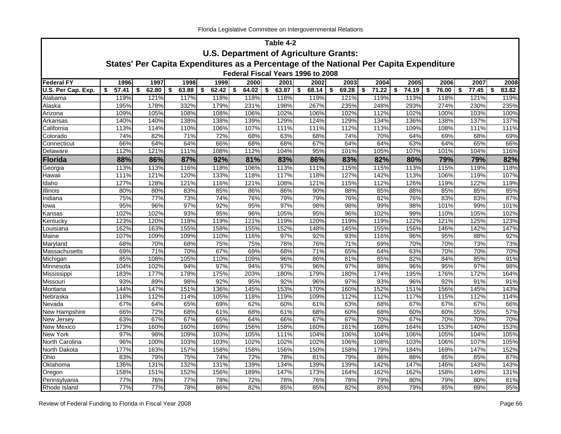|                    |             |                                                                                        |             |             |                                               | Table 4-2   |             |             |             |             |             |             |             |
|--------------------|-------------|----------------------------------------------------------------------------------------|-------------|-------------|-----------------------------------------------|-------------|-------------|-------------|-------------|-------------|-------------|-------------|-------------|
|                    |             |                                                                                        |             |             | <b>U.S. Department of Agriculture Grants:</b> |             |             |             |             |             |             |             |             |
|                    |             | States' Per Capita Expenditures as a Percentage of the National Per Capita Expenditure |             |             |                                               |             |             |             |             |             |             |             |             |
|                    |             |                                                                                        |             |             |                                               |             |             |             |             |             |             |             |             |
|                    |             |                                                                                        |             |             | Federal Fiscal Years 1996 to 2008             |             |             |             |             |             |             |             |             |
| <b>Federal FY</b>  | 1996        | 1997                                                                                   | 1998        | 1999        | 2000                                          | 2001        | 2002        | 2003        | 2004        | 2005        | 2006        | 2007        | 2008        |
| U.S. Per Cap. Exp. | \$<br>57.41 | \$<br>62.80                                                                            | \$<br>63.88 | 62.42<br>\$ | 64.02<br>\$                                   | \$<br>63.87 | \$<br>68.14 | \$<br>69.28 | \$<br>71.22 | \$<br>74.19 | \$<br>76.00 | \$<br>77.45 | \$<br>83.82 |
| Alabama            | 119%        | 121%                                                                                   | 117%        | 118%        | 118%                                          | 118%        | 119%        | 121%        | 119%        | 113%        | 118%        | 121%        | 119%        |
| Alaska             | 195%        | 178%                                                                                   | 332%        | 179%        | 231%                                          | 198%        | 267%        | 235%        | 248%        | 293%        | 274%        | 230%        | 235%        |
| Arizona            | 109%        | 105%                                                                                   | 108%        | 108%        | 106%                                          | 102%        | 106%        | 102%        | 112%        | 102%        | 100%        | 103%        | 100%        |
| Arkansas           | 140%        | 140%                                                                                   | 138%        | 138%        | 139%                                          | 129%        | 124%        | 129%        | 134%        | 136%        | 138%        | 137%        | 137%        |
| California         | 113%        | 114%                                                                                   | 110%        | 106%        | 107%                                          | 111%        | 111%        | 112%        | 113%        | 109%        | 108%        | 111%        | 111%        |
| Colorado           | 74%         | 82%                                                                                    | 71%         | 72%         | 68%                                           | 63%         | 68%         | 74%         | 70%         | 64%         | 69%         | 68%         | 69%         |
| Connecticut        | 66%         | 64%                                                                                    | 64%         | 66%         | 68%                                           | 68%         | 67%         | 64%         | 64%         | 63%         | 64%         | 65%         | 66%         |
| Delaware           | 112%        | 121%                                                                                   | 111%        | 108%        | 112%                                          | 104%        | 95%         | 101%        | 105%        | 107%        | 101%        | 104%        | 116%        |
| Florida            | 88%         | 86%                                                                                    | 87%         | 92%         | 81%                                           | 83%         | 86%         | 83%         | 82%         | 80%         | 79%         | 79%         | 82%         |
| Georgia            | 113%        | 113%                                                                                   | 116%        | 118%        | 106%                                          | 113%        | 111%        | 115%        | 115%        | 113%        | 115%        | 119%        | 118%        |
| Hawaii             | 111%        | 121%                                                                                   | 120%        | 133%        | 118%                                          | 117%        | 118%        | 127%        | 142%        | 113%        | 106%        | 119%        | 107%        |
| daho               | 127%        | 128%                                                                                   | 121%        | 116%        | 121%                                          | 108%        | 121%        | 115%        | 112%        | 126%        | 119%        | 122%        | 119%        |
| Illinois           | 80%         | 80%                                                                                    | 83%         | 85%         | 86%                                           | 86%         | 90%         | 88%         | 85%         | 88%         | 85%         | 85%         | 85%         |
| Indiana            | 75%         | 77%                                                                                    | 73%         | 74%         | 76%                                           | 79%         | 79%         | 76%         | 82%         | 76%         | 83%         | 83%         | 87%         |
| owa                | 95%         | 96%                                                                                    | 97%         | 92%         | 95%                                           | 97%         | 98%         | 98%         | 99%         | 98%         | 101%        | 99%         | 101%        |
| Kansas             | 102%        | 102%                                                                                   | 93%         | 95%         | 96%                                           | 105%        | 95%         | 96%         | 102%        | 99%         | 110%        | 105%        | 102%        |
| Kentucky           | 123%        | 120%                                                                                   | 118%        | 119%        | 121%                                          | 119%        | 120%        | 119%        | 119%        | 122%        | 121%        | 125%        | 123%        |
| _ouisiana          | 162%        | 163%                                                                                   | 155%        | 158%        | 155%                                          | 152%        | 148%        | 145%        | 155%        | 156%        | 146%        | 142%        | 147%        |
| Maine              | 107%        | 109%                                                                                   | 109%        | 110%        | 116%                                          | 97%         | 92%         | 93%         | 116%        | 96%         | 95%         | 88%         | 92%         |
| Maryland           | 68%         | 70%                                                                                    | 68%         | 75%         | 75%                                           | 78%         | 76%         | 71%         | 69%         | 70%         | 70%         | 73%         | 73%         |
| Massachusetts      | 69%         | 71%                                                                                    | 70%         | 67%         | 69%                                           | 68%         | 71%         | 65%         | 64%         | 63%         | 70%         | 70%         | 70%         |
| Michigan           | 85%         | 108%                                                                                   | 105%        | 110%        | 109%                                          | 96%         | 86%         | 81%         | 85%         | 82%         | 84%         | 85%         | 91%         |
| Minnesota          | 104%        | 102%                                                                                   | 94%         | 97%         | 94%                                           | 97%         | 96%         | 97%         | 98%         | 96%         | 95%         | 97%         | 98%         |
| Mississippi        | 183%        | 177%                                                                                   | 178%        | 175%        | 203%                                          | 180%        | 179%        | 180%        | 174%        | 195%        | 176%        | 172%        | 164%        |
| <b>Missouri</b>    | 93%         | 89%                                                                                    | 98%         | 92%         | 95%                                           | 92%         | 96%         | 97%         | 93%         | 96%         | 92%         | 91%         | 91%         |
| Montana            | 144%        | 147%                                                                                   | 151%        | 136%        | 145%                                          | 153%        | 170%        | 160%        | 152%        | 151%        | 156%        | 145%        | 143%        |
| Nebraska           | 118%        | 112%                                                                                   | 114%        | 105%        | 118%                                          | 119%        | 109%        | 112%        | 112%        | 117%        | 115%        | 112%        | 114%        |
| Nevada             | 67%         | 64%                                                                                    | 65%         | 69%         | 62%                                           | 60%         | 61%         | 63%         | 68%         | 67%         | 67%         | 67%         | 66%         |
| New Hampshire      | 66%         | 72%                                                                                    | 68%         | 61%         | 68%                                           | 61%         | 68%         | 60%         | 68%         | 60%         | 60%         | 55%         | 57%         |
| New Jersey         | 63%         | 67%                                                                                    | 67%         | 65%         | 64%                                           | 66%         | 67%         | 67%         | 70%         | 67%         | 70%         | 70%         | 70%         |
| <b>New Mexico</b>  | 173%        | 160%                                                                                   | 160%        | 169%        | 156%                                          | 158%        | 160%        | 161%        | 168%        | 164%        | 153%        | 140%        | 153%        |
| <b>New York</b>    | 97%         | 98%                                                                                    | 109%        | 103%        | 105%                                          | 111%        | 104%        | 106%        | 104%        | 106%        | 105%        | 104%        | 105%        |
| North Carolina     | 96%         | 100%                                                                                   | 103%        | 103%        | 102%                                          | 102%        | 102%        | 106%        | 108%        | 103%        | 106%        | 107%        | 105%        |
| North Dakota       | 177%        | 163%                                                                                   | 157%        | 158%        | 158%                                          | 156%        | 150%        | 158%        | 179%        | 184%        | 169%        | 147%        | 152%        |
| Ohio               | 83%         | 79%                                                                                    | 75%         | 74%         | 72%                                           | 78%         | 81%         | 79%         | 86%         | 88%         | 85%         | 85%         | 87%         |
| Oklahoma           | 136%        | 131%                                                                                   | 132%        | 131%        | 139%                                          | 134%        | 139%        | 139%        | 142%        | 147%        | 146%        | 143%        | 143%        |
| Oregon             | 158%        | 151%                                                                                   | 152%        | 156%        | 189%                                          | 147%        | 173%        | 164%        | 162%        | 162%        | 158%        | 149%        | 131%        |
| Pennsylvania       | 77%         | 76%                                                                                    | 77%         | 78%         | 72%                                           | 78%         | 76%         | 78%         | 79%         | 80%         | 79%         | 80%         | 81%         |
| Rhode Island       | 77%         | 77%                                                                                    | 78%         | 86%         | 82%                                           | 85%         | 85%         | 82%         | 85%         | 79%         | 85%         | 89%         | 85%         |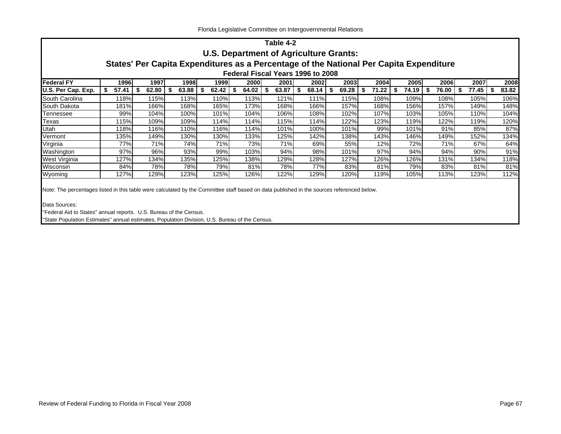|                      |                                                                                                                                                       |      |  |      |  |      |  |                                                                                        |  |      |  | Table 4-2 |  |      |  |      |      |       |      |  |      |  |      |
|----------------------|-------------------------------------------------------------------------------------------------------------------------------------------------------|------|--|------|--|------|--|----------------------------------------------------------------------------------------|--|------|--|-----------|--|------|--|------|------|-------|------|--|------|--|------|
|                      |                                                                                                                                                       |      |  |      |  |      |  | <b>U.S. Department of Agriculture Grants:</b>                                          |  |      |  |           |  |      |  |      |      |       |      |  |      |  |      |
|                      |                                                                                                                                                       |      |  |      |  |      |  | States' Per Capita Expenditures as a Percentage of the National Per Capita Expenditure |  |      |  |           |  |      |  |      |      |       |      |  |      |  |      |
|                      | Federal Fiscal Years 1996 to 2008<br>2005<br>2006<br>2007<br>1996<br>1997<br>2004<br>1998<br>1999<br>2000<br>2001<br>2002<br>2003                     |      |  |      |  |      |  |                                                                                        |  |      |  |           |  |      |  |      |      |       |      |  |      |  |      |
| <b>Federal FY</b>    | 62.80<br>63.88<br>62.42<br>63.87<br>69.28<br>77.45<br>57.41<br>64.02<br>68.14<br>71.22<br>74.19<br>76.00<br>- \$<br>S.<br>- 5<br>S.<br>5.<br>-55<br>ж |      |  |      |  |      |  |                                                                                        |  |      |  |           |  |      |  | 2008 |      |       |      |  |      |  |      |
| U.S. Per Cap. Exp.   |                                                                                                                                                       |      |  |      |  |      |  |                                                                                        |  |      |  |           |  |      |  |      |      | 83.82 |      |  |      |  |      |
| South Carolina       | 113%<br>110%<br>113%<br>121%<br>115%<br>108%<br>109%<br>108%<br>118%<br>115%<br>111%                                                                  |      |  |      |  |      |  |                                                                                        |  |      |  |           |  |      |  | 105% |      | 106%  |      |  |      |  |      |
| South Dakota         |                                                                                                                                                       | 181% |  | 166% |  | 168% |  | 165%                                                                                   |  | 173% |  | 168%      |  | 166% |  | 157% | 168% | 156%  | 157% |  | 149% |  | 148% |
| Tennessee            |                                                                                                                                                       | 99%  |  | 104% |  | 100% |  | 101%                                                                                   |  | 104% |  | 106%      |  | 108% |  | 102% | 107% | 103%  | 105% |  | 110% |  | 104% |
| Texas                |                                                                                                                                                       | 115% |  | 109% |  | 109% |  | 114%                                                                                   |  | 114% |  | 115%      |  | 114% |  | 122% | 123% | 119%  | 122% |  | 119% |  | 120% |
| Utah                 |                                                                                                                                                       | 118% |  | 116% |  | 110% |  | 116%                                                                                   |  | 114% |  | 101%      |  | 100% |  | 101% | 99%  | 101%  | 91%  |  | 85%  |  | 87%  |
| Vermont              |                                                                                                                                                       | 135% |  | 149% |  | 130% |  | 130%                                                                                   |  | 133% |  | 125%      |  | 142% |  | 138% | 143% | 146%  | 149% |  | 152% |  | 134% |
| Virginia             |                                                                                                                                                       | 77%  |  | 71%  |  | 74%  |  | 71%                                                                                    |  | 73%  |  | 71%       |  | 69%  |  | 55%  | 12%  | 72%   | 71%  |  | 67%  |  | 64%  |
| Washington           |                                                                                                                                                       | 97%  |  | 96%  |  | 93%  |  | 99%                                                                                    |  | 103% |  | 94%       |  | 98%  |  | 101% | 97%  | 94%   | 94%  |  | 90%  |  | 91%  |
| <b>West Virginia</b> |                                                                                                                                                       | 127% |  | 134% |  | 135% |  | 125%                                                                                   |  | 138% |  | 129%      |  | 128% |  | 127% | 126% | 126%  | 131% |  | 134% |  | 118% |
| Wisconsin            |                                                                                                                                                       | 84%  |  | 78%  |  | 78%  |  | 79%                                                                                    |  | 81%  |  | 78%       |  | 77%  |  | 83%  | 81%  | 79%   | 83%  |  | 81%  |  | 81%  |
| Wyoming              |                                                                                                                                                       | 127% |  | 129% |  | 123% |  | 125%                                                                                   |  | 126% |  | 122%      |  | 129% |  | 120% | 119% | 105%  | 113% |  | 123% |  | 112% |

Data Sources:

"Federal Aid to States" annual reports. U.S. Bureau of the Census.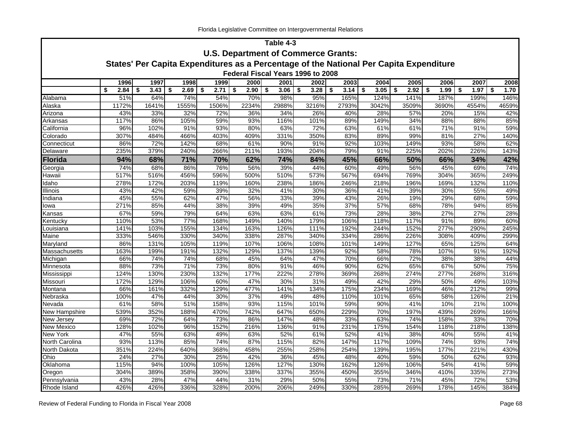|                   |            |            |            |            |            | Table 4-3  |                                            |            |                                                                                        |            |            |            |            |
|-------------------|------------|------------|------------|------------|------------|------------|--------------------------------------------|------------|----------------------------------------------------------------------------------------|------------|------------|------------|------------|
|                   |            |            |            |            |            |            | <b>U.S. Department of Commerce Grants:</b> |            |                                                                                        |            |            |            |            |
|                   |            |            |            |            |            |            |                                            |            | States' Per Capita Expenditures as a Percentage of the National Per Capita Expenditure |            |            |            |            |
|                   |            |            |            |            |            |            |                                            |            |                                                                                        |            |            |            |            |
|                   |            |            |            |            |            |            | Federal Fiscal Years 1996 to 2008          |            |                                                                                        |            |            |            |            |
|                   | 1996       | 1997       | 1998       | 1999       | 2000       | 2001       | 2002                                       | 2003       | 2004                                                                                   | 2005       | 2006       | 2007       | 2008       |
|                   | \$<br>2.84 | \$<br>3.43 | \$<br>2.69 | \$<br>2.71 | \$<br>2.90 | \$<br>3.06 | 3.28<br>\$                                 | \$<br>3.14 | 3.05<br>\$                                                                             | 2.92<br>\$ | \$<br>1.99 | \$<br>1.97 | \$<br>1.70 |
| Alabama           | 51%        | 64%        | 74%        | 54%        | 70%        | 98%        | 95%                                        | 165%       | 124%                                                                                   | 141%       | 187%       | 199%       | 146%       |
| Alaska            | 1172%      | 1641%      | 1555%      | 1506%      | 2234%      | 2988%      | 3216%                                      | 2793%      | 3042%                                                                                  | 3509%      | 3690%      | 4554%      | 4659%      |
| Arizona           | 43%        | 33%        | 32%        | 72%        | 36%        | 34%        | 26%                                        | 40%        | 28%                                                                                    | 57%        | 20%        | 15%        | 42%        |
| Arkansas          | 117%       | 86%        | 105%       | 59%        | 93%        | 116%       | 101%                                       | 89%        | 149%                                                                                   | 34%        | 88%        | 88%        | 85%        |
| California        | 96%        | 102%       | 91%        | 93%        | 80%        | 63%        | 72%                                        | 63%        | 61%                                                                                    | 61%        | 71%        | 91%        | 59%        |
| Colorado          | 307%       | 484%       | 466%       | 403%       | 409%       | 331%       | 350%                                       | 83%        | 89%                                                                                    | 99%        | 81%        | 27%        | 140%       |
| Connecticut       | 86%        | 72%        | 142%       | 68%        | 61%        | 90%        | 91%                                        | 92%        | 103%                                                                                   | 149%       | 93%        | 58%        | 62%        |
| Delaware          | 235%       | 379%       | 240%       | 266%       | 211%       | 193%       | 204%                                       | 79%        | 91%                                                                                    | 225%       | 202%       | 226%       | 143%       |
| Florida           | 94%        | 68%        | 71%        | 70%        | 62%        | 74%        | 84%                                        | 45%        | 66%                                                                                    | 50%        | 66%        | 34%        | 42%        |
| Georgia           | <b>74%</b> | 68%        | 86%        | 76%        | 56%        | 39%        | 44%                                        | 60%        | 49%                                                                                    | 56%        | 45%        | 69%        | 74%        |
| Hawaii            | 517%       | 516%       | 456%       | 596%       | 500%       | 510%       | 573%                                       | 567%       | 694%                                                                                   | 769%       | 304%       | 365%       | 249%       |
| <b>Idaho</b>      | 278%       | 172%       | 203%       | 119%       | 160%       | 238%       | 186%                                       | 246%       | 218%                                                                                   | 196%       | 169%       | 132%       | 110%       |
| Illinois          | 43%        | 42%        | 59%        | 39%        | 32%        | 41%        | 30%                                        | 36%        | 41%                                                                                    | 39%        | 30%        | 55%        | 49%        |
| Indiana           | 45%        | 55%        | 62%        | 47%        | 56%        | 33%        | 39%                                        | 43%        | 26%                                                                                    | 19%        | 29%        | 68%        | 59%        |
| lowa              | 271%       | 85%        | 44%        | 38%        | 39%        | 49%        | 35%                                        | 37%        | 57%                                                                                    | 68%        | 78%        | 94%        | 85%        |
| Kansas            | 67%        | 59%        | 79%        | 64%        | 63%        | 63%        | 61%                                        | 73%        | 28%                                                                                    | 38%        | 27%        | 27%        | 28%        |
| Kentucky          | 110%       | 53%        | 77%        | 168%       | 149%       | 140%       | 179%                                       | 106%       | 118%                                                                                   | 117%       | 91%        | 89%        | 60%        |
| Louisiana         | 141%       | 103%       | 155%       | 134%       | 163%       | 126%       | 111%                                       | 192%       | 244%                                                                                   | 152%       | 277%       | 290%       | 245%       |
| Maine             | 333%       | 546%       | 330%       | 340%       | 338%       | 287%       | 340%                                       | 334%       | 286%                                                                                   | 226%       | 308%       | 409%       | 299%       |
| Maryland          | 86%        | 131%       | 105%       | 119%       | 107%       | 106%       | 108%                                       | 101%       | 149%                                                                                   | 127%       | 65%        | 125%       | 64%        |
| Massachusetts     | 163%       | 199%       | 191%       | 132%       | 129%       | 137%       | 139%                                       | 92%        | 58%                                                                                    | 78%        | 107%       | 91%        | 192%       |
| Michigan          | 66%        | 74%        | 74%        | 68%        | 45%        | 64%        | 47%                                        | 70%        | 66%                                                                                    | 72%        | 38%        | 38%        | 44%        |
| Minnesota         | 88%        | 73%        | 71%        | 73%        | 80%        | 91%        | 46%                                        | 90%        | 62%                                                                                    | 65%        | 67%        | 50%        | 75%        |
| Mississippi       | 124%       | 130%       | 230%       | 132%       | 177%       | 222%       | 278%                                       | 369%       | 268%                                                                                   | 274%       | 277%       | 268%       | 316%       |
| Missouri          | 172%       | 129%       | 106%       | 60%        | 47%        | 30%        | 31%                                        | 49%        | 42%                                                                                    | 29%        | 50%        | 49%        | 103%       |
| Montana           | 66%        | 161%       | 332%       | 129%       | 477%       | 141%       | 134%                                       | 175%       | 234%                                                                                   | 169%       | 46%        | 212%       | 99%        |
| Nebraska          | 100%       | 47%        | 44%        | 30%        | 37%        | 49%        | 48%                                        | 110%       | 101%                                                                                   | 65%        | 58%        | 126%       | 21%        |
| Nevada            | 61%        | 58%        | 51%        | 158%       | 93%        | 115%       | 101%                                       | 59%        | 90%                                                                                    | 41%        | 10%        | 21%        | 100%       |
| New Hampshire     | 539%       | 352%       | 188%       | 470%       | 742%       | 647%       | 650%                                       | 229%       | 70%                                                                                    | 197%       | 439%       | 269%       | 166%       |
| <b>New Jersey</b> | 69%        | 72%        | 64%        | 73%        | 86%        | 147%       | 48%                                        | 33%        | 63%                                                                                    | 74%        | 158%       | 33%        | 70%        |
| <b>New Mexico</b> | 128%       | 102%       | 96%        | 152%       | 216%       | 136%       | 91%                                        | 231%       | 175%                                                                                   | 154%       | 118%       | 218%       | 138%       |
| New York          | 47%        | 55%        | 63%        | 49%        | 63%        | 52%        | 61%                                        | 52%        | 41%                                                                                    | 38%        | 40%        | 55%        | 41%        |
| North Carolina    | 93%        | 113%       | 85%        | 74%        | 87%        | 115%       | 82%                                        | 147%       | 117%                                                                                   | 109%       | 74%        | 93%        | 74%        |
| North Dakota      | 351%       | 224%       | 640%       | 368%       | 458%       | 255%       | 258%                                       | 254%       | 139%                                                                                   | 195%       | 177%       | 221%       | 430%       |
| Ohio              | 24%        | 27%        | 30%        | 25%        | 42%        | 36%        | 45%                                        | 48%        | 40%                                                                                    | 59%        | 50%        | 62%        | 93%        |
| Oklahoma          | 115%       | 94%        | 100%       | 105%       | 126%       | 127%       | 130%                                       | 162%       | 126%                                                                                   | 106%       | 54%        | 41%        | 59%        |
| Oregon            | 304%       | 389%       | 358%       | 390%       | 338%       | 337%       | 355%                                       | 450%       | 355%                                                                                   | 346%       | 410%       | 335%       | 273%       |
| Pennsylvania      | 43%        | 28%        | 47%        | 44%        | 31%        | 29%        | 50%                                        | 55%        | 73%                                                                                    | 71%        | 45%        | 72%        | 53%        |
| Rhode Island      | 426%       | 426%       | 336%       | 328%       | 200%       | 206%       | 249%                                       | 330%       | 285%                                                                                   | 269%       | 178%       | 145%       | 384%       |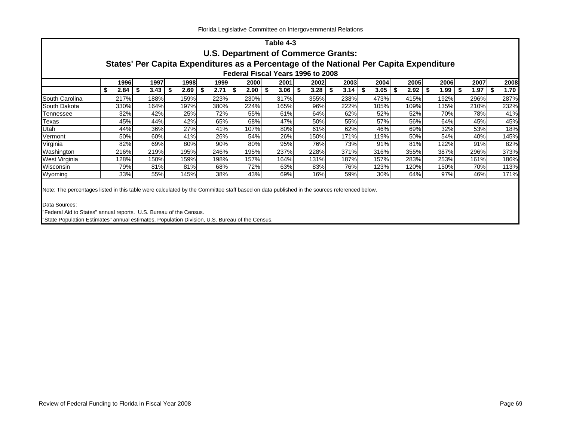|                |                                                                                                                                                                                                                                                                                   |      |  |      |  |      |  | <b>U.S. Department of Commerce Grants:</b><br>States' Per Capita Expenditures as a Percentage of the National Per Capita Expenditure |  |      |  | Table 4-3<br>Federal Fiscal Years 1996 to 2008 |  |      |  |      |      |      |      |  |      |      |
|----------------|-----------------------------------------------------------------------------------------------------------------------------------------------------------------------------------------------------------------------------------------------------------------------------------|------|--|------|--|------|--|--------------------------------------------------------------------------------------------------------------------------------------|--|------|--|------------------------------------------------|--|------|--|------|------|------|------|--|------|------|
|                | <b>2006</b><br>2007<br>1996<br>1997<br>1998<br>2004<br>2005<br>1999<br><b>2000</b><br>2002<br>2003<br>2001<br>2.71<br>$3.05$   \$<br>2.92<br>1.97<br>2.84<br>3.43<br>2.69<br>2.90<br>3.06<br>$3.14$ $\sqrt{5}$<br>1.99<br>- \$<br>- \$<br>S<br>∣ \$<br>-S<br>- 56<br>- 56<br>- 35 |      |  |      |  |      |  |                                                                                                                                      |  |      |  |                                                |  |      |  | 2008 |      |      |      |  |      |      |
|                | 223%<br>317%<br>473%<br>415%<br>217%<br>188%<br>159%<br>230%<br>355%<br>238%<br>192%                                                                                                                                                                                              |      |  |      |  |      |  |                                                                                                                                      |  |      |  |                                                |  |      |  |      | 1.70 |      |      |  |      |      |
| South Carolina |                                                                                                                                                                                                                                                                                   |      |  |      |  |      |  |                                                                                                                                      |  |      |  |                                                |  |      |  | 296% | 287% |      |      |  |      |      |
| South Dakota   | 222%<br>330%<br>164%<br>197%<br>380%<br>224%<br>96%<br>135%<br>165%<br>105%<br>109%<br>210%                                                                                                                                                                                       |      |  |      |  |      |  |                                                                                                                                      |  |      |  |                                                |  |      |  | 232% |      |      |      |  |      |      |
| Tennessee      |                                                                                                                                                                                                                                                                                   | 32%  |  | 42%  |  | 25%  |  | 72%                                                                                                                                  |  | 55%  |  | 61%                                            |  | 64%  |  | 62%  | 52%  | 52%  | 70%  |  | 78%  | 41%  |
| Texas          |                                                                                                                                                                                                                                                                                   | 45%  |  | 44%  |  | 42%  |  | 65%                                                                                                                                  |  | 68%  |  | 47%                                            |  | 50%  |  | 55%  | 57%  | 56%  | 64%  |  | 45%  | 45%  |
| Utah           |                                                                                                                                                                                                                                                                                   | 44%  |  | 36%  |  | 27%  |  | 41%                                                                                                                                  |  | 107% |  | 80%                                            |  | 61%  |  | 62%  | 46%  | 69%  | 32%  |  | 53%  | 18%  |
| Vermont        |                                                                                                                                                                                                                                                                                   | 50%  |  | 60%  |  | 41%  |  | 26%                                                                                                                                  |  | 54%  |  | 26%                                            |  | 150% |  | 171% | 119% | 50%  | 54%  |  | 40%  | 145% |
| Virginia       |                                                                                                                                                                                                                                                                                   | 82%  |  | 69%  |  | 80%  |  | 90%                                                                                                                                  |  | 80%  |  | 95%                                            |  | 76%  |  | 73%  | 91%  | 81%  | 122% |  | 91%  | 82%  |
| Washington     |                                                                                                                                                                                                                                                                                   | 216% |  | 219% |  | 195% |  | 246%                                                                                                                                 |  | 195% |  | 237%                                           |  | 228% |  | 371% | 316% | 355% | 387% |  | 296% | 373% |
| West Virginia  |                                                                                                                                                                                                                                                                                   | 128% |  | 150% |  | 159% |  | 198%                                                                                                                                 |  | 157% |  | 164%                                           |  | 131% |  | 187% | 157% | 283% | 253% |  | 161% | 186% |
| Wisconsin      |                                                                                                                                                                                                                                                                                   | 79%  |  | 81%  |  | 81%  |  | 68%                                                                                                                                  |  | 72%  |  | 63%                                            |  | 83%  |  | 76%  | 123% | 120% | 150% |  | 70%  | 113% |
| Wyoming        |                                                                                                                                                                                                                                                                                   | 33%  |  | 55%  |  | 145% |  | 38%                                                                                                                                  |  | 43%  |  | 69%                                            |  | 16%  |  | 59%  | 30%  | 64%  | 97%  |  | 46%  | 171% |

Data Sources:

"Federal Aid to States" annual reports. U.S. Bureau of the Census.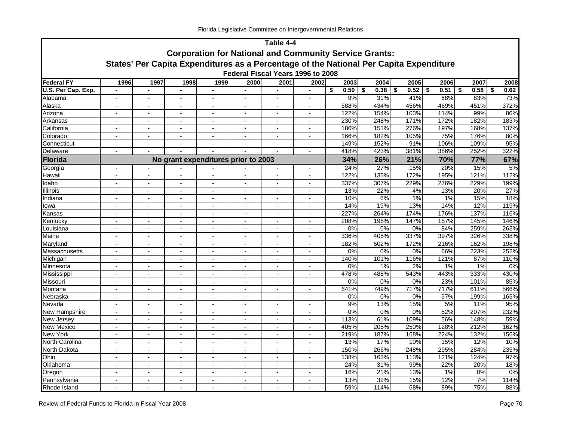|                       |                          |                          |                          |                                                                                        |                          | Table 4-4                         |                          |            |            |            |            |            |            |
|-----------------------|--------------------------|--------------------------|--------------------------|----------------------------------------------------------------------------------------|--------------------------|-----------------------------------|--------------------------|------------|------------|------------|------------|------------|------------|
|                       |                          |                          |                          | <b>Corporation for National and Community Service Grants:</b>                          |                          |                                   |                          |            |            |            |            |            |            |
|                       |                          |                          |                          |                                                                                        |                          |                                   |                          |            |            |            |            |            |            |
|                       |                          |                          |                          | States' Per Capita Expenditures as a Percentage of the National Per Capita Expenditure |                          |                                   |                          |            |            |            |            |            |            |
|                       |                          |                          |                          |                                                                                        |                          | Federal Fiscal Years 1996 to 2008 |                          |            |            |            |            |            |            |
| <b>Federal FY</b>     | 1996                     | 1997                     | 1998                     | 1999                                                                                   | 2000                     | 2001                              | 2002                     | 2003       | 2004       | 2005       | 2006       | 2007       | 2008       |
| U.S. Per Cap. Exp.    |                          | $\blacksquare$           |                          |                                                                                        | ÷                        | ÷.                                |                          | 0.50<br>\$ | 0.38<br>\$ | \$<br>0.52 | \$<br>0.51 | \$<br>0.58 | \$<br>0.62 |
| Alabama               |                          | $\blacksquare$           | $\blacksquare$           | $\blacksquare$                                                                         | $\blacksquare$           | $\blacksquare$                    | $\blacksquare$           | 9%         | 31%        | 41%        | 68%        | 83%        | 73%        |
| Alaska                | $\overline{\phantom{a}}$ | $\sim$                   | $\blacksquare$           | $\overline{\phantom{a}}$                                                               | $\blacksquare$           | $\blacksquare$                    | $\blacksquare$           | 588%       | 434%       | 456%       | 469%       | 451%       | 372%       |
| Arizona               |                          |                          |                          |                                                                                        |                          | ÷                                 |                          | 122%       | 154%       | 103%       | 114%       | 99%        | 86%        |
| Arkansas              | $\overline{\phantom{0}}$ | $\overline{\phantom{0}}$ | $\overline{\phantom{a}}$ | $\overline{\phantom{a}}$                                                               | $\overline{\phantom{0}}$ | $\blacksquare$                    | $\sim$                   | 230%       | 248%       | 171%       | 172%       | 182%       | 183%       |
| California            | $\blacksquare$           | $\sim$                   | $\blacksquare$           | $\overline{\phantom{a}}$                                                               | $\overline{\phantom{a}}$ | $\blacksquare$                    | $\blacksquare$           | 186%       | 151%       | 276%       | 197%       | 168%       | 137%       |
| Colorado              | $\blacksquare$           | $\sim$                   | $\sim$                   | $\blacksquare$                                                                         | $\blacksquare$           | $\blacksquare$                    | $\blacksquare$           | 166%       | 182%       | 105%       | 75%        | 176%       | 80%        |
| Connecticut           | $\overline{\phantom{a}}$ | $\blacksquare$           | $\blacksquare$           | $\blacksquare$                                                                         | $\overline{\phantom{a}}$ | $\overline{\phantom{a}}$          | $\blacksquare$           | 149%       | 152%       | 91%        | 106%       | 109%       | 95%        |
| Delaware              |                          |                          |                          |                                                                                        |                          |                                   |                          | 418%       | 423%       | 381%       | 386%       | 252%       | 322%       |
| Florida               |                          |                          |                          | No grant expenditures prior to 2003                                                    |                          |                                   |                          | 34%        | 26%        | 21%        | 70%        | 77%        | 67%        |
| Georgia               | $\overline{\phantom{a}}$ | $\overline{\phantom{a}}$ |                          | $\overline{\phantom{a}}$                                                               | $\overline{a}$           | $\blacksquare$                    | $\overline{\phantom{a}}$ | 24%        | 27%        | 15%        | 20%        | 15%        | 5%         |
| Hawaii                |                          |                          | $\overline{a}$           | $\overline{\phantom{a}}$                                                               | $\overline{\phantom{0}}$ | $\overline{\phantom{a}}$          | $\overline{\phantom{a}}$ | 122%       | 135%       | 172%       | 195%       | 121%       | 112%       |
| ldaho                 | $\blacksquare$           | $\sim$                   | $\sim$                   | $\blacksquare$                                                                         | $\blacksquare$           | $\blacksquare$                    | $\blacksquare$           | 337%       | 307%       | 229%       | 276%       | 229%       | 199%       |
| Illinois              | $\blacksquare$           | $\sim$                   | $\blacksquare$           | $\overline{\phantom{a}}$                                                               | $\overline{\phantom{a}}$ | $\blacksquare$                    | $\blacksquare$           | 13%        | 22%        | 4%         | 13%        | 20%        | 27%        |
| Indiana               | $\overline{\phantom{a}}$ | $\blacksquare$           | $\blacksquare$           | $\blacksquare$                                                                         | $\blacksquare$           | $\overline{\phantom{a}}$          | $\overline{\phantom{a}}$ | 10%        | 6%         | 1%         | 1%         | 15%        | 18%        |
| owa                   | $\overline{\phantom{a}}$ | $\blacksquare$           | $\overline{\phantom{a}}$ | $\blacksquare$                                                                         | $\blacksquare$           | $\sim$                            | $\sim$                   | 14%        | 19%        | 13%        | 14%        | 12%        | 119%       |
| ≺ansas                |                          |                          | $\overline{a}$           | $\overline{\phantom{a}}$                                                               |                          | $\overline{\phantom{a}}$          |                          | 227%       | 264%       | 174%       | 176%       | 137%       | 116%       |
| Kentucky              | $\overline{\phantom{a}}$ | $\overline{\phantom{a}}$ | $\blacksquare$           | $\blacksquare$                                                                         | $\blacksquare$           | $\sim$                            | $\blacksquare$           | 208%       | 198%       | 147%       | 157%       | 145%       | 146%       |
| Louisiana             | $\blacksquare$           | $\sim$                   | $\blacksquare$           | $\blacksquare$                                                                         | $\overline{\phantom{a}}$ | $\overline{\phantom{0}}$          | $\blacksquare$           | 0%         | 0%         | 0%         | 84%        | 259%       | 263%       |
| Maine                 | $\overline{\phantom{0}}$ | $\overline{\phantom{0}}$ | $\blacksquare$           | $\blacksquare$                                                                         | $\blacksquare$           | $\blacksquare$                    | $\overline{\phantom{a}}$ | 336%       | 405%       | 337%       | 397%       | 326%       | 338%       |
| Maryland              | $\blacksquare$           | $\sim$                   | $\sim$                   | $\sim$                                                                                 | $\blacksquare$           | $\sim$                            | $\sim$                   | 182%       | 502%       | 172%       | 216%       | 162%       | 198%       |
| Massachusetts         | $\overline{\phantom{a}}$ | $\overline{\phantom{a}}$ | $\overline{a}$           | $\blacksquare$                                                                         | $\blacksquare$           | $\sim$                            | $\overline{\phantom{a}}$ | 0%         | 0%         | 0%         | 66%        | 223%       | 252%       |
| Michigan              | $\blacksquare$           | $\sim$                   | $\sim$                   | $\overline{\phantom{a}}$                                                               | $\blacksquare$           | $\blacksquare$                    | $\blacksquare$           | 140%       | 101%       | 116%       | 121%       | 87%        | 110%       |
| Minnesota             | $\blacksquare$           | $\sim$                   | $\blacksquare$           | $\overline{\phantom{a}}$                                                               | $\blacksquare$           | $\blacksquare$                    | $\blacksquare$           | 0%         | 1%         | 2%         | 1%         | 1%         | 0%         |
| Vlississippi          | $\overline{\phantom{a}}$ | $\overline{\phantom{a}}$ | $\blacksquare$           | $\blacksquare$                                                                         | $\blacksquare$           | $\blacksquare$                    | $\blacksquare$           | 478%       | 488%       | 543%       | 443%       | 333%       | 430%       |
| Missouri              | $\blacksquare$           | $\overline{\phantom{a}}$ | $\overline{\phantom{a}}$ | $\overline{\phantom{a}}$                                                               | $\overline{\phantom{a}}$ | $\overline{\phantom{a}}$          | $\blacksquare$           | 0%         | 0%         | 0%         | 23%        | 101%       | 85%        |
| Montana               | $\overline{\phantom{a}}$ | $\sim$                   | $\blacksquare$           | $\blacksquare$                                                                         | $\blacksquare$           | $\sim$                            | $\blacksquare$           | 641%       | 749%       | 717%       | 717%       | 611%       | 566%       |
| Nebraska              | $\overline{a}$           | $\overline{a}$           | $\sim$                   | $\blacksquare$                                                                         | $\blacksquare$           | $\blacksquare$                    | $\overline{a}$           | 0%         | 0%         | 0%         | 57%        | 199%       | 165%       |
| Nevada                | $\blacksquare$           | $\sim$                   | $\blacksquare$           | $\overline{\phantom{a}}$                                                               | $\overline{\phantom{a}}$ | $\overline{\phantom{0}}$          | $\blacksquare$           | 9%         | 13%        | 15%        | 5%         | 11%        | 95%        |
| <b>New Hampshire</b>  | $\overline{\phantom{a}}$ | $\overline{\phantom{a}}$ | $\overline{\phantom{a}}$ | $\overline{\phantom{a}}$                                                               | $\blacksquare$           | $\blacksquare$                    | $\overline{\phantom{a}}$ | 0%         | 0%         | 0%         | 52%        | 207%       | 232%       |
| New Jersey            |                          | $\overline{a}$           | $\overline{a}$           | $\blacksquare$                                                                         | $\overline{\phantom{a}}$ | $\overline{\phantom{a}}$          | $\blacksquare$           | 113%       | 61%        | 109%       | 56%        | 148%       | 59%        |
| New Mexico            | $\overline{\phantom{a}}$ | $\sim$                   | $\blacksquare$           | $\blacksquare$                                                                         | $\blacksquare$           | $\sim$                            | $\blacksquare$           | 405%       | 205%       | 250%       | 128%       | 212%       | 162%       |
| New York              | $\blacksquare$           | $\sim$                   | $\blacksquare$           | $\blacksquare$                                                                         | $\blacksquare$           | $\blacksquare$                    | $\blacksquare$           | 219%       | 187%       | 168%       | 224%       | 132%       | 156%       |
| <b>North Carolina</b> | $\overline{\phantom{a}}$ | $\overline{\phantom{a}}$ | $\blacksquare$           | $\overline{\phantom{a}}$                                                               | $\overline{\phantom{a}}$ | $\blacksquare$                    | $\overline{\phantom{a}}$ | 13%        | 17%        | 10%        | 15%        | 12%        | 10%        |
| North Dakota          | $\overline{\phantom{a}}$ | $\overline{\phantom{a}}$ | $\blacksquare$           | $\overline{\phantom{a}}$                                                               | $\overline{\phantom{a}}$ | $\blacksquare$                    | $\blacksquare$           | 150%       | 266%       | 248%       | 295%       | 284%       | 235%       |
| Ohio                  |                          | $\sim$                   | $\blacksquare$           | $\blacksquare$                                                                         | $\blacksquare$           | $\blacksquare$                    | $\blacksquare$           | 138%       | 163%       | 113%       | 121%       | 124%       | 97%        |
| Oklahoma              | $\overline{\phantom{a}}$ | $\overline{\phantom{a}}$ | $\blacksquare$           | $\overline{\phantom{a}}$                                                               | $\overline{\phantom{a}}$ | $\blacksquare$                    | $\blacksquare$           | 24%        | 31%        | 99%        | 22%        | 20%        | 18%        |
| Oregon                |                          | $\blacksquare$           | $\blacksquare$           | $\blacksquare$                                                                         | $\overline{a}$           | $\blacksquare$                    | $\blacksquare$           | 16%        | 21%        | 13%        | 1%         | 0%         | 0%         |
| Pennsylvania          | $\overline{\phantom{a}}$ | $\blacksquare$           | $\overline{\phantom{a}}$ | $\blacksquare$                                                                         | $\overline{\phantom{a}}$ | $\blacksquare$                    | $\sim$                   | 13%        | 32%        | 15%        | 12%        | 7%         | 114%       |
| Rhode Island          | $\overline{\phantom{a}}$ | $\overline{\phantom{a}}$ | $\overline{\phantom{a}}$ | $\blacksquare$                                                                         | $\overline{\phantom{a}}$ | $\overline{\phantom{a}}$          | $\overline{\phantom{a}}$ | 59%        | 114%       | 68%        | 89%        | 75%        | 88%        |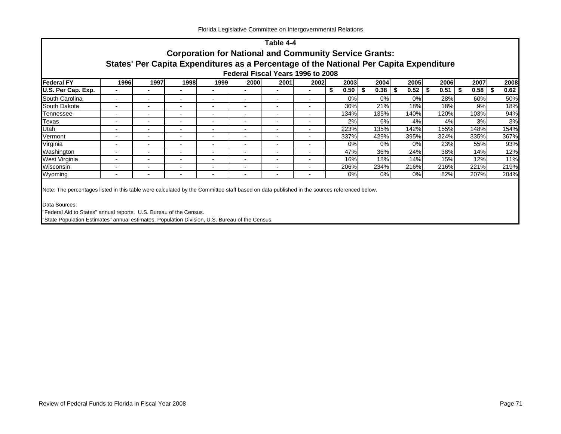|                      |                          |                          |                          | <b>Corporation for National and Community Service Grants:</b><br>States' Per Capita Expenditures as a Percentage of the National Per Capita Expenditure |                          | Table 4-4<br>Federal Fiscal Years 1996 to 2008 |                          |            |       |              |              |      |        |      |
|----------------------|--------------------------|--------------------------|--------------------------|---------------------------------------------------------------------------------------------------------------------------------------------------------|--------------------------|------------------------------------------------|--------------------------|------------|-------|--------------|--------------|------|--------|------|
| Federal FY           | 1996                     | 1997                     | 1998                     | 1999                                                                                                                                                    | <b>2000l</b>             | 2001                                           | 2002                     |            | 2003  | <b>2004l</b> | 2005         | 2006 | 2007   | 2008 |
| U.S. Per Cap. Exp.   |                          |                          |                          |                                                                                                                                                         |                          |                                                |                          | 0.50<br>\$ |       | 0.38<br>- 56 | 0.52<br>- 55 | 0.51 | 0.58 S | 0.62 |
| South Carolina       |                          | $\blacksquare$           |                          |                                                                                                                                                         |                          |                                                |                          |            | 0%    | 0%           | 0%           | 28%  | 60%    | 50%  |
| South Dakota         | $\overline{\phantom{0}}$ | $\overline{\phantom{0}}$ | -                        | $\overline{\phantom{0}}$                                                                                                                                | $\overline{\phantom{0}}$ | $\overline{\phantom{0}}$                       | $\overline{\phantom{0}}$ |            | 30%   | 21%          | 18%          | 18%  | 9%     | 18%  |
| Tennessee            | $\overline{\phantom{0}}$ | $\blacksquare$           |                          |                                                                                                                                                         |                          |                                                |                          | 134%       |       | 135%         | 140%         | 120% | 103%   | 94%  |
| Texas                | $\overline{\phantom{0}}$ | $\overline{\phantom{0}}$ |                          | $\overline{\phantom{0}}$                                                                                                                                |                          |                                                |                          |            | 2%    | 6%           | 4%           | 4%   | 3%     | 3%   |
| Utah                 | $\overline{\phantom{0}}$ | $\overline{\phantom{0}}$ | $\overline{\phantom{0}}$ | $\overline{\phantom{0}}$                                                                                                                                | $\overline{\phantom{0}}$ | $\overline{\phantom{0}}$                       |                          | 223%       |       | 135%         | 142%         | 155% | 148%   | 154% |
| Vermont              | $\overline{\phantom{0}}$ | $\overline{\phantom{0}}$ | $\overline{\phantom{0}}$ | $\overline{\phantom{0}}$                                                                                                                                | $\overline{\phantom{0}}$ | $\overline{\phantom{0}}$                       | $\overline{\phantom{0}}$ | 337%       |       | 429%         | 395%         | 324% | 335%   | 367% |
| Virginia             | $\overline{\phantom{0}}$ | $\overline{\phantom{0}}$ | $\overline{\phantom{0}}$ | $\overline{\phantom{0}}$                                                                                                                                | $\overline{\phantom{a}}$ | $\overline{\phantom{0}}$                       | $\overline{\phantom{0}}$ |            | $0\%$ | 0%           | 0%           | 23%  | 55%    | 93%  |
| Washington           | $\blacksquare$           | $\blacksquare$           | $\overline{\phantom{a}}$ | ۰                                                                                                                                                       | $\overline{\phantom{0}}$ | $\overline{\phantom{0}}$                       | $\overline{\phantom{0}}$ |            | 47%   | 36%          | 24%          | 38%  | 14%    | 12%  |
| <b>West Virginia</b> | $\overline{\phantom{0}}$ | ۰                        | -                        | $\blacksquare$                                                                                                                                          | $\overline{\phantom{0}}$ | $\overline{\phantom{0}}$                       |                          |            | 16%   | 18%          | 14%          | 15%  | 12%    | 11%  |
| Wisconsin            | $\overline{\phantom{0}}$ | $\blacksquare$           |                          | $\blacksquare$                                                                                                                                          | $\blacksquare$           | $\overline{\phantom{0}}$                       |                          | 206%       |       | 234%         | 216%         | 216% | 221%   | 219% |
| Wyoming              | $\overline{\phantom{0}}$ | ۰                        | ۰                        | $\blacksquare$                                                                                                                                          | $\blacksquare$           | $\overline{\phantom{a}}$                       | $\overline{\phantom{0}}$ |            | $0\%$ | $0\%$        | 0%           | 82%  | 207%   | 204% |

Data Sources:

"Federal Aid to States" annual reports. U.S. Bureau of the Census.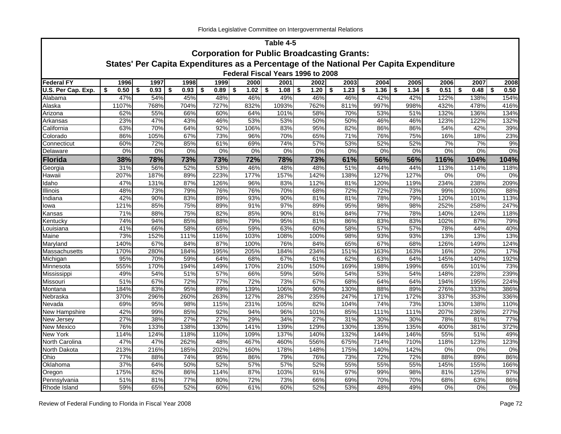|                      |       |      |            |            |      |                                                                                        |            | Table 4-5                         |            |            |            |            |            |            |            |
|----------------------|-------|------|------------|------------|------|----------------------------------------------------------------------------------------|------------|-----------------------------------|------------|------------|------------|------------|------------|------------|------------|
|                      |       |      |            |            |      | <b>Corporation for Public Broadcasting Grants:</b>                                     |            |                                   |            |            |            |            |            |            |            |
|                      |       |      |            |            |      | States' Per Capita Expenditures as a Percentage of the National Per Capita Expenditure |            |                                   |            |            |            |            |            |            |            |
|                      |       |      |            |            |      |                                                                                        |            |                                   |            |            |            |            |            |            |            |
|                      |       |      |            |            |      |                                                                                        |            | Federal Fiscal Years 1996 to 2008 |            |            |            |            |            |            |            |
| <b>Federal FY</b>    |       | 1996 | 1997       |            | 1998 | 1999                                                                                   | 2000       | 2001                              | 2002       | 2003       | 2004       | 2005       | 2006       | 2007       | 2008       |
| U.S. Per Cap. Exp.   | \$    | 0.50 | \$<br>0.93 | \$<br>0.93 |      | 0.89<br>\$                                                                             | \$<br>1.02 | \$<br>1.08                        | \$<br>1.20 | \$<br>1.23 | \$<br>1.36 | \$<br>1.34 | \$<br>0.51 | \$<br>0.48 | \$<br>0.50 |
| Alabama              |       | 47%  | 54%        |            | 45%  | 48%                                                                                    | 46%        | 49%                               | 46%        | 46%        | 42%        | 42%        | 122%       | 138%       | 154%       |
| Alaska               | 1107% |      | 768%       | 704%       |      | 727%                                                                                   | 832%       | 1093%                             | 762%       | 811%       | 997%       | 998%       | 432%       | 478%       | 416%       |
| Arizona              |       | 62%  | 55%        |            | 66%  | 60%                                                                                    | 64%        | 101%                              | 58%        | 70%        | 53%        | 51%        | 132%       | 136%       | 134%       |
| Arkansas             |       | 23%  | 47%        |            | 43%  | 46%                                                                                    | 53%        | 53%                               | 50%        | 50%        | 46%        | 46%        | 123%       | 122%       | 132%       |
| California           |       | 63%  | 70%        |            | 64%  | 92%                                                                                    | 106%       | 83%                               | 95%        | 82%        | 86%        | 86%        | 54%        | 42%        | 39%        |
| Colorado             |       | 86%  | 105%       |            | 67%  | 73%                                                                                    | 96%        | 70%                               | 65%        | 71%        | 76%        | 75%        | 16%        | 18%        | 23%        |
| Connecticut          |       | 60%  | 72%        |            | 85%  | 61%                                                                                    | 69%        | 74%                               | 57%        | 53%        | 52%        | 52%        | 7%         | 7%         | 9%         |
| Delaware             |       | 0%   | 0%         |            | 0%   | 0%                                                                                     | 0%         | 0%                                | 0%         | 0%         | 0%         | 0%         | 0%         | 0%         | 0%         |
| <b>Florida</b>       |       | 38%  | 78%        | 73%        |      | 73%                                                                                    | 72%        | 78%                               | 73%        | 61%        | 56%        | 56%        | 116%       | 104%       | 104%       |
| Georgia              |       | 31%  | 56%        |            | 52%  | 53%                                                                                    | 46%        | 48%                               | 48%        | 51%        | 44%        | 44%        | 113%       | 114%       | 118%       |
| Hawaii               |       | 207% | 187%       |            | 89%  | 223%                                                                                   | 177%       | 157%                              | 142%       | 138%       | 127%       | 127%       | 0%         | 0%         | 0%         |
| daho                 |       | 47%  | 131%       |            | 87%  | 126%                                                                                   | 96%        | 83%                               | 112%       | 81%        | 120%       | 119%       | 234%       | 238%       | 209%       |
| Illinois             |       | 48%  | 73%        |            | 79%  | 76%                                                                                    | 76%        | 70%                               | 68%        | 72%        | 72%        | 73%        | 99%        | 100%       | 88%        |
| Indiana              |       | 42%  | 90%        |            | 83%  | 89%                                                                                    | 93%        | 90%                               | 81%        | 81%        | 78%        | 79%        | 120%       | 101%       | 113%       |
| owa                  |       | 121% | 85%        |            | 75%  | 89%                                                                                    | 91%        | 97%                               | 89%        | 95%        | 98%        | 98%        | 252%       | 258%       | 247%       |
| Kansas               |       | 71%  | 88%        |            | 75%  | 82%                                                                                    | 85%        | 90%                               | 81%        | 84%        | 77%        | 78%        | 140%       | 124%       | 118%       |
| Kentuckv             |       | 74%  | 94%        | 85%        |      | 88%                                                                                    | 79%        | 95%                               | 81%        | 86%        | 83%        | 83%        | 102%       | 87%        | 79%        |
| _ouisiana            |       | 41%  | 66%        |            | 58%  | 65%                                                                                    | 59%        | 63%                               | 60%        | 58%        | 57%        | 57%        | 78%        | 44%        | 40%        |
| Maine                |       | 73%  | 152%       | 111%       |      | 116%                                                                                   | 103%       | 108%                              | 100%       | 98%        | 93%        | 93%        | 13%        | 13%        | 13%        |
| Maryland             |       | 140% | 67%        |            | 84%  | 87%                                                                                    | 100%       | 76%                               | 84%        | 65%        | 67%        | 68%        | 126%       | 149%       | 124%       |
| Massachusetts        |       | 170% | 280%       | 184%       |      | 195%                                                                                   | 205%       | 184%                              | 234%       | 151%       | 163%       | 163%       | 16%        | 20%        | 17%        |
| Michigan             |       | 95%  | 70%        |            | 59%  | 64%                                                                                    | 68%        | 67%                               | 61%        | 62%        | 63%        | 64%        | 145%       | 140%       | 192%       |
| Minnesota            |       | 555% | 170%       | 194%       |      | 149%                                                                                   | 170%       | 210%                              | 150%       | 169%       | 198%       | 199%       | 65%        | 101%       | 73%        |
| Mississippi          |       | 49%  | 54%        |            | 51%  | 57%                                                                                    | 66%        | 59%                               | 56%        | 54%        | 53%        | 54%        | 148%       | 228%       | 239%       |
| Missouri             |       | 51%  | 67%        |            | 72%  | 77%                                                                                    | 72%        | 73%                               | 67%        | 68%        | 64%        | 64%        | 194%       | 195%       | 224%       |
| Montana              |       | 184% | 83%        |            | 95%  | 89%                                                                                    | 139%       | 106%                              | 90%        | 130%       | 88%        | 89%        | 276%       | 333%       | 386%       |
| Nebraska             |       | 370% | 296%       | 260%       |      | 263%                                                                                   | 127%       | 287%                              | 235%       | 247%       | 171%       | 172%       | 337%       | 353%       | 336%       |
| Nevada               |       | 69%  | 95%        |            | 98%  | 115%                                                                                   | 231%       | 105%                              | 82%        | 104%       | 74%        | 73%        | 130%       | 138%       | 110%       |
| <b>New Hampshire</b> |       | 42%  | 99%        | 85%        |      | 92%                                                                                    | 94%        | 96%                               | 101%       | 85%        | 111%       | 111%       | 207%       | 236%       | 277%       |
| New Jersey           |       | 27%  | 38%        |            | 27%  | 27%                                                                                    | 29%        | 34%                               | 27%        | 31%        | 30%        | 30%        | 78%        | 81%        | 77%        |
| <b>New Mexico</b>    |       | 76%  | 133%       | 138%       |      | 130%                                                                                   | 141%       | 139%                              | 129%       | 130%       | 135%       | 135%       | 400%       | 381%       | 372%       |
| <b>New York</b>      |       | 114% | 124%       | 118%       |      | 110%                                                                                   | 109%       | 137%                              | 140%       | 132%       | 144%       | 146%       | 55%        | 51%        | 49%        |
| North Carolina       |       | 47%  | 47%        | 262%       |      | 48%                                                                                    | 467%       | 460%                              | 556%       | 675%       | 714%       | 710%       | 118%       | 123%       | 123%       |
| North Dakota         |       | 213% | 216%       | 185%       |      | 202%                                                                                   | 160%       | 178%                              | 148%       | 175%       | 140%       | 142%       | 0%         | 0%         | 0%         |
| Ohio                 |       | 77%  | 88%        |            | 74%  | 95%                                                                                    | 86%        | 79%                               | 76%        | 73%        | 72%        | 72%        | 88%        | 89%        | 86%        |
| Oklahoma             |       | 37%  | 64%        | 50%        |      | 52%                                                                                    | 57%        | 57%                               | 52%        | 55%        | 55%        | 55%        | 145%       | 155%       | 166%       |
| Oregon               |       | 175% | 82%        | 86%        |      | 114%                                                                                   | 87%        | 103%                              | 91%        | 97%        | 99%        | 98%        | 81%        | 125%       | 97%        |
| Pennsylvania         |       | 51%  | 81%        |            | 77%  | 80%                                                                                    | 72%        | 73%                               | 66%        | 69%        | 70%        | 70%        | 68%        | 63%        | 86%        |
| Rhode Island         |       | 59%  | 65%        |            | 52%  | 60%                                                                                    | 61%        | 60%                               | 52%        | 53%        | 48%        | 49%        | 0%         | 0%         | 0%         |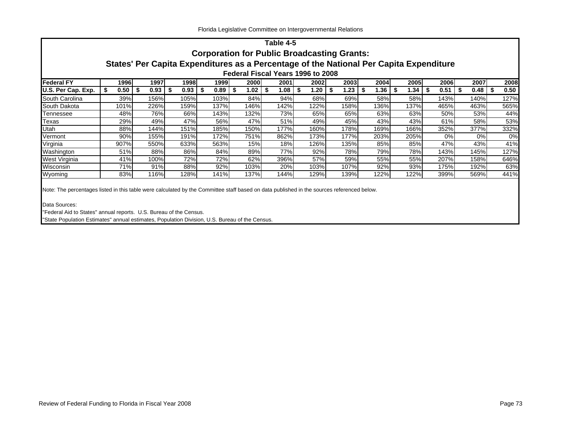|                                         |                                                                                                                                                                                                                                                                                                                                |      |  |      |  |      |  | <b>Corporation for Public Broadcasting Grants:</b><br>States' Per Capita Expenditures as a Percentage of the National Per Capita Expenditure |  |      |  | Table 4-5 |  |      |  |      |      |      |      |      |  |              |
|-----------------------------------------|--------------------------------------------------------------------------------------------------------------------------------------------------------------------------------------------------------------------------------------------------------------------------------------------------------------------------------|------|--|------|--|------|--|----------------------------------------------------------------------------------------------------------------------------------------------|--|------|--|-----------|--|------|--|------|------|------|------|------|--|--------------|
|                                         | Federal Fiscal Years 1996 to 2008<br>1997<br><b>2004</b><br>2005l<br>2006<br>2007<br>1996<br>1998<br><b>2000l</b><br><b>2002</b><br>2003<br>1999 <br>2001<br>0.93<br>l.20 l<br>1.23<br>1.36丨\$<br>1.34<br>0.51<br>$0.93 \mid$ \$<br>0.89<br>ا 1.02<br>1.08<br>0.48<br>0.50<br>- \$<br>- \$<br>- \$<br>- \$<br>- 5<br>- 35<br>ъ |      |  |      |  |      |  |                                                                                                                                              |  |      |  |           |  |      |  |      |      |      |      |      |  |              |
| <b>Federal FY</b><br>U.S. Per Cap. Exp. |                                                                                                                                                                                                                                                                                                                                |      |  |      |  |      |  |                                                                                                                                              |  |      |  |           |  |      |  |      |      |      |      |      |  | 2008<br>0.50 |
| South Carolina                          |                                                                                                                                                                                                                                                                                                                                | 39%  |  | 156% |  | 105% |  | 103%                                                                                                                                         |  | 84%  |  | 94%       |  | 68%  |  | 69%  | 58%  | 58%  | 143% | 140% |  | 127%         |
| South Dakota                            |                                                                                                                                                                                                                                                                                                                                | 101% |  | 226% |  | 159% |  | 137%                                                                                                                                         |  | 146% |  | 142%      |  | 122% |  | 158% | 136% | 137% | 465% | 463% |  | 565%         |
| Tennessee                               |                                                                                                                                                                                                                                                                                                                                | 48%  |  | 76%  |  | 66%  |  | 143%                                                                                                                                         |  | 132% |  | 73%       |  | 65%  |  | 65%  | 63%  | 63%  | 50%  | 53%  |  | 44%          |
| <b>Texas</b>                            |                                                                                                                                                                                                                                                                                                                                | 29%  |  | 49%  |  | 47%  |  | 56%                                                                                                                                          |  | 47%  |  | 51%       |  | 49%  |  | 45%  | 43%  | 43%  | 61%  | 58%  |  | 53%          |
| Utah                                    |                                                                                                                                                                                                                                                                                                                                | 88%  |  | 144% |  | 151% |  | 185%                                                                                                                                         |  | 150% |  | 177%      |  | 160% |  | 178% | 169% | 166% | 352% | 377% |  | 332%         |
| Vermont                                 |                                                                                                                                                                                                                                                                                                                                | 90%  |  | 155% |  | 191% |  | 172%                                                                                                                                         |  | 751% |  | 862%      |  | 173% |  | 177% | 203% | 205% | 0%   | 0%   |  | 0%           |
| Virginia                                |                                                                                                                                                                                                                                                                                                                                | 907% |  | 550% |  | 633% |  | 563%                                                                                                                                         |  | 15%  |  | 18%       |  | 126% |  | 135% | 85%  | 85%  | 47%  | 43%  |  | 41%          |
| Washington                              |                                                                                                                                                                                                                                                                                                                                | 51%  |  | 88%  |  | 86%  |  | 84%                                                                                                                                          |  | 89%  |  | 77%       |  | 92%  |  | 78%  | 79%  | 78%  | 143% | 145% |  | 127%         |
| West Virginia                           |                                                                                                                                                                                                                                                                                                                                | 41%  |  | 100% |  | 72%  |  | 72%                                                                                                                                          |  | 62%  |  | 396%      |  | 57%  |  | 59%  | 55%  | 55%  | 207% | 158% |  | 646%         |
| Wisconsin                               |                                                                                                                                                                                                                                                                                                                                | 71%  |  | 91%  |  | 88%  |  | 92%                                                                                                                                          |  | 103% |  | 20%       |  | 103% |  | 107% | 92%  | 93%  | 175% | 192% |  | 63%          |
| Wyoming                                 |                                                                                                                                                                                                                                                                                                                                | 83%  |  | 116% |  | 128% |  | 141%                                                                                                                                         |  | 137% |  | 144%      |  | 129% |  | 139% | 122% | 122% | 399% | 569% |  | 441%         |

Data Sources:

"Federal Aid to States" annual reports. U.S. Bureau of the Census.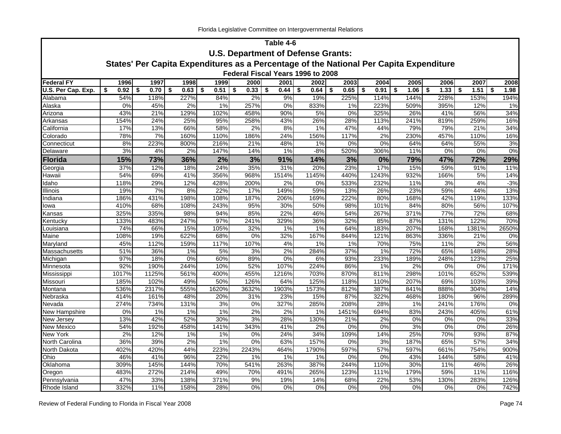|                      |            |            |            |                                                                                        |            | Table 4-6  |                                           |            |            |            |            |            |            |
|----------------------|------------|------------|------------|----------------------------------------------------------------------------------------|------------|------------|-------------------------------------------|------------|------------|------------|------------|------------|------------|
|                      |            |            |            |                                                                                        |            |            | <b>U.S. Department of Defense Grants:</b> |            |            |            |            |            |            |
|                      |            |            |            | States' Per Capita Expenditures as a Percentage of the National Per Capita Expenditure |            |            |                                           |            |            |            |            |            |            |
|                      |            |            |            |                                                                                        |            |            |                                           |            |            |            |            |            |            |
|                      |            |            |            |                                                                                        |            |            | Federal Fiscal Years 1996 to 2008         |            |            |            |            |            |            |
| <b>Federal FY</b>    | 1996       | 1997       | 1998       | 1999                                                                                   | 2000       | 2001       | 2002                                      | 2003       | 2004       | 2005       | 2006       | 2007       | 2008       |
| U.S. Per Cap. Exp.   | \$<br>0.92 | 0.70<br>\$ | \$<br>0.63 | \$<br>0.51                                                                             | \$<br>0.33 | \$<br>0.44 | 0.64<br>\$                                | 0.65<br>\$ | \$<br>0.91 | \$<br>1.06 | \$<br>1.33 | \$<br>1.51 | \$<br>1.98 |
| Alabama              | 54%        | 118%       | 227%       | 84%                                                                                    | 2%         | 9%         | 19%                                       | 225%       | 114%       | 144%       | 228%       | 153%       | 194%       |
| Alaska               | 0%         | 45%        | 2%         | 1%                                                                                     | 257%       | 0%         | 833%                                      | 1%         | 223%       | 509%       | 395%       | 12%        | 1%         |
| Arizona              | 43%        | 21%        | 129%       | 102%                                                                                   | 458%       | 90%        | 5%                                        | 0%         | 325%       | 26%        | 41%        | 56%        | 34%        |
| Arkansas             | 154%       | 24%        | 25%        | 95%                                                                                    | 258%       | 43%        | 26%                                       | 28%        | 113%       | 241%       | 819%       | 259%       | 16%        |
| California           | 17%        | 13%        | 66%        | 58%                                                                                    | 2%         | 8%         | 1%                                        | 47%        | 44%        | 79%        | 79%        | 21%        | 34%        |
| Colorado             | 78%        | 7%         | 160%       | 110%                                                                                   | 186%       | 24%        | 156%                                      | 117%       | 2%         | 230%       | 457%       | 110%       | 16%        |
| Connecticut          | 8%         | 223%       | 800%       | 216%                                                                                   | 21%        | 48%        | 1%                                        | 0%         | 0%         | 64%        | 64%        | 55%        | 3%         |
| Delaware             | 3%         | 4%         | 2%         | 147%                                                                                   | 14%        | 1%         | $-8%$                                     | 520%       | 306%       | 11%        | 0%         | 0%         | 0%         |
| Florida              | 15%        | 73%        | 36%        | 2%                                                                                     | 3%         | 91%        | 14%                                       | 3%         | 0%         | 79%        | 47%        | 72%        | 29%        |
| Georgia              | 37%        | 12%        | 18%        | 24%                                                                                    | 35%        | 31%        | 20%                                       | 23%        | 17%        | 15%        | 59%        | 91%        | 11%        |
| Hawaii               | 54%        | 69%        | 41%        | 356%                                                                                   | 968%       | 1514%      | 1145%                                     | 440%       | 1243%      | 932%       | 166%       | 5%         | 14%        |
| daho                 | 118%       | 29%        | 12%        | 428%                                                                                   | 200%       | 2%         | 0%                                        | 533%       | 232%       | 11%        | 3%         | 4%         | $-3%$      |
| Illinois             | 19%        | 7%         | 8%         | 22%                                                                                    | 17%        | 149%       | 59%                                       | 13%        | 26%        | 23%        | 59%        | 44%        | 13%        |
| Indiana              | 186%       | 431%       | 198%       | 108%                                                                                   | 187%       | 206%       | 169%                                      | 222%       | 80%        | 168%       | 42%        | 119%       | 133%       |
| owa                  | 410%       | 68%        | 108%       | 243%                                                                                   | 95%        | 30%        | 50%                                       | 98%        | 101%       | 84%        | 80%        | 56%        | 107%       |
| Kansas               | 325%       | 335%       | 98%        | 94%                                                                                    | 85%        | 22%        | 46%                                       | 54%        | 267%       | 371%       | <b>77%</b> | 72%        | 68%        |
| Kentucky             | 133%       | 483%       | 247%       | 97%                                                                                    | 241%       | 329%       | 36%                                       | 32%        | 85%        | 87%        | 131%       | 122%       | 70%        |
| _ouisiana            | 74%        | 66%        | 15%        | 105%                                                                                   | 32%        | 1%         | 1%                                        | 64%        | 183%       | 207%       | 168%       | 1381%      | 2650%      |
| Maine                | 108%       | 19%        | 622%       | 68%                                                                                    | 0%         | 32%        | 167%                                      | 844%       | 121%       | 863%       | 336%       | 21%        | 0%         |
| Maryland             | 45%        | 112%       | 159%       | 117%                                                                                   | 107%       | 4%         | 1%                                        | 1%         | 70%        | 75%        | 11%        | 2%         | 56%        |
| Massachusetts        | 51%        | 36%        | 1%         | 5%                                                                                     | 3%         | 2%         | 284%                                      | 37%        | 1%         | 72%        | 65%        | 148%       | 28%        |
| <b>Michigan</b>      | 97%        | 18%        | 0%         | 60%                                                                                    | 89%        | 0%         | 6%                                        | 93%        | 233%       | 189%       | 248%       | 123%       | 25%        |
| Minnesota            | 92%        | 190%       | 244%       | 10%                                                                                    | 52%        | 107%       | 224%                                      | 86%        | 1%         | 2%         | 0%         | 0%         | 171%       |
| Mississippi          | 1017%      | 1125%      | 561%       | 400%                                                                                   | 455%       | 1216%      | 703%                                      | 870%       | 811%       | 298%       | 101%       | 652%       | 539%       |
| Missouri             | 185%       | 102%       | 49%        | 50%                                                                                    | 126%       | 64%        | 125%                                      | 118%       | 110%       | 207%       | 69%        | 103%       | 39%        |
| Montana              | 536%       | 2317%      | 555%       | 1620%                                                                                  | 3632%      | 1903%      | 1573%                                     | 812%       | 387%       | 841%       | 888%       | 304%       | 14%        |
| Nebraska             | 414%       | 161%       | 48%        | 20%                                                                                    | 31%        | 23%        | 15%                                       | 87%        | 322%       | 468%       | 180%       | 96%        | 289%       |
| Nevada               | 274%       | 734%       | 131%       | 3%                                                                                     | 0%         | 327%       | 285%                                      | 208%       | 28%        | 1%         | 241%       | 176%       | 0%         |
| <b>New Hampshire</b> | 0%         | 1%         | 1%         | 1%                                                                                     | 2%         | 2%         | 1%                                        | 1451%      | 694%       | 83%        | 243%       | 405%       | 61%        |
| New Jersey           | 13%        | 42%        | 52%        | 30%                                                                                    | 3%         | 28%        | 130%                                      | 21%        | 2%         | 0%         | 0%         | 0%         | 33%        |
| <b>New Mexico</b>    | 54%        | 192%       | 458%       | 141%                                                                                   | 343%       | 41%        | 2%                                        | 0%         | 0%         | 3%         | 0%         | 0%         | 26%        |
| <b>New York</b>      | 2%         | 12%        | 1%         | 1%                                                                                     | 0%         | 24%        | 34%                                       | 109%       | 14%        | 25%        | 70%        | 93%        | 87%        |
| North Carolina       | 36%        | 39%        | 2%         | 1%                                                                                     | 0%         | 63%        | 157%                                      | 0%         | 3%         | 187%       | 65%        | 57%        | 34%        |
| North Dakota         | 402%       | 420%       | 44%        | 223%                                                                                   | 2243%      | 464%       | 1790%                                     | 597%       | 57%        | 597%       | 661%       | 754%       | 900%       |
| Ohio                 | 46%        | 41%        | 96%        | 22%                                                                                    | 1%         | 1%         | 1%                                        | 0%         | 0%         | 43%        | 144%       | 58%        | 41%        |
| Oklahoma             | 309%       | 145%       | 144%       | 70%                                                                                    | 541%       | 263%       | 387%                                      | 244%       | 110%       | 30%        | 11%        | 46%        | 26%        |
| Oregon               | 483%       | 272%       | 214%       | 49%                                                                                    | 70%        | 491%       | 265%                                      | 123%       | 111%       | 179%       | 59%        | 11%        | 116%       |
| Pennsylvania         | 47%        | 33%        | 138%       | 371%                                                                                   | 9%         | 19%        | 14%                                       | 68%        | 22%        | 53%        | 130%       | 283%       | 126%       |
| Rhode Island         | 332%       | 11%        | 158%       | 28%                                                                                    | 0%         | 0%         | 0%                                        | 0%         | 0%         | 0%         | 0%         | 0%         | 742%       |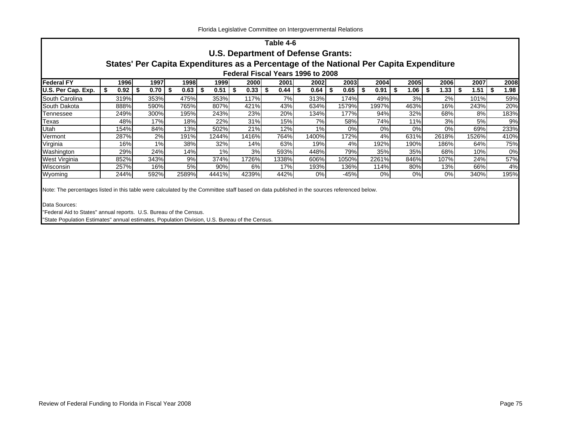|                    |   |      |     |       |      |       |      | <b>U.S. Department of Defense Grants:</b> |      |             |      | Table 4-6<br>Federal Fiscal Years 1996 to 2008 |     |             | States' Per Capita Expenditures as a Percentage of the National Per Capita Expenditure |        |     |      |      |             |       |      |
|--------------------|---|------|-----|-------|------|-------|------|-------------------------------------------|------|-------------|------|------------------------------------------------|-----|-------------|----------------------------------------------------------------------------------------|--------|-----|------|------|-------------|-------|------|
| <b>Federal FY</b>  |   | 1996 |     | 1997  |      | 1998  |      | 1999                                      |      | <b>2000</b> |      | 2001                                           |     | 2002        | 2003                                                                                   | 2004   |     | 2005 |      | <b>2006</b> | 2007  | 2008 |
| U.S. Per Cap. Exp. | S | 0.92 | - 5 | 0.70  | - 56 | 0.63  | - \$ | 0.51                                      | - \$ | 0.33        | - \$ | 0.44                                           | - S | $0.64$   \$ | $0.65$   \$                                                                            | 0.91   | l S | 1.06 | - 56 | 1.33        | 1.51  | 1.98 |
| South Carolina     |   | 319% |     | 353%  |      | 475%  |      | 353%                                      |      | 117%        |      | 7%                                             |     | 313%        | 174%                                                                                   | 49%    |     | 3%   |      | 2%          | 101%  | 59%  |
| South Dakota       |   | 888% |     | 590%  |      | 765%  |      | 807%                                      |      | 421%        |      | 43%                                            |     | 634%        | 1579%                                                                                  | 1997%l |     | 463% |      | 16%         | 243%  | 20%  |
| Tennessee          |   | 249% |     | 300%  |      | 195%  |      | 243%                                      |      | 23%         |      | 20%                                            |     | 134%        | 177%                                                                                   | 94%    |     | 32%  |      | 68%         | 8%    | 183% |
| Texas              |   | 48%  |     | 17%   |      | 18%   |      | 22%                                       |      | 31%         |      | 15%                                            |     | 7%          | 58%                                                                                    | 74%    |     | 11%  |      | 3%          | 5%    | 9%   |
| Utah               |   | 154% |     | 84%   |      | 13%   |      | 502%                                      |      | 21%         |      | 12%                                            |     | 1%          | 0%                                                                                     | 0%     |     | 0%   |      | 0%          | 69%   | 233% |
| Vermont            |   | 287% |     | 2%    |      | 191%  |      | 1244%                                     |      | 1416%l      |      | 764%                                           |     | 1400%l      | 172%                                                                                   | 4%     |     | 631% |      | 2618%       | 1526% | 410% |
| Virginia           |   | 16%  |     | $1\%$ |      | 38%   |      | 32%                                       |      | 14%         |      | 63%                                            |     | 19%         | 4%                                                                                     | 192%   |     | 190% |      | 186%        | 64%   | 75%  |
| Washington         |   | 29%  |     | 24%   |      | 14%   |      | 1%                                        |      | 3%          |      | 593%                                           |     | 448%        | 79%                                                                                    | 35%    |     | 35%  |      | 68%         | 10%   | 0%   |
| West Virginia      |   | 852% |     | 343%  |      | 9%    |      | 374%                                      |      | 1726%       |      | 1338%l                                         |     | 606%        | 1050%                                                                                  | 2261%l |     | 846% |      | 107%        | 24%   | 57%  |
| Wisconsin          |   | 257% |     | 16%   |      | 5%    |      | 90%                                       |      | 6%          |      | 17%                                            |     | 193%        | 136%                                                                                   | 114%   |     | 80%  |      | 13%         | 66%   | 4%   |
| Wyoming            |   | 244% |     | 592%  |      | 2589% |      | 4441%                                     |      | 4239%       |      | 442%                                           |     | $0\%$       | $-45%$                                                                                 | 0%     |     | 0%   |      | 0%          | 340%  | 195% |

Data Sources:

"Federal Aid to States" annual reports. U.S. Bureau of the Census.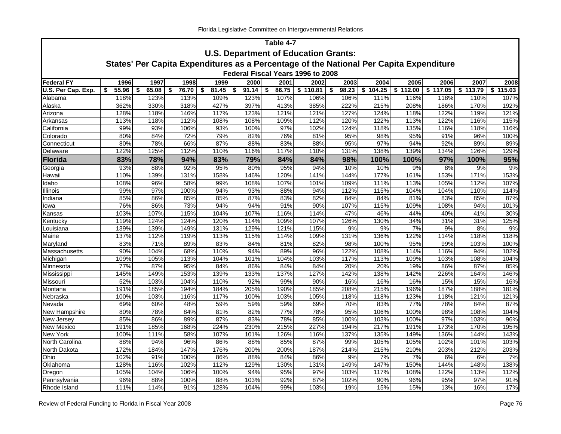|                      |             |             |             |                                                                                        |             | Table 4-7   |                                             |             |              |              |              |              |              |
|----------------------|-------------|-------------|-------------|----------------------------------------------------------------------------------------|-------------|-------------|---------------------------------------------|-------------|--------------|--------------|--------------|--------------|--------------|
|                      |             |             |             |                                                                                        |             |             | <b>U.S. Department of Education Grants:</b> |             |              |              |              |              |              |
|                      |             |             |             | States' Per Capita Expenditures as a Percentage of the National Per Capita Expenditure |             |             |                                             |             |              |              |              |              |              |
|                      |             |             |             |                                                                                        |             |             |                                             |             |              |              |              |              |              |
|                      |             |             |             |                                                                                        |             |             | Federal Fiscal Years 1996 to 2008           |             |              |              |              |              |              |
| <b>Federal FY</b>    | 1996        | 1997        | 1998        | 1999                                                                                   | 2000        | 2001        | 2002                                        | 2003        | 2004         | 2005         | 2006         | 2007         | 2008         |
| U.S. Per Cap. Exp.   | 55.96<br>\$ | 65.08<br>\$ | \$<br>76.70 | \$<br>81.45                                                                            | 91.14<br>\$ | 86.75<br>\$ | \$110.81                                    | 98.23<br>\$ | \$<br>104.25 | \$<br>112.00 | \$<br>117.05 | \$<br>113.79 | 115.03<br>\$ |
| Alabama              | 118%        | 123%        | 113%        | 109%                                                                                   | 123%        | 107%        | 106%                                        | 106%        | 111%         | 116%         | 118%         | 110%         | 107%         |
| Alaska               | 362%        | 330%        | 318%        | 427%                                                                                   | 397%        | 413%        | 385%                                        | 222%        | 215%         | 208%         | 186%         | 170%         | 192%         |
| Arizona              | 128%        | 118%        | 146%        | 117%                                                                                   | 123%        | 121%        | 121%                                        | 127%        | 124%         | 118%         | 122%         | 119%         | 121%         |
| Arkansas             | 113%        | 118%        | 112%        | 108%                                                                                   | 108%        | 109%        | 112%                                        | 120%        | 122%         | 113%         | 122%         | 116%         | 115%         |
| California           | 99%         | 93%         | 106%        | 93%                                                                                    | 100%        | 97%         | 102%                                        | 124%        | 118%         | 135%         | 116%         | 118%         | 116%         |
| Colorado             | 80%         | 84%         | 72%         | 79%                                                                                    | 82%         | 76%         | 81%                                         | 95%         | 98%          | 95%<br>94%   | 91%          | 96%          | 100%         |
| Connecticut          | 80%         | 78%<br>125% | 66%         | 87%                                                                                    | 88%<br>116% | 83%         | 88%                                         | 95%         | 97%<br>138%  |              | 92%<br>134%  | 89%          | 89%          |
| Delaware             | 122%        |             | 112%        | 110%                                                                                   |             | 117%        | 110%                                        | 131%        |              | 139%         |              | 126%         | 129%         |
| <b>Florida</b>       | 83%         | 78%         | 94%         | 83%                                                                                    | 79%         | 84%         | 84%                                         | 98%         | 100%         | 100%         | 97%          | 100%         | 95%          |
| Georgia              | 93%         | 88%         | 92%         | 95%                                                                                    | 80%         | 95%         | 94%                                         | 10%         | 10%          | 9%           | 8%           | 9%           | 9%           |
| Hawaii               | 110%        | 139%        | 131%        | 158%                                                                                   | 146%        | 120%        | 141%                                        | 144%        | 177%         | 161%         | 153%         | 171%         | 153%         |
| daho                 | 108%        | 96%         | 58%         | 99%                                                                                    | 108%        | 107%        | 101%                                        | 109%        | 111%         | 113%         | 105%         | 112%         | 107%         |
| Illinois             | 99%         | 97%         | 100%        | 94%                                                                                    | 93%         | 88%         | 94%                                         | 112%        | 115%         | 104%         | 104%         | 110%         | 114%         |
| Indiana              | 85%         | 86%         | 85%         | 85%                                                                                    | 87%         | 83%         | 82%                                         | 84%         | 84%          | 81%          | 83%          | 85%          | 87%          |
| owa                  | 76%         | 86%         | 73%         | 94%                                                                                    | 94%         | 91%         | 90%                                         | 107%        | 115%         | 109%         | 108%         | 94%          | 101%         |
| Kansas               | 103%        | 107%        | 115%        | 104%                                                                                   | 107%        | 116%        | 114%                                        | 47%         | 46%          | 44%          | 40%          | 41%          | 30%          |
| Kentucky             | 119%        | 124%        | 124%        | 120%                                                                                   | 114%        | 109%        | 107%                                        | 126%        | 130%         | 34%          | 31%          | 31%          | 125%         |
| _ouisiana            | 139%        | 139%        | 149%        | 131%                                                                                   | 129%        | 121%        | 115%                                        | 9%          | 9%           | 7%           | 9%           | 8%           | 9%           |
| Maine                | 137%        | 112%        | 119%        | 113%                                                                                   | 115%        | 114%        | 109%                                        | 131%        | 136%         | 122%         | 114%         | 118%         | 118%         |
| Maryland             | 83%         | 71%         | 89%         | 83%                                                                                    | 84%         | 81%         | 82%                                         | 98%         | 100%         | 95%          | 99%          | 103%         | 100%         |
| Massachusetts        | 90%         | 104%        | 68%         | 110%                                                                                   | 94%         | 89%         | 96%                                         | 122%        | 108%         | 114%         | 116%         | 94%          | 102%         |
| Michigan             | 109%        | 105%        | 113%        | 104%                                                                                   | 101%        | 104%        | 103%                                        | 117%        | 113%         | 109%         | 103%         | 108%         | 104%         |
| Minnesota            | 77%         | 87%         | 95%         | 84%                                                                                    | 86%         | 84%         | 84%                                         | 20%         | 20%          | 19%          | 86%          | 87%          | 85%          |
| Mississippi          | 145%        | 149%        | 153%        | 139%                                                                                   | 133%        | 137%        | 127%                                        | 142%        | 138%         | 142%         | 226%         | 164%         | 146%         |
| <b>Missouri</b>      | 52%         | 103%        | 104%        | 110%                                                                                   | 92%         | 99%         | 90%                                         | 16%         | 16%          | 16%          | 15%          | 15%          | 16%          |
| Montana              | 191%        | 185%        | 194%        | 184%                                                                                   | 205%        | 190%        | 185%                                        | 208%        | 215%         | 196%         | 187%         | 188%         | 181%         |
| Nebraska             | 100%        | 103%        | 116%        | 117%                                                                                   | 100%        | 103%        | 105%                                        | 118%        | 118%         | 123%         | 118%         | 121%         | 121%         |
| Nevada               | 69%         | 60%         | 48%         | 59%                                                                                    | 59%         | 59%         | 69%                                         | 70%         | 83%          | 77%          | 78%          | 84%          | 87%          |
| <b>New Hampshire</b> | 80%         | 78%         | 84%         | 81%                                                                                    | 82%         | 77%         | 78%                                         | 95%         | 106%         | 100%         | 98%          | 108%         | 104%         |
| New Jersey           | 85%         | 86%         | 89%         | 87%                                                                                    | 83%         | 78%         | 85%                                         | 100%        | 103%         | 100%         | 97%          | 103%         | 96%          |
| <b>New Mexico</b>    | 191%        | 185%        | 168%        | 224%                                                                                   | 230%        | 215%        | 227%                                        | 194%        | 217%         | 191%         | 173%         | 170%         | 195%         |
| <b>New York</b>      | 100%        | 111%        | 58%         | 107%                                                                                   | 101%        | 126%        | 116%                                        | 137%        | 135%         | 149%         | 136%         | 144%         | 143%         |
| North Carolina       | 88%         | 94%         | 96%         | 86%                                                                                    | 88%         | 85%         | 87%                                         | 99%         | 105%         | 105%         | 102%         | 101%         | 103%         |
| <b>North Dakota</b>  | 172%        | 184%        | 147%        | 176%                                                                                   | 200%        | 200%        | 187%                                        | 214%        | 215%         | 210%         | 203%         | 212%         | 203%         |
| Ohio                 | 102%        | 91%         | 100%        | 86%                                                                                    | 88%         | 84%         | 86%                                         | 9%          | 7%           | 7%           | 6%           | 6%           | 7%           |
| Oklahoma             | 128%        | 116%        | 102%        | 112%                                                                                   | 129%        | 130%        | 131%                                        | 149%        | 147%         | 150%         | 144%         | 148%         | 138%         |
| Oregon               | 105%        | 104%        | 106%        | 100%                                                                                   | 94%         | 95%         | 97%                                         | 103%        | 117%         | 108%         | 122%         | 113%         | 112%         |
| Pennsylvania         | 96%         | 88%         | 100%        | 88%                                                                                    | 103%        | 92%         | 87%                                         | 102%        | 90%          | 96%          | 95%          | 97%          | 91%          |
| Rhode Island         | 111%        | 114%        | 91%         | 128%                                                                                   | 104%        | 99%         | 103%                                        | 19%         | 15%          | 15%          | 13%          | 16%          | 17%          |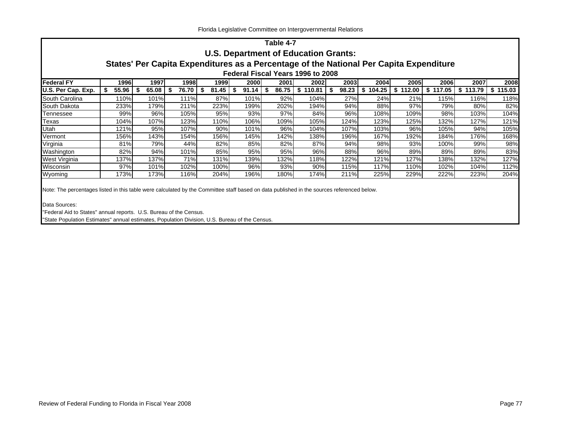|                    |       |             |      |       |            |       |    | Table 4-7 | <b>U.S. Department of Education Grants:</b><br>Federal Fiscal Years 1996 to 2008 |      |       |              |              | States' Per Capita Expenditures as a Percentage of the National Per Capita Expenditure |        |       |
|--------------------|-------|-------------|------|-------|------------|-------|----|-----------|----------------------------------------------------------------------------------|------|-------|--------------|--------------|----------------------------------------------------------------------------------------|--------|-------|
| <b>Federal FY</b>  | 1996  |             | 1997 | 1998  | 1999       | 2000  |    | 2001      | 2002                                                                             |      | 2003  | 2004         | 2005         | 2006                                                                                   | 2007   | 2008  |
| U.S. Per Cap. Exp. | 55.96 | 65.08<br>-S |      | 76.70 | 81.45<br>S | 91.14 | -S | 86.75     | 110.81<br>S                                                                      | - \$ | 98.23 | 104.25<br>\$ | 112.00<br>S. | 117.05                                                                                 | 113.79 | 15.03 |
| South Carolina     | 110%  | 101%        |      | 111%  | 87%        | 101%  |    | 92%       | 104%                                                                             |      | 27%   | 24%          | 21%          | 115%                                                                                   | 116%   | 118%  |
| South Dakota       | 233%  | 179%        |      | 211%  | 223%       | 199%  |    | 202%      | 194%                                                                             |      | 94%   | 88%          | 97%          | 79%                                                                                    | 80%    | 82%   |
| Tennessee          | 99%   |             | 96%  | 105%  | 95%        | 93%   |    | 97%       | 84%                                                                              |      | 96%   | 108%         | 109%         | 98%                                                                                    | 103%   | 104%  |
| Texas              | 104%  |             | 107% | 123%  | 110%       | 106%  |    | 109%      | 105%                                                                             |      | 124%  | 123%         | 125%         | 132%                                                                                   | 127%   | 121%  |
| Utah               | 121%  |             | 95%  | 107%  | 90%        | 101%  |    | 96%       | 104%                                                                             |      | 107%  | 103%         | 96%          | 105%                                                                                   | 94%    | 105%  |
| Vermont            | 156%  |             | 143% | 154%  | 156%       | 145%  |    | 142%      | 138%                                                                             |      | 196%  | 167%         | 192%         | 184%                                                                                   | 176%   | 168%  |
| Virginia           | 81%   |             | 79%  | 44%   | 82%        | 85%   |    | 82%       | 87%                                                                              |      | 94%   | 98%          | 93%          | 100%                                                                                   | 99%    | 98%   |
| Washington         | 82%   |             | 94%  | 101%  | 85%        | 95%   |    | 95%       | 96%                                                                              |      | 88%   | 96%          | 89%          | 89%                                                                                    | 89%    | 83%   |
| West Virginia      | 137%  | 137%        |      | 71%   | 131%       | 139%  |    | 132%      | 118%                                                                             |      | 122%  | 121%         | 127%         | 138%                                                                                   | 132%   | 127%  |
| Wisconsin          | 97%   | 101%        |      | 102%  | 100%       | 96%   |    | 93%       | 90%                                                                              |      | 115%  | 117%         | 110%         | 102%                                                                                   | 104%   | 112%  |
| Wyoming            | 173%  | 173%        |      | 116%  | 204%       | 196%  |    | 180%      | 174%                                                                             |      | 211%  | 225%         | 229%         | 222%                                                                                   | 223%   | 204%  |

Data Sources:

"Federal Aid to States" annual reports. U.S. Bureau of the Census.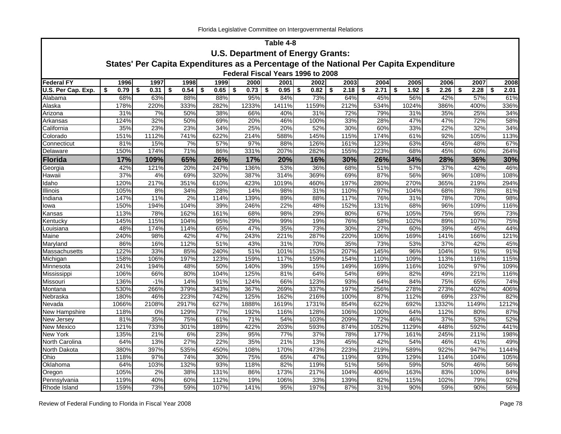|                      |            |            |                                                                                        |            |                                          | Table 4-8  |            |            |            |            |            |            |            |
|----------------------|------------|------------|----------------------------------------------------------------------------------------|------------|------------------------------------------|------------|------------|------------|------------|------------|------------|------------|------------|
|                      |            |            |                                                                                        |            | <b>U.S. Department of Energy Grants:</b> |            |            |            |            |            |            |            |            |
|                      |            |            |                                                                                        |            |                                          |            |            |            |            |            |            |            |            |
|                      |            |            | States' Per Capita Expenditures as a Percentage of the National Per Capita Expenditure |            |                                          |            |            |            |            |            |            |            |            |
|                      |            |            |                                                                                        |            | Federal Fiscal Years 1996 to 2008        |            |            |            |            |            |            |            |            |
| <b>Federal FY</b>    | 1996       | 1997       | 1998                                                                                   | 1999       | 2000                                     | 2001       | 2002       | 2003       | 2004       | 2005       | 2006       | 2007       | 2008       |
| U.S. Per Cap. Exp.   | \$<br>0.79 | \$<br>0.31 | \$<br>0.54                                                                             | \$<br>0.65 | \$<br>0.73                               | \$<br>0.95 | \$<br>0.82 | \$<br>2.18 | \$<br>2.71 | \$<br>1.92 | \$<br>2.26 | \$<br>2.28 | \$<br>2.01 |
| Alabama              | 68%        | 63%        | 88%                                                                                    | 88%        | 95%                                      | 84%        | 73%        | 64%        | 45%        | 56%        | 42%        | 57%        | 61%        |
| Alaska               | 178%       | 220%       | 333%                                                                                   | 282%       | 1233%                                    | 1411%      | 1159%      | 212%       | 534%       | 1024%      | 386%       | 400%       | 336%       |
| Arizona              | 31%        | 7%         | 50%                                                                                    | 38%        | 66%                                      | 40%        | 31%        | 72%        | 79%        | 31%        | 35%        | 25%        | 34%        |
| Arkansas             | 124%       | 32%        | 50%                                                                                    | 69%        | 20%                                      | 46%        | 100%       | 33%        | 28%        | 47%        | 47%        | 72%        | 58%        |
| California           | 35%        | 23%        | 23%                                                                                    | 34%        | 25%                                      | 20%        | 52%        | 30%        | 60%        | 33%        | 22%        | 32%        | 34%        |
| Colorado             | 151%       | 1112%      | 741%                                                                                   | 622%       | 214%                                     | 588%       | 145%       | 115%       | 174%       | 61%        | 92%        | 105%       | 113%       |
| Connecticut          | 81%        | 15%        | 7%                                                                                     | 57%        | 97%                                      | 88%        | 126%       | 161%       | 123%       | 63%        | 45%        | 48%        | 67%        |
| Delaware             | 150%       | 174%       | 71%                                                                                    | 86%        | 331%                                     | 207%       | 282%       | 155%       | 223%       | 68%        | 45%        | 60%        | 264%       |
| Florida              | 17%        | 109%       | 65%                                                                                    | 26%        | 17%                                      | 20%        | 16%        | 30%        | 26%        | 34%        | 28%        | 36%        | 30%        |
| Georgia              | 42%        | 121%       | 20%                                                                                    | 247%       | 136%                                     | 53%        | 36%        | 68%        | 51%        | 57%        | 37%        | 42%        | 46%        |
| Hawaii               | 37%        | 4%         | 69%                                                                                    | 320%       | 387%                                     | 314%       | 369%       | 69%        | 87%        | 56%        | 96%        | 108%       | 108%       |
| daho                 | 120%       | 217%       | 351%                                                                                   | 610%       | 423%                                     | 1019%      | 460%       | 197%       | 280%       | 270%       | 365%       | 219%       | 294%       |
| Illinois             | 105%       | 8%         | 34%                                                                                    | 28%        | 14%                                      | 98%        | 31%        | 110%       | 97%        | 104%       | 68%        | 78%        | 81%        |
| Indiana              | 147%       | 11%        | 2%                                                                                     | 114%       | 139%                                     | 89%        | 88%        | 117%       | 76%        | 31%        | 78%        | 70%        | 98%        |
| owa                  | 150%       | 194%       | 104%                                                                                   | 39%        | 246%                                     | 22%        | 48%        | 152%       | 131%       | 68%        | 96%        | 109%       | 116%       |
| Kansas               | 113%       | 78%        | 162%                                                                                   | 161%       | 68%                                      | 98%        | 29%        | 80%        | 67%        | 105%       | 75%        | 95%        | 73%        |
| Kentucky             | 145%       | 115%       | 104%                                                                                   | 95%        | 29%                                      | 99%        | 19%        | 76%        | 58%        | 102%       | 89%        | 107%       | 75%        |
| _ouisiana            | 48%        | 174%       | 114%                                                                                   | 65%        | 47%                                      | 35%        | 73%        | 30%        | 27%        | 60%        | 39%        | 45%        | 44%        |
| Maine                | 240%       | 98%        | 42%                                                                                    | 47%        | 243%                                     | 221%       | 287%       | 220%       | 106%       | 169%       | 141%       | 166%       | 121%       |
| Maryland             | 86%        | 16%        | 112%                                                                                   | 51%        | 43%                                      | 31%        | 70%        | 35%        | 73%        | 53%        | 37%        | 42%        | 45%        |
| Massachusetts        | 122%       | 33%        | 85%                                                                                    | 240%       | 51%                                      | 101%       | 153%       | 207%       | 145%       | 96%        | 104%       | 91%        | 91%        |
| Michigan             | 158%       | 106%       | 197%                                                                                   | 123%       | 159%                                     | 117%       | 159%       | 154%       | 110%       | 109%       | 113%       | 116%       | 115%       |
| Minnesota            | 241%       | 194%       | 48%                                                                                    | 50%        | 140%                                     | 39%        | 15%        | 149%       | 169%       | 116%       | 102%       | 97%        | 109%       |
| Mississippi          | 106%       | 66%        | 80%                                                                                    | 104%       | 125%                                     | 81%        | 64%        | 54%        | 69%        | 82%        | 49%        | 221%       | 116%       |
| Missouri             | 136%       | $-1%$      | 14%                                                                                    | 91%        | 124%                                     | 66%        | 123%       | 93%        | 64%        | 84%        | 75%        | 65%        | 74%        |
| Montana              | 530%       | 266%       | 379%                                                                                   | 343%       | 367%                                     | 269%       | 337%       | 197%       | 256%       | 278%       | 273%       | 402%       | 406%       |
| Nebraska             | 180%       | 46%        | 223%                                                                                   | 742%       | 125%                                     | 162%       | 216%       | 100%       | 87%        | 112%       | 69%        | 237%       | 82%        |
| Nevada               | 1066%      | 2108%      | 2917%                                                                                  | 627%       | 1888%                                    | 1619%      | 1731%      | 854%       | 622%       | 692%       | 1332%      | 1149%      | 1212%      |
| <b>New Hampshire</b> | 118%       | 0%         | 129%                                                                                   | 77%        | 192%                                     | 116%       | 128%       | 106%       | 100%       | 64%        | 112%       | 80%        | 87%        |
| New Jersey           | 81%        | 35%        | 75%                                                                                    | 61%        | 71%                                      | 54%        | 103%       | 209%       | 72%        | 46%        | 37%        | 53%        | 52%        |
| <b>New Mexico</b>    | 121%       | 733%       | 301%                                                                                   | 189%       | 422%                                     | 203%       | 593%       | 874%       | 1052%      | 1129%      | 448%       | 592%       | 441%       |
| <b>New York</b>      | 135%       | 21%        | 6%                                                                                     | 23%        | 95%                                      | 77%        | 37%        | 78%        | 177%       | 161%       | 245%       | 211%       | 198%       |
| North Carolina       | 64%        | 13%        | 27%                                                                                    | 22%        | 35%                                      | 21%        | 13%        | 45%        | 42%        | 54%        | 46%        | 41%        | 49%        |
| North Dakota         | 380%       | 397%       | 535%                                                                                   | 450%       | 108%                                     | 170%       | 473%       | 223%       | 219%       | 589%       | 922%       | 947%       | 1144%      |
| Ohio                 | 118%       | 97%        | 74%                                                                                    | 30%        | 75%                                      | 65%        | 47%        | 119%       | 93%        | 129%       | 114%       | 104%       | 105%       |
| Oklahoma             | 64%        | 103%       | 132%                                                                                   | 93%        | 118%                                     | 82%        | 119%       | 51%        | 56%        | 59%        | 50%        | 46%        | 56%        |
| Oregon               | 105%       | 2%         | 38%                                                                                    | 131%       | 86%                                      | 173%       | 217%       | 104%       | 406%       | 163%       | 83%        | 100%       | 84%        |
| Pennsylvania         | 119%       | 40%        | 60%                                                                                    | 112%       | 19%                                      | 106%       | 33%        | 139%       | 82%        | 115%       | 102%       | 79%        | 92%        |
| Rhode Island         | 159%       | 73%        | 59%                                                                                    | 107%       | 141%                                     | 95%        | 197%       | 87%        | 31%        | 90%        | 59%        | 90%        | 56%        |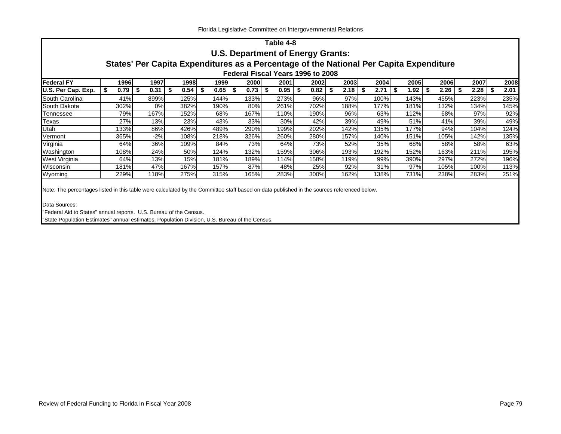|                    |             |      |       |      |      |      |      |      |             | Table 4-8                                                                              |      |      |      |      |      |              |       |      |      |      |
|--------------------|-------------|------|-------|------|------|------|------|------|-------------|----------------------------------------------------------------------------------------|------|------|------|------|------|--------------|-------|------|------|------|
|                    |             |      |       |      |      |      |      |      |             | <b>U.S. Department of Energy Grants:</b>                                               |      |      |      |      |      |              |       |      |      |      |
|                    |             |      |       |      |      |      |      |      |             | States' Per Capita Expenditures as a Percentage of the National Per Capita Expenditure |      |      |      |      |      |              |       |      |      |      |
|                    |             |      |       |      |      |      |      |      |             | Federal Fiscal Years 1996 to 2008                                                      |      |      |      |      |      |              |       |      |      |      |
| <b>IFederal FY</b> | <b>1996</b> |      | 1997  |      | 1998 |      | 1999 |      | <b>2000</b> | 2001                                                                                   |      | 2002 |      | 2003 |      | <b>2004l</b> | 2005l | 2006 | 2007 | 2008 |
| U.S. Per Cap. Exp. | 0.79        | - 56 | 0.31  | - \$ | 0.54 | - \$ | 0.65 | - \$ | $0.73$   \$ | 0.95                                                                                   | - \$ | 0.82 | l Si | 2.18 | - 55 | 2.71         | 1.92  | 2.26 | 2.28 | 2.01 |
| South Carolina     | 41%         |      | 899%  |      | 125% |      | 144% |      | 133%        | 273%                                                                                   |      | 96%  |      | 97%  |      | 100%         | 143%  | 455% | 223% | 235% |
| South Dakota       | 302%        |      | 0%    |      | 382% |      | 190% |      | 80%         | 261%                                                                                   |      | 702% |      | 188% |      | 177%         | 181%  | 132% | 134% | 145% |
| Tennessee          | 79%         |      | 167%  |      | 152% |      | 68%  |      | 167%        | 110%                                                                                   |      | 190% |      | 96%  |      | 63%          | 112%  | 68%  | 97%  | 92%  |
| Texas              | 27%         |      | 13%   |      | 23%  |      | 43%  |      | 33%         | 30%                                                                                    |      | 42%  |      | 39%  |      | 49%          | 51%   | 41%  | 39%  | 49%  |
| Utah               | 133%        |      | 86%   |      | 426% |      | 489% |      | 290%        | 199%                                                                                   |      | 202% |      | 142% |      | 135%         | 177%  | 94%  | 104% | 124% |
| Vermont            | 365%        |      | $-2%$ |      | 108% |      | 218% |      | 326%        | 260%                                                                                   |      | 280% |      | 157% |      | 140%         | 151%  | 105% | 142% | 135% |
| Virginia           | 64%         |      | 36%   |      | 109% |      | 84%  |      | 73%         | 64%                                                                                    |      | 73%  |      | 52%  |      | 35%          | 68%   | 58%  | 58%  | 63%  |
| Washington         | 108%        |      | 24%   |      | 50%  |      | 124% |      | 132%        | 159%                                                                                   |      | 306% |      | 193% |      | 192%         | 152%  | 163% | 211% | 195% |
| West Virginia      | 64%         |      | 13%   |      | 15%  |      | 181% |      | 189%        | 114%                                                                                   |      | 158% |      | 119% |      | 99%          | 390%  | 297% | 272% | 196% |
| Wisconsin          | 181%        |      | 47%   |      | 167% |      | 157% |      | 87%         | 48%                                                                                    |      | 25%  |      | 92%  |      | 31%          | 97%   | 105% | 100% | 113% |
| Wyoming            | 229%        |      | 118%  |      | 275% |      | 315% |      | 165%        | 283%                                                                                   |      | 300% |      | 162% |      | 138%         | 731%  | 238% | 283% | 251% |

Data Sources:

"Federal Aid to States" annual reports. U.S. Bureau of the Census.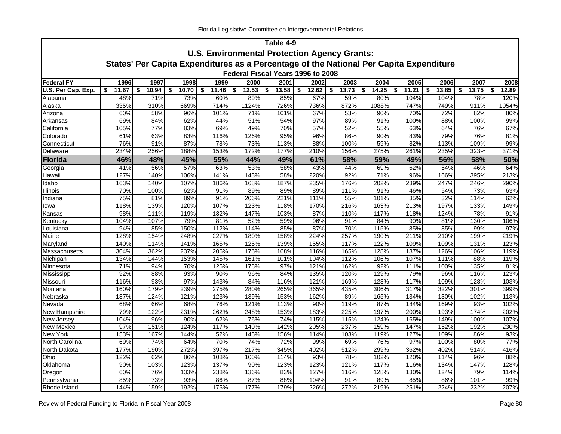|                      |             |             |             |             |             | Table 4-9                                           |             |             |                                                                                        |             |             |             |             |
|----------------------|-------------|-------------|-------------|-------------|-------------|-----------------------------------------------------|-------------|-------------|----------------------------------------------------------------------------------------|-------------|-------------|-------------|-------------|
|                      |             |             |             |             |             | <b>U.S. Environmental Protection Agency Grants:</b> |             |             |                                                                                        |             |             |             |             |
|                      |             |             |             |             |             |                                                     |             |             | States' Per Capita Expenditures as a Percentage of the National Per Capita Expenditure |             |             |             |             |
|                      |             |             |             |             |             |                                                     |             |             |                                                                                        |             |             |             |             |
|                      |             |             |             |             |             | Federal Fiscal Years 1996 to 2008                   |             |             |                                                                                        |             |             |             |             |
| <b>Federal FY</b>    | 1996        | 1997        | 1998        | 1999        | 2000        | 2001                                                | 2002        | 2003        | 2004                                                                                   | 2005        | 2006        | 2007        | 2008        |
| U.S. Per Cap. Exp.   | \$<br>11.67 | \$<br>10.94 | \$<br>10.70 | \$<br>11.46 | \$<br>12.53 | \$<br>13.58                                         | \$<br>12.62 | \$<br>13.73 | \$<br>14.25                                                                            | \$<br>11.21 | \$<br>13.85 | \$<br>13.75 | \$<br>12.89 |
| Alabama              | 48%         | 71%         | 73%         | 60%         | 89%         | 85%                                                 | 67%         | 59%         | 80%                                                                                    | 104%        | 104%        | 78%         | 120%        |
| Alaska               | 335%        | 310%        | 669%        | 714%        | 1124%       | 726%                                                | 736%        | 872%        | 1088%                                                                                  | 747%        | 749%        | 911%        | 1054%       |
| Arizona              | 60%         | 58%         | 96%         | 101%        | 71%         | 101%                                                | 67%         | 53%         | 90%                                                                                    | 70%         | 72%         | 82%         | 80%         |
| Arkansas             | 69%         | 84%         | 62%         | 44%         | 51%         | 54%                                                 | 97%         | 89%         | 91%                                                                                    | 100%        | 88%         | 100%        | 99%         |
| California           | 105%        | 77%         | 83%         | 69%         | 49%         | 70%                                                 | 57%         | 52%         | 55%                                                                                    | 63%         | 64%         | 76%         | 67%         |
| Colorado             | 61%         | 63%         | 83%         | 116%        | 126%        | 95%                                                 | 96%         | 86%         | 90%                                                                                    | 83%         | 79%         | 76%         | 81%         |
| Connecticut          | 76%         | 91%         | 87%         | 78%         | 73%         | 113%                                                | 88%         | 100%        | 59%                                                                                    | 82%         | 113%        | 109%        | 99%         |
| Delaware             | 234%        | 256%        | 188%        | 153%        | 172%        | 177%                                                | 210%        | 156%        | 275%                                                                                   | 261%        | 235%        | 323%        | 371%        |
| Florida              | 46%         | 48%         | 45%         | 55%         | 44%         | 49%                                                 | 61%         | 58%         | 59%                                                                                    | 49%         | 56%         | 58%         | 50%         |
| Georgia              | 41%         | 56%         | 57%         | 63%         | 53%         | 58%                                                 | 43%         | 44%         | 69%                                                                                    | 62%         | 54%         | 46%         | 64%         |
| Hawaii               | 127%        | 140%        | 106%        | 141%        | 143%        | 58%                                                 | 220%        | 92%         | 71%                                                                                    | 96%         | 166%        | 395%        | 213%        |
| ldaho                | 163%        | 140%        | 107%        | 186%        | 168%        | 187%                                                | 235%        | 176%        | 202%                                                                                   | 239%        | 247%        | 246%        | 290%        |
| Illinois             | 70%         | 100%        | 62%         | 91%         | 89%         | 89%                                                 | 89%         | 111%        | 91%                                                                                    | 46%         | 54%         | 73%         | 63%         |
| Indiana              | 75%         | 81%         | 89%         | 91%         | 206%        | 221%                                                | 111%        | 55%         | 101%                                                                                   | 35%         | 32%         | 114%        | 62%         |
| owa                  | 118%        | 139%        | 120%        | 107%        | 123%        | 118%                                                | 170%        | 216%        | 163%                                                                                   | 213%        | 197%        | 133%        | 149%        |
| Kansas               | 98%         | 111%        | 119%        | 132%        | 147%        | 103%                                                | 87%         | 110%        | 117%                                                                                   | 118%        | 124%        | 78%         | 91%         |
| Kentucky             | 104%        | 107%        | 79%         | 81%         | 52%         | 59%                                                 | 96%         | 91%         | 84%                                                                                    | 90%         | 81%         | 130%        | 106%        |
| _ouisiana            | 94%         | 85%         | 150%        | 112%        | 114%        | 85%                                                 | 87%         | 70%         | 115%                                                                                   | 85%         | 85%         | 99%         | 97%         |
| Maine                | 128%        | 154%        | 248%        | 227%        | 180%        | 158%                                                | 224%        | 257%        | 190%                                                                                   | 211%        | 210%        | 199%        | 219%        |
| Maryland             | 140%        | 114%        | 141%        | 165%        | 125%        | 139%                                                | 155%        | 117%        | 122%                                                                                   | 109%        | 109%        | 131%        | 123%        |
| Massachusetts        | 304%        | 362%        | 237%        | 206%        | 176%        | 168%                                                | 116%        | 165%        | 128%                                                                                   | 137%        | 126%        | 106%        | 119%        |
| Michigan             | 134%        | 144%        | 153%        | 145%        | 161%        | 101%                                                | 104%        | 112%        | 106%                                                                                   | 107%        | 111%        | 88%         | 119%        |
| Minnesota            | 71%         | 94%         | 70%         | 125%        | 178%        | 97%                                                 | 121%        | 162%        | 92%                                                                                    | 111%        | 100%        | 135%        | 81%         |
| Mississippi          | 92%         | 88%         | 93%         | 90%         | 96%         | 84%                                                 | 135%        | 120%        | 129%                                                                                   | 79%         | 96%         | 116%        | 123%        |
| Missouri             | 116%        | 93%         | 97%         | 143%        | 84%         | 116%                                                | 121%        | 169%        | 128%                                                                                   | 117%        | 109%        | 128%        | 103%        |
| Montana              | 160%        | 179%        | 239%        | 275%        | 280%        | 265%                                                | 365%        | 435%        | 306%                                                                                   | 317%        | 322%        | 301%        | 399%        |
| Nebraska             | 137%        | 124%        | 121%        | 123%        | 139%        | 153%                                                | 162%        | 89%         | 165%                                                                                   | 134%        | 130%        | 102%        | 113%        |
| Nevada               | 68%         | 66%         | 68%         | 76%         | 121%        | 113%                                                | 90%         | 119%        | 87%                                                                                    | 184%        | 169%        | 93%         | 102%        |
| <b>New Hampshire</b> | 79%         | 122%        | 231%        | 262%        | 248%        | 153%                                                | 183%        | 225%        | 197%                                                                                   | 200%        | 193%        | 174%        | 202%        |
| New Jersey           | 104%        | 96%         | 90%         | 62%         | 76%         | 74%                                                 | 115%        | 115%        | 124%                                                                                   | 165%        | 149%        | 100%        | 107%        |
| <b>New Mexico</b>    | 97%         | 151%        | 124%        | 117%        | 140%        | 142%                                                | 205%        | 237%        | 159%                                                                                   | 147%        | 152%        | 192%        | 230%        |
| <b>New York</b>      | 153%        | 167%        | 144%        | 52%         | 145%        | 156%                                                | 114%        | 103%        | 119%                                                                                   | 127%        | 109%        | 86%         | 93%         |
| North Carolina       | 69%         | 74%         | 64%         | 70%         | 74%         | 72%                                                 | 99%         | 69%         | 76%                                                                                    | 97%         | 100%        | 80%         | 77%         |
| North Dakota         | 177%        | 190%        | 272%        | 397%        | 217%        | 345%                                                | 402%        | 512%        | 299%                                                                                   | 362%        | 402%        | 514%        | 416%        |
| Ohio                 | 122%        | 62%         | 86%         | 108%        | 100%        | 114%                                                | 93%         | 78%         | 102%                                                                                   | 120%        | 114%        | 96%         | 88%         |
| Oklahoma             | 90%         | 103%        | 123%        | 137%        | 90%         | 123%                                                | 123%        | 121%        | 117%                                                                                   | 116%        | 134%        | 147%        | 128%        |
| Oregon               | 60%         | 76%         | 133%        | 238%        | 136%        | 83%                                                 | 127%        | 116%        | 128%                                                                                   | 130%        | 124%        | 79%         | 114%        |
| Pennsylvania         | 85%         | 73%         | 93%         | 86%         | 87%         | 88%                                                 | 104%        | 91%         | 89%                                                                                    | 85%         | 86%         | 101%        | 99%         |
| Rhode Island         | 144%        | 159%        | 192%        | 175%        | 177%        | 179%                                                | 226%        | 272%        | 219%                                                                                   | 251%        | 224%        | 232%        | 207%        |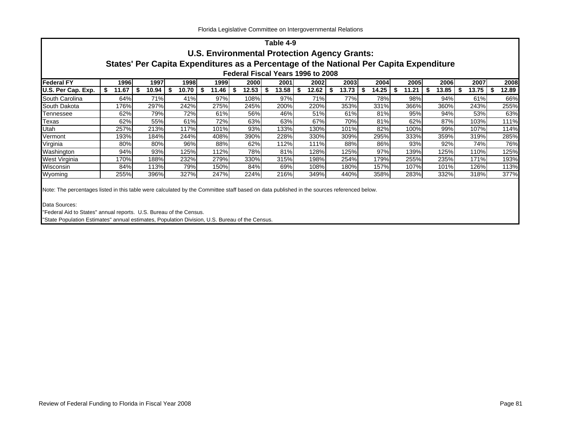|                    |       |            |       | <b>U.S. Environmental Protection Agency Grants:</b><br>States' Per Capita Expenditures as a Percentage of the National Per Capita Expenditure |       |      | Table 4-9<br>Federal Fiscal Years 1996 to 2008 |       |     |       |      |       |      |       |       |       |       |
|--------------------|-------|------------|-------|-----------------------------------------------------------------------------------------------------------------------------------------------|-------|------|------------------------------------------------|-------|-----|-------|------|-------|------|-------|-------|-------|-------|
| <b>Federal FY</b>  | 1996  | 1997       | 1998  | 19991                                                                                                                                         |       | 2000 | 2001                                           | 2002  |     | 2003  |      | 2004  |      | 2005  | 2006  | 2007  | 2008  |
| U.S. Per Cap. Exp. | 11.67 | 10.94<br>Ъ | 10.70 | 11.46<br>- 56                                                                                                                                 | 12.53 |      | 13.58                                          | 12.62 | -\$ | 13.73 | - \$ | 14.25 | - \$ | 11.21 | 13.85 | 13.75 | 12.89 |
| South Carolina     | 64%   | 71%        | 41%   | 97%                                                                                                                                           | 108%  |      | 97%                                            | 71%   |     | 77%   |      | 78%   |      | 98%   | 94%   | 61%   | 66%   |
| South Dakota       | 176%  | 297%       | 242%  | 275%                                                                                                                                          | 245%  |      | 200%                                           | 220%  |     | 353%  |      | 331%  |      | 366%  | 360%  | 243%  | 255%  |
| Tennessee          | 62%   | 79%        | 72%   | 61%                                                                                                                                           |       | 56%  | 46%                                            | 51%   |     | 61%   |      | 81%   |      | 95%   | 94%   | 53%   | 63%   |
| <b>Texas</b>       | 62%   | 55%        | 61%   | 72%                                                                                                                                           |       | 63%  | 63%                                            | 67%   |     | 70%   |      | 81%   |      | 62%   | 87%   | 103%  | 111%  |
| Utah               | 257%  | 213%       | 117%  | 101%                                                                                                                                          |       | 93%  | 133%                                           | 130%  |     | 101%  |      | 82%   |      | 100%  | 99%   | 107%  | 114%  |
| Vermont            | 193%  | 184%       | 244%  | 408%                                                                                                                                          | 390%  |      | 228%                                           | 330%  |     | 309%  |      | 295%  |      | 333%  | 359%  | 319%  | 285%  |
| Virginia           | 80%   | 80%        | 96%   | 88%                                                                                                                                           |       | 62%  | 112%                                           | 111%  |     | 88%   |      | 86%   |      | 93%   | 92%   | 74%   | 76%   |
| Washington         | 94%   | 93%        | 125%  | 112%                                                                                                                                          |       | 78%  | 81%                                            | 128%  |     | 125%  |      | 97%   |      | 139%  | 125%  | 110%  | 125%  |
| West Virginia      | 170%  | 188%       | 232%  | 279%                                                                                                                                          | 330%  |      | 315%                                           | 198%  |     | 254%  |      | 179%  |      | 255%  | 235%  | 171%  | 193%  |
| Wisconsin          | 84%   | 113%       | 79%   | 150%                                                                                                                                          |       | 84%  | 69%                                            | 108%  |     | 180%  |      | 157%  |      | 107%  | 101%  | 126%  | 113%  |
| Wyoming            | 255%  | 396%       | 327%  | 247%                                                                                                                                          | 224%  |      | 216%                                           | 349%  |     | 440%  |      | 358%  |      | 283%  | 332%  | 318%  | 377%  |

Data Sources:

"Federal Aid to States" annual reports. U.S. Bureau of the Census.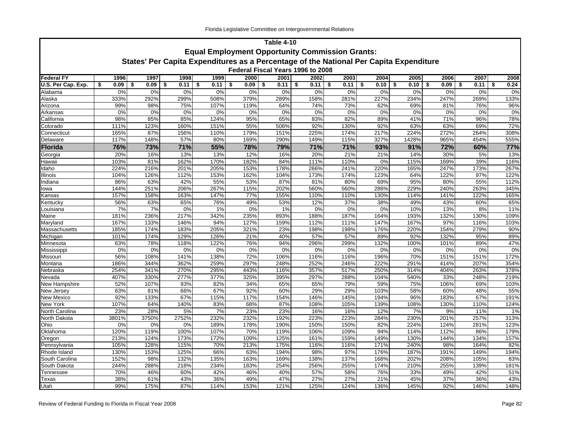|                        |             |             |             |                                                                                        |             | <b>Table 4-10</b>                 |              |              |              |             |              |            |              |
|------------------------|-------------|-------------|-------------|----------------------------------------------------------------------------------------|-------------|-----------------------------------|--------------|--------------|--------------|-------------|--------------|------------|--------------|
|                        |             |             |             | <b>Equal Employment Opportunity Commission Grants:</b>                                 |             |                                   |              |              |              |             |              |            |              |
|                        |             |             |             | States' Per Capita Expenditures as a Percentage of the National Per Capita Expenditure |             |                                   |              |              |              |             |              |            |              |
|                        |             |             |             |                                                                                        |             |                                   |              |              |              |             |              |            |              |
|                        |             |             |             |                                                                                        |             | Federal Fiscal Years 1996 to 2008 |              |              |              |             |              |            |              |
| <b>Federal FY</b>      | 1996        | 1997        | 1998        | 1999                                                                                   | 2000        | 2001                              | 2002         | 2003         | 2004         | 2005        | 2006         | 2007       | 2008         |
| U.S. Per Cap. Exp.     | \$<br>0.09  | 0.09<br>\$  | \$<br>0.11  | \$<br>0.11                                                                             | \$<br>0.09  | \$<br>0.11                        | \$<br>0.11   | 0.11<br>\$   | \$<br>0.10   | \$<br>0.10  | 0.09<br>\$   | \$<br>0.11 | \$<br>0.24   |
| Alabama                | 0%          | 0%          | 0%          | 0%                                                                                     | 0%          | 0%                                | 0%           | 0%           | 0%           | 0%          | 0%           | 0%         | 0%           |
| Alaska                 | 333%        | 292%        | 299%        | 508%                                                                                   | 379%        | 289%                              | 158%         | 281%         | 227%         | 234%        | 247%         | 269%       | 133%<br>96%  |
| Arizona<br>Arkansas    | 99%<br>0%   | 98%<br>0%   | 75%<br>0%   | 107%<br>0%                                                                             | 119%<br>0%  | 64%<br>0%                         | 74%<br>0%    | 73%<br>0%    | 62%<br>0%    | 69%<br>0%   | 81%<br>0%    | 76%<br>0%  | 0%           |
| California             | 98%         | 85%         | 85%         | 124%                                                                                   | 95%         | 65%                               | 83%          | 82%          | 89%          | 41%         | 71%          | 96%        | 78%          |
| Colorado               | 111%        | 123%        | 160%        | 151%                                                                                   | 55%         | 506%                              | 92%          | 130%         | 92%          | 63%         | 63%          | 69%        | 72%          |
| Connecticut            | 165%        | 87%         | 156%        | 110%                                                                                   | 179%        | 151%                              | 225%         | 174%         | 217%         | 224%        | 272%         | 264%       | 308%         |
| Delaware               | 117%        | 148%        | 57%         | 80%                                                                                    | 169%        | 290%                              | 149%         | 115%         | 327%         | 1428%       | 965%         | 454%       | 555%         |
| Florida                | 76%         | 73%         | 71%         | 55%                                                                                    | 78%         | 79%                               | 71%          | 71%          | 93%          | 91%         | 72%          | 60%        | 77%          |
| Georgia                | 20%         | 16%         | 13%         | 13%                                                                                    | 12%         | 16%                               | 20%          | 21%          | 21%          | 14%         | 30%          | 5%         | 13%          |
| Hawaii                 | 103%        | 81%         | 162%        | 170%                                                                                   | 182%        | 84%                               | 111%         | 110%         | 0%           | 115%        | 169%         | 39%        | 116%         |
| Idaho                  | 224%        | 216%        | 201%        | 205%                                                                                   | 153%        | 178%                              | 266%         | 241%         | 220%         | 165%        | 247%         | 173%       | 267%         |
| <b>Illinois</b>        | 104%        | 126%        | 112%        | 153%                                                                                   | 162%        | 104%                              | 173%         | 174%         | 123%         | 64%         | 122%         | 97%        | 122%         |
| Indiana                | 86%         | 63%         | 42%         | 55%                                                                                    | 53%         | 87%                               | 81%          | 80%          | 69%          | 95%         | 80%          | 55%        | 112%         |
| lowa                   | 144%        | 251%        | 206%        | 267%                                                                                   | 115%        | 202%                              | 560%         | 560%         | 286%         | 229%        | 240%         | 263%       | 345%         |
| Kansas                 | 157%        | 158%        | 163%        | 147%                                                                                   | 77%         | 155%                              | 110%         | 110%         | 130%         | 114%        | 141%         | 122%       | 165%         |
| Kentucky               | 56%         | 63%         | 65%         | 76%                                                                                    | 49%         | 53%                               | 12%          | 37%          | 38%          | 49%         | 43%          | 60%        | 65%          |
| ouisiana.              | 7%          | 7%          | 0%          | 1%                                                                                     | 0%          | 1%                                | 0%           | 0%           | 0%           | 10%         | 13%          | 8%         | 11%          |
| Maine                  | 181%        | 236%        | 217%        | 342%                                                                                   | 235%        | 893%                              | 188%         | 187%         | 164%         | 193%        | 132%         | 130%       | 109%         |
| Maryland               | 167%        | 133%        | 146%        | 94%                                                                                    | 127%        | 159%                              | 112%         | 111%         | 147%         | 167%        | 97%          | 116%       | 103%         |
| Massachusetts          | 185%        | 174%        | 183%        | 205%                                                                                   | 321%        | 23%                               | 198%         | 198%         | 176%         | 220%        | 154%         | 279%       | 90%          |
| Michigan               | 101%        | 174%        | 129%        | 126%                                                                                   | 21%         | 40%                               | 57%          | 57%          | 89%          | 92%         | 132%         | 95%        | 89%          |
| Minnesota              | 63%         | 78%         | 118%        | 122%                                                                                   | 76%         | 94%                               | 296%         | 299%         | 132%         | 100%        | 101%         | 89%        | 47%          |
| Mississippi            | 0%          | 0%          | 0%          | 0%                                                                                     | 0%          | 0%                                | 0%           | 0%           | 0%           | 0%          | 0%           | 0%         | 0%           |
| <b>Missouri</b>        | 56%         | 108%        | 141%        | 138%                                                                                   | 72%         | 106%                              | 116%         | 116%         | 196%         | 70%         | 151%         | 151%       | 172%         |
| Montana                | 186%        | 344%        | 362%        | 259%                                                                                   | 297%        | 248%                              | 252%         | 246%         | 222%         | 291%        | 414%         | 207%       | 354%         |
| Nebraska               | 254%        | 341%        | 270%        | 295%                                                                                   | 443%        | 116%                              | 357%         | 517%         | 250%         | 314%        | 404%         | 263%       | 378%         |
| Nevada                 | 407%        | 330%        | 277%        | 377%                                                                                   | 325%        | 395%                              | 297%         | 288%         | 104%         | 540%        | 33%          | 248%       | 219%         |
| New Hampshire          | 52%         | 107%        | 93%         | 82%                                                                                    | 34%         | 65%                               | 65%          | 79%          | 59%          | 75%         | 106%         | 69%        | 103%         |
| <b>New Jersey</b>      | 63%         | 81%         | 66%         | 67%                                                                                    | 92%         | 60%                               | 29%          | 29%          | 103%         | 58%         | 60%          | 48%<br>67% | 55%          |
| New Mexico<br>New York | 92%<br>107% | 133%<br>64% | 67%<br>140% | 115%<br>83%                                                                            | 117%<br>68% | 154%<br>87%                       | 146%<br>108% | 145%<br>105% | 194%<br>139% | 96%<br>108% | 183%<br>130% | 110%       | 191%<br>124% |
| North Carolina         | 23%         | 28%         | 5%          | 7%                                                                                     | 23%         | 23%                               | 16%          | 16%          | 12%          | 7%          | 9%           | 11%        | 1%           |
| North Dakota           | 3801%       | 3750%       | 2752%       | 232%                                                                                   | 232%        | 192%                              | 223%         | 223%         | 284%         | 230%        | 201%         | 257%       | 313%         |
| Ohio                   | 0%          | 0%          | 0%          | 189%                                                                                   | 178%        | 190%                              | 150%         | 150%         | 82%          | 224%        | 124%         | 281%       | 123%         |
| Oklahoma               | 120%        | 119%        | 100%        | 107%                                                                                   | 70%         | 119%                              | 106%         | 109%         | 94%          | 114%        | 112%         | 86%        | 179%         |
| Oregon                 | 213%        | 124%        | 173%        | 172%                                                                                   | 109%        | 125%                              | 161%         | 159%         | 149%         | 130%        | 144%         | 134%       | 157%         |
| Pennsylvania           | 105%        | 128%        | 115%        | 70%                                                                                    | 213%        | 175%                              | 116%         | 116%         | 171%         | 240%        | 98%          | 164%       | 82%          |
| Rhode Island           | 130%        | 153%        | 125%        | 66%                                                                                    | 63%         | 194%                              | 98%          | 97%          | 176%         | 187%        | 191%         | 149%       | 194%         |
| South Carolina         | 152%        | 98%         | 132%        | 135%                                                                                   | 163%        | 169%                              | 138%         | 137%         | 168%         | 202%        | 208%         | 105%       | 83%          |
| South Dakota           | 244%        | 288%        | 218%        | 234%                                                                                   | 183%        | 254%                              | 256%         | 255%         | 174%         | 210%        | 255%         | 139%       | 181%         |
| Tennessee              | 70%         | 46%         | 60%         | 42%                                                                                    | 46%         | 40%                               | 57%          | 58%          | 76%          | 33%         | 49%          | 42%        | 51%          |
| Texas                  | 38%         | 61%         | 43%         | 36%                                                                                    | 49%         | 47%                               | 27%          | 27%          | 21%          | 45%         | 37%          | 36%        | 43%          |
| Utah                   | 99%         | 175%        | 87%         | 114%                                                                                   | 153%        | 121%                              | 125%         | 124%         | 136%         | 145%        | 92%          | 146%       | 148%         |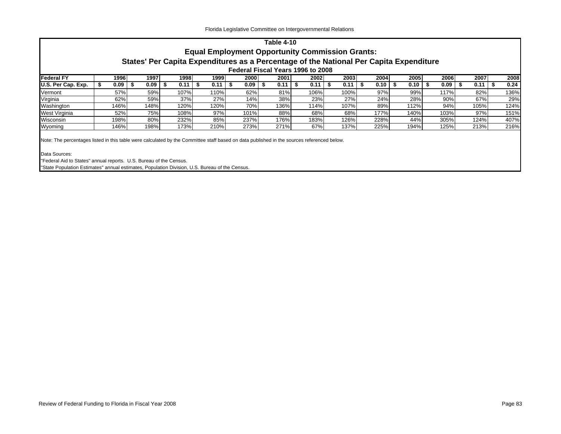#### **Equal Employment Opportunity Commission Grants: States' Per Capita Expenditures as a Percentage of the National Per Capita Expenditure Federal Fiscal Years 1996 to 2008Table 4-10**

|                            |      |      |               |       | - 69669 - 696 |               | TUATU TUUU LU LUUU |      |      |      |        |      |      |
|----------------------------|------|------|---------------|-------|---------------|---------------|--------------------|------|------|------|--------|------|------|
| <b>Federal FY</b>          | 1996 | 1997 | 1998          | 19991 | 2000          | 2001          | 2002               | 2003 | 2004 | 2005 | 2006   | 2007 | 2008 |
| <b>IU.S. Per Cap. Exp.</b> | 0.09 | 0.09 | $0.1^{\circ}$ | 0.11  | 0.09          | $0.1^{\circ}$ |                    | 0.11 | 0.10 | 0.10 | 0.09   | 0.11 | 0.24 |
| Vermont                    | 57%  | 59%  | 107%          | 110%  | 62%           | 81%           | 106%               | 100% | 97%  | 99%  | $17\%$ | 82%  | 136% |
| Virginia                   | 62%  | 59%  | 37%           | 27%   | 14%           | 38%           | 23%                | 27%  | 24%  | 28%  | 90%    | 67%  | 29%  |
| Washington                 | 46%  | 148% | 120%          | 120%  | 70%           | 136%          | 114%               | 107% | 89%  | 12%  | 94%    | 105% | 124% |
| West Virginia              | 52%  | 75%  | 108%          | 97%   | 101%          | 88%           | 68%                | 68%  | 77%  | 140% | 103%   | 97%  | 151% |
| Wisconsin                  | 198% | 80%  | 232%          | 85%   | 237%          | 176%          | 183%               | 126% | 228% | 44%  | 305%   | 124% | 407% |
| Wyoming                    | 46%  | 198% | 173%          | 210%  | 273%          | 271%          | 67%                | 137% | 225% | 194% | 125%   | 213% | 216% |

Note: The percentages listed in this table were calculated by the Committee staff based on data published in the sources referenced below.

Data Sources:

"Federal Aid to States" annual reports. U.S. Bureau of the Census.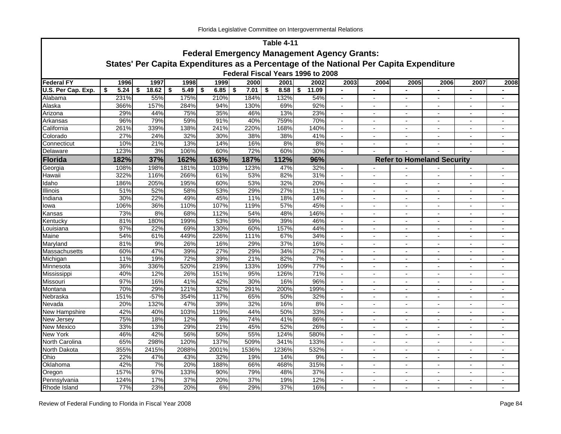|                      |            |             |            |                                                    |                                   | <b>Table 4-11</b> |             |                          |                          |                          |                                                                                        |                          |                          |
|----------------------|------------|-------------|------------|----------------------------------------------------|-----------------------------------|-------------------|-------------|--------------------------|--------------------------|--------------------------|----------------------------------------------------------------------------------------|--------------------------|--------------------------|
|                      |            |             |            | <b>Federal Emergency Management Agency Grants:</b> |                                   |                   |             |                          |                          |                          |                                                                                        |                          |                          |
|                      |            |             |            |                                                    |                                   |                   |             |                          |                          |                          | States' Per Capita Expenditures as a Percentage of the National Per Capita Expenditure |                          |                          |
|                      |            |             |            |                                                    | Federal Fiscal Years 1996 to 2008 |                   |             |                          |                          |                          |                                                                                        |                          |                          |
|                      |            |             |            |                                                    |                                   |                   |             |                          |                          |                          |                                                                                        |                          |                          |
| <b>Federal FY</b>    | 1996       | 1997        | 1998       | 1999                                               | 2000                              | 2001              | 2002        | 2003                     | 2004                     | 2005                     | 2006                                                                                   | 2007                     | 2008                     |
| U.S. Per Cap. Exp.   | \$<br>5.24 | \$<br>18.62 | \$<br>5.49 | \$<br>6.85                                         | 7.01<br>\$                        | \$<br>8.58        | \$<br>11.09 |                          | $\blacksquare$           |                          | $\blacksquare$                                                                         |                          | $\blacksquare$           |
| Alabama              | 231%       | 55%         | 175%       | 210%                                               | 184%                              | 132%              | 54%         |                          | $\blacksquare$           |                          | $\blacksquare$                                                                         |                          |                          |
| Alaska               | 366%       | 157%        | 284%       | 94%                                                | 130%                              | 69%               | 92%         | $\blacksquare$           | $\blacksquare$           | $\blacksquare$           | $\overline{\phantom{0}}$                                                               | $\overline{\phantom{0}}$ | $\overline{\phantom{a}}$ |
| Arizona              | 29%        | 44%         | 75%        | 35%                                                | 46%                               | 13%               | 23%         |                          |                          |                          |                                                                                        |                          |                          |
| Arkansas             | 96%        | 79%         | 59%        | 91%                                                | 40%                               | 759%              | 70%         | $\blacksquare$           | $\sim$                   | $\sim$                   | $\blacksquare$                                                                         | $\blacksquare$           | $\overline{\phantom{a}}$ |
| California           | 261%       | 339%        | 138%       | 241%                                               | 220%                              | 168%              | 140%        | $\blacksquare$           | $\overline{\phantom{a}}$ | $\blacksquare$           | $\blacksquare$                                                                         | $\blacksquare$           | $\blacksquare$           |
| Colorado             | 27%        | 24%         | 32%        | 30%                                                | 38%                               | 38%               | 41%         | $\mathbf{r}$             | $\overline{a}$           | $\overline{a}$           | $\overline{a}$                                                                         | $\overline{a}$           | $\overline{\phantom{a}}$ |
| Connecticut          | 10%        | 21%         | 13%        | 14%                                                | 16%                               | 8%                | 8%          | $\blacksquare$           | $\blacksquare$           | $\overline{a}$           | $\overline{a}$                                                                         | $\overline{\phantom{0}}$ | $\blacksquare$           |
| Delaware             | 123%       | 3%          | 106%       | 60%                                                | 72%                               | 60%               | 30%         |                          |                          |                          |                                                                                        |                          |                          |
| <b>Florida</b>       | 182%       | 37%         | 162%       | 163%                                               | 187%                              | 112%              | 96%         |                          |                          |                          | <b>Refer to Homeland Security</b>                                                      |                          |                          |
| Georgia              | 108%       | 198%        | 181%       | 103%                                               | 123%                              | 47%               | 32%         | $\overline{\phantom{a}}$ |                          |                          | $\overline{\phantom{a}}$                                                               | $\blacksquare$           | $\overline{\phantom{a}}$ |
| Hawaii               | 322%       | 116%        | 266%       | 61%                                                | 53%                               | 82%               | 31%         | $\overline{\phantom{a}}$ | $\overline{\phantom{a}}$ | $\overline{\phantom{a}}$ | $\blacksquare$                                                                         | $\blacksquare$           | $\blacksquare$           |
| ldaho                | 186%       | 205%        | 195%       | 60%                                                | 53%                               | 32%               | 20%         | $\sim$                   | $\sim$                   | $\blacksquare$           | $\blacksquare$                                                                         | $\overline{a}$           | $\blacksquare$           |
| Illinois             | 51%        | 52%         | 58%        | 53%                                                | 29%                               | 27%               | 11%         | $\overline{a}$           | $\overline{\phantom{a}}$ | $\overline{a}$           | $\overline{a}$                                                                         | $\overline{a}$           | $\overline{\phantom{a}}$ |
| Indiana              | 30%        | 22%         | 49%        | 45%                                                | 11%                               | 18%               | 14%         |                          | $\overline{\phantom{a}}$ | $\overline{\phantom{a}}$ | $\overline{a}$                                                                         |                          | $\blacksquare$           |
| owa                  | 106%       | 36%         | 110%       | 107%                                               | 119%                              | 57%               | 45%         | $\overline{\phantom{a}}$ | $\blacksquare$           | $\blacksquare$           | $\blacksquare$                                                                         | $\blacksquare$           | $\overline{\phantom{a}}$ |
| Kansas               | 73%        | 8%          | 68%        | 112%                                               | 54%                               | 48%               | 146%        | $\blacksquare$           | $\sim$                   | $\overline{\phantom{a}}$ | $\overline{\phantom{a}}$                                                               | $\overline{\phantom{a}}$ | $\overline{\phantom{a}}$ |
| Kentucky             | 81%        | 180%        | 199%       | 53%                                                | 59%                               | 39%               | 46%         | $\blacksquare$           | $\blacksquare$           | $\blacksquare$           | $\blacksquare$                                                                         | $\blacksquare$           | $\blacksquare$           |
| _ouisiana            | 97%        | 22%         | 69%        | 130%                                               | 60%                               | 157%              | 44%         | $\blacksquare$           | $\blacksquare$           | $\blacksquare$           | $\blacksquare$                                                                         | $\blacksquare$           | $\overline{\phantom{a}}$ |
| Maine                | 54%        | 61%         | 449%       | 226%                                               | 111%                              | 67%               | 34%         |                          |                          | $\overline{\phantom{a}}$ | $\overline{\phantom{0}}$                                                               | $\overline{a}$           | $\overline{\phantom{a}}$ |
| Maryland             | 81%        | 9%          | 26%        | 16%                                                | 29%                               | 37%               | 16%         | $\overline{\phantom{a}}$ | $\blacksquare$           | $\blacksquare$           | $\blacksquare$                                                                         | $\blacksquare$           | $\overline{\phantom{a}}$ |
| Massachusetts        | 60%        | 47%         | 39%        | 27%                                                | 29%                               | 34%               | 27%         | $\blacksquare$           | $\overline{\phantom{a}}$ | $\overline{\phantom{a}}$ | $\blacksquare$                                                                         | $\blacksquare$           | $\blacksquare$           |
| Michigan             | 11%        | 19%         | 72%        | 39%                                                | 21%                               | 82%               | 7%          | $\blacksquare$           | $\blacksquare$           | $\blacksquare$           | $\blacksquare$                                                                         | $\blacksquare$           | $\blacksquare$           |
| Minnesota            | 36%        | 336%        | 520%       | 219%                                               | 133%                              | 109%              | 77%         | $\blacksquare$           | $\blacksquare$           | $\blacksquare$           | $\blacksquare$                                                                         | $\blacksquare$           | $\blacksquare$           |
| Mississippi          | 40%        | 12%         | 26%        | 151%                                               | 95%                               | 126%              | 71%         |                          | $\blacksquare$           | $\blacksquare$           | $\blacksquare$                                                                         |                          | $\blacksquare$           |
| Missouri             | 97%        | 16%         | 41%        | 42%                                                | 30%                               | 16%               | 96%         | $\blacksquare$           | $\overline{\phantom{a}}$ | $\overline{\phantom{a}}$ | $\overline{\phantom{a}}$                                                               | $\overline{\phantom{a}}$ | $\overline{\phantom{a}}$ |
| Montana              | 70%        | 29%         | 121%       | 32%                                                | 291%                              | 200%              | 199%        | $\overline{\phantom{a}}$ | $\sim$                   | $\blacksquare$           | $\overline{\phantom{a}}$                                                               | $\overline{\phantom{a}}$ | $\blacksquare$           |
| Nebraska             | 151%       | $-57%$      | 354%       | 117%                                               | 65%                               | 50%               | 32%         | $\overline{\phantom{a}}$ | $\blacksquare$           | $\overline{a}$           | $\overline{\phantom{a}}$                                                               | ÷,                       | $\overline{\phantom{a}}$ |
| Nevada               | 20%        | 132%        | 47%        | 39%                                                | 32%                               | 16%               | 8%          | $\overline{a}$           | $\overline{a}$           | $\overline{a}$           | $\overline{a}$                                                                         | $\overline{a}$           | $\overline{\phantom{a}}$ |
| <b>New Hampshire</b> | 42%        | 40%         | 103%       | 119%                                               | 44%                               | 50%               | 33%         | $\overline{a}$           | $\blacksquare$           | $\overline{\phantom{a}}$ | $\blacksquare$                                                                         | $\overline{a}$           | $\blacksquare$           |
| New Jersey           | 75%        | 18%         | 12%        | 9%                                                 | 74%                               | 41%               | 86%         | $\blacksquare$           | $\sim$                   | $\blacksquare$           | $\blacksquare$                                                                         | $\blacksquare$           | $\blacksquare$           |
| <b>New Mexico</b>    | 33%        | 13%         | 29%        | 21%                                                | 45%                               | 52%               | 26%         | $\overline{\phantom{a}}$ | $\sim$                   | $\overline{\phantom{a}}$ | $\overline{\phantom{a}}$                                                               | $\blacksquare$           | $\blacksquare$           |
| <b>New York</b>      | 46%        | 42%         | 56%        | 50%                                                | 55%                               | 124%              | 580%        | $\blacksquare$           | $\blacksquare$           | $\overline{\phantom{a}}$ | $\blacksquare$                                                                         | $\overline{a}$           | $\blacksquare$           |
| North Carolina       | 65%        | 298%        | 120%       | 137%                                               | 509%                              | 341%              | 133%        | $\blacksquare$           | $\blacksquare$           | $\blacksquare$           | $\blacksquare$                                                                         | $\blacksquare$           | $\overline{\phantom{a}}$ |
| North Dakota         | 355%       | 2415%       | 2088%      | 2001%                                              | 1536%                             | 1236%             | 532%        |                          | $\overline{a}$           |                          | $\overline{\phantom{0}}$                                                               | $\overline{a}$           | $\overline{\phantom{a}}$ |
| Ohio                 | 22%        | 47%         | 43%        | 32%                                                | 19%                               | 14%               | 9%          | $\overline{\phantom{a}}$ | $\blacksquare$           | $\overline{\phantom{a}}$ | $\overline{\phantom{a}}$                                                               | $\overline{\phantom{a}}$ | $\overline{\phantom{a}}$ |
| Oklahoma             | 42%        | 7%          | 20%        | 188%                                               | 66%                               | 468%              | 315%        | $\blacksquare$           | $\overline{\phantom{a}}$ | $\overline{\phantom{a}}$ | $\blacksquare$                                                                         | $\overline{\phantom{a}}$ | $\blacksquare$           |
| Oregon               | 157%       | 97%         | 133%       | 90%                                                | 79%                               | 48%               | 37%         | $\blacksquare$           | $\blacksquare$           | $\blacksquare$           | $\blacksquare$                                                                         | $\overline{a}$           | $\blacksquare$           |
| Pennsylvania         | 124%       | 17%         | 37%        | 20%                                                | 37%                               | 19%               | 12%         | $\blacksquare$           | $\blacksquare$           | $\overline{a}$           | $\overline{\phantom{0}}$                                                               | $\overline{\phantom{0}}$ | $\blacksquare$           |
| Rhode Island         | 77%        | 23%         | 20%        | 6%                                                 | 29%                               | 37%               | 16%         |                          | $\blacksquare$           | $\overline{\phantom{a}}$ | $\overline{a}$                                                                         |                          | $\blacksquare$           |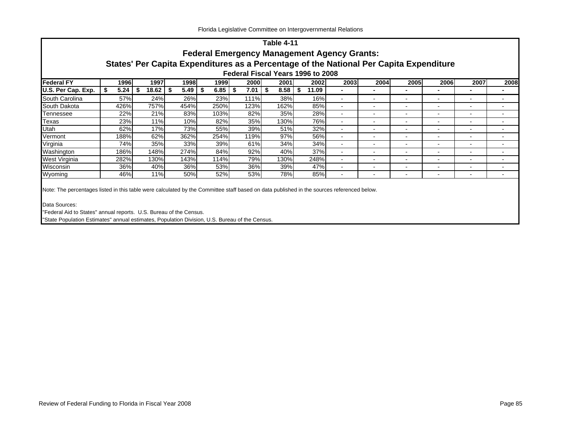|                    |   |      |   |       |    |      |            |            |      | Table 4-11 |   | Federal Fiscal Years 1996 to 2008 | <b>Federal Emergency Management Agency Grants:</b> |                          |                          | States' Per Capita Expenditures as a Percentage of the National Per Capita Expenditure |                          |                          |
|--------------------|---|------|---|-------|----|------|------------|------------|------|------------|---|-----------------------------------|----------------------------------------------------|--------------------------|--------------------------|----------------------------------------------------------------------------------------|--------------------------|--------------------------|
| <b>Federal FY</b>  |   | 1996 |   | 1997  |    | 1998 | 1999       | 2000       |      | 2001       |   | 2002                              | 2003                                               | 2004                     | 2005                     | 2006                                                                                   | 2007                     | 2008                     |
| U.S. Per Cap. Exp. | S | 5.24 | ъ | 18.62 | £. | 5.49 | \$<br>6.85 | \$<br>7.01 | - \$ | 8.58       | S | 11.09                             |                                                    |                          |                          |                                                                                        |                          |                          |
| South Carolina     |   | 57%  |   | 24%   |    | 26%  | 23%        | 111%       |      | 38%        |   | 16%                               | $\overline{\phantom{0}}$                           | $\overline{\phantom{0}}$ | $\overline{\phantom{0}}$ | $\overline{\phantom{0}}$                                                               | $\overline{\phantom{0}}$ | $\overline{\phantom{0}}$ |
| South Dakota       |   | 426% |   | 757%  |    | 454% | 250%       | 123%       |      | 162%       |   | 85%                               | $\overline{\phantom{0}}$                           | $\overline{\phantom{0}}$ |                          | $\overline{\phantom{0}}$                                                               | $\overline{\phantom{0}}$ | $\overline{\phantom{0}}$ |
| Tennessee          |   | 22%  |   | 21%   |    | 83%  | 103%       | 82%        |      | 35%        |   | 28%                               | $\overline{\phantom{0}}$                           | ۰                        |                          |                                                                                        | $\overline{\phantom{0}}$ | $\overline{\phantom{0}}$ |
| <b>Texas</b>       |   | 23%  |   | 11%   |    | 10%  | 82%        | 35%        |      | 130%       |   | 76%                               | $\overline{\phantom{0}}$                           |                          |                          |                                                                                        |                          |                          |
| Utah               |   | 62%  |   | 17%   |    | 73%  | 55%        | 39%        |      | 51%        |   | 32%                               | $\overline{\phantom{0}}$                           | $\overline{\phantom{0}}$ | $\overline{\phantom{a}}$ | $\overline{\phantom{0}}$                                                               | $\overline{\phantom{0}}$ | $\overline{\phantom{0}}$ |
| Vermont            |   | 188% |   | 62%   |    | 362% | 254%       | 119%       |      | 97%        |   | 56%                               | $\overline{\phantom{0}}$                           | $\overline{\phantom{0}}$ | -                        | $\overline{\phantom{0}}$                                                               | $\overline{\phantom{0}}$ |                          |
| Virginia           |   | 74%  |   | 35%   |    | 33%  | 39%        | 61%        |      | 34%        |   | 34%                               | $\overline{\phantom{0}}$                           | $\overline{\phantom{0}}$ | $\overline{\phantom{a}}$ | $\overline{\phantom{0}}$                                                               | $\overline{\phantom{0}}$ |                          |
| Washington         |   | 186% |   | 148%  |    | 274% | 84%        | 92%        |      | 40%        |   | 37%                               | $\blacksquare$                                     | $\overline{\phantom{0}}$ | $\overline{\phantom{a}}$ | $\blacksquare$                                                                         | $\overline{\phantom{0}}$ |                          |
| West Virginia      |   | 282% |   | 130%  |    | 143% | 114%       | 79%        |      | 130%       |   | 248%                              | $\overline{\phantom{0}}$                           | $\overline{\phantom{0}}$ | -                        | $\overline{\phantom{0}}$                                                               | $\overline{\phantom{0}}$ |                          |
| Wisconsin          |   | 36%  |   | 40%   |    | 36%  | 53%        | 36%        |      | 39%        |   | 47%                               | $\overline{\phantom{0}}$                           | -                        | $\overline{\phantom{0}}$ | $\overline{\phantom{0}}$                                                               | $\overline{\phantom{0}}$ | $\overline{\phantom{0}}$ |
| Wyoming            |   | 46%  |   | 11%   |    | 50%  | 52%        | 53%        |      | 78%        |   | 85%                               |                                                    |                          | -                        | $\overline{\phantom{0}}$                                                               | $\overline{\phantom{0}}$ |                          |

Data Sources:

"Federal Aid to States" annual reports. U.S. Bureau of the Census.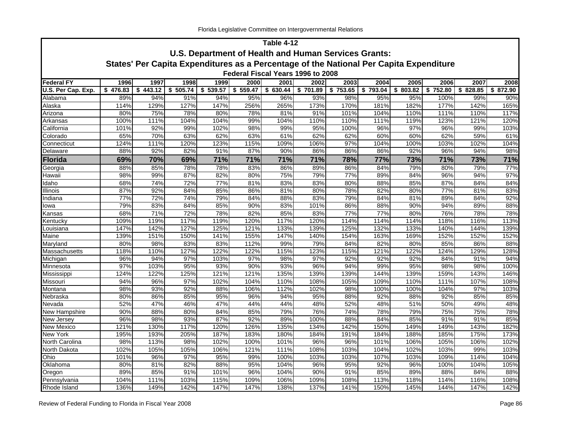| Table 4-12           |              |              |              |                                                                                        |              |              |                                   |              |              |          |              |              |          |
|----------------------|--------------|--------------|--------------|----------------------------------------------------------------------------------------|--------------|--------------|-----------------------------------|--------------|--------------|----------|--------------|--------------|----------|
|                      |              |              |              | U.S. Department of Health and Human Services Grants:                                   |              |              |                                   |              |              |          |              |              |          |
|                      |              |              |              | States' Per Capita Expenditures as a Percentage of the National Per Capita Expenditure |              |              |                                   |              |              |          |              |              |          |
|                      |              |              |              |                                                                                        |              |              |                                   |              |              |          |              |              |          |
|                      |              |              |              |                                                                                        |              |              | Federal Fiscal Years 1996 to 2008 |              |              |          |              |              |          |
| <b>Federal FY</b>    | 1996         | 1997         | 1998         | 1999                                                                                   | 2000         | 2001         | 2002                              | 2003         | 2004         | 2005     | 2006         | 2007         | 2008     |
| U.S. Per Cap. Exp.   | \$<br>476.83 | \$<br>443.12 | \$<br>505.74 | \$539.57                                                                               | \$<br>559.47 | 630.44<br>\$ | 701.89<br>\$                      | 753.65<br>\$ | 793.04<br>\$ | \$803.82 | 752.80<br>\$ | \$<br>828.85 | \$872.90 |
| Alabama              | 89%          | 94%          | 91%          | 94%                                                                                    | 95%          | 96%          | 93%                               | 98%          | 95%          | 95%      | 100%         | 99%          | 90%      |
| Alaska               | 114%         | 129%         | 127%         | 147%                                                                                   | 256%         | 265%         | 173%                              | 170%         | 181%         | 182%     | 177%         | 142%         | 165%     |
| Arizona              | 80%          | 75%          | 78%          | 80%                                                                                    | 78%          | 81%          | 91%                               | 101%         | 104%         | 110%     | 111%         | 110%         | 117%     |
| Arkansas             | 100%         | 111%         | 104%         | 104%                                                                                   | 99%          | 104%         | 110%                              | 110%         | 111%         | 119%     | 123%         | 121%         | 120%     |
| California           | 101%         | 92%          | 99%          | 102%                                                                                   | 98%          | 99%          | 95%                               | 100%         | 96%          | 97%      | 96%          | 99%          | 103%     |
| Colorado             | 65%          | 70%          | 63%          | 62%                                                                                    | 63%          | 61%          | 62%                               | 62%          | 60%          | 60%      | 62%          | 59%          | 61%      |
| Connecticut          | 124%         | 111%<br>92%  | 120%<br>82%  | 123%<br>91%                                                                            | 115%<br>87%  | 109%         | 106%                              | 97%          | 104%         | 100%     | 103%<br>96%  | 102%<br>94%  | 104%     |
| Delaware             | 88%          |              |              |                                                                                        |              | 90%          | 86%                               | 86%          | 86%          | 92%      |              |              | 98%      |
| <b>Florida</b>       | 69%          | 70%          | 69%          | 71%                                                                                    | 71%          | 71%          | 71%                               | 78%          | 77%          | 73%      | 71%          | 73%          | 71%      |
| Georgia              | 88%          | 85%          | 78%          | 78%                                                                                    | 83%          | 86%          | 89%                               | 86%          | 84%          | 79%      | 80%          | 79%          | 77%      |
| Hawaii               | 98%          | 99%          | 87%          | 82%                                                                                    | 80%          | 75%          | 79%                               | 77%          | 89%          | 84%      | 96%          | 94%          | 97%      |
| daho                 | 68%          | 74%          | 72%          | 77%                                                                                    | 81%          | 83%          | 83%                               | 80%          | 88%          | 85%      | 87%          | 84%          | 84%      |
| Illinois             | 87%          | 92%          | 84%          | 85%                                                                                    | 86%          | 81%          | 80%                               | 78%          | 82%          | 80%      | 77%          | 81%          | 83%      |
| Indiana              | 77%          | 72%          | 74%          | 79%                                                                                    | 84%          | 88%          | 83%                               | 79%          | 84%          | 81%      | 89%          | 84%          | 92%      |
| owa                  | 79%          | 83%          | 84%          | 85%                                                                                    | 90%          | 83%          | 101%                              | 86%          | 88%          | 90%      | 94%          | 89%          | 88%      |
| Kansas               | 68%          | 71%          | 72%          | 78%                                                                                    | 82%          | 85%          | 83%                               | 77%          | 77%          | 80%      | 76%          | 78%          | 78%      |
| Kentucky             | 109%         | 119%         | 117%         | 119%                                                                                   | 120%         | 117%         | 120%                              | 114%         | 114%         | 114%     | 118%         | 116%         | 113%     |
| _ouisiana            | 147%         | 142%         | 127%         | 125%                                                                                   | 121%         | 133%         | 139%                              | 125%         | 132%         | 133%     | 140%         | 144%         | 139%     |
| Maine                | 139%         | 151%         | 150%         | 141%                                                                                   | 155%         | 147%         | 140%                              | 154%         | 163%         | 169%     | 152%         | 152%         | 152%     |
| Maryland             | 80%          | 98%          | 83%          | 83%                                                                                    | 112%         | 99%          | 79%                               | 84%          | 82%          | 80%      | 85%          | 86%          | 88%      |
| Massachusetts        | 118%         | 110%         | 127%         | 122%                                                                                   | 122%         | 115%         | 123%                              | 115%         | 121%         | 122%     | 124%         | 129%         | 128%     |
| Michigan             | 96%          | 94%          | 97%          | 103%                                                                                   | 97%          | 98%          | 97%                               | 92%          | 92%          | 92%      | 84%          | 91%          | 94%      |
| Minnesota            | 97%          | 103%         | 95%          | 93%                                                                                    | 90%          | 93%          | 96%                               | 94%          | 99%          | 95%      | 98%          | 98%          | 100%     |
| Mississippi          | 124%         | 122%         | 125%         | 121%                                                                                   | 121%         | 135%         | 139%                              | 139%         | 144%         | 139%     | 159%         | 143%         | 146%     |
| Missouri             | 94%          | 96%          | 97%          | 102%                                                                                   | 104%         | 110%         | 108%                              | 105%         | 109%         | 110%     | 111%         | 107%         | 108%     |
| Montana              | 98%          | 93%          | 92%          | 88%                                                                                    | 106%         | 112%         | 102%                              | 98%          | 100%         | 100%     | 104%         | 97%          | 103%     |
| Nebraska             | 80%          | 86%          | 85%          | 95%                                                                                    | 96%          | 94%          | 95%                               | 88%          | 92%          | 88%      | 92%          | 85%          | 85%      |
| Nevada               | 52%          | 47%          | 46%          | 47%                                                                                    | 44%          | 44%          | 48%                               | 52%          | 48%          | 51%      | 50%          | 49%          | 48%      |
| <b>New Hampshire</b> | 90%          | 88%          | 80%          | 84%                                                                                    | 85%          | 79%          | 76%                               | 74%          | 78%          | 79%      | 75%          | 75%          | 78%      |
| New Jersey           | 96%          | 98%          | 93%          | 87%                                                                                    | 92%          | 89%          | 100%                              | 88%          | 84%          | 85%      | 91%          | 91%          | 85%      |
| <b>New Mexico</b>    | 121%         | 130%         | 117%         | 120%                                                                                   | 126%         | 135%         | 134%                              | 142%         | 150%         | 149%     | 149%         | 143%         | 182%     |
| <b>New York</b>      | 195%         | 193%         | 205%         | 187%                                                                                   | 183%         | 180%         | 184%                              | 191%         | 184%         | 188%     | 185%         | 175%         | 173%     |
| North Carolina       | 98%          | 113%         | 98%          | 102%                                                                                   | 100%         | 101%         | 96%                               | 96%          | 101%         | 106%     | 105%         | 106%         | 102%     |
| North Dakota         | 102%         | 105%         | 105%         | 106%                                                                                   | 121%         | 111%         | 108%                              | 103%         | 104%         | 102%     | 103%         | 99%          | 103%     |
| Ohio                 | 101%         | 96%          | 97%          | 95%                                                                                    | 99%          | 100%         | 103%                              | 103%         | 107%         | 103%     | 109%         | 114%         | 104%     |
| Oklahoma             | 80%          | 81%          | 82%          | 88%                                                                                    | 95%          | 104%         | 96%                               | 95%          | 92%          | 96%      | 100%         | 104%         | 105%     |
| Oregon               | 89%          | 85%          | 91%          | 101%                                                                                   | 96%          | 104%         | 90%                               | 91%          | 85%          | 89%      | 88%          | 84%          | 88%      |
| Pennsylvania         | 104%         | 111%         | 103%         | 115%                                                                                   | 109%         | 106%         | 109%                              | 108%         | 113%         | 118%     | 114%         | 116%         | 108%     |
| Rhode Island         | 136%         | 149%         | 142%         | 147%                                                                                   | 147%         | 138%         | 137%                              | 141%         | 150%         | 145%     | 144%         | 147%         | 142%     |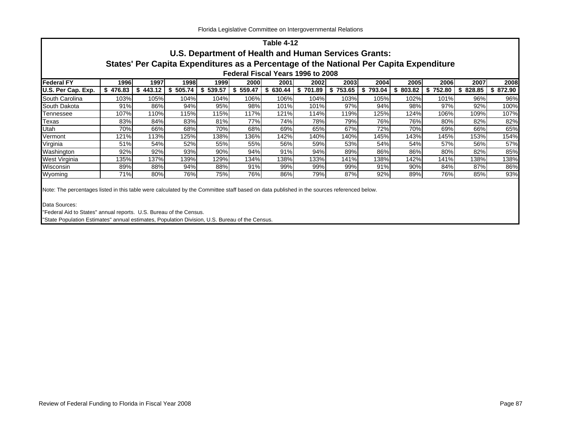|                    |        |        |                  |        |              | Table 4-12 | U.S. Department of Health and Human Services Grants:<br>States' Per Capita Expenditures as a Percentage of the National Per Capita Expenditure<br>Federal Fiscal Years 1996 to 2008 |              |              |        |        |        |        |
|--------------------|--------|--------|------------------|--------|--------------|------------|-------------------------------------------------------------------------------------------------------------------------------------------------------------------------------------|--------------|--------------|--------|--------|--------|--------|
| <b>Federal FY</b>  | 1996   | 1997   | 1998             | 19991  | 2000l        | 2001       | 2002                                                                                                                                                                                | 2003         | 2004         | 2005   | 2006l  | 2007   | 2008   |
| U.S. Per Cap. Exp. | 476.83 | 443.12 | 505.<br>.74<br>S | 539.57 | 559.47<br>\$ | 630.44     | 701.89                                                                                                                                                                              | S.<br>753.65 | S.<br>793.04 | 803.82 | 752.80 | 828.85 | 872.90 |
| South Carolina     | 103%   | 105%   | 104%             | 104%   | 106%         | 106%       | 104%                                                                                                                                                                                | 103%         | 105%         | 102%   | 101%   | 96%    | 96%    |
| South Dakota       | 91%    | 86%    | 94%              | 95%    | 98%          | 101%       | 101%                                                                                                                                                                                | 97%          | 94%          | 98%    | 97%    | 92%    | 100%   |
| <b>Tennessee</b>   | 107%   | 110%   | 115%             | 115%   | 117%         | 121%       | 114%                                                                                                                                                                                | 119%         | 125%         | 124%   | 106%   | 109%   | 107%   |
| Texas              | 83%    | 84%    | 83%              | 81%    | 77%          | 74%        | 78%                                                                                                                                                                                 | 79%          | 76%          | 76%    | 80%    | 82%    | 82%    |
| Utah               | 70%    | 66%    | 68%              | 70%    | 68%          | 69%        | 65%                                                                                                                                                                                 | 67%          | 72%          | 70%    | 69%    | 66%    | 65%    |
| Vermont            | 121%   | 113%   | 125%             | 138%   | 136%         | 142%       | 140%                                                                                                                                                                                | 140%         | 145%         | 143%   | 145%   | 153%   | 154%   |
| Virginia           | 51%    | 54%    | 52%              | 55%    | 55%          | 56%        | 59%                                                                                                                                                                                 | 53%          | 54%          | 54%    | 57%    | 56%    | 57%    |
| Washington         | 92%    | 92%    | 93%              | 90%    | 94%          | 91%        | 94%                                                                                                                                                                                 | 89%          | 86%          | 86%    | 80%    | 82%    | 85%    |
| West Virginia      | 135%   | 137%   | 139%             | 129%   | 134%         | 138%       | 133%                                                                                                                                                                                | 141%         | 138%         | 142%   | 141%   | 138%   | 138%   |
| Wisconsin          | 89%    | 88%    | 94%              | 88%    | 91%          | 99%        | 99%                                                                                                                                                                                 | 99%          | 91%          | 90%    | 84%    | 87%    | 86%    |
| Wyoming            | 71%    | 80%    | 76%              | 75%    | 76%          | 86%        | 79%                                                                                                                                                                                 | 87%          | 92%          | 89%    | 76%    | 85%    | 93%    |

Data Sources:

"Federal Aid to States" annual reports. U.S. Bureau of the Census.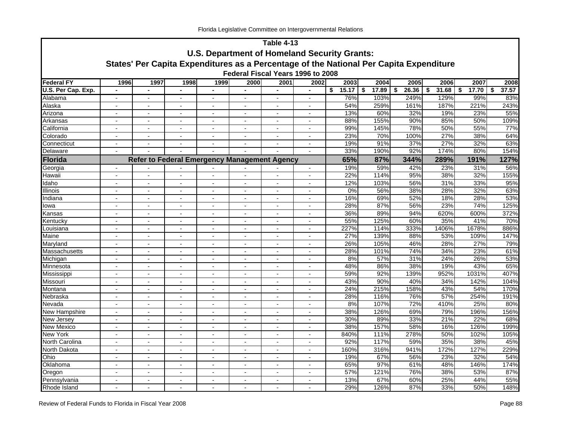|                    |                          |                          |                          |                                                                                        |                          | <b>Table 4-13</b>        |                                   |             |             |             |             |             |             |
|--------------------|--------------------------|--------------------------|--------------------------|----------------------------------------------------------------------------------------|--------------------------|--------------------------|-----------------------------------|-------------|-------------|-------------|-------------|-------------|-------------|
|                    |                          |                          |                          | U.S. Department of Homeland Security Grants:                                           |                          |                          |                                   |             |             |             |             |             |             |
|                    |                          |                          |                          | States' Per Capita Expenditures as a Percentage of the National Per Capita Expenditure |                          |                          |                                   |             |             |             |             |             |             |
|                    |                          |                          |                          |                                                                                        |                          |                          |                                   |             |             |             |             |             |             |
|                    |                          |                          |                          |                                                                                        |                          |                          | Federal Fiscal Years 1996 to 2008 |             |             |             |             |             |             |
| <b>Federal FY</b>  | 1996                     | 1997                     | 1998                     | 1999                                                                                   | 2000                     | 2001                     | 2002                              | 2003        | 2004        | 2005        | 2006        | 2007        | 2008        |
| U.S. Per Cap. Exp. |                          |                          |                          |                                                                                        |                          | ä,                       |                                   | 15.17<br>\$ | \$<br>17.89 | \$<br>26.36 | \$<br>31.68 | \$<br>17.70 | \$<br>37.57 |
| Alabama            |                          | $\blacksquare$           | $\blacksquare$           | $\blacksquare$                                                                         | $\overline{a}$           | $\blacksquare$           | $\blacksquare$                    | 76%         | 103%        | 249%        | 129%        | 99%         | 83%         |
| Alaska             | $\overline{a}$           | $\overline{a}$           | $\overline{\phantom{a}}$ | $\blacksquare$                                                                         | $\blacksquare$           | $\overline{a}$           | $\overline{a}$                    | 54%         | 259%        | 161%        | 187%        | 221%        | 243%        |
| Arizona            |                          |                          |                          |                                                                                        |                          | ÷                        | $\overline{\phantom{a}}$          | 13%         | 60%         | 32%         | 19%         | 23%         | 55%         |
| Arkansas           | $\overline{\phantom{0}}$ | $\overline{\phantom{a}}$ | $\overline{\phantom{a}}$ | $\overline{\phantom{a}}$                                                               | $\overline{\phantom{a}}$ | $\blacksquare$           | $\overline{\phantom{a}}$          | 88%         | 155%        | 90%         | 85%         | 50%         | 109%        |
| California         | $\blacksquare$           | $\blacksquare$           | $\blacksquare$           | $\overline{\phantom{a}}$                                                               | $\overline{\phantom{a}}$ | $\blacksquare$           | $\blacksquare$                    | 99%         | 145%        | 78%         | 50%         | 55%         | 77%         |
| Colorado           | $\overline{\phantom{a}}$ | $\overline{\phantom{a}}$ | $\blacksquare$           | $\blacksquare$                                                                         | $\blacksquare$           | $\blacksquare$           | $\blacksquare$                    | 23%         | 70%         | 100%        | 27%         | 38%         | 64%         |
| Connecticut        | $\overline{\phantom{a}}$ | $\blacksquare$           | $\overline{\phantom{a}}$ | $\blacksquare$                                                                         | $\overline{\phantom{a}}$ | $\blacksquare$           | $\blacksquare$                    | 19%         | 91%         | 37%         | 27%         | 32%         | 63%         |
| Delaware           |                          |                          |                          |                                                                                        |                          |                          |                                   | 33%         | 190%        | 92%         | 174%        | 80%         | 154%        |
| <b>Florida</b>     |                          |                          |                          | <b>Refer to Federal Emergency Management Agency</b>                                    |                          |                          |                                   | 65%         | 87%         | 344%        | 289%        | 191%        | 127%        |
| Georgia            | $\overline{\phantom{a}}$ |                          | $\blacksquare$           |                                                                                        |                          | $\blacksquare$           | $\blacksquare$                    | 19%         | 59%         | 42%         | 23%         | 31%         | 56%         |
| Hawaii             |                          |                          |                          |                                                                                        |                          | $\overline{\phantom{0}}$ | $\overline{\phantom{a}}$          | 22%         | 114%        | 95%         | 38%         | 32%         | 155%        |
| Idaho              | $\blacksquare$           | $\blacksquare$           | $\sim$                   | $\blacksquare$                                                                         | $\blacksquare$           | $\blacksquare$           | $\overline{a}$                    | 12%         | 103%        | 56%         | 31%         | 33%         | 95%         |
| Illinois           | $\blacksquare$           | $\sim$                   | $\blacksquare$           | $\blacksquare$                                                                         | $\blacksquare$           | $\overline{\phantom{0}}$ | $\blacksquare$                    | 0%          | 56%         | 38%         | 28%         | 32%         | 63%         |
| Indiana            | $\blacksquare$           | $\overline{\phantom{a}}$ | $\blacksquare$           | $\blacksquare$                                                                         | $\blacksquare$           | $\overline{\phantom{a}}$ | $\overline{\phantom{a}}$          | 16%         | 69%         | 52%         | 18%         | 28%         | 53%         |
| lowa               | $\overline{\phantom{a}}$ | $\sim$                   | $\sim$                   | $\overline{\phantom{a}}$                                                               | $\overline{\phantom{a}}$ | $\sim$                   | $\blacksquare$                    | 28%         | 87%         | 56%         | 23%         | 74%         | 125%        |
| Kansas             |                          |                          | $\overline{\phantom{a}}$ | $\overline{a}$                                                                         | $\overline{a}$           | $\overline{\phantom{a}}$ | $\overline{\phantom{a}}$          | 36%         | 89%         | 94%         | 620%        | 600%        | 372%        |
| Kentucky           | $\overline{\phantom{a}}$ | $\overline{\phantom{a}}$ | $\overline{a}$           | $\overline{a}$                                                                         | $\overline{\phantom{0}}$ | $\overline{a}$           | $\blacksquare$                    | 55%         | 125%        | 60%         | 35%         | 41%         | 70%         |
| Louisiana          | $\blacksquare$           | $\blacksquare$           | ÷,                       | $\overline{\phantom{0}}$                                                               | $\overline{\phantom{0}}$ | $\overline{\phantom{0}}$ | $\overline{\phantom{a}}$          | 227%        | 114%        | 333%        | 1406%       | 1678%       | 886%        |
| Maine              | $\overline{\phantom{a}}$ | $\overline{\phantom{a}}$ | $\blacksquare$           | $\blacksquare$                                                                         | $\blacksquare$           | ٠                        | $\blacksquare$                    | 27%         | 139%        | 88%         | 53%         | 109%        | 147%        |
| Maryland           | $\blacksquare$           | $\sim$                   | $\sim$                   | $\blacksquare$                                                                         | $\blacksquare$           | $\sim$                   | $\sim$                            | 26%         | 105%        | 46%         | 28%         | 27%         | 79%         |
| Massachusetts      | $\overline{\phantom{a}}$ | $\overline{\phantom{a}}$ | $\blacksquare$           | $\blacksquare$                                                                         | $\blacksquare$           | $\blacksquare$           | $\blacksquare$                    | 28%         | 101%        | 74%         | 34%         | 23%         | 61%         |
| Michigan           | $\overline{a}$           | $\overline{a}$           | $\sim$                   | $\blacksquare$                                                                         | $\overline{a}$           | $\blacksquare$           | $\overline{a}$                    | 8%          | 57%         | 31%         | 24%         | 26%         | 53%         |
| Minnesota          | $\blacksquare$           | $\blacksquare$           | $\blacksquare$           | $\overline{\phantom{a}}$                                                               | $\blacksquare$           | $\blacksquare$           | $\blacksquare$                    | 48%         | 86%         | 38%         | 19%         | 43%         | 65%         |
| Mississippi        | $\overline{\phantom{a}}$ | $\overline{\phantom{a}}$ | $\overline{\phantom{a}}$ | $\blacksquare$                                                                         | $\blacksquare$           | $\blacksquare$           | $\blacksquare$                    | 59%         | 92%         | 139%        | 952%        | 1031%       | 407%        |
| Missouri           | $\blacksquare$           | $\sim$                   | $\overline{\phantom{a}}$ | $\overline{\phantom{a}}$                                                               | $\overline{\phantom{0}}$ | $\overline{\phantom{a}}$ | $\overline{\phantom{a}}$          | 43%         | 90%         | 40%         | 34%         | 142%        | 104%        |
| Montana            | $\blacksquare$           | $\blacksquare$           | $\overline{\phantom{a}}$ | $\blacksquare$                                                                         | $\blacksquare$           | $\blacksquare$           | $\blacksquare$                    | 24%         | 215%        | 158%        | 43%         | 54%         | 170%        |
| Nebraska           | $\overline{a}$           | $\overline{a}$           | $\blacksquare$           | $\blacksquare$                                                                         | $\overline{a}$           | $\sim$                   | $\overline{a}$                    | 28%         | 116%        | 76%         | 57%         | 254%        | 191%        |
| Nevada             | $\overline{\phantom{a}}$ | $\blacksquare$           | $\overline{\phantom{a}}$ | $\blacksquare$                                                                         | $\overline{\phantom{a}}$ | $\blacksquare$           | -                                 | 8%          | 107%        | 72%         | 410%        | 25%         | 80%         |
| New Hampshire      | $\overline{\phantom{a}}$ | $\overline{\phantom{a}}$ | $\blacksquare$           | $\blacksquare$                                                                         | $\blacksquare$           | $\blacksquare$           | $\blacksquare$                    | 38%         | 126%        | 69%         | 79%         | 196%        | 156%        |
| New Jersey         | $\overline{a}$           | $\overline{\phantom{a}}$ | $\overline{\phantom{a}}$ | $\blacksquare$                                                                         | $\overline{\phantom{a}}$ | $\overline{\phantom{a}}$ | $\overline{\phantom{a}}$          | 30%         | 89%         | 33%         | 21%         | 22%         | 68%         |
| <b>New Mexico</b>  | $\blacksquare$           | $\blacksquare$           | $\sim$                   | $\blacksquare$                                                                         | $\blacksquare$           | $\blacksquare$           | $\blacksquare$                    | 38%         | 157%        | 58%         | 16%         | 126%        | 199%        |
| New York           | $\overline{a}$           | $\blacksquare$           | $\blacksquare$           | $\blacksquare$                                                                         | $\blacksquare$           | $\blacksquare$           | $\blacksquare$                    | 840%        | 111%        | 278%        | 50%         | 102%        | 105%        |
| North Carolina     | $\overline{\phantom{a}}$ | $\blacksquare$           | $\overline{\phantom{a}}$ | $\blacksquare$                                                                         | $\overline{\phantom{a}}$ | $\blacksquare$           | -                                 | 92%         | 117%        | 59%         | 35%         | 38%         | 45%         |
| North Dakota       | $\overline{\phantom{a}}$ | $\overline{\phantom{a}}$ | $\overline{\phantom{a}}$ | $\blacksquare$                                                                         | $\overline{\phantom{a}}$ | $\blacksquare$           | $\blacksquare$                    | 160%        | 316%        | 941%        | 172%        | 127%        | 229%        |
| Ohio               | $\blacksquare$           | $\blacksquare$           | $\blacksquare$           | $\blacksquare$                                                                         | $\blacksquare$           | $\blacksquare$           | $\blacksquare$                    | 19%         | 67%         | 56%         | 23%         | 32%         | 54%         |
| Oklahoma           | $\overline{\phantom{a}}$ | $\overline{\phantom{a}}$ | $\overline{\phantom{a}}$ | $\blacksquare$                                                                         | $\blacksquare$           | $\blacksquare$           | $\blacksquare$                    | 65%         | 97%         | 61%         | 48%         | 146%        | 174%        |
| Oregon             |                          | $\blacksquare$           | $\overline{\phantom{a}}$ | $\overline{a}$                                                                         | $\overline{a}$           | $\blacksquare$           | $\overline{a}$                    | 57%         | 121%        | 76%         | 38%         | 53%         | 87%         |
| Pennsylvania       | $\overline{\phantom{a}}$ | $\overline{\phantom{a}}$ | $\overline{\phantom{a}}$ | $\blacksquare$                                                                         | $\overline{\phantom{a}}$ | $\blacksquare$           | ٠                                 | 13%         | 67%         | 60%         | 25%         | 44%         | 55%         |
| Rhode Island       | $\overline{a}$           | $\overline{\phantom{a}}$ | $\overline{\phantom{a}}$ | $\blacksquare$                                                                         | $\overline{\phantom{a}}$ | $\overline{\phantom{a}}$ | $\overline{\phantom{0}}$          | 29%         | 126%        | 87%         | 33%         | 50%         | 148%        |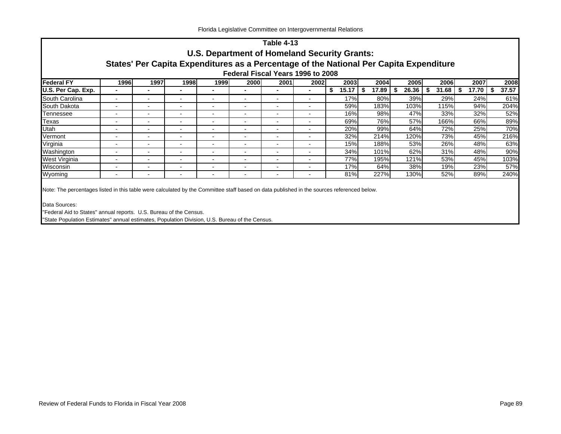|                    |                          |                          |                          | <b>U.S. Department of Homeland Security Grants:</b><br>States' Per Capita Expenditures as a Percentage of the National Per Capita Expenditure |                          | Table 4-13               | Federal Fiscal Years 1996 to 2008 |   |       |       |             |   |       |               |      |      |       |
|--------------------|--------------------------|--------------------------|--------------------------|-----------------------------------------------------------------------------------------------------------------------------------------------|--------------------------|--------------------------|-----------------------------------|---|-------|-------|-------------|---|-------|---------------|------|------|-------|
| <b>Federal FY</b>  | 1996                     | 1997                     | 1998                     | 1999                                                                                                                                          | <b>2000</b>              | 2001                     | 2002                              |   | 2003  | 2004  | 2005        |   | 2006  |               | 2007 |      | 2008  |
| U.S. Per Cap. Exp. |                          |                          |                          | ۰                                                                                                                                             |                          |                          |                                   | S | 15.17 | 17.89 | 26.36<br>S. | S | 31.68 | 17.70<br>- 56 |      | - 55 | 37.57 |
| South Carolina     | $\overline{\phantom{0}}$ | $\overline{\phantom{0}}$ |                          |                                                                                                                                               |                          | $\overline{\phantom{0}}$ | $\overline{\phantom{0}}$          |   | 17%   | 80%   | 39%         |   | 29%   |               | 24%  |      | 61%   |
| South Dakota       |                          | ۰                        |                          |                                                                                                                                               |                          |                          |                                   |   | 59%   | 183%  | 103%        |   | 115%  |               | 94%  |      | 204%  |
| Tennessee          | $\overline{\phantom{0}}$ | -                        |                          | $\overline{\phantom{0}}$                                                                                                                      |                          | $\overline{\phantom{0}}$ |                                   |   | 16%   | 98%   | 47%         |   | 33%   |               | 32%  |      | 52%   |
| Texas              | $\overline{\phantom{0}}$ | $\overline{\phantom{0}}$ | $\overline{\phantom{0}}$ | $\overline{\phantom{0}}$                                                                                                                      | $\overline{\phantom{0}}$ | $\overline{\phantom{0}}$ | $\overline{\phantom{0}}$          |   | 69%   | 76%   | 57%         |   | 166%  |               | 66%  |      | 89%   |
| Utah               | $\overline{\phantom{0}}$ | $\overline{\phantom{0}}$ |                          | $\overline{\phantom{0}}$                                                                                                                      | $\overline{\phantom{0}}$ | $\overline{\phantom{0}}$ | $\overline{\phantom{0}}$          |   | 20%   | 99%   | 64%         |   | 72%   |               | 25%  |      | 70%   |
| Vermont            |                          | $\overline{\phantom{a}}$ | $\overline{\phantom{0}}$ | $\blacksquare$                                                                                                                                | $\overline{\phantom{0}}$ | $\overline{\phantom{a}}$ | $\overline{\phantom{0}}$          |   | 32%   | 214%  | 120%        |   | 73%   |               | 45%  |      | 216%  |
| Virginia           | $\overline{\phantom{0}}$ | $\overline{\phantom{0}}$ | $\overline{\phantom{0}}$ | $\overline{\phantom{0}}$                                                                                                                      | $\overline{\phantom{0}}$ | $\overline{\phantom{0}}$ | $\overline{\phantom{0}}$          |   | 15%   | 188%  | 53%         |   | 26%   |               | 48%  |      | 63%   |
| Washington         | $\overline{\phantom{0}}$ | $\overline{\phantom{0}}$ |                          |                                                                                                                                               |                          | $\overline{\phantom{0}}$ |                                   |   | 34%   | 101%  | 62%         |   | 31%   |               | 48%  |      | 90%   |
| West Virginia      | $\overline{\phantom{0}}$ | $\blacksquare$           | $\overline{\phantom{0}}$ | ۰                                                                                                                                             | ۰                        | $\blacksquare$           | $\overline{\phantom{0}}$          |   | 77%   | 195%  | 121%        |   | 53%   |               | 45%  |      | 103%  |
| Wisconsin          | $\overline{\phantom{0}}$ | $\overline{\phantom{0}}$ | $\overline{\phantom{0}}$ | $\overline{\phantom{0}}$                                                                                                                      | $\overline{\phantom{0}}$ | $\overline{\phantom{0}}$ | $\overline{\phantom{0}}$          |   | 17%   | 64%   | 38%         |   | 19%   |               | 23%  |      | 57%   |
| Wyoming            |                          | -                        |                          |                                                                                                                                               |                          | $\overline{\phantom{0}}$ | $\overline{\phantom{0}}$          |   | 81%   | 227%  | 130%        |   | 52%   |               | 89%  |      | 240%  |

Data Sources:

"Federal Aid to States" annual reports. U.S. Bureau of the Census.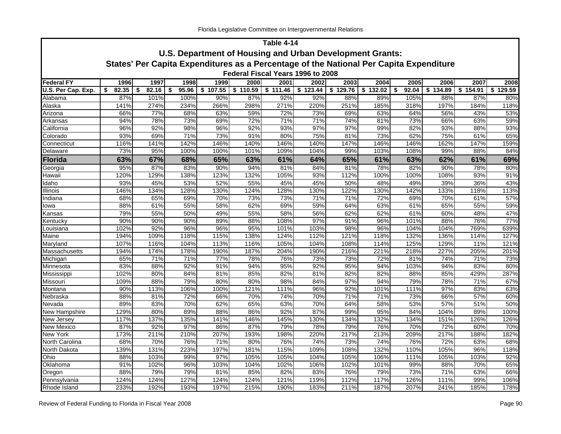| Table 4-14         |             |             |                                                                                        |          |          |          |                                   |              |              |             |          |          |              |
|--------------------|-------------|-------------|----------------------------------------------------------------------------------------|----------|----------|----------|-----------------------------------|--------------|--------------|-------------|----------|----------|--------------|
|                    |             |             | U.S. Department of Housing and Urban Development Grants:                               |          |          |          |                                   |              |              |             |          |          |              |
|                    |             |             | States' Per Capita Expenditures as a Percentage of the National Per Capita Expenditure |          |          |          |                                   |              |              |             |          |          |              |
|                    |             |             |                                                                                        |          |          |          |                                   |              |              |             |          |          |              |
|                    |             |             |                                                                                        |          |          |          | Federal Fiscal Years 1996 to 2008 |              |              |             |          |          |              |
| <b>Federal FY</b>  | 1996        | 1997        | 1998                                                                                   | 1999     | 2000     | 2001     | 2002                              | 2003         | 2004         | 2005        | 2006     | 2007     | 2008         |
| U.S. Per Cap. Exp. | \$<br>82.35 | \$<br>82.16 | 95.96<br>\$                                                                            | \$107.55 | \$110.59 | \$111.46 | \$123.44                          | \$<br>129.76 | \$<br>132.02 | \$<br>92.04 | \$134.89 | \$154.91 | 129.59<br>\$ |
| Alabama            | 87%         | 101%        | 100%                                                                                   | 90%      | 87%      | 92%      | 92%                               | 88%          | 89%          | 105%        | 88%      | 87%      | 80%          |
| Alaska             | 141%        | 274%        | 234%                                                                                   | 266%     | 298%     | 271%     | 220%                              | 251%         | 185%         | 318%        | 197%     | 184%     | 118%         |
| Arizona            | 66%         | 77%         | 68%                                                                                    | 63%      | 59%      | 72%      | 73%                               | 69%          | 63%          | 64%         | 56%      | 43%      | 53%          |
| Arkansas           | 94%         | 78%         | 73%                                                                                    | 69%      | 72%      | 71%      | 71%                               | 74%          | 81%          | 73%         | 66%      | 63%      | 59%          |
| California         | 96%         | 92%         | 98%                                                                                    | 96%      | 92%      | 93%      | 97%                               | 97%          | 99%          | 82%         | 93%      | 88%      | 93%          |
| Colorado           | 93%         | 69%         | 71%                                                                                    | 73%      | 91%      | 80%      | 75%                               | 81%          | 73%          | 62%         | 75%      | 61%      | 65%          |
| Connecticut        | 116%        | 141%        | 142%                                                                                   | 146%     | 140%     | 146%     | 140%                              | 147%         | 146%         | 146%        | 162%     | 147%     | 159%         |
| Delaware           | 73%         | 95%         | 100%                                                                                   | 100%     | 101%     | 109%     | 104%                              | 99%          | 103%         | 108%        | 99%      | 88%      | 84%          |
| Florida            | 63%         | 67%         | 68%                                                                                    | 65%      | 63%      | 61%      | 64%                               | 65%          | 61%          | 63%         | 62%      | 61%      | 69%          |
| Georgia            | 95%         | 87%         | 83%                                                                                    | 90%      | 94%      | 81%      | 84%                               | 81%          | 78%          | 82%         | 90%      | 78%      | 80%          |
| Hawaii             | 120%        | 129%        | 138%                                                                                   | 123%     | 132%     | 105%     | 93%                               | 112%         | 100%         | 100%        | 108%     | 93%      | 91%          |
| daho               | 93%         | 45%         | 53%                                                                                    | 52%      | 55%      | 45%      | 45%                               | 50%          | 48%          | 49%         | 39%      | 36%      | 43%          |
| Illinois           | 146%        | 134%        | 128%                                                                                   | 130%     | 124%     | 128%     | 130%                              | 122%         | 130%         | 142%        | 133%     | 118%     | 113%         |
| Indiana            | 68%         | 65%         | 69%                                                                                    | 70%      | 73%      | 73%      | 71%                               | 71%          | 72%          | 69%         | 70%      | 61%      | 57%          |
| owa                | 88%         | 61%         | 55%                                                                                    | 58%      | 62%      | 69%      | 59%                               | 64%          | 63%          | 61%         | 65%      | 55%      | 59%          |
| Kansas             | 79%         | 55%         | 50%                                                                                    | 49%      | 55%      | 58%      | 56%                               | 62%          | 62%          | 61%         | 60%      | 48%      | 47%          |
| Kentucky           | 90%         | 90%         | 90%                                                                                    | 89%      | 88%      | 108%     | 97%                               | 91%          | 96%          | 101%        | 88%      | 76%      | 77%          |
| _ouisiana          | 102%        | 92%         | 96%                                                                                    | 96%      | 95%      | 101%     | 103%                              | 98%          | 96%          | 104%        | 104%     | 769%     | 639%         |
| Maine              | 194%        | 109%        | 118%                                                                                   | 115%     | 138%     | 124%     | 112%                              | 121%         | 118%         | 132%        | 136%     | 114%     | 127%         |
| Maryland           | 107%        | 116%        | 104%                                                                                   | 113%     | 116%     | 105%     | 104%                              | 108%         | 114%         | 125%        | 129%     | 11%      | 121%         |
| Massachusetts      | 194%        | 174%        | 178%                                                                                   | 190%     | 187%     | 204%     | 190%                              | 216%         | 221%         | 218%        | 227%     | 205%     | 201%         |
| Michigan           | 65%         | 71%         | 71%                                                                                    | 77%      | 78%      | 76%      | 73%                               | 73%          | 72%          | 81%         | 74%      | 71%      | 73%          |
| Minnesota          | 83%         | 88%         | 92%                                                                                    | 91%      | 94%      | 95%      | 92%                               | 95%          | 94%          | 103%        | 94%      | 83%      | 80%          |
| Mississippi        | 102%        | 80%         | 84%                                                                                    | 81%      | 85%      | 82%      | 81%                               | 82%          | 82%          | 88%         | 85%      | 429%     | 287%         |
| <b>Missouri</b>    | 109%        | 88%         | 79%                                                                                    | 80%      | 80%      | 98%      | 84%                               | 97%          | 94%          | 79%         | 78%      | 71%      | 67%          |
| Montana            | 90%         | 113%        | 106%                                                                                   | 100%     | 121%     | 111%     | 96%                               | 92%          | 101%         | 111%        | 97%      | 83%      | 63%          |
| Nebraska           | 88%         | 81%         | 72%                                                                                    | 66%      | 70%      | 74%      | 70%                               | 71%          | 71%          | 73%         | 66%      | 57%      | 60%          |
| Nevada             | 89%         | 83%         | 70%                                                                                    | 62%      | 65%      | 63%      | 70%                               | 64%          | 58%          | 53%         | 57%      | 51%      | 50%          |
| New Hampshire      | 129%        | 80%         | 89%                                                                                    | 88%      | 86%      | 92%      | 87%                               | 99%          | 95%          | 84%         | 104%     | 89%      | 100%         |
| New Jersey         | 117%        | 137%        | 135%                                                                                   | 141%     | 146%     | 145%     | 130%                              | 134%         | 132%         | 134%        | 151%     | 126%     | 126%         |
| <b>New Mexico</b>  | 87%         | 92%         | 97%                                                                                    | 86%      | 87%      | 79%      | 78%                               | 79%          | 76%          | 70%         | 72%      | 60%      | 70%          |
| <b>New York</b>    | 173%        | 211%        | 210%                                                                                   | 207%     | 193%     | 198%     | 220%                              | 217%         | 213%         | 209%        | 217%     | 188%     | 182%         |
| North Carolina     | 68%         | 70%         | 76%                                                                                    | 71%      | 80%      | 76%      | 74%                               | 73%          | 74%          | 76%         | 72%      | 63%      | 68%          |
| North Dakota       | 139%        | 131%        | 223%                                                                                   | 197%     | 181%     | 115%     | 109%                              | 108%         | 132%         | 110%        | 105%     | 96%      | 118%         |
| Ohio               | 88%         | 103%        | 99%                                                                                    | 97%      | 105%     | 105%     | 104%                              | 105%         | 106%         | 111%        | 105%     | 103%     | 92%          |
| Oklahoma           | 91%         | 102%        | 96%                                                                                    | 103%     | 104%     | 102%     | 106%                              | 102%         | 101%         | 99%         | 88%      | 70%      | 65%          |
| Oregon             | 88%         | 79%         | 79%                                                                                    | 81%      | 85%      | 82%      | 83%                               | 76%          | 79%          | 73%         | 71%      | 63%      | 66%          |
| Pennsylvania       | 124%        | 124%        | 127%                                                                                   | 124%     | 124%     | 121%     | 119%                              | 112%         | 117%         | 126%        | 111%     | 99%      | 106%         |
| Rhode Island       | 233%        | 192%        | 193%                                                                                   | 197%     | 215%     | 190%     | 183%                              | 211%         | 187%         | 207%        | 241%     | 185%     | 178%         |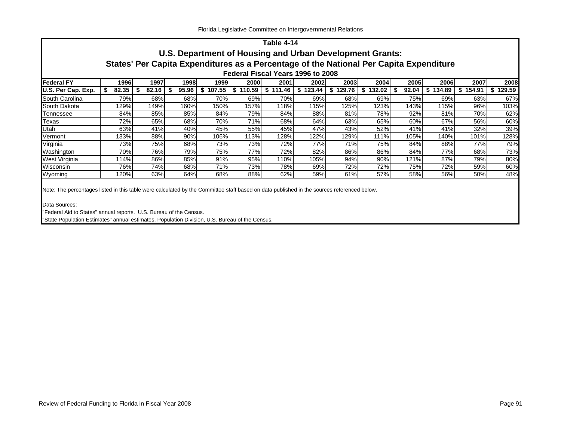|                    |                                                                                                       |  |       |       |             |       | Table 4-14  | U.S. Department of Housing and Urban Development Grants:<br>States' Per Capita Expenditures as a Percentage of the National Per Capita Expenditure<br>Federal Fiscal Years 1996 to 2008 |              |              |             |             |        |       |  |
|--------------------|-------------------------------------------------------------------------------------------------------|--|-------|-------|-------------|-------|-------------|-----------------------------------------------------------------------------------------------------------------------------------------------------------------------------------------|--------------|--------------|-------------|-------------|--------|-------|--|
| <b>Federal FY</b>  | 1997<br>2004<br>2005<br>2006<br>2007<br>1996<br>1998I<br>2002<br>2003<br>2008<br>1999<br>2000<br>2001 |  |       |       |             |       |             |                                                                                                                                                                                         |              |              |             |             |        |       |  |
| U.S. Per Cap. Exp. | 82.35                                                                                                 |  | 82.16 | 95.96 | 107.55<br>S | 10.59 | S<br>111.46 | 123.44<br>S                                                                                                                                                                             | S.<br>129.76 | S.<br>132.02 | 92.04<br>S. | 134.89<br>S | 154.91 | 29.59 |  |
| South Carolina     | 79%                                                                                                   |  | 68%   | 68%   | 70%         | 69%   | 70%         | 69%                                                                                                                                                                                     | 68%          | 69%          | 75%         | 69%         | 63%    | 67%   |  |
| South Dakota       | 129%                                                                                                  |  | 149%  | 160%  | 150%        | 157%  | 118%        | 115%                                                                                                                                                                                    | 125%         | 123%         | 143%        | 115%        | 96%    | 103%  |  |
| Tennessee          | 84%                                                                                                   |  | 85%   | 85%   | 84%         | 79%   | 84%         | 88%                                                                                                                                                                                     | 81%          | 78%          | 92%         | 81%         | 70%    | 62%   |  |
| Texas              | 72%                                                                                                   |  | 65%   | 68%   | 70%         | 71%   | 68%         | 64%                                                                                                                                                                                     | 63%          | 65%          | 60%         | 67%         | 56%    | 60%   |  |
| Utah               | 63%                                                                                                   |  | 41%   | 40%   | 45%         | 55%   | 45%         | 47%                                                                                                                                                                                     | 43%          | 52%          | 41%         | 41%         | 32%    | 39%   |  |
| Vermont            | 133%                                                                                                  |  | 88%   | 90%   | 106%        | 113%  | 128%        | 122%                                                                                                                                                                                    | 129%         | 111%         | 105%        | 140%        | 101%   | 128%  |  |
| Virginia           | 73%                                                                                                   |  | 75%   | 68%   | 73%         | 73%   | 72%         | 77%                                                                                                                                                                                     | 71%          | 75%          | 84%         | 88%         | 77%    | 79%   |  |
| Washington         | 70%                                                                                                   |  | 76%   | 79%   | 75%         | 77%   | 72%         | 82%                                                                                                                                                                                     | 86%          | 86%          | 84%         | 77%         | 68%    | 73%   |  |
| West Virginia      | 114%                                                                                                  |  | 86%   | 85%   | 91%         | 95%   | 110%        | 105%                                                                                                                                                                                    | 94%          | 90%          | 121%        | 87%         | 79%    | 80%   |  |
| Wisconsin          | 76%                                                                                                   |  | 74%   | 68%   | 71%         | 73%   | 78%         | 69%                                                                                                                                                                                     | 72%          | 72%          | 75%         | 72%         | 59%    | 60%   |  |
| Wyoming            | 120%                                                                                                  |  | 63%   | 64%   | 68%         | 88%   | 62%         | 59%                                                                                                                                                                                     | 61%          | 57%          | 58%         | 56%         | 50%    | 48%   |  |

Data Sources:

"Federal Aid to States" annual reports. U.S. Bureau of the Census.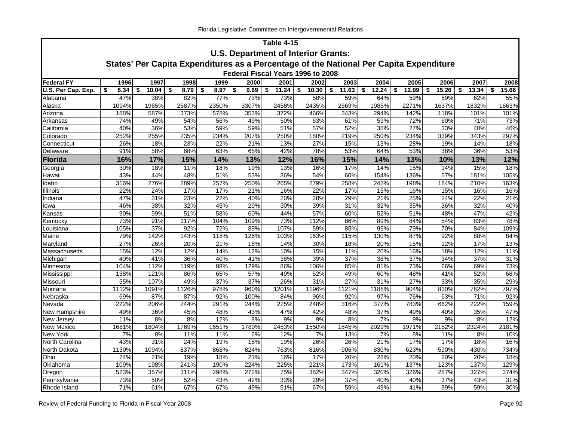|                      |            |             |            |            |                                                                                        | Table 4-15  |             |             |             |             |             |             |             |
|----------------------|------------|-------------|------------|------------|----------------------------------------------------------------------------------------|-------------|-------------|-------------|-------------|-------------|-------------|-------------|-------------|
|                      |            |             |            |            | <b>U.S. Department of Interior Grants:</b>                                             |             |             |             |             |             |             |             |             |
|                      |            |             |            |            | States' Per Capita Expenditures as a Percentage of the National Per Capita Expenditure |             |             |             |             |             |             |             |             |
|                      |            |             |            |            |                                                                                        |             |             |             |             |             |             |             |             |
|                      |            |             |            |            | Federal Fiscal Years 1996 to 2008                                                      |             |             |             |             |             |             |             |             |
| Federal FY           | 1996       | 1997        | 1998       | 1999       | 2000                                                                                   | 2001        | 2002        | 2003        | 2004        | 2005        | 2006        | 2007        | 2008        |
| U.S. Per Cap. Exp.   | 6.34<br>\$ | s,<br>10.04 | \$<br>8.79 | s,<br>8.97 | s)<br>9.69                                                                             | 11.24<br>\$ | 10.30<br>\$ | \$<br>11.63 | s,<br>12.24 | s,<br>12.99 | s,<br>15.26 | s.<br>13.34 | 15.66<br>\$ |
| Alabama              | 47%        | 38%         | 82%        | 77%        | 73%                                                                                    | 73%         | 58%         | 59%         | 64%         | 59%         | 59%         | 62%         | 55%         |
| Alaska               | 1094%      | 1965%       | 2587%      | 2350%      | 3307%                                                                                  | 2458%       | 2435%       | 2569%       | 1985%       | 2271%       | 1637%       | 1832%       | 1663%       |
| Arizona              | 188%       | 587%        | 373%       | 578%       | 353%                                                                                   | 372%<br>50% | 466%        | 343%        | 294%        | 142%        | 118%        | 101%        | 101%        |
| Arkansas             | 74%        | 49%         | 54%        | 56%        | 49%                                                                                    |             | 63%         | 61%         | 59%         | 72%         | 60%         | 71%         | 73%         |
| California           | 40%        | 36%         | 53%        | 59%        | 59%                                                                                    | 51%         | 57%         | 52%         | 38%         | 27%         | 33%         | 40%         | 46%         |
| Colorado             | 252%       | 255%        | 235%       | 234%       | 207%                                                                                   | 250%        | 180%        | 219%        | 250%        | 234%        | 339%        | 343%        | 297%        |
| Connecticut          | 26%        | 18%<br>58%  | 23%<br>68% | 22%<br>63% | 21%<br>65%                                                                             | 13%<br>42%  | 27%<br>78%  | 15%<br>53%  | 13%<br>64%  | 28%<br>53%  | 19%<br>38%  | 14%<br>36%  | 18%<br>53%  |
| Delaware             | 91%        |             |            |            |                                                                                        |             |             |             |             |             |             |             |             |
| Florida              | 16%        | 17%         | 15%        | 14%        | 13%                                                                                    | 12%         | 16%         | 15%         | 14%         | 13%         | 10%         | 13%         | 12%         |
| Georgia              | 30%        | 18%         | 11%        | 18%        | 19%                                                                                    | 13%         | 16%         | 17%         | 14%         | 15%         | 14%         | 15%         | 18%         |
| Hawaii               | 43%        | 44%         | 48%        | 51%        | 53%                                                                                    | 36%         | 54%         | 60%         | 154%        | 136%        | 57%         | 181%        | 105%        |
| ldaho                | 316%       | 276%        | 289%       | 257%       | 250%                                                                                   | 265%        | 279%        | 258%        | 242%        | 198%        | 184%        | 210%        | 163%        |
| Illinois             | 22%        | 24%         | 17%        | 17%        | 21%                                                                                    | 16%         | 22%         | 17%         | 15%         | 16%         | 15%         | 16%         | 16%         |
| ndiana               | 47%        | 31%         | 23%        | 22%        | 40%                                                                                    | 20%         | 28%         | 29%         | 21%         | 25%         | 24%         | 22%         | 21%         |
| owa                  | 46%        | 38%         | 32%        | 45%        | 29%                                                                                    | 30%         | 39%         | 31%         | 32%         | 35%         | 36%         | 32%         | 40%         |
| Kansas               | 90%        | 59%         | 51%        | 58%        | 60%                                                                                    | 44%         | 57%         | 60%         | 52%         | 51%         | 48%         | 47%         | 42%         |
| Kentucky             | 73%        | 91%         | 117%       | 104%       | 109%                                                                                   | 73%         | 112%        | 86%         | 89%         | 84%         | 54%         | 83%         | 78%         |
| ouisiana.            | 105%       | 37%         | 92%        | 72%        | 89%                                                                                    | 107%        | 59%         | 85%         | 99%         | 79%         | 70%         | 84%         | 109%        |
| Maine                | 79%        | 142%        | 143%       | 118%       | 126%                                                                                   | 103%        | 163%        | 115%        | 130%        | 87%         | 92%         | 88%         | 84%         |
| Maryland             | 27%        | 26%         | 20%        | 21%        | 18%                                                                                    | 14%         | 30%         | 18%         | 20%         | 15%         | 12%         | 17%         | 13%         |
| Massachusetts        | 15%        | 12%         | 12%        | 14%        | 12%                                                                                    | 10%         | 15%         | 11%         | 20%         | 16%         | 18%         | 12%         | 11%         |
| Michigan             | 40%        | 41%         | 36%        | 40%        | 41%                                                                                    | 38%         | 39%         | 37%         | 38%         | 37%         | 34%         | 37%         | 31%         |
| Minnesota            | 104%       | 112%        | 119%       | 88%        | 129%                                                                                   | 86%         | 106%        | 85%         | 81%         | 73%         | 66%         | 69%         | 73%         |
| Mississippi          | 138%       | 121%        | 86%        | 65%        | 57%                                                                                    | 49%         | 52%         | 49%         | 60%         | 48%         | 41%         | 52%         | 68%         |
| <b>Missouri</b>      | 55%        | 107%        | 49%        | 37%        | 37%                                                                                    | 26%         | 31%         | 27%         | 31%         | 27%         | 33%         | 35%         | 29%         |
| Montana              | 1112%      | 1091%       | 1126%      | 978%       | 960%                                                                                   | 1201%       | 1196%       | 1121%       | 1188%       | 904%        | 830%        | 782%        | 797%        |
| Nebraska             | 69%        | 87%         | 87%        | 92%        | 100%                                                                                   | 84%         | 96%         | 92%         | 97%         | 76%         | 63%         | 71%         | 92%         |
| Nevada               | 222%       | 206%        | 244%       | 291%       | 244%                                                                                   | 225%        | 248%        | 316%        | 377%        | 783%        | 662%        | 222%        | 159%        |
| <b>New Hampshire</b> | 49%        | 36%         | 45%        | 48%        | 43%                                                                                    | 47%         | 42%         | 48%         | 37%         | 49%         | 40%         | 35%         | 47%         |
| New Jersey           | 11%        | 8%          | 8%         | 12%        | 8%                                                                                     | 9%          | 9%          | 8%          | 7%          | 9%          | 9%          | 8%          | 12%         |
| New Mexico           | 1681%      | 1804%       | 1769%      | 1651%      | 1780%                                                                                  | 2453%       | 1550%       | 1845%       | 2029%       | 1971%       | 2152%       | 2324%       | 2181%       |
| <b>New York</b>      | 7%         | 8%          | 11%        | 11%        | 6%                                                                                     | 12%         | 7%          | 13%         | 7%          | 8%          | 11%         | 8%          | 10%         |
| North Carolina       | 43%        | 31%         | 24%        | 19%        | 18%                                                                                    | 19%         | 26%         | 26%         | 21%         | 17%         | 17%         | 18%         | 16%         |
| North Dakota         | 1130%      | 1094%       | 837%       | 868%       | 824%                                                                                   | 763%        | 816%        | 906%        | 830%        | 623%        | 590%        | 430%        | 734%        |
| Ohio                 | 24%        | 21%         | 19%        | 18%        | 21%                                                                                    | 16%         | 17%         | 20%         | 28%         | 20%         | 20%         | 20%         | 18%         |
| Oklahoma             | 109%       | 198%        | 241%       | 190%       | 224%                                                                                   | 225%        | 221%        | 173%        | 161%        | 137%        | 123%        | 137%        | 129%        |
| Oregon               | 523%       | 357%        | 311%       | 298%       | 272%                                                                                   | 75%         | 382%        | 347%        | 320%        | 326%        | 287%        | 327%        | 274%        |
| Pennsylvania         | 73%        | 50%         | 52%        | 43%        | 42%                                                                                    | 33%         | 29%         | 37%         | 40%         | 40%         | 37%         | 43%         | 31%         |
| Rhode Island         | 71%        | 61%         | 67%        | 67%        | 49%                                                                                    | 51%         | 67%         | 59%         | 49%         | 41%         | 39%         | 59%         | 30%         |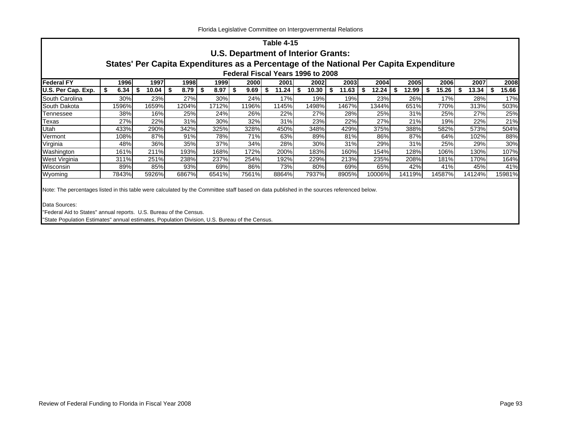|                    |                                                                                                                                                |        |      |        |      |       |      |       |     |        |      | <b>Table 4-15</b><br><b>U.S. Department of Interior Grants:</b> |  |        |      | States' Per Capita Expenditures as a Percentage of the National Per Capita Expenditure |        |        |       |        |  |        |
|--------------------|------------------------------------------------------------------------------------------------------------------------------------------------|--------|------|--------|------|-------|------|-------|-----|--------|------|-----------------------------------------------------------------|--|--------|------|----------------------------------------------------------------------------------------|--------|--------|-------|--------|--|--------|
| <b>IFederal FY</b> | Federal Fiscal Years 1996 to 2008<br>1997<br>2004l<br><b>2005</b><br>2006<br>2007<br>1996<br>1998<br>20021<br>2003 l<br>19991<br>2000l<br>2001 |        |      |        |      |       |      |       |     |        |      |                                                                 |  |        |      | 2008                                                                                   |        |        |       |        |  |        |
| U.S. Per Cap. Exp. |                                                                                                                                                | 6.34   | - \$ | 10.04  | - \$ | 8.79  | - \$ | 8.97  | -\$ | 9.69   | - \$ | 11.24                                                           |  | 10.30  | - \$ | 11.63                                                                                  | 12.24  | 12.99  | 15.26 | 13.34  |  | 15.66  |
| South Carolina     |                                                                                                                                                | 30%    |      | 23%    |      | 27%   |      | 30%   |     | 24%    |      | 17%                                                             |  | 19%    |      | 19%                                                                                    | 23%    | 26%    | 17%   | 28%    |  | 17%    |
| South Dakota       |                                                                                                                                                | 1596%  |      | 1659%l |      | 1204% |      | 1712% |     | 1196%  |      | 1145%                                                           |  | 1498%l |      | 1467%                                                                                  | 1344%l | 651%   | 770%  | 313%   |  | 503%   |
| Tennessee          |                                                                                                                                                | 38%    |      | 16%    |      | 25%   |      | 24%   |     | 26%    |      | 22%                                                             |  | 27%    |      | 28%                                                                                    | 25%    | 31%    | 25%   | 27%    |  | 25%    |
| Texas              |                                                                                                                                                | 27%    |      | 22%    |      | 31%   |      | 30%   |     | 32%    |      | 31%                                                             |  | 23%    |      | 22%                                                                                    | 27%    | 21%    | 19%   | 22%    |  | 21%    |
| Utah               |                                                                                                                                                | 433%   |      | 290%   |      | 342%  |      | 325%  |     | 328%   |      | 450%                                                            |  | 348%   |      | 429%                                                                                   | 375%   | 388%   | 582%  | 573%   |  | 504%   |
| Vermont            |                                                                                                                                                | 108%   |      | 87%    |      | 91%   |      | 78%   |     | 71%    |      | 63%                                                             |  | 89%    |      | 81%                                                                                    | 86%    | 87%    | 64%   | 102%   |  | 88%    |
| Virginia           |                                                                                                                                                | 48%    |      | 36%    |      | 35%   |      | 37%   |     | 34%    |      | 28%                                                             |  | 30%    |      | 31%                                                                                    | 29%    | 31%    | 25%   | 29%    |  | 30%    |
| Washington         |                                                                                                                                                | 161%   |      | 211%   |      | 193%  |      | 168%  |     | 172%   |      | 200%                                                            |  | 183%   |      | 160%                                                                                   | 154%   | 128%   | 106%  | 130%   |  | 107%   |
| West Virginia      |                                                                                                                                                | 311%   |      | 251%   |      | 238%  |      | 237%  |     | 254%   |      | 192%                                                            |  | 229%   |      | 213%                                                                                   | 235%   | 208%   | 181%  | 170%   |  | 164%   |
| Wisconsin          |                                                                                                                                                | 89%    |      | 85%    |      | 93%   |      | 69%   |     | 86%    |      | 73%                                                             |  | 80%    |      | 69%                                                                                    | 65%    | 42%    | 41%   | 45%    |  | 41%    |
| Wyoming            |                                                                                                                                                | 7843%l |      | 5926%  |      | 6867% |      | 6541% |     | 7561%l |      | 8864%                                                           |  | 7937%l |      | 8905%                                                                                  | 10006% | 14119% | 4587% | 14124% |  | 15981% |

Data Sources:

"Federal Aid to States" annual reports. U.S. Bureau of the Census.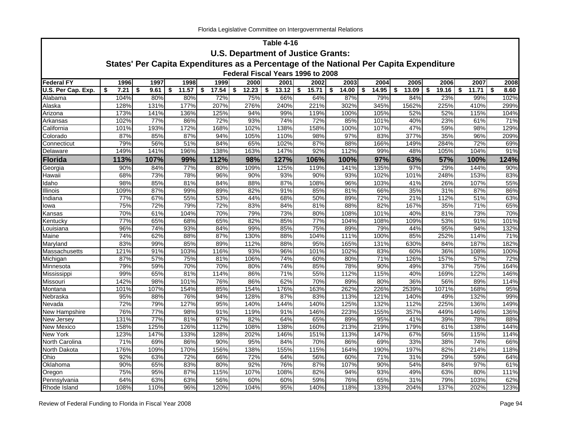|                       |                    |                    |                     |                                                                                        |             | Table 4-16  |                                           |             |             |                     |                     |                     |                    |
|-----------------------|--------------------|--------------------|---------------------|----------------------------------------------------------------------------------------|-------------|-------------|-------------------------------------------|-------------|-------------|---------------------|---------------------|---------------------|--------------------|
|                       |                    |                    |                     |                                                                                        |             |             | <b>U.S. Department of Justice Grants:</b> |             |             |                     |                     |                     |                    |
|                       |                    |                    |                     | States' Per Capita Expenditures as a Percentage of the National Per Capita Expenditure |             |             |                                           |             |             |                     |                     |                     |                    |
|                       |                    |                    |                     |                                                                                        |             |             | Federal Fiscal Years 1996 to 2008         |             |             |                     |                     |                     |                    |
| Federal FY            |                    |                    |                     | 1999                                                                                   | 2000        | 2001        | 2002                                      | 2003        | 2004        |                     |                     |                     |                    |
| U.S. Per Cap. Exp.    | 1996<br>7.21<br>\$ | 1997<br>\$<br>9.61 | 1998<br>\$<br>11.57 | \$<br>17.54                                                                            | \$<br>12.23 | 13.12<br>\$ | 15.71<br>\$                               | \$<br>14.00 | \$<br>14.95 | 2005<br>\$<br>13.09 | 2006<br>\$<br>19.16 | 2007<br>\$<br>11.71 | 2008<br>8.60<br>\$ |
| Alabama               | 104%               | 80%                | 80%                 | 72%                                                                                    | 75%         | 66%         | 64%                                       | 87%         | 79%         | 84%                 | 23%                 | 99%                 | 102%               |
| Alaska                | 128%               | 131%               | 177%                | 207%                                                                                   | 276%        | 240%        | 221%                                      | 302%        | 345%        | 1562%               | 225%                | 410%                | 299%               |
| Arizona               | 173%               | 141%               | 136%                | 125%                                                                                   | 94%         | 99%         | 119%                                      | 100%        | 105%        | 52%                 | 52%                 | 115%                | 104%               |
| Arkansas              | 102%               | 77%                | 86%                 | 72%                                                                                    | 93%         | 74%         | 72%                                       | 85%         | 101%        | 40%                 | 23%                 | 61%                 | 71%                |
| California            | 101%               | 193%               | 172%                | 168%                                                                                   | 102%        | 138%        | 158%                                      | 100%        | 107%        | 47%                 | 59%                 | 98%                 | 129%               |
| Colorado              | 87%                | 85%                | 87%                 | 94%                                                                                    | 105%        | 110%        | 98%                                       | 97%         | 83%         | 377%                | 35%                 | 96%                 | 209%               |
| Connecticut           | 79%                | 56%                | 51%                 | 84%                                                                                    | 65%         | 102%        | 87%                                       | 88%         | 166%        | 149%                | 284%                | 72%                 | 69%                |
| Delaware              | 149%               | 141%               | 196%                | 138%                                                                                   | 163%        | 147%        | 92%                                       | 112%        | 99%         | 48%                 | 105%                | 104%                | 91%                |
| Florida               | 113%               | 107%               | 99%                 | 112%                                                                                   | 98%         | 127%        | 106%                                      | 100%        | 97%         | 63%                 | 57%                 | 100%                | 124%               |
| Georgia               | 90%                | 84%                | 77%                 | 80%                                                                                    | 109%        | 125%        | 119%                                      | 141%        | 135%        | 97%                 | 29%                 | 144%                | 90%                |
| Hawaii                | 68%                | 73%                | 78%                 | 96%                                                                                    | 90%         | 93%         | 90%                                       | 93%         | 102%        | 101%                | 248%                | 153%                | 83%                |
| ldaho                 | 98%                | 85%                | 81%                 | 84%                                                                                    | 88%         | 87%         | 108%                                      | 96%         | 103%        | 41%                 | 26%                 | 107%                | 55%                |
| Illinois              | 109%               | 87%                | 99%                 | 89%                                                                                    | 82%         | 91%         | 85%                                       | 81%         | 66%         | 35%                 | 31%                 | 87%                 | 86%                |
| ndiana                | 77%                | 67%                | 55%                 | 53%                                                                                    | 44%         | 68%         | 50%                                       | 89%         | 72%         | 21%                 | 112%                | 51%                 | 63%                |
| owa                   | 75%                | 72%                | 79%                 | 72%                                                                                    | 83%         | 84%         | 81%                                       | 88%         | 82%         | 167%                | 35%                 | 71%                 | 65%                |
| Kansas                | 70%                | 61%                | 104%                | 70%                                                                                    | 79%         | 73%         | 80%                                       | 108%        | 101%        | 40%                 | 81%                 | 73%                 | 70%                |
| Kentucky              | 77%                | 65%                | 68%                 | 65%                                                                                    | 82%         | 85%         | 77%                                       | 104%        | 108%        | 109%                | 53%                 | 91%                 | 101%               |
| ouisiana_             | 96%                | 74%                | 93%                 | 84%                                                                                    | 99%         | 85%         | 75%                                       | 89%         | 79%         | 44%                 | 95%                 | 94%                 | 132%               |
| Maine                 | 74%                | 62%                | 88%                 | 87%                                                                                    | 130%        | 88%         | 104%                                      | 111%        | 100%        | 85%                 | 252%                | 114%                | 71%                |
| Maryland              | 83%                | 99%                | 85%                 | 89%                                                                                    | 112%        | 88%         | 95%                                       | 165%        | 131%        | 630%                | 84%                 | 187%                | 182%               |
| Massachusetts         | 121%               | 91%                | 103%                | 116%                                                                                   | 93%         | 96%         | 101%                                      | 102%        | 83%         | 60%                 | 36%                 | 108%                | 100%               |
| Michigan              | 87%                | 57%                | 75%                 | 81%                                                                                    | 106%        | 74%         | 60%                                       | 80%         | 71%         | 126%                | 157%                | 57%                 | 72%                |
| Minnesota             | 79%                | 59%                | 70%                 | 70%                                                                                    | 80%         | 74%         | 85%                                       | 78%         | 90%         | 49%                 | 37%                 | 75%                 | 164%               |
| Mississippi           | 99%                | 65%                | 81%                 | 114%                                                                                   | 86%         | 71%         | 55%                                       | 112%        | 115%        | 40%                 | 169%                | 122%                | 146%               |
| <b>Missouri</b>       | 142%               | 98%                | 101%                | 76%                                                                                    | 86%         | 62%         | 70%                                       | 89%         | 80%         | 36%                 | 56%                 | 89%                 | 114%               |
| Montana               | 101%               | 107%               | 154%                | 85%                                                                                    | 154%        | 176%        | 163%                                      | 262%        | 226%        | 2539%               | 1071%               | 168%                | 95%                |
| Nebraska              | 95%                | 88%                | 76%                 | 94%                                                                                    | 128%        | 87%         | 83%                                       | 113%        | 121%        | 140%                | 49%                 | 132%                | 99%                |
| Nevada                | 72%                | 79%                | 127%                | 95%                                                                                    | 140%        | 144%        | 140%                                      | 125%        | 132%        | 112%                | 225%                | 136%                | 149%               |
| <b>New Hampshire</b>  | 76%                | 77%                | 98%                 | 91%                                                                                    | 119%        | 91%         | 146%                                      | 223%        | 155%        | 357%                | 449%                | 146%                | 136%               |
| New Jersey            | 131%               | 77%                | 81%                 | 97%                                                                                    | 82%         | 64%         | 65%                                       | 89%         | 95%         | 41%                 | 39%                 | 78%                 | 88%                |
| <b>New Mexico</b>     | 158%               | 125%               | 126%                | 112%                                                                                   | 108%        | 138%        | 160%                                      | 213%        | 219%        | 179%                | 61%                 | 138%                | 144%               |
| <b>New York</b>       | 123%               | 147%               | 133%                | 128%                                                                                   | 202%        | 146%        | 151%                                      | 113%        | 147%        | 67%                 | 56%                 | 115%                | 114%               |
| <b>North Carolina</b> | 71%                | 69%<br>109%        | 86%                 | 90%                                                                                    | 95%         | 84%<br>155% | 70%<br>115%                               | 86%         | 69%         | 33%<br>197%         | 38%<br>82%          | 74%                 | 66%                |
| North Dakota<br>Ohio  | 176%               |                    | 170%<br>72%         | 156%                                                                                   | 138%<br>72% |             |                                           | 164%        | 190%<br>71% |                     |                     | 214%                | 118%               |
|                       | 92%<br>90%         | 63%<br>65%         | 83%                 | 66%<br>80%                                                                             | 92%         | 64%<br>76%  | 56%<br>87%                                | 60%<br>107% | 90%         | 31%<br>54%          | 29%<br>84%          | 59%<br>97%          | 64%<br>61%         |
| Oklahoma<br>Oregon    | 75%                | 95%                | 87%                 | 115%                                                                                   | 107%        | 108%        | 82%                                       | 94%         | 93%         | 49%                 | 63%                 | 80%                 | 111%               |
| Pennsylvania          | 64%                | 63%                | 63%                 | 56%                                                                                    | 60%         | 60%         | 59%                                       | 76%         | 65%         | 31%                 | 79%                 | 103%                | 62%                |
| Rhode Island          | 108%               | 110%               | 96%                 | 120%                                                                                   | 104%        | 95%         | 140%                                      | 118%        | 133%        | 204%                | 137%                | 202%                | 123%               |
|                       |                    |                    |                     |                                                                                        |             |             |                                           |             |             |                     |                     |                     |                    |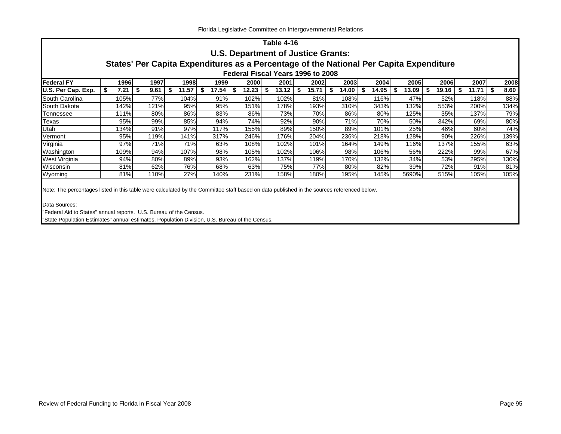|                    |   |      |     |      |   |       |     | States' Per Capita Expenditures as a Percentage of the National Per Capita Expenditure |       |      | Table 4-16<br><b>U.S. Department of Justice Grants:</b><br>Federal Fiscal Years 1996 to 2008 |   |       |      |       |      |       |      |       |       |      |       |      |
|--------------------|---|------|-----|------|---|-------|-----|----------------------------------------------------------------------------------------|-------|------|----------------------------------------------------------------------------------------------|---|-------|------|-------|------|-------|------|-------|-------|------|-------|------|
| <b>Federal FY</b>  |   | 1996 |     | 1997 |   | 1998  |     | 1999                                                                                   | 2000  |      | 2001                                                                                         |   | 2002  |      | 2003  |      | 2004  |      | 2005l | 2006  |      | 2007  | 2008 |
| U.S. Per Cap. Exp. | S | 7.21 | - 5 | 9.61 | S | 11.57 | - 5 | 17.54                                                                                  | 12.23 | - \$ | 13.12                                                                                        | S | 15.71 | l \$ | 14.00 | - 55 | 14.95 | - 56 | 13.09 | 19.16 | - 55 | 11.71 | 8.60 |
| South Carolina     |   | 105% |     | 77%  |   | 104%  |     | 91%                                                                                    | 102%  |      | 102%                                                                                         |   | 81%   |      | 108%  |      | 116%  |      | 47%   | 52%   |      | 118%  | 88%  |
| South Dakota       |   | 142% |     | 121% |   | 95%   |     | 95%                                                                                    | 151%  |      | 178%                                                                                         |   | 193%  |      | 310%  |      | 343%  |      | 132%  | 553%  |      | 200%  | 134% |
| Tennessee          |   | 111% |     | 80%  |   | 86%   |     | 83%                                                                                    | 86%   |      | 73%                                                                                          |   | 70%   |      | 86%   |      | 80%   |      | 125%  | 35%   |      | 137%  | 79%  |
| Texas              |   | 95%  |     | 99%  |   | 85%   |     | 94%                                                                                    | 74%   |      | 92%                                                                                          |   | 90%   |      | 71%   |      | 70%   |      | 50%   | 342%  |      | 69%   | 80%  |
| Utah               |   | 134% |     | 91%  |   | 97%   |     | 117%                                                                                   | 155%  |      | 89%                                                                                          |   | 150%  |      | 89%   |      | 101%  |      | 25%   | 46%   |      | 60%   | 74%  |
| Vermont            |   | 95%  |     | 119% |   | 141%  |     | 317%                                                                                   | 246%  |      | 176%                                                                                         |   | 204%  |      | 236%  |      | 218%  |      | 128%  | 90%   |      | 226%  | 139% |
| Virginia           |   | 97%  |     | 71%  |   | 71%   |     | 63%                                                                                    | 108%  |      | 102%                                                                                         |   | 101%  |      | 164%  |      | 149%  |      | 116%  | 137%  |      | 155%  | 63%  |
| Washington         |   | 109% |     | 94%  |   | 107%  |     | 98%                                                                                    | 105%  |      | 102%                                                                                         |   | 106%  |      | 98%   |      | 106%  |      | 56%   | 222%  |      | 99%   | 67%  |
| West Virginia      |   | 94%  |     | 80%  |   | 89%   |     | 93%                                                                                    | 162%  |      | 137%                                                                                         |   | 119%  |      | 170%  |      | 132%  |      | 34%   | 53%   |      | 295%  | 130% |
| Wisconsin          |   | 81%  |     | 62%  |   | 76%   |     | 68%                                                                                    | 63%   |      | 75%                                                                                          |   | 77%   |      | 80%   |      | 82%   |      | 39%   | 72%   |      | 91%   | 81%  |
| Wyoming            |   | 81%  |     | 110% |   | 27%   |     | 140%                                                                                   | 231%  |      | 158%                                                                                         |   | 180%  |      | 195%  |      | 145%  |      | 5690% | 515%  |      | 105%  | 105% |

Data Sources:

"Federal Aid to States" annual reports. U.S. Bureau of the Census.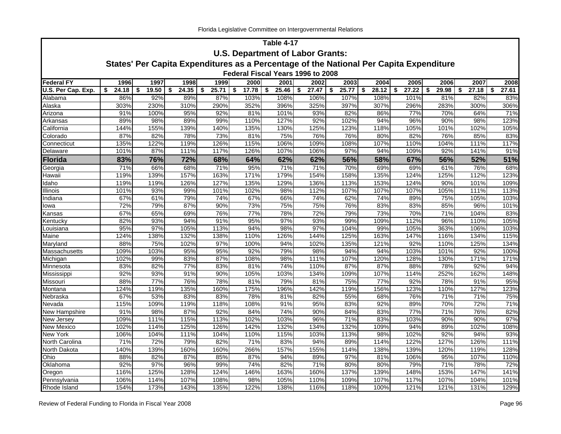|                      | Table 4-17<br><b>U.S. Department of Labor Grants:</b> |             |             |                                                                                        |                                   |             |             |             |             |             |             |             |             |  |
|----------------------|-------------------------------------------------------|-------------|-------------|----------------------------------------------------------------------------------------|-----------------------------------|-------------|-------------|-------------|-------------|-------------|-------------|-------------|-------------|--|
|                      |                                                       |             |             |                                                                                        |                                   |             |             |             |             |             |             |             |             |  |
|                      |                                                       |             |             |                                                                                        |                                   |             |             |             |             |             |             |             |             |  |
|                      |                                                       |             |             | States' Per Capita Expenditures as a Percentage of the National Per Capita Expenditure |                                   |             |             |             |             |             |             |             |             |  |
|                      |                                                       |             |             |                                                                                        | Federal Fiscal Years 1996 to 2008 |             |             |             |             |             |             |             |             |  |
| <b>Federal FY</b>    | 1996                                                  | 1997        | 1998        | 1999                                                                                   | 2000                              | 2001        | 2002        | 2003        | 2004        | 2005        | 2006        | 2007        | 2008        |  |
| U.S. Per Cap. Exp.   | \$<br>24.18                                           | \$<br>19.50 | 24.35<br>\$ | 25.71<br>\$                                                                            | 17.78<br>\$                       | 25.46<br>\$ | 27.47<br>\$ | 25.77<br>\$ | \$<br>28.12 | \$<br>27.22 | 29.98<br>\$ | 27.18<br>\$ | 27.61<br>\$ |  |
| Alabama              | 86%                                                   | 92%         | 89%         | 87%                                                                                    | 103%                              | 108%        | 106%        | 107%        | 108%        | 101%        | 81%         | 82%         | 83%         |  |
| Alaska               | 303%                                                  | 230%        | 310%        | 290%                                                                                   | 352%                              | 396%        | 325%        | 397%        | 307%        | 296%        | 283%        | 300%        | 306%        |  |
| Arizona              | 91%                                                   | 100%        | 95%         | 92%                                                                                    | 81%                               | 101%        | 93%         | 82%         | 86%         | 77%         | 70%         | 64%         | 71%         |  |
| Arkansas             | 89%                                                   | 98%         | 89%         | 99%                                                                                    | 110%                              | 127%        | 92%         | 102%        | 94%         | 96%         | 90%         | 98%         | 123%        |  |
| California           | 144%                                                  | 155%        | 139%        | 140%                                                                                   | 135%                              | 130%        | 125%        | 123%        | 118%        | 105%        | 101%        | 102%        | 105%        |  |
| Colorado             | 87%                                                   | 82%         | 78%         | 73%                                                                                    | 81%                               | 75%         | 76%         | 76%         | 80%         | 82%         | 76%         | 85%         | 83%         |  |
| Connecticut          | 135%                                                  | 122%        | 119%        | 126%                                                                                   | 115%                              | 106%        | 109%        | 108%        | 107%        | 110%        | 104%        | 111%        | 117%        |  |
| Delaware             | 101%                                                  | 87%         | 111%        | 117%                                                                                   | 126%                              | 107%        | 106%        | 97%         | 94%         | 109%        | 92%         | 141%        | 91%         |  |
| Florida              | 83%                                                   | 76%         | 72%         | 68%                                                                                    | 64%                               | 62%         | 62%         | 56%         | 58%         | 67%         | 56%         | 52%         | 51%         |  |
| Georgia              | 71%                                                   | 66%         | 68%         | 71%                                                                                    | 95%                               | 71%         | 71%         | 70%         | 69%         | 69%         | 61%         | 76%         | 68%         |  |
| Hawaii               | 119%                                                  | 139%        | 157%        | 163%                                                                                   | 171%                              | 179%        | 154%        | 158%        | 135%        | 124%        | 125%        | 112%        | 123%        |  |
| daho                 | 119%                                                  | 119%        | 126%        | 127%                                                                                   | 135%                              | 129%        | 136%        | 113%        | 153%        | 124%        | 90%         | 101%        | 109%        |  |
| Illinois             | 101%                                                  | 93%         | 99%         | 101%                                                                                   | 102%                              | 98%         | 112%        | 107%        | 107%        | 107%        | 105%        | 111%        | 113%        |  |
| Indiana              | 67%                                                   | 61%         | 79%         | 74%                                                                                    | 67%                               | 66%         | 74%         | 62%         | 74%         | 89%         | 75%         | 105%        | 103%        |  |
| owa                  | 72%                                                   | 79%         | 87%         | 90%                                                                                    | 73%                               | 75%         | 75%         | 76%         | 83%         | 83%         | 85%         | 96%         | 101%        |  |
| Kansas               | 67%                                                   | 65%         | 69%         | 76%                                                                                    | 77%                               | 78%         | 72%         | 79%         | 73%         | 70%         | 71%         | 104%        | 83%         |  |
| Kentucky             | 82%                                                   | 93%         | 94%         | 91%                                                                                    | 95%                               | 97%         | 93%         | 99%         | 109%        | 112%        | 96%         | 110%        | 105%        |  |
| _ouisiana            | 95%                                                   | 97%         | 105%        | 113%                                                                                   | 94%                               | 98%         | 97%         | 104%        | 99%         | 105%        | 363%        | 106%        | 103%        |  |
| Maine                | 124%                                                  | 138%        | 132%        | 138%                                                                                   | 110%                              | 126%        | 144%        | 125%        | 163%        | 147%        | 116%        | 134%        | 115%        |  |
| Maryland             | 88%                                                   | 75%         | 102%        | 97%                                                                                    | 100%                              | 94%         | 102%        | 135%        | 121%        | 92%         | 110%        | 125%        | 134%        |  |
| Massachusetts        | 109%                                                  | 103%        | 95%         | 95%                                                                                    | 92%                               | 79%         | 98%         | 94%         | 94%         | 103%        | 101%        | 92%         | 100%        |  |
| Michigan             | 102%                                                  | 99%         | 83%         | 87%                                                                                    | 108%                              | 98%         | 111%        | 107%        | 120%        | 128%        | 130%        | 171%        | 171%        |  |
| Minnesota            | 83%                                                   | 82%         | 77%         | 83%                                                                                    | 81%                               | 74%         | 110%        | 87%         | 87%         | 88%         | 78%         | 92%         | 94%         |  |
| Mississippi          | 92%                                                   | 93%         | 91%         | 90%                                                                                    | 105%                              | 103%        | 134%        | 109%        | 107%        | 114%        | 252%        | 162%        | 148%        |  |
| <b>Missouri</b>      | 88%                                                   | 77%         | 76%         | 78%                                                                                    | 81%                               | 79%         | 81%         | 75%         | 77%         | 92%         | 78%         | 91%         | 95%         |  |
| Montana              | 124%                                                  | 119%        | 135%        | 160%                                                                                   | 175%                              | 196%        | 142%        | 119%        | 156%        | 123%        | 110%        | 127%        | 123%        |  |
| Nebraska             | 67%                                                   | 53%         | 83%         | 83%                                                                                    | 78%                               | 81%         | 82%         | 55%         | 68%         | 76%         | 71%         | 71%         | 75%         |  |
| Nevada               | 115%                                                  | 109%        | 119%        | 118%                                                                                   | 108%                              | 91%         | 95%         | 83%         | 92%         | 89%         | 70%         | 72%         | 71%         |  |
| <b>New Hampshire</b> | 91%                                                   | 98%         | 87%         | 92%                                                                                    | 84%                               | 74%         | 90%         | 84%         | 83%         | 77%         | 71%         | 76%         | 82%         |  |
| New Jersey           | 109%                                                  | 111%        | 115%        | 113%                                                                                   | 102%                              | 103%        | 96%         | 71%         | 83%         | 103%        | 90%         | 90%         | 97%         |  |
| <b>New Mexico</b>    | 102%                                                  | 114%        | 125%        | 126%                                                                                   | 142%                              | 132%        | 134%        | 132%        | 109%        | 94%         | 89%         | 102%        | 108%        |  |
| <b>New York</b>      | 106%                                                  | 104%        | 111%        | 104%                                                                                   | 110%                              | 115%        | 103%        | 113%        | 98%         | 102%        | 92%         | 94%         | 93%         |  |
| North Carolina       | 71%                                                   | 72%         | 79%         | 82%                                                                                    | 71%                               | 83%         | 94%         | 89%         | 114%        | 122%        | 127%        | 126%        | 111%        |  |
| North Dakota         | 140%                                                  | 139%        | 160%        | 160%                                                                                   | 266%                              | 157%        | 155%        | 114%        | 138%        | 139%        | 120%        | 119%        | 128%        |  |
| Ohio                 | 88%                                                   | 82%         | 87%         | 85%                                                                                    | 87%                               | 94%         | 89%         | 97%         | 81%         | 106%        | 95%         | 107%        | 110%        |  |
| Oklahoma             | 92%                                                   | 97%         | 96%         | 99%                                                                                    | 74%                               | 82%         | 71%         | 80%         | 80%         | 79%         | 71%         | 78%         | 72%         |  |
| Oregon               | 116%                                                  | 125%        | 128%        | 124%                                                                                   | 146%                              | 163%        | 160%        | 137%        | 139%        | 148%        | 153%        | 147%        | 141%        |  |
| Pennsylvania         | 106%                                                  | 114%        | 107%        | 108%                                                                                   | 98%                               | 105%        | 110%        | 109%        | 107%        | 117%        | 107%        | 104%        | 101%        |  |
| Rhode Island         | 154%                                                  | 173%        | 143%        | 135%                                                                                   | 122%                              | 138%        | 116%        | 118%        | 100%        | 121%        | 121%        | 131%        | 129%        |  |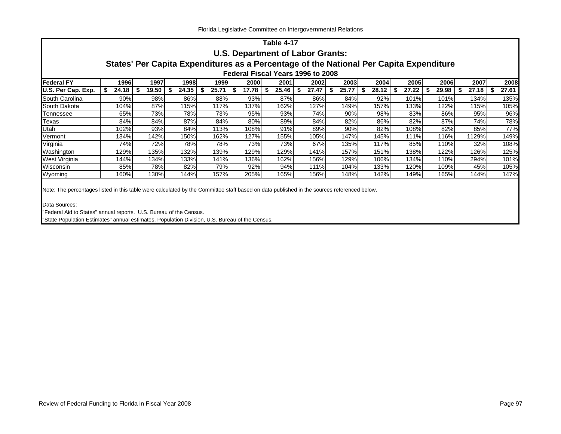|                    |                                                                                                                                                                 |               | States' Per Capita Expenditures as a Percentage of the National Per Capita Expenditure |             |               | Table 4-17    | U.S. Department of Labor Grants: |       |       |       |       |       |       |  |  |
|--------------------|-----------------------------------------------------------------------------------------------------------------------------------------------------------------|---------------|----------------------------------------------------------------------------------------|-------------|---------------|---------------|----------------------------------|-------|-------|-------|-------|-------|-------|--|--|
| Federal FY         | Federal Fiscal Years 1996 to 2008<br><b>2005</b><br><b>2006</b><br>2007<br>1996<br>1997<br>1998<br>2003<br><b>2004</b><br>1999<br><b>2000l</b><br>2001<br>20021 |               |                                                                                        |             |               |               |                                  |       |       |       |       |       |       |  |  |
| U.S. Per Cap. Exp. | 24.18                                                                                                                                                           | 19.50<br>- \$ | 24.35                                                                                  | 25.71<br>Ŝ. | 17.78<br>- \$ | 25.46<br>- \$ | 27.47                            | 25.77 | 28.12 | 27.22 | 29.98 | 27.18 | 27.61 |  |  |
| South Carolina     | 90%                                                                                                                                                             | 98%           | 86%                                                                                    | 88%         | 93%           | 87%           | 86%                              | 84%   | 92%   | 101%  | 101%  | 134%  | 135%  |  |  |
| South Dakota       | 104%                                                                                                                                                            | 87%           | 115%                                                                                   | 117%        | 137%          | 162%          | 127%                             | 149%  | 157%  | 133%  | 122%  | 115%  | 105%  |  |  |
| Tennessee          | 65%                                                                                                                                                             | 73%           | 78%                                                                                    | 73%         | 95%           | 93%           | 74%                              | 90%   | 98%   | 83%   | 86%   | 95%   | 96%   |  |  |
| Texas              | 84%                                                                                                                                                             | 84%           | 87%                                                                                    | 84%         | 80%           | 89%           | 84%                              | 82%   | 86%   | 82%   | 87%   | 74%   | 78%   |  |  |
| Utah               | 102%                                                                                                                                                            | 93%           | 84%                                                                                    | 113%        | 108%          | 91%           | 89%                              | 90%   | 82%   | 108%  | 82%   | 85%   | 77%   |  |  |
| Vermont            | 134%                                                                                                                                                            | 142%          | 150%                                                                                   | 162%        | 127%          | 155%          | 105%                             | 147%  | 145%  | 111%  | 116%  | 1129% | 149%  |  |  |
| Virginia           | 74%                                                                                                                                                             | 72%           | 78%                                                                                    | 78%         | 73%           | 73%           | 67%                              | 135%  | 117%  | 85%   | 110%  | 32%   | 108%  |  |  |
| Washington         | 129%                                                                                                                                                            | 135%          | 132%                                                                                   | 139%        | 129%          | 129%          | 141%                             | 157%  | 151%  | 138%  | 122%  | 126%  | 125%  |  |  |
| West Virginia      | 144%                                                                                                                                                            | 134%          | 133%                                                                                   | 141%        | 136%          | 162%          | 156%                             | 129%  | 106%  | 134%  | 110%  | 294%  | 101%  |  |  |
| Wisconsin          | 85%                                                                                                                                                             | 78%           | 82%                                                                                    | 79%         | 92%           | 94%           | 111%                             | 104%  | 133%  | 120%  | 109%  | 45%   | 105%  |  |  |
| Wyoming            | 160%                                                                                                                                                            | 130%          | 144%                                                                                   | 157%        | 205%          | 165%          | 156%                             | 148%  | 142%  | 149%  | 165%  | 144%  | 147%  |  |  |

Data Sources:

"Federal Aid to States" annual reports. U.S. Bureau of the Census.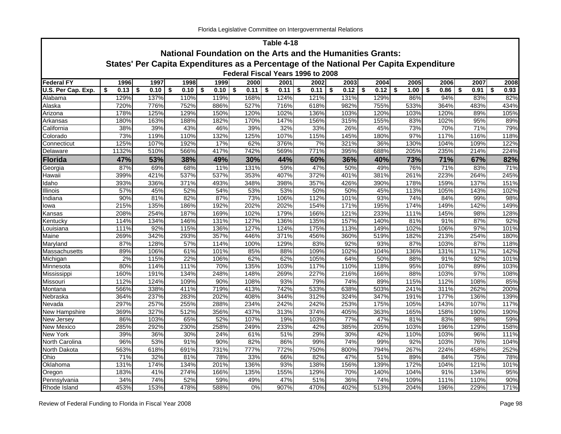| Table 4-18<br>National Foundation on the Arts and the Humanities Grants: |            |                                              |            |                                                                                        |            |            |                                   |            |            |            |            |            |            |
|--------------------------------------------------------------------------|------------|----------------------------------------------|------------|----------------------------------------------------------------------------------------|------------|------------|-----------------------------------|------------|------------|------------|------------|------------|------------|
|                                                                          |            |                                              |            |                                                                                        |            |            |                                   |            |            |            |            |            |            |
|                                                                          |            |                                              |            | States' Per Capita Expenditures as a Percentage of the National Per Capita Expenditure |            |            |                                   |            |            |            |            |            |            |
|                                                                          |            |                                              |            |                                                                                        |            |            |                                   |            |            |            |            |            |            |
|                                                                          |            |                                              |            |                                                                                        |            |            | Federal Fiscal Years 1996 to 2008 |            |            |            |            |            |            |
| <b>Federal FY</b>                                                        | 1996       | 1997                                         | 1998       | 1999                                                                                   | 2000       | 2001       | 2002                              | 2003       | 2004       | 2005       | 2006       | 2007       | 2008       |
| U.S. Per Cap. Exp.                                                       | \$<br>0.13 | $\overline{\boldsymbol{\mathsf{s}}}$<br>0.10 | \$<br>0.10 | \$<br>0.10                                                                             | 0.11<br>\$ | \$<br>0.11 | 0.11<br>\$                        | \$<br>0.12 | \$<br>0.12 | \$<br>1.00 | 0.86<br>\$ | \$<br>0.91 | \$<br>0.93 |
| Alabama                                                                  | 129%       | 137%                                         | 110%       | 119%                                                                                   | 168%       | 124%       | 121%                              | 131%       | 129%       | 86%        | 94%        | 83%        | 82%        |
| Alaska                                                                   | 720%       | 776%                                         | 752%       | 886%                                                                                   | 527%       | 716%       | 618%                              | 982%       | 755%       | 533%       | 364%       | 483%       | 434%       |
| Arizona                                                                  | 178%       | 125%                                         | 129%       | 150%                                                                                   | 120%       | 102%       | 136%                              | 103%       | 120%       | 103%       | 120%       | 89%        | 105%       |
| Arkansas                                                                 | 180%       | 163%                                         | 188%       | 182%                                                                                   | 170%       | 147%       | 156%                              | 315%       | 155%       | 83%        | 102%       | 95%        | 89%        |
| California                                                               | 38%        | 39%                                          | 43%        | 46%                                                                                    | 39%        | 32%        | 33%                               | 26%        | 45%        | 73%        | 70%        | 71%        | 79%        |
| Colorado                                                                 | 73%        | 119%                                         | 110%       | 132%                                                                                   | 125%       | 107%       | 115%                              | 145%       | 180%       | 97%        | 117%       | 116%       | 118%       |
| Connecticut                                                              | 125%       | 107%                                         | 192%       | 17%                                                                                    | 62%        | 376%       | 7%                                | 321%       | 36%        | 130%       | 104%       | 109%       | 122%       |
| Delaware                                                                 | 1132%      | 510%                                         | 566%       | 417%                                                                                   | 742%       | 569%       | 771%                              | 395%       | 688%       | 205%       | 235%       | 214%       | 224%       |
| Florida                                                                  | 47%        | 53%                                          | 38%        | 49%                                                                                    | 30%        | 44%        | 60%                               | 36%        | 40%        | 73%        | 71%        | 67%        | 82%        |
| Georgia                                                                  | 87%        | 69%                                          | 68%        | 11%                                                                                    | 131%       | 59%        | 47%                               | 50%        | 49%        | 76%        | 71%        | 83%        | 71%        |
| Hawaii                                                                   | 399%       | 421%                                         | 537%       | 537%                                                                                   | 353%       | 407%       | 372%                              | 401%       | 381%       | 261%       | 223%       | 264%       | 245%       |
| ldaho                                                                    | 393%       | 336%                                         | 371%       | 493%                                                                                   | 348%       | 398%       | 357%                              | 426%       | 390%       | 178%       | 159%       | 137%       | 151%       |
| Illinois                                                                 | 57%        | 45%                                          | 52%        | 54%                                                                                    | 53%        | 53%        | 50%                               | 50%        | 45%        | 113%       | 105%       | 143%       | 102%       |
| Indiana                                                                  | 90%        | 81%                                          | 82%        | 87%                                                                                    | 73%        | 106%       | 112%                              | 101%       | 93%        | 74%        | 84%        | 99%        | 98%        |
| owa                                                                      | 215%       | 135%                                         | 186%       | 192%                                                                                   | 202%       | 202%       | 154%                              | 171%       | 195%       | 174%       | 149%       | 142%       | 149%       |
| Kansas                                                                   | 208%       | 254%                                         | 187%       | 169%                                                                                   | 102%       | 179%       | 166%                              | 121%       | 233%       | 111%       | 145%       | 98%        | 128%       |
| Kentucky                                                                 | 114%       | 134%                                         | 146%       | 131%                                                                                   | 127%       | 136%       | 135%                              | 157%       | 140%       | 81%        | 91%        | 87%        | 92%        |
| _ouisiana                                                                | 111%       | 92%                                          | 115%       | 136%                                                                                   | 127%       | 124%       | 175%                              | 113%       | 149%       | 102%       | 106%       | 97%        | 101%       |
| Maine                                                                    | 269%       | 342%                                         | 293%       | 357%                                                                                   | 446%       | 371%       | 456%                              | 360%       | 519%       | 182%       | 213%       | 254%       | 180%       |
| Maryland                                                                 | 87%        | 128%                                         | 57%        | 114%                                                                                   | 100%       | 129%       | 83%                               | 92%        | 93%        | 87%        | 103%       | 87%        | 118%       |
| Massachusetts                                                            | 89%        | 106%                                         | 61%        | 101%                                                                                   | 85%        | 88%        | 109%                              | 102%       | 104%       | 136%       | 131%       | 117%       | 142%       |
| <b>Michigan</b>                                                          | 2%         | 115%                                         | 22%        | 106%                                                                                   | 62%        | 62%        | 105%                              | 64%        | 50%        | 88%        | 91%        | 92%        | 101%       |
| Minnesota                                                                | 80%        | 114%                                         | 111%       | 70%                                                                                    | 135%       | 103%       | 117%                              | 110%       | 118%       | 95%        | 107%       | 89%        | 103%       |
| Mississippi                                                              | 160%       | 191%                                         | 134%       | 248%                                                                                   | 148%       | 269%       | 227%                              | 216%       | 166%       | 88%        | 103%       | 97%        | 108%       |
| Missouri                                                                 | 112%       | 124%                                         | 109%       | 90%                                                                                    | 108%       | 93%        | 79%                               | 74%        | 89%        | 115%       | 112%       | 108%       | 85%        |
| Montana                                                                  | 566%       | 338%                                         | 411%       | 719%                                                                                   | 413%       | 742%       | 533%                              | 638%       | 503%       | 241%       | 311%       | 262%       | 200%       |
| Nebraska                                                                 | 364%       | 237%                                         | 283%       | 202%                                                                                   | 408%       | 344%       | 312%                              | 324%       | 347%       | 191%       | 177%       | 136%       | 139%       |
| Nevada                                                                   | 297%       | 257%                                         | 255%       | 288%                                                                                   | 234%       | 242%       | 242%                              | 253%       | 175%       | 105%       | 143%       | 107%       | 117%       |
| <b>New Hampshire</b>                                                     | 369%       | 327%                                         | 512%       | 356%                                                                                   | 437%       | 313%       | 374%                              | 405%       | 363%       | 165%       | 158%       | 190%       | 190%       |
| New Jersey                                                               | 86%        | 103%                                         | 65%        | 52%                                                                                    | 107%       | 19%        | 103%                              | 77%        | 47%        | 81%        | 83%        | 98%        | 59%        |
| <b>New Mexico</b>                                                        | 285%       | 292%                                         | 230%       | 258%                                                                                   | 249%       | 233%       | 42%                               | 385%       | 205%       | 103%       | 196%       | 129%       | 158%       |
| <b>New York</b>                                                          | 39%        | 36%                                          | 30%        | 24%                                                                                    | 61%        | 51%        | 29%                               | 30%        | 42%        | 110%       | 103%       | 96%        | 111%       |
| North Carolina                                                           | 96%        | 53%                                          | 91%        | 90%                                                                                    | 82%        | 86%        | 99%                               | 74%        | 99%        | 92%        | 103%       | 76%        | 104%       |
| North Dakota                                                             | 563%       | 618%                                         | 691%       | 731%                                                                                   | 777%       | 772%       | 750%                              | 800%       | 794%       | 267%       | 224%       | 458%       | 252%       |
| Ohio                                                                     | 71%        | 32%                                          | 81%        | 78%                                                                                    | 33%        | 66%        | 82%                               | 47%        | 51%        | 89%        | 84%        | 75%        | 78%        |
| Oklahoma                                                                 | 131%       | 174%                                         | 134%       | 201%                                                                                   | 136%       | 93%        | 138%                              | 156%       | 139%       | 172%       | 104%       | 121%       | 101%       |
| Oregon                                                                   | 183%       | 41%                                          | 274%       | 166%                                                                                   | 135%       | 155%       | 129%                              | 70%        | 140%       | 104%       | 91%        | 134%       | 95%        |
| Pennsylvania                                                             | 34%        | 74%                                          | 52%        | 59%                                                                                    | 49%        | 47%        | 51%                               | 36%        | 74%        | 109%       | 111%       | 110%       | 90%        |
| Rhode Island                                                             | 453%       | 153%                                         | 478%       | 588%                                                                                   | 0%         | 907%       | 470%                              | 402%       | 513%       | 204%       | 196%       | 229%       | 171%       |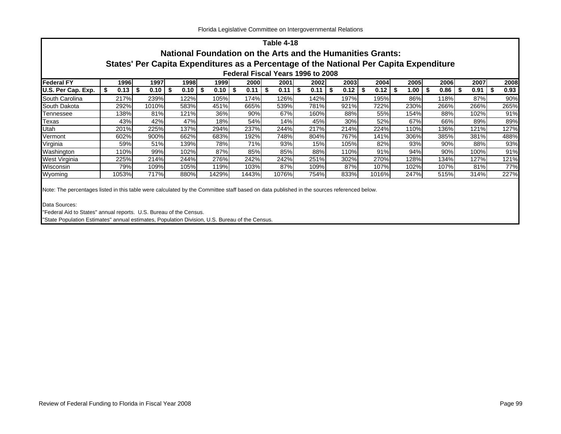|                    |       |           | National Foundation on the Arts and the Humanities Grants:<br>States' Per Capita Expenditures as a Percentage of the National Per Capita Expenditure |      |        | Federal Fiscal Years 1996 to 2008 |              |      | Table 4-18 |    |      |      |      |      |       |      |       |      |      |      |
|--------------------|-------|-----------|------------------------------------------------------------------------------------------------------------------------------------------------------|------|--------|-----------------------------------|--------------|------|------------|----|------|------|------|------|-------|------|-------|------|------|------|
| <b>Federal FY</b>  | 1996  | 1997      | 1998                                                                                                                                                 |      | 1999   |                                   | <b>2000l</b> |      | 2001       |    | 2002 |      | 2003 |      | 2004l |      | 2005l | 2006 | 2007 | 2008 |
| U.S. Per Cap. Exp. | 0.13  | 0.10<br>S | - \$<br>$0.10$ $ $                                                                                                                                   | - \$ | 0.10   | - \$                              | 0.11         | - \$ | 0.11       | -S | 0.11 | l Si | 0.12 | - 56 | 0.12  | - \$ | 1.00  | 0.86 | 0.91 | 0.93 |
| South Carolina     | 217%  | 239%      | 122%                                                                                                                                                 |      | 105%   |                                   | 174%         |      | 126%       |    | 142% |      | 197% |      | 195%  |      | 86%   | 118% | 87%  | 90%  |
| South Dakota       | 292%  | 1010%     | 583%                                                                                                                                                 |      | 451%   |                                   | 665%         |      | 539%       |    | 781% |      | 921% |      | 722%  |      | 230%  | 266% | 266% | 265% |
| Tennessee          | 138%  | 81%       | 121%                                                                                                                                                 |      | 36%    |                                   | 90%          |      | 67%        |    | 160% |      | 88%  |      | 55%   |      | 154%  | 88%  | 102% | 91%  |
| Texas              | 43%   | 42%       | 47%                                                                                                                                                  |      | 18%    |                                   | 54%          |      | 14%        |    | 45%  |      | 30%  |      | 52%   |      | 67%   | 66%  | 89%  | 89%  |
| Utah               | 201%  | 225%      | 137%                                                                                                                                                 |      | 294%   |                                   | 237%         |      | 244%       |    | 217% |      | 214% |      | 224%  |      | 110%  | 136% | 121% | 127% |
| Vermont            | 602%  | 900%      | 662%                                                                                                                                                 |      | 683%   |                                   | 192%         |      | 748%       |    | 804% |      | 767% |      | 141%  |      | 306%  | 385% | 381% | 488% |
| Virginia           | 59%   | 51%       | 139%                                                                                                                                                 |      | 78%    |                                   | 71%          |      | 93%        |    | 15%  |      | 105% |      | 82%   |      | 93%   | 90%  | 88%  | 93%  |
| Washington         | 110%  | 99%       | 102%                                                                                                                                                 |      | 87%    |                                   | 85%          |      | 85%        |    | 88%  |      | 110% |      | 91%   |      | 94%   | 90%  | 100% | 91%  |
| West Virginia      | 225%  | 214%      | 244%                                                                                                                                                 |      | 276%   |                                   | 242%         |      | 242%       |    | 251% |      | 302% |      | 270%  |      | 128%  | 134% | 127% | 121% |
| Wisconsin          | 79%   | 109%      | 105%                                                                                                                                                 |      | 119%   |                                   | 103%         |      | 87%        |    | 109% |      | 87%  |      | 107%  |      | 102%  | 107% | 81%  | 77%  |
| Wyoming            | 1053% | 717%      | 880%                                                                                                                                                 |      | 1429%l |                                   | 1443%        |      | 1076%      |    | 754% |      | 833% |      | 1016% |      | 247%  | 515% | 314% | 227% |

Data Sources:

"Federal Aid to States" annual reports. U.S. Bureau of the Census.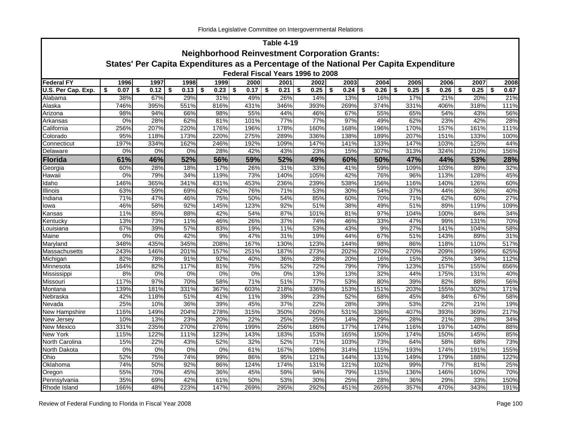|                       | Table 4-19<br><b>Neighborhood Reinvestment Corporation Grants:</b> |    |                                                                                        |    |      |    |      |    |      |    |                                   |    |      |    |      |            |            |            |            |    |      |
|-----------------------|--------------------------------------------------------------------|----|----------------------------------------------------------------------------------------|----|------|----|------|----|------|----|-----------------------------------|----|------|----|------|------------|------------|------------|------------|----|------|
|                       |                                                                    |    |                                                                                        |    |      |    |      |    |      |    |                                   |    |      |    |      |            |            |            |            |    |      |
|                       |                                                                    |    | States' Per Capita Expenditures as a Percentage of the National Per Capita Expenditure |    |      |    |      |    |      |    |                                   |    |      |    |      |            |            |            |            |    |      |
|                       |                                                                    |    |                                                                                        |    |      |    |      |    |      |    |                                   |    |      |    |      |            |            |            |            |    |      |
|                       |                                                                    |    |                                                                                        |    |      |    |      |    |      |    | Federal Fiscal Years 1996 to 2008 |    |      |    |      |            |            |            |            |    |      |
| <b>Federal FY</b>     | 1996                                                               |    | 1997                                                                                   |    | 1998 |    | 1999 |    | 2000 |    | 2001                              |    | 2002 |    | 2003 | 2004       | 2005       | 2006       | 2007       |    | 2008 |
| U.S. Per Cap. Exp.    | \$<br>0.07                                                         |    | $\overline{\boldsymbol{s}}$<br>0.12                                                    | \$ | 0.13 | \$ | 0.23 | \$ | 0.17 | \$ | 0.21                              | \$ | 0.25 | \$ | 0.24 | \$<br>0.26 | \$<br>0.25 | \$<br>0.26 | \$<br>0.25 | \$ | 0.67 |
| Alabama               | 38%                                                                |    | 67%                                                                                    |    | 29%  |    | 31%  |    | 49%  |    | 26%                               |    | 14%  |    | 13%  | 16%        | 17%        | 21%        | 20%        |    | 21%  |
| Alaska                | 746%                                                               |    | 395%                                                                                   |    | 551% |    | 816% |    | 431% |    | 346%                              |    | 393% |    | 269% | 374%       | 331%       | 406%       | 318%       |    | 111% |
| Arizona               | 98%                                                                |    | 94%                                                                                    |    | 66%  |    | 98%  |    | 55%  |    | 44%                               |    | 46%  |    | 67%  | 55%        | 65%        | 54%        | 43%        |    | 56%  |
| Arkansas              |                                                                    | 0% | 28%                                                                                    |    | 62%  |    | 81%  |    | 101% |    | 77%                               |    | 77%  |    | 97%  | 49%        | 62%        | 23%        | 42%        |    | 28%  |
| California            | 256%                                                               |    | 207%                                                                                   |    | 220% |    | 176% |    | 196% |    | 178%                              |    | 160% |    | 168% | 196%       | 170%       | 157%       | 161%       |    | 111% |
| Colorado              | 95%                                                                |    | 118%                                                                                   |    | 173% |    | 220% |    | 275% |    | 289%                              |    | 336% |    | 138% | 189%       | 207%       | 151%       | 133%       |    | 100% |
| Connecticut           | 197%                                                               |    | 334%                                                                                   |    | 162% |    | 246% |    | 192% |    | 109%                              |    | 147% |    | 141% | 133%       | 147%       | 103%       | 125%       |    | 44%  |
| Delaware              |                                                                    | 0% | 0%                                                                                     |    | 0%   |    | 28%  |    | 42%  |    | 43%                               |    | 23%  |    | 15%  | 307%       | 313%       | 324%       | 210%       |    | 156% |
| Florida               | 61%                                                                |    | 46%                                                                                    |    | 52%  |    | 56%  |    | 59%  |    | 52%                               |    | 49%  |    | 60%  | 50%        | 47%        | 44%        | 53%        |    | 28%  |
| Georgia               | 60%                                                                |    | 28%                                                                                    |    | 18%  |    | 17%  |    | 26%  |    | 31%                               |    | 33%  |    | 41%  | 59%        | 109%       | 103%       | 89%        |    | 32%  |
| Hawaii                |                                                                    | 0% | 79%                                                                                    |    | 34%  |    | 119% |    | 73%  |    | 140%                              |    | 105% |    | 42%  | 76%        | 96%        | 113%       | 128%       |    | 45%  |
| daho                  | 146%                                                               |    | 365%                                                                                   |    | 341% |    | 431% |    | 453% |    | 236%                              |    | 239% |    | 538% | 156%       | 116%       | 140%       | 126%       |    | 60%  |
| Illinois              | 63%                                                                |    | 59%                                                                                    |    | 69%  |    | 62%  |    | 76%  |    | 71%                               |    | 53%  |    | 30%  | 54%        | 37%        | 44%        | 36%        |    | 40%  |
| Indiana               | 71%                                                                |    | 47%                                                                                    |    | 46%  |    | 75%  |    | 50%  |    | 54%                               |    | 85%  |    | 60%  | 70%        | 71%        | 62%        | 60%        |    | 27%  |
| owa                   | 46%                                                                |    | 58%                                                                                    |    | 92%  |    | 145% |    | 123% |    | 92%                               |    | 51%  |    | 38%  | 49%        | 51%        | 89%        | 119%       |    | 109% |
| Kansas                | 11%                                                                |    | 85%                                                                                    |    | 88%  |    | 42%  |    | 54%  |    | 87%                               |    | 101% |    | 81%  | 97%        | 104%       | 100%       | 84%        |    | 34%  |
| Kentucky              | 13%                                                                |    | 73%                                                                                    |    | 11%  |    | 46%  |    | 26%  |    | 37%                               |    | 74%  |    | 46%  | 33%        | 47%        | 99%        | 131%       |    | 70%  |
| ouisiana.             | 67%                                                                |    | 39%                                                                                    |    | 57%  |    | 83%  |    | 19%  |    | 11%                               |    | 53%  |    | 43%  | 9%         | 27%        | 141%       | 104%       |    | 58%  |
| Maine                 |                                                                    | 0% | 0%                                                                                     |    | 42%  |    | 9%   |    | 47%  |    | 31%                               |    | 19%  |    | 44%  | 67%        | 51%        | 143%       | 89%        |    | 31%  |
| Maryland              | 348%                                                               |    | 435%                                                                                   |    | 345% |    | 208% |    | 167% |    | 130%                              |    | 123% |    | 144% | 98%        | 86%        | 118%       | 110%       |    | 517% |
| Massachusetts         | 243%                                                               |    | 146%                                                                                   |    | 201% |    | 157% |    | 251% |    | 187%                              |    | 273% |    | 202% | 270%       | 270%       | 209%       | 199%       |    | 625% |
| <b>Michigan</b>       | 82%                                                                |    | 78%                                                                                    |    | 91%  |    | 92%  |    | 40%  |    | 36%                               |    | 28%  |    | 20%  | 16%        | 15%        | 25%        | 34%        |    | 112% |
| Minnesota             | 164%                                                               |    | 82%                                                                                    |    | 117% |    | 81%  |    | 75%  |    | 52%                               |    | 72%  |    | 79%  | 79%        | 123%       | 157%       | 155%       |    | 656% |
| Mississippi           |                                                                    | 8% | 0%                                                                                     |    | 0%   |    | 0%   |    | 0%   |    | 0%                                |    | 13%  |    | 13%  | 32%        | 44%        | 175%       | 131%       |    | 40%  |
| Missouri              | 117%                                                               |    | 97%                                                                                    |    | 70%  |    | 58%  |    | 71%  |    | 51%                               |    | 77%  |    | 53%  | 80%        | 39%        | 82%        | 88%        |    | 56%  |
| Montana               | 139%                                                               |    | 181%                                                                                   |    | 331% |    | 367% |    | 603% |    | 218%                              |    | 336% |    | 153% | 151%       | 203%       | 155%       | 302%       |    | 171% |
| Nebraska              | 42%                                                                |    | 118%                                                                                   |    | 51%  |    | 41%  |    | 11%  |    | 39%                               |    | 23%  |    | 52%  | 68%        | 45%        | 84%        | 67%        |    | 58%  |
| Nevada                | 25%                                                                |    | 10%                                                                                    |    | 36%  |    | 39%  |    | 45%  |    | 37%                               |    | 22%  |    | 28%  | 39%        | 53%        | 22%        | 21%        |    | 19%  |
| <b>New Hampshire</b>  | 116%                                                               |    | 149%                                                                                   |    | 204% |    | 278% |    | 315% |    | 350%                              |    | 260% |    | 531% | 336%       | 407%       | 393%       | 369%       |    | 217% |
| New Jersey            | 10%                                                                |    | 13%                                                                                    |    | 23%  |    | 20%  |    | 22%  |    | 25%                               |    | 25%  |    | 14%  | 29%        | 28%        | 21%        | 28%        |    | 34%  |
| <b>New Mexico</b>     | 331%                                                               |    | 235%                                                                                   |    | 270% |    | 276% |    | 199% |    | 256%                              |    | 186% |    | 177% | 174%       | 116%       | 197%       | 140%       |    | 88%  |
| <b>New York</b>       | 115%                                                               |    | 122%                                                                                   |    | 111% |    | 123% |    | 143% |    | 183%                              |    | 153% |    | 165% | 150%       | 174%       | 150%       | 145%       |    | 85%  |
| <b>North Carolina</b> | 15%                                                                |    | 22%                                                                                    |    | 43%  |    | 52%  |    | 32%  |    | 52%                               |    | 71%  |    | 103% | 73%        | 64%        | 58%        | 68%        |    | 73%  |
| North Dakota          |                                                                    | 0% | 0%                                                                                     |    | 0%   |    | 0%   |    | 61%  |    | 167%                              |    | 108% |    | 314% | 115%       | 193%       | 174%       | 191%       |    | 155% |
| Ohio                  | 52%                                                                |    | 75%                                                                                    |    | 74%  |    | 99%  |    | 86%  |    | 95%                               |    | 121% |    | 144% | 131%       | 149%       | 179%       | 188%       |    | 122% |
| Oklahoma              | 74%                                                                |    | 50%                                                                                    |    | 92%  |    | 86%  |    | 124% |    | 174%                              |    | 131% |    | 121% | 102%       | 99%        | 77%        | 81%        |    | 25%  |
| Oregon                | 55%                                                                |    | 70%                                                                                    |    | 45%  |    | 36%  |    | 45%  |    | 59%                               |    | 94%  |    | 79%  | 115%       | 136%       | 146%       | 160%       |    | 70%  |
| Pennsylvania          | 35%                                                                |    | 69%                                                                                    |    | 42%  |    | 61%  |    | 50%  |    | 53%                               |    | 30%  |    | 25%  | 28%        | 36%        | 29%        | 33%        |    | 150% |
| Rhode Island          | 166%                                                               |    | 48%                                                                                    |    | 223% |    | 147% |    | 269% |    | 295%                              |    | 292% |    | 451% | 265%       | 357%       | 470%       | 343%       |    | 191% |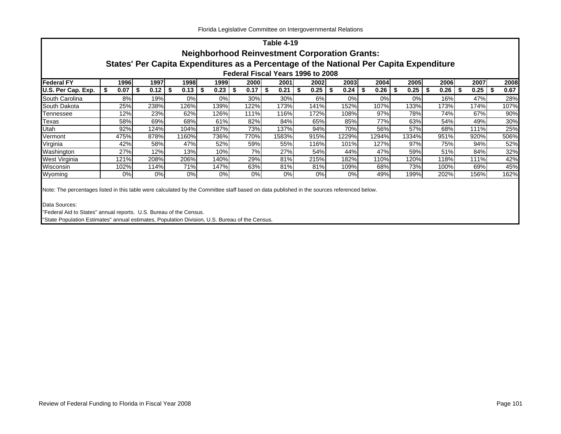|                      |      |            |            |      | <b>Neighborhood Reinvestment Corporation Grants:</b><br>States' Per Capita Expenditures as a Percentage of the National Per Capita Expenditure |      |       |      | Table 4-19 | Federal Fiscal Years 1996 to 2008 |      |       |      |       |      |       |    |      |      |      |
|----------------------|------|------------|------------|------|------------------------------------------------------------------------------------------------------------------------------------------------|------|-------|------|------------|-----------------------------------|------|-------|------|-------|------|-------|----|------|------|------|
| <b>Federal FY</b>    | 1996 | 1997       |            | 1998 | 1999                                                                                                                                           |      | 2000l |      | 2001       | 20021                             |      | 2003  |      | 2004  |      | 2005  |    | 2006 | 2007 | 2008 |
| U.S. Per Cap. Exp.   | 0.07 | \$<br>0.12 | 0.13<br>\$ |      | 0.23<br>- \$                                                                                                                                   | - \$ | 0.17  | - \$ | 0.21       | 0.25                              | - \$ | 0.24  | - \$ | 0.26  | l Si | 0.25  | -S | 0.26 | 0.25 | 0.67 |
| South Carolina       | 8%   | 19%        |            | 0%   | 0%                                                                                                                                             |      | 30%   |      | 30%        | 6%                                |      | 0%    |      | $0\%$ |      | 0%    |    | 16%  | 47%  | 28%  |
| South Dakota         | 25%  | 238%       | 126%       |      | 139%                                                                                                                                           |      | 122%  |      | 173%       | 141%                              |      | 152%  |      | 107%  |      | 133%  |    | 173% | 174% | 107% |
| Tennessee            | 12%  | 23%        |            | 62%  | 126%                                                                                                                                           |      | 111%  |      | 116%       | 172%                              |      | 108%  |      | 97%   |      | 78%   |    | 74%  | 67%  | 90%  |
| Texas                | 58%  | 69%        |            | 68%  | 61%                                                                                                                                            |      | 82%   |      | 84%        | 65%                               |      | 85%   |      | 77%   |      | 63%   |    | 54%  | 49%  | 30%  |
| Utah                 | 92%  | 124%       | 104%       |      | 187%                                                                                                                                           |      | 73%   |      | 137%       | 94%                               |      | 70%   |      | 56%   |      | 57%   |    | 68%  | 111% | 25%  |
| Vermont              | 475% | 878%       | 1160%      |      | 736%                                                                                                                                           |      | 770%  |      | 1583%l     | 915%                              |      | 1229% |      | 1294% |      | 1334% |    | 951% | 920% | 506% |
| Virginia             | 42%  | 58%        |            | 47%  | 52%                                                                                                                                            |      | 59%   |      | 55%        | 116%                              |      | 101%  |      | 127%  |      | 97%   |    | 75%  | 94%  | 52%  |
| Washington           | 27%  | 12%        |            | 13%  | 10%                                                                                                                                            |      | 7%    |      | 27%        | 54%                               |      | 44%   |      | 47%   |      | 59%   |    | 51%  | 84%  | 32%  |
| <b>West Virginia</b> | 121% | 208%       | 206%       |      | 140%                                                                                                                                           |      | 29%   |      | 81%        | 215%                              |      | 182%  |      | 110%  |      | 120%  |    | 118% | 111% | 42%  |
| Wisconsin            | 102% | 114%       |            | 71%  | 147%                                                                                                                                           |      | 63%   |      | 81%        | 81%                               |      | 109%  |      | 68%   |      | 73%   |    | 100% | 69%  | 45%  |
| Wyoming              | 0%   | 0%         |            | 0%   | 0%                                                                                                                                             |      | 0%    |      | 0%         | 0%                                |      | 0%    |      | 49%   |      | 199%  |    | 202% | 156% | 162% |

Data Sources:

"Federal Aid to States" annual reports. U.S. Bureau of the Census.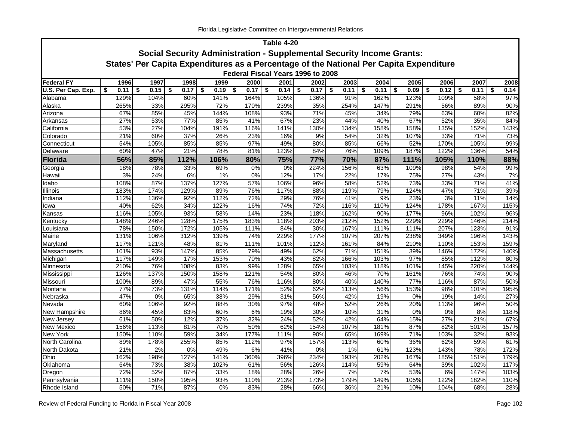| Table 4-20<br><b>Social Security Administration - Supplemental Security Income Grants:</b> |            |     |                                                                                        |    |      |    |      |    |                                   |    |      |    |      |            |            |            |            |     |      |    |      |
|--------------------------------------------------------------------------------------------|------------|-----|----------------------------------------------------------------------------------------|----|------|----|------|----|-----------------------------------|----|------|----|------|------------|------------|------------|------------|-----|------|----|------|
|                                                                                            |            |     |                                                                                        |    |      |    |      |    |                                   |    |      |    |      |            |            |            |            |     |      |    |      |
|                                                                                            |            |     | States' Per Capita Expenditures as a Percentage of the National Per Capita Expenditure |    |      |    |      |    |                                   |    |      |    |      |            |            |            |            |     |      |    |      |
|                                                                                            |            |     |                                                                                        |    |      |    |      |    | Federal Fiscal Years 1996 to 2008 |    |      |    |      |            |            |            |            |     |      |    |      |
| <b>Federal FY</b>                                                                          | 1996       |     | 1997                                                                                   |    | 1998 |    | 1999 |    | 2000                              |    | 2001 |    | 2002 | 2003       | 2004       | 2005       | 2006       |     | 2007 |    | 2008 |
| U.S. Per Cap. Exp.                                                                         | \$<br>0.11 |     | $\overline{\$}$<br>0.15                                                                | \$ | 0.17 | \$ | 0.19 | \$ | 0.17                              | \$ | 0.14 | \$ | 0.17 | \$<br>0.11 | \$<br>0.11 | \$<br>0.09 | \$<br>0.12 | -\$ | 0.11 | \$ | 0.14 |
| Alabama                                                                                    | 129%       |     | 104%                                                                                   |    | 60%  |    | 141% |    | 164%                              |    | 105% |    | 136% | 91%        | 162%       | 123%       | 109%       |     | 58%  |    | 97%  |
| Alaska                                                                                     | 265%       |     | 33%                                                                                    |    | 295% |    | 72%  |    | 170%                              |    | 239% |    | 35%  | 254%       | 147%       | 291%       | 56%        |     | 89%  |    | 90%  |
| Arizona                                                                                    | 67%        |     | 85%                                                                                    |    | 45%  |    | 144% |    | 108%                              |    | 93%  |    | 71%  | 45%        | 34%        | 79%        | 63%        |     | 60%  |    | 82%  |
| Arkansas                                                                                   | 27%        |     | 53%                                                                                    |    | 77%  |    | 85%  |    | 41%                               |    | 67%  |    | 23%  | 44%        | 40%        | 67%        | 52%        |     | 35%  |    | 84%  |
| California                                                                                 |            | 53% | 27%                                                                                    |    | 104% |    | 191% |    | 116%                              |    | 141% |    | 130% | 134%       | 158%       | 158%       | 135%       |     | 152% |    | 143% |
| Colorado                                                                                   | 21%        |     | 60%                                                                                    |    | 37%  |    | 26%  |    | 23%                               |    | 16%  |    | 9%   | 54%        | 32%        | 107%       | 33%        |     | 71%  |    | 73%  |
| Connecticut                                                                                |            | 54% | 105%                                                                                   |    | 85%  |    | 85%  |    | 97%                               |    | 49%  |    | 80%  | 85%        | 66%        | 52%        | 170%       |     | 105% |    | 99%  |
| Delaware                                                                                   | 60%        |     | 47%                                                                                    |    | 21%  |    | 78%  |    | 81%                               |    | 123% |    | 84%  | 76%        | 109%       | 187%       | 122%       |     | 136% |    | 54%  |
| Florida                                                                                    | 56%        |     | 85%                                                                                    |    | 112% |    | 106% |    | 80%                               |    | 75%  |    | 77%  | 70%        | 87%        | 111%       | 105%       |     | 110% |    | 88%  |
| Georgia                                                                                    | 18%        |     | 78%                                                                                    |    | 33%  |    | 69%  |    | 0%                                |    | 0%   |    | 224% | 156%       | 63%        | 109%       | 98%        |     | 54%  |    | 99%  |
| Hawaii                                                                                     |            | 3%  | 24%                                                                                    |    | 6%   |    | 1%   |    | 0%                                |    | 12%  |    | 17%  | 22%        | 17%        | 75%        | 27%        |     | 43%  |    | 7%   |
| ldaho                                                                                      | 108%       |     | 87%                                                                                    |    | 137% |    | 127% |    | 57%                               |    | 106% |    | 96%  | 58%        | 52%        | 73%        | 33%        |     | 71%  |    | 41%  |
| <b>Illinois</b>                                                                            | 183%       |     | 174%                                                                                   |    | 129% |    | 89%  |    | 76%                               |    | 117% |    | 88%  | 119%       | 79%        | 124%       | 47%        |     | 71%  |    | 39%  |
| Indiana                                                                                    | 112%       |     | 136%                                                                                   |    | 92%  |    | 112% |    | 72%                               |    | 29%  |    | 76%  | 41%        | 9%         | 23%        | 3%         |     | 11%  |    | 14%  |
| owa                                                                                        | 40%        |     | 62%                                                                                    |    | 34%  |    | 122% |    | 16%                               |    | 74%  |    | 72%  | 116%       | 110%       | 124%       | 178%       |     | 167% |    | 115% |
| Kansas                                                                                     | 116%       |     | 105%                                                                                   |    | 93%  |    | 58%  |    | 14%                               |    | 23%  |    | 118% | 162%       | 90%        | 177%       | 96%        |     | 102% |    | 96%  |
| Kentucky                                                                                   | 148%       |     | 246%                                                                                   |    | 128% |    | 175% |    | 183%                              |    | 118% |    | 203% | 212%       | 152%       | 229%       | 229%       |     | 146% |    | 214% |
| ouisiana.                                                                                  | 78%        |     | 150%                                                                                   |    | 172% |    | 105% |    | 111%                              |    | 84%  |    | 30%  | 167%       | 111%       | 111%       | 207%       |     | 123% |    | 91%  |
| Maine                                                                                      | 131%       |     | 106%                                                                                   |    | 312% |    | 139% |    | 74%                               |    | 229% |    | 177% | 107%       | 207%       | 238%       | 349%       |     | 196% |    | 143% |
| <b>Maryland</b>                                                                            | 117%       |     | 121%                                                                                   |    | 48%  |    | 81%  |    | 111%                              |    | 101% |    | 112% | 161%       | 84%        | 210%       | 110%       |     | 153% |    | 159% |
| Massachusetts                                                                              | 101%       |     | 93%                                                                                    |    | 147% |    | 85%  |    | 79%                               |    | 49%  |    | 62%  | 71%        | 151%       | 39%        | 146%       |     | 172% |    | 140% |
| Michigan                                                                                   | 117%       |     | 149%                                                                                   |    | 17%  |    | 153% |    | 70%                               |    | 43%  |    | 82%  | 166%       | 103%       | 97%        | 85%        |     | 112% |    | 80%  |
| Minnesota                                                                                  | 210%       |     | 76%                                                                                    |    | 108% |    | 83%  |    | 99%                               |    | 128% |    | 65%  | 103%       | 118%       | 101%       | 145%       |     | 220% |    | 144% |
| Mississippi                                                                                | 126%       |     | 137%                                                                                   |    | 150% |    | 158% |    | 121%                              |    | 54%  |    | 80%  | 46%        | 70%        | 161%       | 76%        |     | 74%  |    | 90%  |
| <b>Missouri</b>                                                                            | 100%       |     | 89%                                                                                    |    | 47%  |    | 55%  |    | 76%                               |    | 116% |    | 80%  | 40%        | 140%       | 77%        | 116%       |     | 87%  |    | 50%  |
| Montana                                                                                    | 77%        |     | 73%                                                                                    |    | 131% |    | 114% |    | 171%                              |    | 52%  |    | 62%  | 113%       | 56%        | 153%       | 98%        |     | 101% |    | 195% |
| Nebraska                                                                                   |            | 47% | 0%                                                                                     |    | 65%  |    | 38%  |    | 29%                               |    | 31%  |    | 56%  | 42%        | 19%        | 0%         | 19%        |     | 14%  |    | 27%  |
| Nevada                                                                                     |            | 60% | 106%                                                                                   |    | 92%  |    | 88%  |    | 30%                               |    | 97%  |    | 48%  | 52%        | 26%        | 20%        | 113%       |     | 96%  |    | 50%  |
| Vew Hampshire                                                                              | 86%        |     | 45%                                                                                    |    | 83%  |    | 60%  |    | 6%                                |    | 19%  |    | 30%  | 10%        | 31%        | 0%         | 0%         |     | 8%   |    | 118% |
| New Jersey                                                                                 |            | 61% | 50%                                                                                    |    | 12%  |    | 37%  |    | 32%                               |    | 24%  |    | 52%  | 42%        | 64%        | 15%        | 27%        |     | 21%  |    | 67%  |
| New Mexico                                                                                 | 156%       |     | 113%                                                                                   |    | 81%  |    | 70%  |    | 50%                               |    | 62%  |    | 154% | 107%       | 181%       | 87%        | 82%        |     | 501% |    | 157% |
| <b>New York</b>                                                                            | 150%       |     | 110%                                                                                   |    | 59%  |    | 34%  |    | 177%                              |    | 111% |    | 90%  | 65%        | 169%       | 71%        | 103%       |     | 32%  |    | 93%  |
| North Carolina                                                                             |            | 89% | 178%                                                                                   |    | 255% |    | 85%  |    | 112%                              |    | 97%  |    | 157% | 113%       | 60%        | 36%        | 62%        |     | 59%  |    | 61%  |
| North Dakota                                                                               |            | 21% | 2%                                                                                     |    | 0%   |    | 49%  |    | 6%                                |    | 41%  |    | 0%   | 1%         | 61%        | 123%       | 143%       |     | 78%  |    | 172% |
| Ohio                                                                                       | 162%       |     | 198%                                                                                   |    | 127% |    | 141% |    | 360%                              |    | 396% |    | 234% | 193%       | 202%       | 167%       | 185%       |     | 151% |    | 179% |
| Oklahoma                                                                                   |            | 64% | 73%                                                                                    |    | 38%  |    | 102% |    | 61%                               |    | 56%  |    | 126% | 114%       | 59%        | 64%        | 39%        |     | 102% |    | 117% |
| Oregon                                                                                     | 72%        |     | 52%                                                                                    |    | 87%  |    | 33%  |    | 18%                               |    | 28%  |    | 26%  | 7%         | 7%         | 53%        | 6%         |     | 147% |    | 103% |
| Pennsylvania                                                                               | 111%       |     | 150%                                                                                   |    | 195% |    | 93%  |    | 110%                              |    | 213% |    | 173% | 179%       | 149%       | 105%       | 122%       |     | 182% |    | 110% |
| Rhode Island                                                                               |            | 50% | 71%                                                                                    |    | 87%  |    | 0%   |    | 83%                               |    | 28%  |    | 66%  | 36%        | 21%        | 10%        | 104%       |     | 68%  |    | 28%  |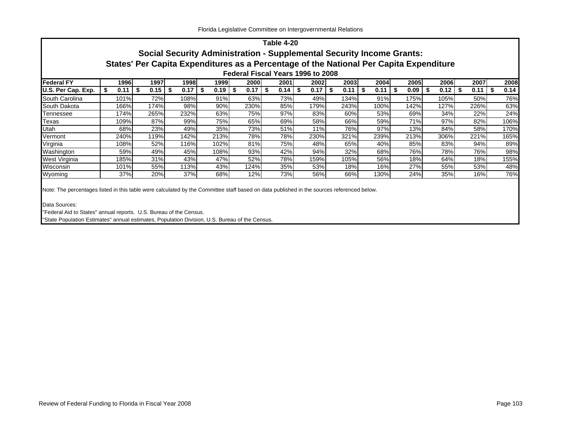|                    |      |           |   |      |            | <b>Social Security Administration - Supplemental Security Income Grants:</b><br>States' Per Capita Expenditures as a Percentage of the National Per Capita Expenditure<br>Federal Fiscal Years 1996 to 2008 |      | Table 4-20 |      |      |      |      |      |      |      |      |      |      |      |
|--------------------|------|-----------|---|------|------------|-------------------------------------------------------------------------------------------------------------------------------------------------------------------------------------------------------------|------|------------|------|------|------|------|------|------|------|------|------|------|------|
| <b>Federal FY</b>  | 1996 | 1997      |   | 1998 | 1999       | <b>2000l</b>                                                                                                                                                                                                |      | 2001       |      | 2002 |      | 2003 |      | 2004 |      | 2005 | 2006 | 2007 | 2008 |
| U.S. Per Cap. Exp. | 0.11 | 0.15<br>э | S | 0.17 | 0.19<br>S. | Ŝ.<br>0.17                                                                                                                                                                                                  | - \$ | 0.14       | - \$ | 0.17 | - \$ | 0.11 | l \$ | 0.11 | - \$ | 0.09 | 0.12 | 0.11 | 0.14 |
| South Carolina     | 101% | 72%       |   | 108% | 91%        | 63%                                                                                                                                                                                                         |      | 73%        |      | 49%  |      | 134% |      | 91%  |      | 175% | 105% | 50%  | 76%  |
| South Dakota       | 166% | 174%      |   | 98%  | 90%        | 230%                                                                                                                                                                                                        |      | 85%        |      | 179% |      | 243% |      | 100% |      | 142% | 127% | 226% | 63%  |
| Tennessee          | 174% | 265%      |   | 232% | 63%        | 75%                                                                                                                                                                                                         |      | 97%        |      | 83%  |      | 60%  |      | 53%  |      | 69%  | 34%  | 22%  | 24%  |
| <b>Texas</b>       | 109% | 87%       |   | 99%  | 75%        | 65%                                                                                                                                                                                                         |      | 69%        |      | 58%  |      | 66%  |      | 59%  |      | 71%  | 97%  | 82%  | 106% |
| <b>Utah</b>        | 68%  | 23%       |   | 49%  | 35%        | 73%                                                                                                                                                                                                         |      | 51%        |      | 11%  |      | 76%  |      | 97%  |      | 13%  | 84%  | 58%  | 170% |
| Vermont            | 240% | 119%      |   | 142% | 213%       | 78%                                                                                                                                                                                                         |      | 78%        |      | 230% |      | 321% |      | 239% |      | 213% | 306% | 221% | 165% |
| Virginia           | 108% | 52%       |   | 116% | 102%       | 81%                                                                                                                                                                                                         |      | 75%        |      | 48%  |      | 65%  |      | 40%  |      | 85%  | 83%  | 94%  | 89%  |
| Washington         | 59%  | 49%       |   | 45%  | 108%       | 93%                                                                                                                                                                                                         |      | 42%        |      | 94%  |      | 32%  |      | 68%  |      | 76%  | 78%  | 76%  | 98%  |
| West Virginia      | 185% | 31%       |   | 43%  | 47%        | 52%                                                                                                                                                                                                         |      | 78%        |      | 159% |      | 105% |      | 56%  |      | 18%  | 64%  | 18%  | 155% |
| Wisconsin          | 101% | 55%       |   | 113% | 43%        | 124%                                                                                                                                                                                                        |      | 35%        |      | 53%  |      | 18%  |      | 16%  |      | 27%  | 55%  | 53%  | 48%  |
| Wyoming            | 37%  | 20%       |   | 37%  | 68%        | 12%                                                                                                                                                                                                         |      | 73%        |      | 56%  |      | 66%  |      | 130% |      | 24%  | 35%  | 16%  | 76%  |

Data Sources:

"Federal Aid to States" annual reports. U.S. Bureau of the Census.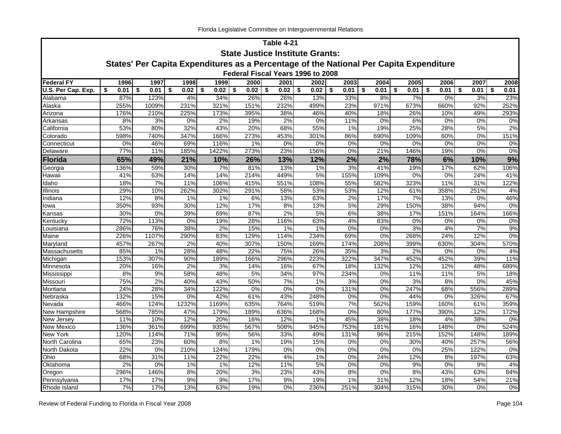|                        |            |                                                                                        |    |             |                             |            |                                        |    | Table 4-21 |            |            |            |    |            |            |              |            |
|------------------------|------------|----------------------------------------------------------------------------------------|----|-------------|-----------------------------|------------|----------------------------------------|----|------------|------------|------------|------------|----|------------|------------|--------------|------------|
|                        |            |                                                                                        |    |             |                             |            | <b>State Justice Institute Grants:</b> |    |            |            |            |            |    |            |            |              |            |
|                        |            | States' Per Capita Expenditures as a Percentage of the National Per Capita Expenditure |    |             |                             |            |                                        |    |            |            |            |            |    |            |            |              |            |
|                        |            |                                                                                        |    |             |                             |            | Federal Fiscal Years 1996 to 2008      |    |            |            |            |            |    |            |            |              |            |
| Federal FY             | 1996       | 1997                                                                                   |    | 1998        |                             | 1999       | 2000                                   |    | 2001       | 2002       | 2003       | 2004       |    | 2005       | 2006       | 2007         | 2008       |
| U.S. Per Cap. Exp.     | \$<br>0.01 | s,<br>0.01                                                                             | s, | 0.02        | $\overline{\boldsymbol{s}}$ | 0.02       | 0.02<br>\$                             | \$ | 0.02       | \$<br>0.02 | \$<br>0.01 | \$<br>0.01 | s. | 0.01       | \$<br>0.01 | \$<br>0.01   | \$<br>0.01 |
| Alabama                | 87%        | 123%                                                                                   |    | 4%          |                             | 34%        | 26%                                    |    | 26%        | 13%        | 33%        | 8%         |    | 7%         | 0%         | 3%           | 23%        |
| Alaska                 | 255%       | 1009%                                                                                  |    | 231%        |                             | 321%       | 151%                                   |    | 232%       | 499%       | 23%        | 971%       |    | 673%       | 660%       | 92%          | 252%       |
| Arizona                | 176%       | 210%                                                                                   |    | 225%        |                             | 173%       | 395%                                   |    | 38%        | 46%        | 40%        | 18%        |    | 26%        | 10%        | 49%          | 293%       |
| Arkansas               | 8%         | 3%                                                                                     |    | 0%          |                             | 2%         | 19%                                    |    | 2%         | 0%         | 11%        | 0%         |    | 6%         | 0%         | 0%           | 0%         |
| California             | 53%        | 80%                                                                                    |    | 32%         |                             | 43%        | 20%                                    |    | 68%        | 55%        | 1%         | 19%        |    | 25%        | 28%        | 5%           | 2%         |
| Colorado               | 598%       | 740%                                                                                   |    | 347%        |                             | 166%       | 273%                                   |    | 453%       | 301%       | 86%        | 690%       |    | 109%       | 60%        | 0%           | 151%       |
| Connecticut            | 0%         | 46%                                                                                    |    | 69%         |                             | 116%       |                                        | 1% | 0%         | 0%         | 0%         | 0%         |    | 0%         | 0%         | 0%           | 0%         |
| Delaware               | 77%        | 11%                                                                                    |    | 185%        |                             | 1422%      | 273%                                   |    | 23%        | 156%       | 0%         | 21%        |    | 146%       | 19%        | 0%           | 0%         |
| <b>Florida</b>         | 65%        | 49%                                                                                    |    | 21%         |                             | 10%        | 26%                                    |    | 13%        | 12%        | 2%         | 2%         |    | 78%        | 6%         | 10%          | 9%         |
| Georgia                | 136%       | 59%                                                                                    |    | 30%         |                             | 7%         | 81%                                    |    | 13%        | 1%         | 3%         | 41%        |    | 19%        | 17%        | 62%          | 106%       |
| Hawaii                 | 41%        | 63%                                                                                    |    | 14%         |                             | 14%        | 214%                                   |    | 449%       | 5%         | 155%       | 109%       |    | 0%         | 0%         | 24%          | 41%        |
| ldaho                  | 18%        | 7%                                                                                     |    | 11%         |                             | 106%       | 415%                                   |    | 551%       | 108%       | 55%        | 582%       |    | 323%       | 11%        | 31%          | 122%       |
| Illinois               | 29%        | 10%                                                                                    |    | 262%        |                             | 302%       | 291%                                   |    | 58%        | 53%        | 53%        | 12%        |    | 61%        | 358%       | 251%         | 4%         |
| ndiana                 | 12%        | 8%                                                                                     |    | 1%          |                             | 1%         |                                        | 6% | 13%        | 63%        | 2%         | 17%        |    | 7%         | 13%        | 0%           | 46%        |
| owa                    | 350%       | 93%                                                                                    |    | 30%         |                             | 12%        | 17%                                    |    | 8%         | 13%        | 5%         | 29%        |    | 150%       | 38%        | 94%          | 0%         |
| ≺ansas                 | 30%        | 0%                                                                                     |    | 39%         |                             | 69%        | 87%                                    |    | 2%         | 5%         | 6%         | 38%        |    | 17%        | 151%       | 164%         | 166%       |
| Kentucky               | 72%        | 113%                                                                                   |    | 0%          |                             | 19%        | 28%                                    |    | 116%       | 63%        | 4%         | 83%        |    | 0%         | 0%         | 0%           | 0%         |
| _ouisiana              | 286%       | 76%                                                                                    |    | 38%         |                             | 2%         | 15%                                    |    | 1%         | 1%         | 0%         | 0%         |    | 3%         | 4%         | 7%           | 9%         |
| Maine                  | 226%       | 1107%                                                                                  |    | 290%        |                             | 83%        | 129%                                   |    | 114%       | 234%       | 69%        | 0%         |    | 268%       | 24%        | 12%          | 0%         |
| Maryland               | 457%       | 267%                                                                                   |    | 2%          |                             | 40%        | 307%                                   |    | 150%       | 169%       | 174%       | 208%       |    | 399%       | 630%       | 304%         | 570%       |
| Massachusetts          | 85%        | 1%                                                                                     |    | 28%         |                             | 48%        | 22%                                    |    | 75%        | 26%        | 35%        | 3%         |    | 2%         | 0%         | 0%           | 4%         |
| Michigan               | 153%       | 307%                                                                                   |    | 90%         |                             | 189%       | 166%                                   |    | 296%       | 223%       | 322%       | 347%       |    | 452%       | 452%       | 39%          | 11%        |
| Minnesota              | 20%        | 16%                                                                                    |    | 2%          |                             | 3%         | 14%                                    |    | 16%        | 67%        | 18%        | 132%       |    | 12%        | 12%        | 48%          | 689%       |
| Vlississippi           | 8%         | 9%                                                                                     |    | 58%         |                             | 48%        |                                        | 5% | 34%        | 97%        | 234%       | 0%         |    | 11%        | 11%        | 5%           | 18%        |
| Missouri               | 75%        | 2%                                                                                     |    | 40%         |                             | 43%        | 50%                                    |    | 7%         | $1\%$      | 3%         | 0%         |    | 3%         | 8%         | 0%           | 45%        |
| Montana                | 24%        | 28%                                                                                    |    | 34%         |                             | 122%       |                                        | 0% | 0%         | 0%         | 131%       | 0%         |    | 247%       | 68%        | 556%         | 289%       |
| Nebraska               | 132%       | 15%                                                                                    |    | 0%          |                             | 42%        | 61%                                    |    | 43%        | 248%       | 0%         | 0%         |    | 44%        | 0%         | 326%         | 67%        |
| Nevada                 | 466%       | 124%                                                                                   |    | 1232%       |                             | 1169%      | 635%                                   |    | 764%       | 519%       | 7%         | 562%       |    | 159%       | 160%       | 61%          | 359%       |
| <b>New Hampshire</b>   | 568%       | 785%                                                                                   |    | 47%         |                             | 179%       | 189%                                   |    | 636%       | 168%       | 0%         | 80%        |    | 177%       | 390%       | 12%          | 172%       |
| New Jersey             | 11%        | 10%<br>361%                                                                            |    | 12%         |                             | 20%        | 16%                                    |    | 12%        | 1%<br>945% | 45%        | 38%        |    | 18%<br>16% | 4%         | 38%          | 0%         |
| New Mexico             | 136%       |                                                                                        |    | 699%        |                             | 935%       | 567%                                   |    | 508%       |            | 753%       | 181%       |    |            | 148%       | 0%           | 524%       |
| New York               | 120%       | 114%                                                                                   |    | 71%         |                             | 95%        | 56%                                    |    | 33%        | 49%        | 131%       | 96%        |    | 215%       | 152%       | 148%         | 189%       |
| North Carolina         | 65%<br>22% | 23%<br>0%                                                                              |    | 60%<br>210% |                             | 8%<br>124% | 179%                                   | 1% | 19%<br>0%  | 15%<br>0%  | 0%<br>0%   | 0%<br>0%   |    | 30%<br>0%  | 40%<br>25% | 257%<br>122% | 56%<br>0%  |
| North Dakota<br>Ohio   | 68%        | 31%                                                                                    |    | 11%         |                             | 22%        | 22%                                    |    | 4%         | 1%         | 0%         | 24%        |    | 12%        | 8%         | 197%         | 63%        |
| Oklahoma               | 2%         | $0\%$                                                                                  |    | 1%          |                             | 1%         | 12%                                    |    | 11%        | 5%         | 0%         | 0%         |    | 9%         | 0%         | 9%           | 4%         |
|                        | 296%       | 146%                                                                                   |    | 8%          |                             | 20%        |                                        | 3% | 23%        | 43%        | 8%         | 0%         |    | 8%         | 43%        | 63%          | 84%        |
| Oregon<br>Pennsylvania | 17%        | 17%                                                                                    |    | 9%          |                             | 9%         | 17%                                    |    | 9%         | 19%        | 1%         | 31%        |    | 12%        | 18%        | 54%          | 21%        |
| Rhode Island           | 7%         | 17%                                                                                    |    | 13%         |                             | 63%        | 19%                                    |    | 0%         | 236%       | 251%       | 304%       |    | 315%       | 30%        | 0%           | 0%         |
|                        |            |                                                                                        |    |             |                             |            |                                        |    |            |            |            |            |    |            |            |              |            |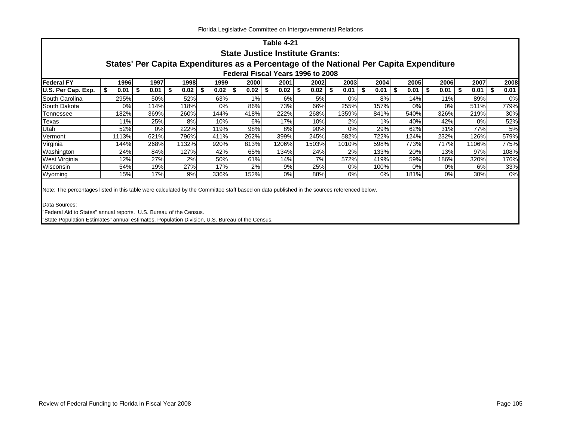| Table 4-21<br><b>State Justice Institute Grants:</b><br>States' Per Capita Expenditures as a Percentage of the National Per Capita Expenditure<br>Federal Fiscal Years 1996 to 2008 |       |              |              |              |              |              |       |              |             |              |             |       |           |
|-------------------------------------------------------------------------------------------------------------------------------------------------------------------------------------|-------|--------------|--------------|--------------|--------------|--------------|-------|--------------|-------------|--------------|-------------|-------|-----------|
| <b>Federal FY</b>                                                                                                                                                                   | 1996  | 1997         | 1998         | 1999         | <b>2000l</b> | 2001         | 2002  | 2003         | 2004        | <b>2005</b>  | <b>2006</b> | 2007  | 2008      |
| U.S. Per Cap. Exp.                                                                                                                                                                  | 0.01  | 0.01<br>- \$ | 0.02<br>- \$ | 0.02<br>- \$ | 0.02<br>- \$ | 0.02<br>- \$ | 0.02  | 0.01<br>- \$ | 0.01<br>- 5 | 0.01<br>- \$ | 0.01        | 0.01  | 0.01      |
| South Carolina                                                                                                                                                                      | 295%  | 50%          | 52%          | 63%          | $1\%$        | 6%           | 5%    | 0%           | 8%          | 14%          | 11%         | 89%   | 0%        |
| South Dakota                                                                                                                                                                        | 0%    | 114%         | 118%         | $0\%$        | 86%          | 73%          | 66%   | 255%         | 157%        | $0\%$        | 0%          | 511%  | 779%      |
| Tennessee                                                                                                                                                                           | 182%  | 369%         | 260%         | 144%         | 418%         | 222%         | 268%  | 1359%l       | 841%        | 540%         | 326%        | 219%  | 30%       |
| Texas                                                                                                                                                                               | 11%   | 25%          | 8%           | 10%          | 6%           | 17%          | 10%   | 2%           | 1%          | 40%          | 42%         | $0\%$ | 52%       |
| <b>Utah</b>                                                                                                                                                                         | 52%   | 0%           | 222%         | 119%         | 98%          | 8%           | 90%   | 0%           | 29%         | 62%          | 31%         | 77%   | <b>5%</b> |
| Vermont                                                                                                                                                                             | 1113% | 621%         | 796%         | 411%         | 262%         | 399%         | 245%  | 582%         | 722%        | 124%         | 232%        | 126%  | 579%      |
| Virginia                                                                                                                                                                            | 144%  | 268%         | 1132%        | 920%         | 813%         | 1206%        | 1503% | 1010%        | 598%        | 773%         | 717%        | 1106% | 775%      |
| Washington                                                                                                                                                                          | 24%   | 84%          | 127%         | 42%          | 65%          | 134%         | 24%   | 2%           | 133%        | 20%          | 13%         | 97%   | 108%      |
| <b>West Virginia</b>                                                                                                                                                                | 12%   | 27%          | 2%           | 50%          | 61%          | 14%          | 7%    | 572%         | 419%        | 59%          | 186%        | 320%  | 176%      |
| Wisconsin                                                                                                                                                                           | 54%   | 19%          | 27%          | 17%          | 2%           | 9%           | 25%   | 0%           | 100%        | $0\%$        | 0%          | 6%    | 33%       |
| Wyoming                                                                                                                                                                             | 15%   | 17%          | 9%           | 336%         | 152%         | 0%           | 88%   | 0%           | 0%          | 181%         | 0%          | 30%   | 0%        |

Data Sources:

"Federal Aid to States" annual reports. U.S. Bureau of the Census.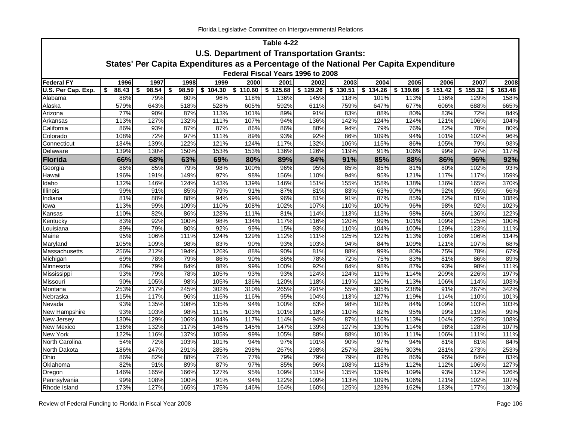| Table 4-22         |             |    |       |    |       |                                                                                        |                                   |          |      |          |              |          |              |          |              |          |
|--------------------|-------------|----|-------|----|-------|----------------------------------------------------------------------------------------|-----------------------------------|----------|------|----------|--------------|----------|--------------|----------|--------------|----------|
|                    |             |    |       |    |       | U.S. Department of Transportation Grants:                                              |                                   |          |      |          |              |          |              |          |              |          |
|                    |             |    |       |    |       |                                                                                        |                                   |          |      |          |              |          |              |          |              |          |
|                    |             |    |       |    |       | States' Per Capita Expenditures as a Percentage of the National Per Capita Expenditure |                                   |          |      |          |              |          |              |          |              |          |
|                    |             |    |       |    |       |                                                                                        | Federal Fiscal Years 1996 to 2008 |          |      |          |              |          |              |          |              |          |
| <b>Federal FY</b>  | 1996        |    | 1997  |    | 1998  | 1999                                                                                   | 2000                              |          | 2001 | 2002     | 2003         | 2004     | 2005         | 2006     | 2007         | 2008     |
| U.S. Per Cap. Exp. | \$<br>88.43 | \$ | 98.54 | \$ | 98.59 | \$104.30                                                                               | \$110.60                          | \$125.68 |      | \$129.26 | \$<br>130.51 | \$134.26 | \$<br>139.86 | \$151.42 | \$<br>155.32 | \$163.48 |
| Alabama            | 88%         |    | 79%   |    | 80%   | 96%                                                                                    | 118%                              | 136%     |      | 145%     | 118%         | 101%     | 113%         | 136%     | 129%         | 158%     |
| Alaska             | 579%        |    | 643%  |    | 518%  | 528%                                                                                   | 605%                              | 592%     |      | 611%     | 759%         | 647%     | 677%         | 606%     | 688%         | 665%     |
| Arizona            | 77%         |    | 90%   |    | 87%   | 113%                                                                                   | 101%                              |          | 89%  | 91%      | 83%          | 88%      | 80%          | 83%      | 72%          | 84%      |
| Arkansas           | 113%        |    | 127%  |    | 132%  | 111%                                                                                   | 107%                              |          | 94%  | 136%     | 142%         | 124%     | 124%         | 121%     | 106%         | 104%     |
| California         | 86%         |    | 93%   |    | 87%   | 87%                                                                                    | 86%                               |          | 86%  | 88%      | 94%          | 79%      | 76%          | 82%      | 78%          | 80%      |
| Colorado           | 108%        |    | 72%   |    | 97%   | 111%                                                                                   | 89%                               |          | 93%  | 92%      | 86%          | 109%     | 94%          | 101%     | 102%         | 96%      |
| Connecticut        | 134%        |    | 139%  |    | 122%  | 121%                                                                                   | 124%                              | 117%     |      | 132%     | 106%         | 115%     | 86%          | 105%     | 79%          | 93%      |
| Delaware           | 139%        |    | 130%  |    | 150%  | 153%                                                                                   | 153%                              | 136%     |      | 126%     | 119%         | 91%      | 106%         | 99%      | 97%          | 117%     |
| Florida            | 66%         |    | 68%   |    | 63%   | 69%                                                                                    | 80%                               | 89%      |      | 84%      | 91%          | 85%      | 88%          | 86%      | 96%          | 92%      |
| Georgia            | 86%         |    | 85%   |    | 79%   | 98%                                                                                    | 100%                              |          | 96%  | 95%      | 85%          | 85%      | 81%          | 80%      | 102%         | 93%      |
| Hawaii             | 196%        |    | 191%  |    | 149%  | 97%                                                                                    | 98%                               | 156%     |      | 110%     | 94%          | 95%      | 121%         | 117%     | 117%         | 159%     |
| daho               | 132%        |    | 146%  |    | 124%  | 143%                                                                                   | 139%                              | 146%     |      | 151%     | 155%         | 158%     | 138%         | 136%     | 165%         | 370%     |
| Illinois           | 99%         |    | 91%   |    | 85%   | 79%                                                                                    | 91%                               |          | 87%  | 81%      | 83%          | 63%      | 90%          | 92%      | 95%          | 66%      |
| Indiana            | 81%         |    | 88%   |    | 88%   | 94%                                                                                    | 99%                               |          | 96%  | 81%      | 91%          | 87%      | 85%          | 82%      | 81%          | 108%     |
| owa                | 113%        |    | 99%   |    | 109%  | 110%                                                                                   | 108%                              | 102%     |      | 107%     | 110%         | 100%     | 96%          | 98%      | 92%          | 102%     |
| Kansas             | 110%        |    | 82%   |    | 86%   | 128%                                                                                   | 111%                              |          | 81%  | 114%     | 113%         | 113%     | 98%          | 86%      | 136%         | 122%     |
| Kentucky           | 83%         |    | 92%   |    | 100%  | 98%                                                                                    | 134%                              | 117%     |      | 116%     | 120%         | 99%      | 101%         | 109%     | 125%         | 100%     |
| Louisiana          | 89%         |    | 79%   |    | 80%   | 92%                                                                                    | 99%                               |          | 15%  | 93%      | 110%         | 104%     | 100%         | 129%     | 123%         | 111%     |
| Maine              | 95%         |    | 106%  |    | 111%  | 124%                                                                                   | 129%                              | 112%     |      | 111%     | 125%         | 122%     | 113%         | 108%     | 106%         | 114%     |
| <b>Maryland</b>    | 105%        |    | 109%  |    | 98%   | 83%                                                                                    | 90%                               |          | 93%  | 103%     | 94%          | 84%      | 109%         | 121%     | 107%         | 68%      |
| Massachusetts      | 256%        |    | 212%  |    | 194%  | 126%                                                                                   | 88%                               |          | 90%  | 81%      | 88%          | 99%      | 80%          | 75%      | 78%          | 67%      |
| <b>Michigan</b>    | 69%         |    | 78%   |    | 79%   | 86%                                                                                    | 90%                               |          | 86%  | 78%      | 72%          | 75%      | 83%          | 81%      | 86%          | 89%      |
| Minnesota          | 80%         |    | 79%   |    | 84%   | 88%                                                                                    | 99%                               | 100%     |      | 92%      | 84%          | 98%      | 87%          | 93%      | 98%          | 111%     |
| Mississippi        | 93%         |    | 79%   |    | 78%   | 105%                                                                                   | 93%                               |          | 93%  | 124%     | 124%         | 119%     | 114%         | 209%     | 226%         | 197%     |
| <b>Missouri</b>    | 90%         |    | 105%  |    | 98%   | 105%                                                                                   | 136%                              | 120%     |      | 118%     | 119%         | 120%     | 113%         | 106%     | 114%         | 103%     |
| Montana            | 253%        |    | 217%  |    | 245%  | 302%                                                                                   | 310%                              | 265%     |      | 291%     | 55%          | 305%     | 238%         | 91%      | 267%         | 342%     |
| Nebraska           | 115%        |    | 117%  |    | 96%   | 116%                                                                                   | 116%                              |          | 95%  | 104%     | 113%         | 127%     | 119%         | 114%     | 110%         | 101%     |
| Nevada             | 93%         |    | 135%  |    | 108%  | 135%                                                                                   | 94%                               | 100%     |      | 83%      | 98%          | 102%     | 84%          | 109%     | 103%         | 103%     |
| New Hampshire      | 93%         |    | 103%  |    | 98%   | 111%                                                                                   | 103%                              | 101%     |      | 118%     | 110%         | 82%      | 95%          | 99%      | 119%         | 99%      |
| New Jersey         | 130%        |    | 129%  |    | 106%  | 104%                                                                                   | 117%                              | 114%     |      | 94%      | 87%          | 116%     | 113%         | 104%     | 125%         | 108%     |
| New Mexico         | 136%        |    | 132%  |    | 117%  | 146%                                                                                   | 145%                              | 147%     |      | 139%     | 127%         | 130%     | 114%         | 98%      | 128%         | 107%     |
| <b>New York</b>    | 122%        |    | 116%  |    | 137%  | 105%                                                                                   | 99%                               | 105%     |      | 88%      | 88%          | 101%     | 111%         | 106%     | 111%         | 111%     |
| North Carolina     | 54%         |    | 72%   |    | 103%  | 101%                                                                                   | 94%                               |          | 97%  | 101%     | 90%          | 97%      | 94%          | 81%      | 81%          | 84%      |
| North Dakota       | 186%        |    | 247%  |    | 291%  | 285%                                                                                   | 298%                              | 267%     |      | 298%     | 257%         | 286%     | 303%         | 281%     | 273%         | 253%     |
| Ohio               | 86%         |    | 82%   |    | 88%   | 71%                                                                                    | 77%                               |          | 79%  | 79%      | 79%          | 82%      | 86%          | 95%      | 84%          | 83%      |
| Oklahoma           | 82%         |    | 91%   |    | 89%   | 87%                                                                                    | 97%                               |          | 85%  | 96%      | 108%         | 118%     | 112%         | 112%     | 106%         | 127%     |
| Oregon             | 146%        |    | 165%  |    | 166%  | 127%                                                                                   | 95%                               | 109%     |      | 131%     | 135%         | 139%     | 109%         | 93%      | 112%         | 126%     |
| Pennsylvania       | 99%         |    | 108%  |    | 100%  | 91%                                                                                    | 94%                               | 122%     |      | 109%     | 113%         | 109%     | 106%         | 121%     | 102%         | 107%     |
| Rhode Island       | 173%        |    | 127%  |    | 165%  | 175%                                                                                   | 146%                              | 164%     |      | 160%     | 125%         | 128%     | 162%         | 183%     | 177%         | 130%     |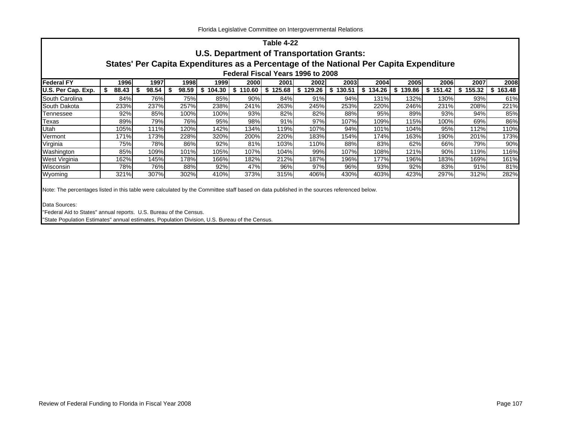| Table 4-22                                       |                                                                                        |               |       |             |             |              |             |              |             |              |             |             |              |
|--------------------------------------------------|----------------------------------------------------------------------------------------|---------------|-------|-------------|-------------|--------------|-------------|--------------|-------------|--------------|-------------|-------------|--------------|
| <b>U.S. Department of Transportation Grants:</b> |                                                                                        |               |       |             |             |              |             |              |             |              |             |             |              |
|                                                  | States' Per Capita Expenditures as a Percentage of the National Per Capita Expenditure |               |       |             |             |              |             |              |             |              |             |             |              |
| Federal Fiscal Years 1996 to 2008                |                                                                                        |               |       |             |             |              |             |              |             |              |             |             |              |
| <b>Federal FY</b>                                | 1996                                                                                   | 1997          | 1998  | 1999        | 2000        | 2001         | 2002        | 2003         | 2004        | 2005         | 2006        | 2007        | 2008         |
| U.S. Per Cap. Exp.                               | 88.43                                                                                  | 98.54<br>- \$ | 98.59 | 104.30<br>S | 110.60<br>S | 125.68<br>S. | 129.26<br>5 | 130.51<br>S. | 134.26<br>S | 139.86<br>S. | 151.42<br>S | 155.32<br>S | 163.48<br>æ. |
| South Carolina                                   | 84%                                                                                    | 76%           | 75%   | 85%         | 90%         | 84%          | 91%         | 94%          | 131%        | 132%         | 130%        | 93%         | 61%          |
| South Dakota                                     | 233%                                                                                   | 237%          | 257%  | 238%        | 241%        | 263%         | 245%        | 253%         | 220%        | 246%         | 231%        | 208%        | 221%         |
| Tennessee                                        | 92%                                                                                    | 85%           | 100%  | 100%        | 93%         | 82%          | 82%         | 88%          | 95%         | 89%          | 93%         | 94%         | 85%          |
| Texas                                            | 89%                                                                                    | 79%           | 76%   | 95%         | 98%         | 91%          | 97%         | 107%         | 109%        | 115%         | 100%        | 69%         | 86%          |
| Utah                                             | 105%                                                                                   | 111%          | 120%  | 142%        | 134%        | 119%         | 107%        | 94%          | 101%        | 104%         | 95%         | 112%        | 110%         |
| Vermont                                          | 171%                                                                                   | 173%          | 228%  | 320%        | 200%        | 220%         | 183%        | 154%         | 174%        | 163%         | 190%        | 201%        | 173%         |
| Virginia                                         | 75%                                                                                    | 78%           | 86%   | 92%         | 81%         | 103%         | 110%        | 88%          | 83%         | 62%          | 66%         | 79%         | 90%          |
| Washington                                       | 85%                                                                                    | 109%          | 101%  | 105%        | 107%        | 104%         | 99%         | 107%         | 108%        | 121%         | 90%         | 119%        | 116%         |
| West Virginia                                    | 162%                                                                                   | 145%          | 178%  | 166%        | 182%        | 212%         | 187%        | 196%         | 177%        | 196%         | 183%        | 169%        | 161%         |
| Wisconsin                                        | 78%                                                                                    | 76%           | 88%   | 92%         | 47%         | 96%          | 97%         | 96%          | 93%         | 92%          | 83%         | 91%         | 81%          |
| Wyoming                                          | 321%                                                                                   | 307%          | 302%  | 410%        | 373%        | 315%         | 406%        | 430%         | 403%        | 423%         | 297%        | 312%        | 282%         |

Data Sources:

"Federal Aid to States" annual reports. U.S. Bureau of the Census.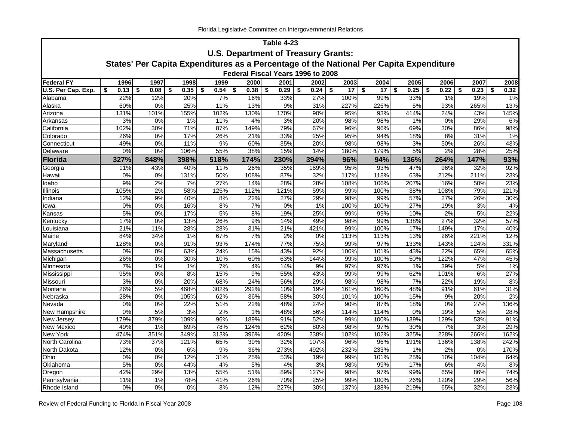| Table 4-23             |                    |              |              |                                                                                        |              |              |                                            |             |             |              |              |              |      |              |
|------------------------|--------------------|--------------|--------------|----------------------------------------------------------------------------------------|--------------|--------------|--------------------------------------------|-------------|-------------|--------------|--------------|--------------|------|--------------|
|                        |                    |              |              |                                                                                        |              |              | <b>U.S. Department of Treasury Grants:</b> |             |             |              |              |              |      |              |
|                        |                    |              |              | States' Per Capita Expenditures as a Percentage of the National Per Capita Expenditure |              |              |                                            |             |             |              |              |              |      |              |
|                        |                    |              |              |                                                                                        |              |              | Federal Fiscal Years 1996 to 2008          |             |             |              |              |              |      |              |
|                        |                    |              |              |                                                                                        |              |              |                                            |             |             |              |              |              |      |              |
| Federal FY             | 1996<br>0.13<br>\$ | 1997<br>0.08 | 1998<br>0.35 | 1999<br>0.54                                                                           | 2000<br>0.38 | 2001<br>0.29 | 2002<br>0.24<br>\$                         | 2003<br>17  | 2004<br>17  | 2005<br>0.25 | 2006<br>0.22 | 2007<br>0.23 |      | 2008<br>0.32 |
| U.S. Per Cap. Exp.     |                    | \$           | \$           | \$                                                                                     | \$           | \$           |                                            | \$          | \$          | \$           | \$           | \$           | \$   |              |
| Alabama<br>Alaska      | 22%                | 12%          | 20%<br>25%   | 7%                                                                                     | 16%          | 33%          | 27%                                        | 100%        | 99%         | 33%          | 1%           | 19%          |      | 1%           |
|                        | 60%<br>131%        | 0%<br>101%   | 155%         | 11%<br>102%                                                                            | 13%<br>130%  | 9%<br>170%   | 31%<br>90%                                 | 227%<br>95% | 226%<br>93% | 5%<br>414%   | 93%<br>24%   | 265%<br>43%  | 145% | 13%          |
| Arizona                | 3%                 | 0%           | 1%           | 11%                                                                                    | 4%           | 3%           | 20%                                        | 98%         | 98%         | 1%           | 0%           | 29%          |      | 6%           |
| Arkansas<br>California | 102%               | 30%          | 71%          | 87%                                                                                    | 149%         | 79%          | 67%                                        | 96%         | 96%         | 69%          | 30%          | 86%          |      | 98%          |
| Colorado               | 26%                | 0%           | 17%          | 26%                                                                                    | 21%          | 33%          | 25%                                        | 95%         | 94%         | 18%          | 8%           | 31%          |      | 1%           |
| Connecticut            | 49%                | 0%           | 11%          | 9%                                                                                     | 60%          | 35%          | 20%                                        | 98%         | 98%         | 3%           | 50%          | 26%          |      | 43%          |
| Delaware               | 0%                 | 0%           | 106%         | 55%                                                                                    | 38%          | 15%          | 14%                                        | 180%        | 179%        | 5%           | 2%           | 28%          |      | 25%          |
| Florida                | 327%               | 848%         | 398%         | 518%                                                                                   | 174%         | 230%         | 394%                                       | 96%         | 94%         | 136%         | 264%         | 147%         |      | 93%          |
| Georgia                | 11%                | 43%          | 40%          |                                                                                        | 26%          | 35%          | 169%                                       | 95%         | 93%         | 47%          |              | 32%          |      | 92%          |
|                        | 0%                 | 0%           | 131%         | 11%<br>50%                                                                             | 108%         | 87%          | 32%                                        | 117%        | 118%        | 63%          | 96%<br>212%  | 211%         |      | 23%          |
| Hawaii<br>ldaho        | 9%                 | 2%           | 7%           | 27%                                                                                    | 14%          | 28%          | 28%                                        | 108%        | 106%        | 207%         | 16%          | 50%          |      | 23%          |
| Illinois               | 105%               | 2%           | 58%          | 125%                                                                                   | 112%         | 121%         | 59%                                        | 99%         | 100%        | 38%          | 108%         | 79%          |      | 121%         |
| ndiana                 | 12%                | 9%           | 40%          | 8%                                                                                     | 22%          | 27%          | 29%                                        | 98%         | 99%         | 57%          | 27%          | 26%          |      | 30%          |
| owa                    | 0%                 | 0%           | 16%          | 8%                                                                                     | 7%           | 0%           | 1%                                         | 100%        | 100%        | 27%          | 19%          | 3%           |      | 4%           |
| Kansas                 | 5%                 | 0%           | 17%          | 5%                                                                                     | 8%           | 19%          | 25%                                        | 99%         | 99%         | 10%          | 2%           | 5%           |      | 22%          |
| Kentucky               | 17%                | 0%           | 13%          | 26%                                                                                    | 9%           | 14%          | 49%                                        | 98%         | 99%         | 138%         | 27%          | 32%          |      | 57%          |
| ouisiana_              | 21%                | 11%          | 28%          | 28%                                                                                    | 31%          | 21%          | 421%                                       | 99%         | 100%        | 17%          | 149%         | 17%          |      | 40%          |
| Maine                  | 84%                | 34%          | 1%           | 67%                                                                                    | 7%           | 2%           | 0%                                         | 113%        | 113%        | 13%          | 26%          | 221%         |      | 12%          |
| Maryland               | 128%               | 0%           | 91%          | 93%                                                                                    | 174%         | 77%          | 75%                                        | 99%         | 97%         | 133%         | 143%         | 124%         |      | 331%         |
| Massachusetts          | 0%                 | 0%           | 63%          | 24%                                                                                    | 15%          | 43%          | 92%                                        | 100%        | 101%        | 43%          | 22%          | 65%          |      | 65%          |
| Michigan               | 26%                | 0%           | 30%          | 10%                                                                                    | 60%          | 63%          | 144%                                       | 99%         | 100%        | 50%          | 122%         | 47%          |      | 45%          |
| Minnesota              | 7%                 | 1%           | 1%           | 7%                                                                                     | 4%           | 14%          | 9%                                         | 97%         | 97%         | 1%           | 39%          | 5%           |      | 1%           |
| Mississippi            | 95%                | 0%           | 8%           | 15%                                                                                    | 9%           | 55%          | 43%                                        | 99%         | 99%         | 62%          | 101%         | 6%           |      | 27%          |
| <b>Missouri</b>        | 3%                 | 0%           | 20%          | 68%                                                                                    | 24%          | 56%          | 29%                                        | 98%         | 98%         | 7%           | 22%          | 19%          |      | 8%           |
| Montana                | 26%                | 5%           | 468%         | 302%                                                                                   | 292%         | 10%          | 19%                                        | 161%        | 160%        | 48%          | 91%          | 61%          |      | 31%          |
| Nebraska               | 28%                | 0%           | 105%         | 62%                                                                                    | 36%          | 58%          | 30%                                        | 101%        | 100%        | 15%          | 9%           | 20%          |      | 2%           |
| Nevada                 | 0%                 | 0%           | 22%          | 51%                                                                                    | 22%          | 48%          | 24%                                        | 90%         | 87%         | 18%          | 0%           | 27%          |      | 136%         |
| <b>New Hampshire</b>   | 0%                 | 5%           | 3%           | 2%                                                                                     | 1%           | 48%          | 56%                                        | 114%        | 114%        | 0%           | 19%          | 5%           |      | 28%          |
| New Jersey             | 179%               | 379%         | 109%         | 96%                                                                                    | 189%         | 91%          | 52%                                        | 99%         | 100%        | 139%         | 129%         | 53%          |      | 91%          |
| <b>New Mexico</b>      | 49%                | 1%           | 69%          | 78%                                                                                    | 124%         | 62%          | 80%                                        | 98%         | 97%         | 30%          | 7%           | 3%           |      | 29%          |
| <b>New York</b>        | 474%               | 351%         | 349%         | 313%                                                                                   | 396%         | 420%         | 238%                                       | 102%        | 102%        | 325%         | 228%         | 266%         | 162% |              |
| <b>North Carolina</b>  | 73%                | 37%          | 121%         | 65%                                                                                    | 39%          | 32%          | 107%                                       | 96%         | 96%         | 191%         | 136%         | 138%         | 242% |              |
| North Dakota           | 12%                | 0%           | 6%           | 9%                                                                                     | 36%          | 273%         | 492%                                       | 232%        | 233%        | 1%           | 2%           | 0%           | 170% |              |
| Ohio                   | 0%                 | 0%           | 12%          | 31%                                                                                    | 25%          | 53%          | 19%                                        | 99%         | 101%        | 25%          | 10%          | 104%         |      | 64%          |
| Oklahoma               | 5%                 | 0%           | 44%          | 4%                                                                                     | 5%           | 4%           | 3%                                         | 98%         | 99%         | 17%          | 6%           | 4%           |      | 8%           |
| Oregon                 | 42%                | 29%          | 13%          | 55%                                                                                    | 51%          | 89%          | 127%                                       | 98%         | 97%         | 99%          | 65%          | 86%          |      | 74%          |
| Pennsylvania           | 11%                | 1%           | 78%          | 41%                                                                                    | 26%          | 70%          | 25%                                        | 99%         | 100%        | 26%          | 120%         | 29%          |      | 56%          |
| Rhode Island           | 0%                 | 0%           | 0%           | 3%                                                                                     | 12%          | 227%         | 30%                                        | 137%        | 138%        | 219%         | 65%          | 32%          |      | 23%          |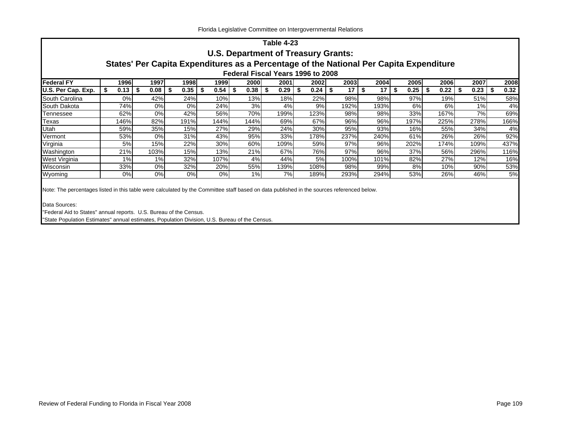| Table 4-23<br><b>U.S. Department of Treasury Grants:</b><br>States' Per Capita Expenditures as a Percentage of the National Per Capita Expenditure<br>Federal Fiscal Years 1996 to 2008 |  |      |      |      |              |      |       |      |             |      |      |      |       |      |      |             |      |       |       |      |           |
|-----------------------------------------------------------------------------------------------------------------------------------------------------------------------------------------|--|------|------|------|--------------|------|-------|------|-------------|------|------|------|-------|------|------|-------------|------|-------|-------|------|-----------|
| <b>Federal FY</b>                                                                                                                                                                       |  | 1996 |      | 1997 | 19981        |      | 19991 |      | <b>2000</b> |      | 2001 |      | 20021 |      | 2003 | <b>2004</b> |      | 2005l | 2006l | 2007 | 2008      |
| U.S. Per Cap. Exp.                                                                                                                                                                      |  | 0.13 | - \$ | 0.08 | 0.35<br>- \$ | - \$ | 0.54  | - \$ | 0.38        | - \$ | 0.29 | - \$ | 0.24  | - \$ | 17   | 17<br>-S    | - \$ | 0.25  | 0.22  | 0.23 | 0.32      |
| South Carolina                                                                                                                                                                          |  | 0%   |      | 42%  | 24%          |      | 10%   |      | 13%         |      | 18%  |      | 22%   |      | 98%  | 98%         |      | 97%   | 19%   | 51%  | 58%       |
| South Dakota                                                                                                                                                                            |  | 74%  |      | 0%   | 0%           |      | 24%   |      | 3%          |      | 4%   |      | 9%    |      | 192% | 193%        |      | 6%    | 6%    | 1%   | 4%        |
| Tennessee                                                                                                                                                                               |  | 62%  |      | 0%   | 42%          |      | 56%   |      | 70%         |      | 199% |      | 123%  |      | 98%  | 98%         |      | 33%   | 167%  | 7%   | 69%       |
| Texas                                                                                                                                                                                   |  | 146% |      | 82%  | 191%         |      | 144%  |      | 144%        |      | 69%  |      | 67%   |      | 96%  | 96%         |      | 197%  | 225%  | 278% | 166%      |
| Utah                                                                                                                                                                                    |  | 59%  |      | 35%  | 15%          |      | 27%   |      | 29%         |      | 24%  |      | 30%   |      | 95%  | 93%         |      | 16%   | 55%   | 34%  | 4%        |
| Vermont                                                                                                                                                                                 |  | 53%  |      | 0%   | 31%          |      | 43%   |      | 95%         |      | 33%  |      | 178%  |      | 237% | 240%        |      | 61%   | 26%   | 26%  | 92%       |
| Virginia                                                                                                                                                                                |  | 5%   |      | 15%  | 22%          |      | 30%   |      | 60%         |      | 109% |      | 59%   |      | 97%  | 96%         |      | 202%  | 174%  | 109% | 437%      |
| Washington                                                                                                                                                                              |  | 21%  |      | 103% | 15%          |      | 13%   |      | 21%         |      | 67%  |      | 76%   |      | 97%  | 96%         |      | 37%   | 56%   | 296% | 116%      |
| West Virginia                                                                                                                                                                           |  | 1%   |      | 1%   | 32%          |      | 107%  |      | 4%          |      | 44%  |      | 5%    |      | 100% | 101%        |      | 82%   | 27%   | 12%  | 16%       |
| Wisconsin                                                                                                                                                                               |  | 33%  |      | 0%   | 32%          |      | 20%   |      | 55%         |      | 139% |      | 108%  |      | 98%  | 99%         |      | 8%    | 10%   | 90%  | 53%       |
| Wyoming                                                                                                                                                                                 |  | 0%   |      | 0%   | 0%           |      | 0%    |      | 1%          |      | 7%   |      | 189%  |      | 293% | 294%        |      | 53%   | 26%   | 46%  | <b>5%</b> |

Data Sources:

"Federal Aid to States" annual reports. U.S. Bureau of the Census.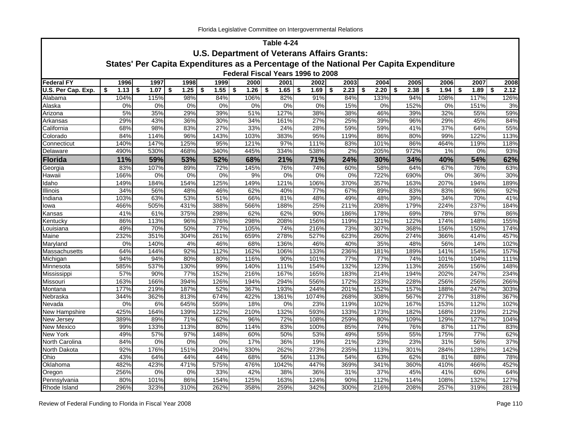|                      |                                             |      |    |      |                                                                                        |            |    |    |      |    | Table 4-24                        |            |            |            |            |            |            |            |
|----------------------|---------------------------------------------|------|----|------|----------------------------------------------------------------------------------------|------------|----|----|------|----|-----------------------------------|------------|------------|------------|------------|------------|------------|------------|
|                      | U.S. Department of Veterans Affairs Grants: |      |    |      |                                                                                        |            |    |    |      |    |                                   |            |            |            |            |            |            |            |
|                      |                                             |      |    |      | States' Per Capita Expenditures as a Percentage of the National Per Capita Expenditure |            |    |    |      |    |                                   |            |            |            |            |            |            |            |
|                      |                                             |      |    |      |                                                                                        |            |    |    |      |    |                                   |            |            |            |            |            |            |            |
|                      |                                             |      |    |      |                                                                                        |            |    |    |      |    | Federal Fiscal Years 1996 to 2008 |            |            |            |            |            |            |            |
| <b>Federal FY</b>    |                                             | 1996 |    | 1997 | 1998                                                                                   | 1999       |    |    | 2000 |    | 2001                              | 2002       | 2003       | 2004       | 2005       | 2006       | 2007       | 2008       |
| U.S. Per Cap. Exp.   | \$                                          | 1.13 | \$ | 1.07 | \$<br>1.25                                                                             | \$<br>1.55 |    | \$ | 1.26 | \$ | 1.65                              | \$<br>1.69 | \$<br>2.23 | \$<br>2.20 | \$<br>2.38 | \$<br>1.94 | \$<br>1.89 | \$<br>2.12 |
| Alabama              |                                             | 104% |    | 115% | 98%                                                                                    | 84%        |    |    | 106% |    | 82%                               | 91%        | 84%        | 133%       | 94%        | 108%       | 117%       | 126%       |
| Alaska               |                                             | 0%   |    | 0%   | 0%                                                                                     |            | 0% |    | 0%   |    | 0%                                | 0%         | 15%        | 0%         | 152%       | 0%         | 151%       | 3%         |
| Arizona              |                                             | 5%   |    | 35%  | 29%                                                                                    | 39%        |    |    | 51%  |    | 127%                              | 38%        | 38%        | 46%        | 39%        | 32%        | 55%        | 59%        |
| Arkansas             |                                             | 29%  |    | 43%  | 36%                                                                                    | 30%        |    |    | 34%  |    | 161%                              | 27%        | 25%        | 39%        | 96%        | 29%        | 45%        | 84%        |
| California           |                                             | 68%  |    | 98%  | 83%                                                                                    | 27%        |    |    | 33%  |    | 24%                               | 28%        | 59%        | 59%        | 41%        | 37%        | 64%        | 55%        |
| Colorado             |                                             | 84%  |    | 114% | 96%                                                                                    | 143%       |    |    | 103% |    | 383%                              | 95%        | 119%       | 86%        | 80%        | 99%        | 122%       | 113%       |
| Connecticut          |                                             | 140% |    | 147% | 125%                                                                                   | 95%        |    |    | 121% |    | 97%                               | 111%       | 83%        | 101%       | 86%        | 464%       | 119%       | 118%       |
| Delaware             |                                             | 490% |    | 530% | 468%                                                                                   | 340%       |    |    | 445% |    | 334%                              | 538%       | 2%         | 205%       | 972%       | 1%         | 0%         | 93%        |
| Florida              |                                             | 11%  |    | 59%  | 53%                                                                                    | 52%        |    |    | 68%  |    | 21%                               | 71%        | 24%        | 30%        | 34%        | 40%        | 54%        | 62%        |
| Georgia              |                                             | 83%  |    | 107% | 89%                                                                                    | 72%        |    |    | 145% |    | 76%                               | 74%        | 60%        | 58%        | 64%        | 67%        | 76%        | 63%        |
| Hawaii               |                                             | 166% |    | 0%   | 0%                                                                                     |            | 0% |    | 9%   |    | 0%                                | 0%         | 0%         | 722%       | 690%       | 0%         | 36%        | 30%        |
| daho                 |                                             | 149% |    | 184% | 154%                                                                                   | 125%       |    |    | 149% |    | 121%                              | 106%       | 370%       | 357%       | 163%       | 207%       | 194%       | 189%       |
| Illinois             |                                             | 34%  |    | 56%  | 48%                                                                                    | 46%        |    |    | 62%  |    | 40%                               | 77%        | 67%        | 89%        | 83%        | 83%        | 96%        | 92%        |
| Indiana              |                                             | 103% |    | 63%  | 53%                                                                                    | 51%        |    |    | 66%  |    | 81%                               | 48%        | 49%        | 48%        | 39%        | 34%        | 70%        | 41%        |
| owa                  |                                             | 466% |    | 505% | 431%                                                                                   | 388%       |    |    | 566% |    | 188%                              | 25%        | 211%       | 208%       | 179%       | 224%       | 237%       | 184%       |
| Kansas               |                                             | 41%  |    | 61%  | 375%                                                                                   | 298%       |    |    | 62%  |    | 62%                               | 90%        | 186%       | 178%       | 69%        | 78%        | 97%        | 86%        |
| Kentucky             |                                             | 86%  |    | 113% | 96%                                                                                    | 376%       |    |    | 298% |    | 208%                              | 156%       | 119%       | 121%       | 122%       | 174%       | 148%       | 155%       |
| ouisiana.            |                                             | 49%  |    | 70%  | 50%                                                                                    | 77%        |    |    | 105% |    | 74%                               | 216%       | 73%        | 307%       | 368%       | 156%       | 150%       | 174%       |
| Maine                |                                             | 232% |    | 351% | 304%                                                                                   | 261%       |    |    | 659% |    | 278%                              | 527%       | 623%       | 260%       | 274%       | 366%       | 414%       | 457%       |
| <b>Maryland</b>      |                                             | 0%   |    | 140% | 4%                                                                                     | 46%        |    |    | 68%  |    | 136%                              | 46%        | 40%        | 35%        | 48%        | 56%        | 14%        | 102%       |
| Massachusetts        |                                             | 64%  |    | 144% | 92%                                                                                    | 112%       |    |    | 162% |    | 106%                              | 133%       | 236%       | 181%       | 189%       | 141%       | 154%       | 157%       |
| <b>Michigan</b>      |                                             | 94%  |    | 94%  | 80%                                                                                    | 80%        |    |    | 116% |    | 90%                               | 101%       | 77%        | 77%        | 74%        | 101%       | 104%       | 111%       |
| Minnesota            |                                             | 585% |    | 537% | 130%                                                                                   | 99%        |    |    | 140% |    | 111%                              | 154%       | 132%       | 123%       | 113%       | 265%       | 156%       | 148%       |
| Mississippi          |                                             | 57%  |    | 90%  | 77%                                                                                    | 152%       |    |    | 216% |    | 167%                              | 165%       | 183%       | 214%       | 194%       | 202%       | 247%       | 234%       |
| <b>Missouri</b>      |                                             | 163% |    | 166% | 394%                                                                                   | 126%       |    |    | 194% |    | 294%                              | 556%       | 172%       | 233%       | 228%       | 256%       | 256%       | 266%       |
| Montana              |                                             | 177% |    | 219% | 187%                                                                                   | 52%        |    |    | 367% |    | 193%                              | 244%       | 201%       | 152%       | 157%       | 188%       | 247%       | 303%       |
| Nebraska             |                                             | 344% |    | 362% | 813%                                                                                   | 674%       |    |    | 422% |    | 1361%                             | 1074%      | 268%       | 308%       | 567%       | 277%       | 318%       | 367%       |
| Nevada               |                                             | 0%   |    | 6%   | 645%                                                                                   | 559%       |    |    | 18%  |    | 0%                                | 23%        | 119%       | 102%       | 167%       | 153%       | 112%       | 102%       |
| <b>New Hampshire</b> |                                             | 425% |    | 164% | 139%                                                                                   | 122%       |    |    | 210% |    | 132%                              | 593%       | 133%       | 173%       | 182%       | 168%       | 219%       | 212%       |
| New Jersey           |                                             | 389% |    | 89%  | 71%                                                                                    | 62%        |    |    | 96%  |    | 72%                               | 108%       | 259%       | 80%        | 109%       | 129%       | 127%       | 104%       |
| New Mexico           |                                             | 99%  |    | 133% | 113%                                                                                   | 80%        |    |    | 114% |    | 83%                               | 100%       | 85%        | 74%        | 76%        | 87%        | 117%       | 83%        |
| <b>New York</b>      |                                             | 49%  |    | 57%  | 97%                                                                                    | 148%       |    |    | 60%  |    | 50%                               | 53%        | 49%        | 55%        | 55%        | 175%       | 77%        | 62%        |
| North Carolina       |                                             | 84%  |    | 0%   | 0%                                                                                     |            | 0% |    | 17%  |    | 36%                               | 19%        | 21%        | 23%        | 23%        | 31%        | 56%        | 37%        |
| North Dakota         |                                             | 92%  |    | 176% | 151%                                                                                   | 204%       |    |    | 330% |    | 262%                              | 273%       | 235%       | 113%       | 301%       | 284%       | 128%       | 142%       |
| Ohio                 |                                             | 43%  |    | 64%  | 44%                                                                                    | 44%        |    |    | 68%  |    | 56%                               | 113%       | 54%        | 63%        | 62%        | 81%        | 88%        | 78%        |
| Oklahoma             |                                             | 482% |    | 423% | 471%                                                                                   | 575%       |    |    | 476% |    | 1042%                             | 447%       | 369%       | 341%       | 360%       | 410%       | 466%       | 452%       |
| Oregon               |                                             | 256% |    | 0%   | 0%                                                                                     | 33%        |    |    | 42%  |    | 38%                               | 36%        | 31%        | 37%        | 45%        | 41%        | 60%        | 64%        |
| Pennsylvania         |                                             | 80%  |    | 101% | 86%                                                                                    | 154%       |    |    | 125% |    | 163%                              | 124%       | 90%        | 112%       | 114%       | 108%       | 132%       | 127%       |
| Rhode Island         |                                             | 296% |    | 323% | 310%                                                                                   | 262%       |    |    | 358% |    | 259%                              | 342%       | 300%       | 216%       | 208%       | 257%       | 319%       | 281%       |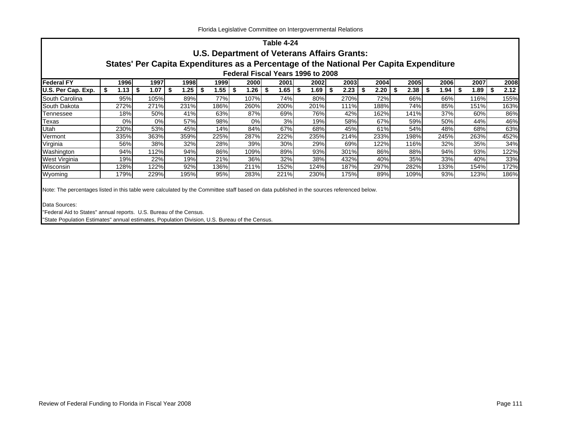| Table 4-24<br>U.S. Department of Veterans Affairs Grants:<br>States' Per Capita Expenditures as a Percentage of the National Per Capita Expenditure<br>Federal Fiscal Years 1996 to 2008 |  |             |      |      |   |        |  |              |    |       |      |      |     |        |      |      |      |             |      |      |      |      |  |      |
|------------------------------------------------------------------------------------------------------------------------------------------------------------------------------------------|--|-------------|------|------|---|--------|--|--------------|----|-------|------|------|-----|--------|------|------|------|-------------|------|------|------|------|--|------|
| <b>Federal FY</b>                                                                                                                                                                        |  | <b>1996</b> |      | 1997 |   | 1998   |  | 1999         |    | 2000  |      | 2001 |     | 2002   |      | 2003 |      | 2004        | 2005 |      | 2006 | 2007 |  | 2008 |
| U.S. Per Cap. Exp.                                                                                                                                                                       |  | 1.13 I      | - 56 | 1.07 | S | 1.25 S |  | 1.55         | -S | 1.26  | - \$ | 1.65 | - S | 1.69 I | - \$ | 2.23 | - \$ | $2.20$   \$ | 2.38 | - 56 | 1.94 | 1.89 |  | 2.12 |
| South Carolina                                                                                                                                                                           |  | 95%         |      | 105% |   | 89%    |  | 77%          |    | 107%  |      | 74%  |     | 80%    |      | 270% |      | 72%         | 66%  |      | 66%  | 116% |  | 155% |
| South Dakota                                                                                                                                                                             |  | 272%        |      | 271% |   | 231%   |  | 186%         |    | 260%  |      | 200% |     | 201%   |      | 111% |      | 188%        | 74%  |      | 85%  | 151% |  | 163% |
| Tennessee                                                                                                                                                                                |  | 18%         |      | 50%  |   | 41%    |  | 63%          |    | 87%   |      | 69%  |     | 76%    |      | 42%  |      | 162%        | 141% |      | 37%  | 60%  |  | 86%  |
| Texas                                                                                                                                                                                    |  | 0%          |      | 0%   |   | 57%    |  | 98%          |    | $0\%$ |      | 3%   |     | 19%    |      | 58%  |      | 67%         | 59%  |      | 50%  | 44%  |  | 46%  |
| Utah                                                                                                                                                                                     |  | 230%        |      | 53%  |   | 45%    |  | 14%          |    | 84%   |      | 67%  |     | 68%    |      | 45%  |      | 61%         | 54%  |      | 48%  | 68%  |  | 63%  |
| Vermont                                                                                                                                                                                  |  | 335%        |      | 363% |   | 359%   |  | 225%         |    | 287%  |      | 222% |     | 235%   |      | 214% |      | 233%        | 198% |      | 245% | 263% |  | 452% |
| Virginia                                                                                                                                                                                 |  | 56%         |      | 38%  |   | 32%    |  | $28\sqrt{ }$ |    | 39%   |      | 30%  |     | 29%    |      | 69%  |      | 122%        | 116% |      | 32%  | 35%  |  | 34%  |
| Washington                                                                                                                                                                               |  | 94%         |      | 112% |   | 94%    |  | 86%          |    | 109%  |      | 89%  |     | 93%    |      | 301% |      | 86%         | 88%  |      | 94%  | 93%  |  | 122% |
| West Virginia                                                                                                                                                                            |  | 19%         |      | 22%  |   | 19%    |  | 21%          |    | 36%   |      | 32%  |     | 38%    |      | 432% |      | 40%         | 35%  |      | 33%  | 40%  |  | 33%  |
| Wisconsin                                                                                                                                                                                |  | 128%        |      | 122% |   | 92%    |  | 136%         |    | 211%  |      | 152% |     | 124%   |      | 187% |      | 297%        | 282% |      | 133% | 154% |  | 172% |
| Wyoming                                                                                                                                                                                  |  | 179%        |      | 229% |   | 195%   |  | 95%          |    | 283%  |      | 221% |     | 230%   |      | 175% |      | 89%         | 109% |      | 93%  | 123% |  | 186% |

Data Sources:

"Federal Aid to States" annual reports. U.S. Bureau of the Census.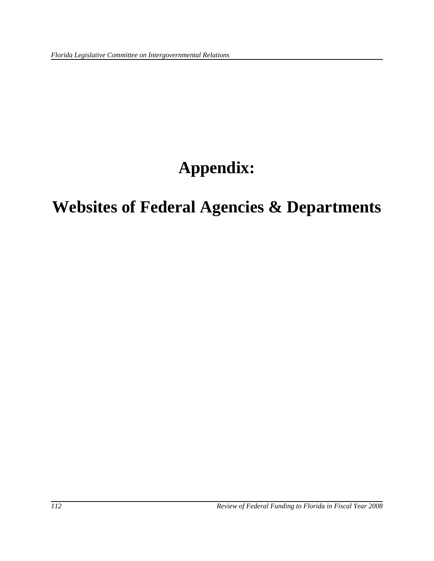## **Appendix:**

## **Websites of Federal Agencies & Departments**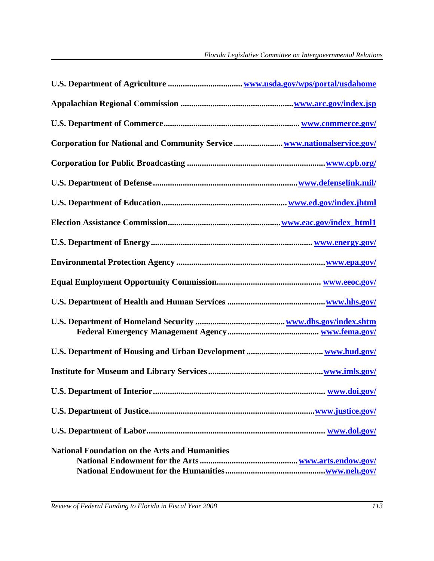| Corporation for National and Community Service  www.nationalservice.gov/ |
|--------------------------------------------------------------------------|
|                                                                          |
|                                                                          |
|                                                                          |
|                                                                          |
|                                                                          |
|                                                                          |
|                                                                          |
|                                                                          |
|                                                                          |
|                                                                          |
|                                                                          |
|                                                                          |
|                                                                          |
|                                                                          |
| <b>National Foundation on the Arts and Humanities</b>                    |